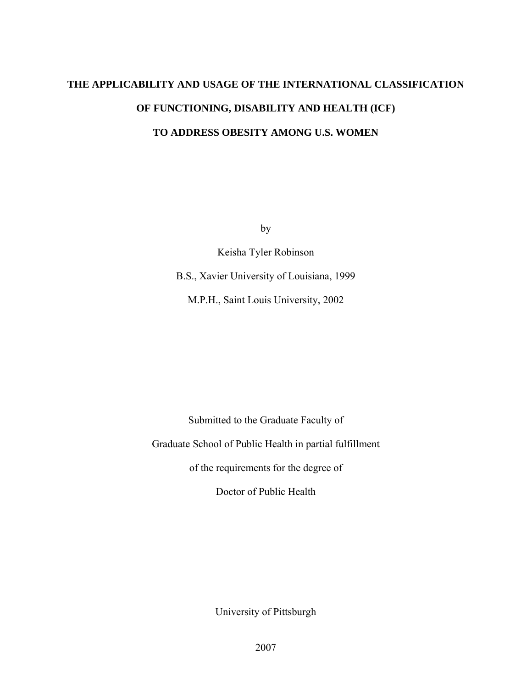# **THE APPLICABILITY AND USAGE OF THE INTERNATIONAL CLASSIFICATION OF FUNCTIONING, DISABILITY AND HEALTH (ICF) TO ADDRESS OBESITY AMONG U.S. WOMEN**

by

Keisha Tyler Robinson

B.S., Xavier University of Louisiana, 1999

M.P.H., Saint Louis University, 2002

Submitted to the Graduate Faculty of Graduate School of Public Health in partial fulfillment of the requirements for the degree of

Doctor of Public Health

University of Pittsburgh

2007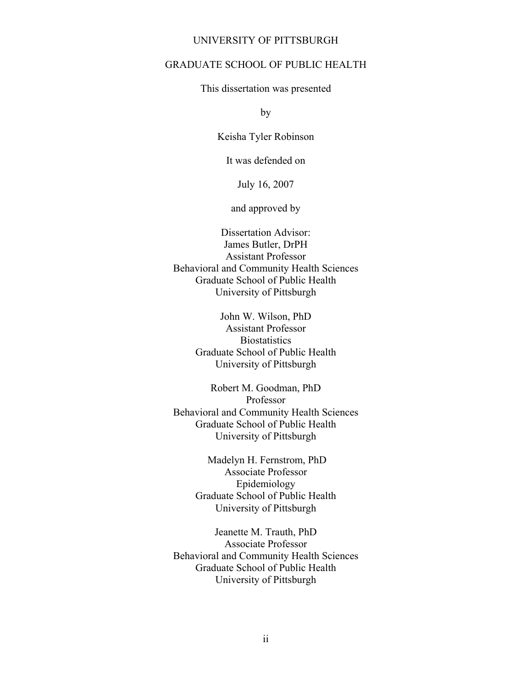### UNIVERSITY OF PITTSBURGH

## GRADUATE SCHOOL OF PUBLIC HEALTH

This dissertation was presented

by

Keisha Tyler Robinson

It was defended on

July 16, 2007

and approved by

Dissertation Advisor: James Butler, DrPH Assistant Professor Behavioral and Community Health Sciences Graduate School of Public Health University of Pittsburgh

> John W. Wilson, PhD Assistant Professor **Biostatistics** Graduate School of Public Health University of Pittsburgh

Robert M. Goodman, PhD Professor Behavioral and Community Health Sciences Graduate School of Public Health University of Pittsburgh

> Madelyn H. Fernstrom, PhD Associate Professor Epidemiology Graduate School of Public Health University of Pittsburgh

Jeanette M. Trauth, PhD Associate Professor Behavioral and Community Health Sciences Graduate School of Public Health University of Pittsburgh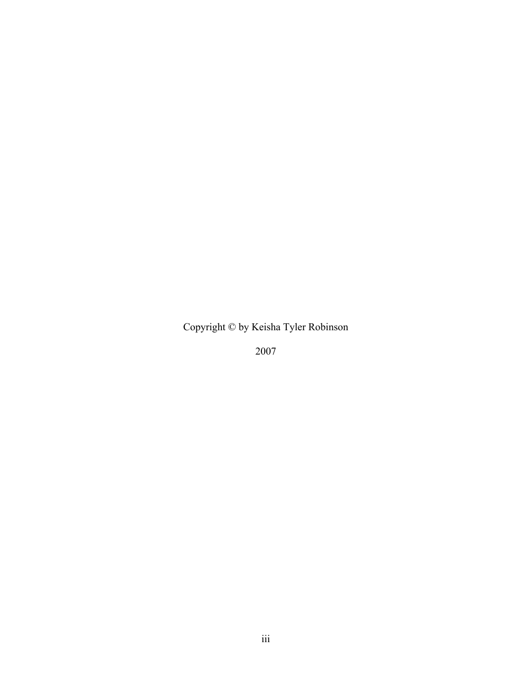Copyright © by Keisha Tyler Robinson

2007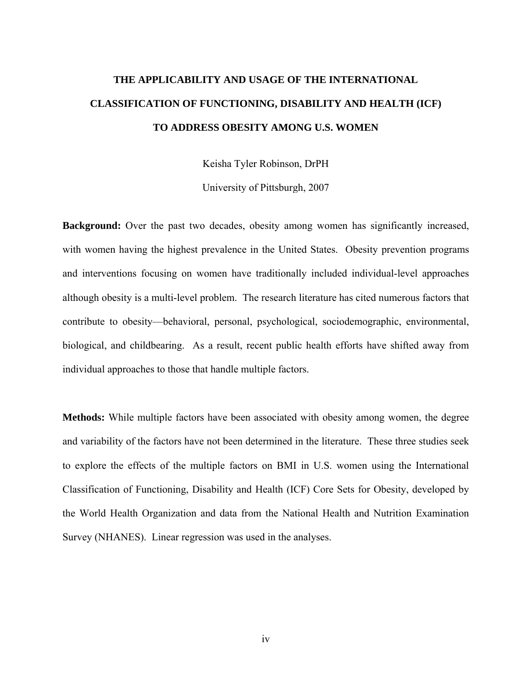# **THE APPLICABILITY AND USAGE OF THE INTERNATIONAL CLASSIFICATION OF FUNCTIONING, DISABILITY AND HEALTH (ICF) TO ADDRESS OBESITY AMONG U.S. WOMEN**

Keisha Tyler Robinson, DrPH

University of Pittsburgh, 2007

**Background:** Over the past two decades, obesity among women has significantly increased, with women having the highest prevalence in the United States. Obesity prevention programs and interventions focusing on women have traditionally included individual-level approaches although obesity is a multi-level problem. The research literature has cited numerous factors that contribute to obesity—behavioral, personal, psychological, sociodemographic, environmental, biological, and childbearing. As a result, recent public health efforts have shifted away from individual approaches to those that handle multiple factors.

**Methods:** While multiple factors have been associated with obesity among women, the degree and variability of the factors have not been determined in the literature. These three studies seek to explore the effects of the multiple factors on BMI in U.S. women using the International Classification of Functioning, Disability and Health (ICF) Core Sets for Obesity, developed by the World Health Organization and data from the National Health and Nutrition Examination Survey (NHANES). Linear regression was used in the analyses.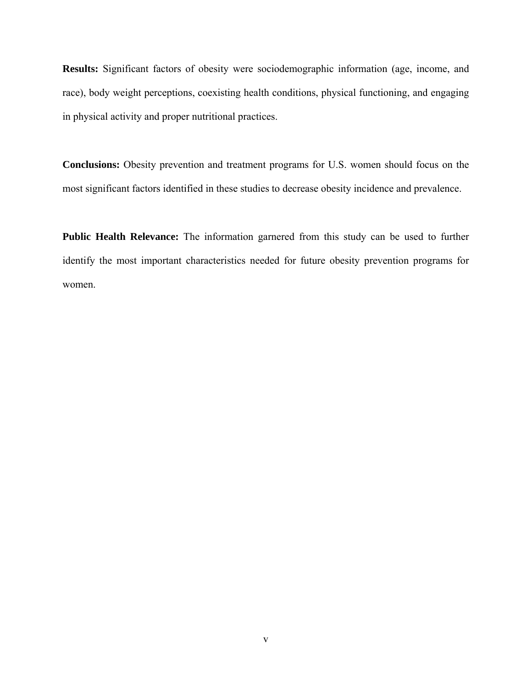**Results:** Significant factors of obesity were sociodemographic information (age, income, and race), body weight perceptions, coexisting health conditions, physical functioning, and engaging in physical activity and proper nutritional practices.

**Conclusions:** Obesity prevention and treatment programs for U.S. women should focus on the most significant factors identified in these studies to decrease obesity incidence and prevalence.

**Public Health Relevance:** The information garnered from this study can be used to further identify the most important characteristics needed for future obesity prevention programs for women.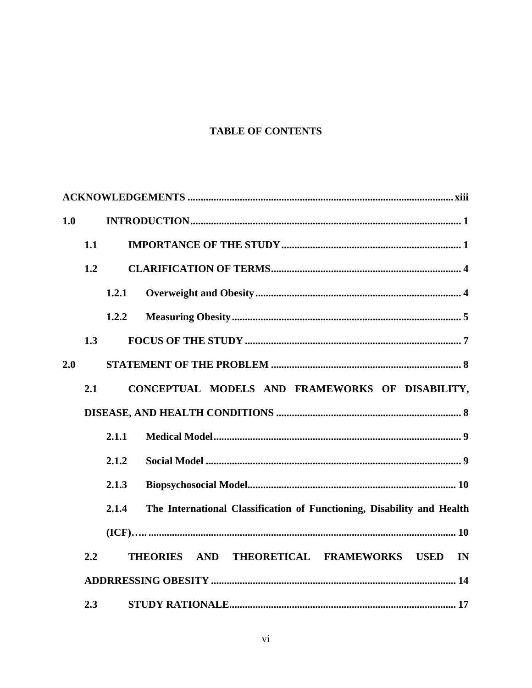## **TABLE OF CONTENTS**

| 1.0 |     |       |                                                                              |  |
|-----|-----|-------|------------------------------------------------------------------------------|--|
|     | 1.1 |       |                                                                              |  |
|     | 1.2 |       |                                                                              |  |
|     |     | 1.2.1 |                                                                              |  |
|     |     | 1.2.2 |                                                                              |  |
|     | 1.3 |       |                                                                              |  |
| 2.0 |     |       |                                                                              |  |
|     | 2.1 |       | CONCEPTUAL MODELS AND FRAMEWORKS OF DISABILITY,                              |  |
|     |     |       |                                                                              |  |
|     |     | 2.1.1 |                                                                              |  |
|     |     | 2.1.2 |                                                                              |  |
|     |     | 2.1.3 |                                                                              |  |
|     |     | 2.1.4 | The International Classification of Functioning, Disability and Health       |  |
|     |     |       |                                                                              |  |
|     | 2.2 |       | THEORETICAL FRAMEWORKS<br><b>THEORIES</b><br><b>AND</b><br><b>USED</b><br>IN |  |
|     |     |       |                                                                              |  |
|     | 2.3 |       |                                                                              |  |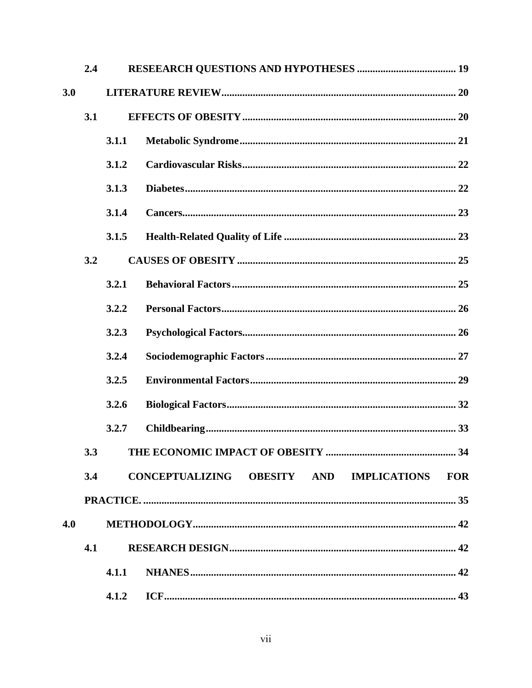|     | 2.4 |       |                                              |      |
|-----|-----|-------|----------------------------------------------|------|
| 3.0 |     |       |                                              |      |
|     | 3.1 |       |                                              |      |
|     |     | 3.1.1 |                                              |      |
|     |     | 3.1.2 |                                              |      |
|     |     | 3.1.3 |                                              |      |
|     |     | 3.1.4 |                                              |      |
|     |     | 3.1.5 |                                              |      |
|     | 3.2 |       |                                              |      |
|     |     | 3.2.1 |                                              |      |
|     |     | 3.2.2 |                                              |      |
|     |     | 3.2.3 |                                              |      |
|     |     | 3.2.4 |                                              |      |
|     |     | 3.2.5 |                                              |      |
|     |     | 3.2.6 |                                              |      |
|     |     | 3.2.7 |                                              |      |
|     | 3.3 |       |                                              | . 34 |
|     | 3.4 |       | CONCEPTUALIZING OBESITY AND IMPLICATIONS FOR |      |
|     |     |       |                                              |      |
| 4.0 |     |       |                                              |      |
|     | 4.1 |       |                                              |      |
|     |     | 4.1.1 |                                              |      |
|     |     | 4.1.2 |                                              |      |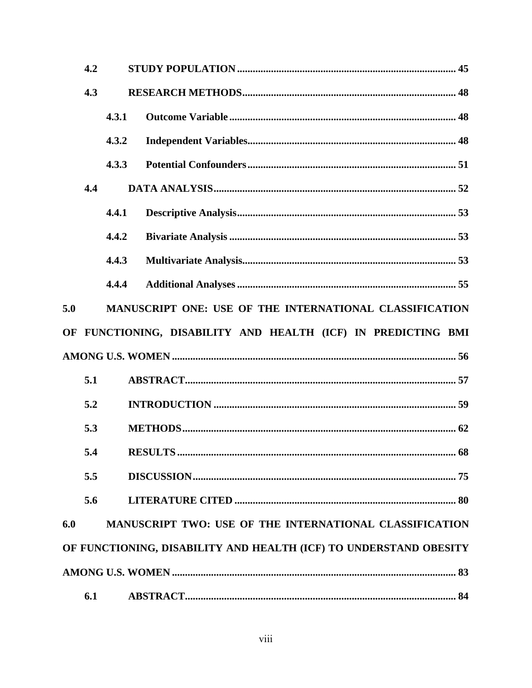|     | 4.2 |       |                                                                   |  |  |
|-----|-----|-------|-------------------------------------------------------------------|--|--|
|     | 4.3 |       |                                                                   |  |  |
|     |     | 4.3.1 |                                                                   |  |  |
|     |     | 4.3.2 |                                                                   |  |  |
|     |     | 4.3.3 |                                                                   |  |  |
|     | 4.4 |       |                                                                   |  |  |
|     |     | 4.4.1 |                                                                   |  |  |
|     |     | 4.4.2 |                                                                   |  |  |
|     |     | 4.4.3 |                                                                   |  |  |
|     |     | 4.4.4 |                                                                   |  |  |
| 5.0 |     |       | MANUSCRIPT ONE: USE OF THE INTERNATIONAL CLASSIFICATION           |  |  |
| OF  |     |       | FUNCTIONING, DISABILITY AND HEALTH (ICF) IN PREDICTING BMI        |  |  |
|     |     |       |                                                                   |  |  |
|     | 5.1 |       |                                                                   |  |  |
|     | 5.2 |       |                                                                   |  |  |
|     | 5.3 |       |                                                                   |  |  |
|     | 5.4 |       |                                                                   |  |  |
|     | 5.5 |       |                                                                   |  |  |
|     | 5.6 |       |                                                                   |  |  |
| 6.0 |     |       | MANUSCRIPT TWO: USE OF THE INTERNATIONAL CLASSIFICATION           |  |  |
|     |     |       | OF FUNCTIONING, DISABILITY AND HEALTH (ICF) TO UNDERSTAND OBESITY |  |  |
|     |     |       |                                                                   |  |  |
|     | 6.1 |       |                                                                   |  |  |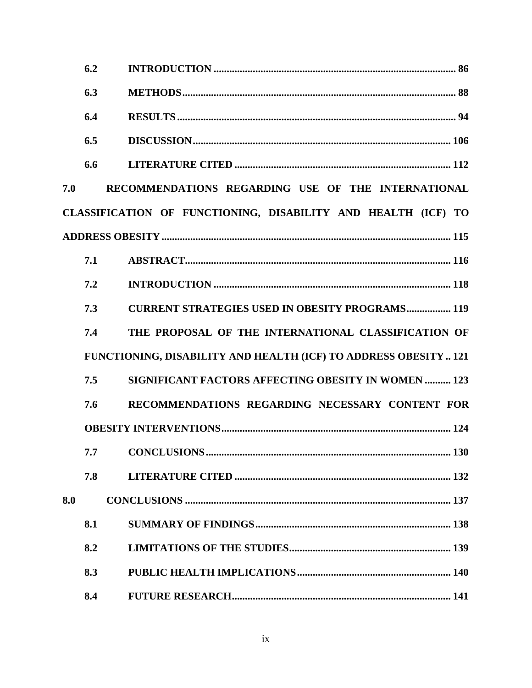|     | 6.2 |                                                                         |
|-----|-----|-------------------------------------------------------------------------|
|     | 6.3 |                                                                         |
|     | 6.4 |                                                                         |
|     | 6.5 |                                                                         |
|     | 6.6 |                                                                         |
| 7.0 |     | RECOMMENDATIONS REGARDING USE OF THE INTERNATIONAL                      |
|     |     | CLASSIFICATION OF FUNCTIONING, DISABILITY AND HEALTH (ICF) TO           |
|     |     |                                                                         |
|     | 7.1 |                                                                         |
|     | 7.2 |                                                                         |
|     | 7.3 | <b>CURRENT STRATEGIES USED IN OBESITY PROGRAMS 119</b>                  |
|     | 7.4 | THE PROPOSAL OF THE INTERNATIONAL CLASSIFICATION OF                     |
|     |     | <b>FUNCTIONING, DISABILITY AND HEALTH (ICF) TO ADDRESS OBESITY  121</b> |
|     | 7.5 | <b>SIGNIFICANT FACTORS AFFECTING OBESITY IN WOMEN  123</b>              |
|     | 7.6 | RECOMMENDATIONS REGARDING NECESSARY CONTENT FOR                         |
|     |     |                                                                         |
|     |     |                                                                         |
|     | 7.8 |                                                                         |
| 8.0 |     |                                                                         |
|     | 8.1 |                                                                         |
|     | 8.2 |                                                                         |
|     | 8.3 |                                                                         |
|     | 8.4 |                                                                         |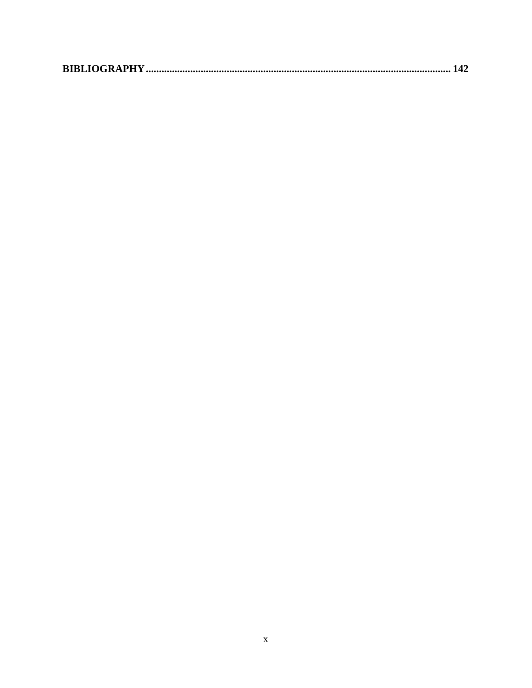|--|--|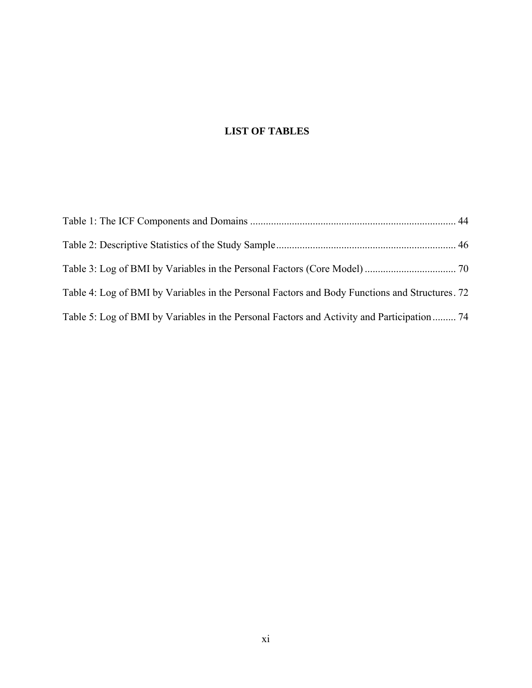# **LIST OF TABLES**

| Table 4: Log of BMI by Variables in the Personal Factors and Body Functions and Structures. 72 |  |
|------------------------------------------------------------------------------------------------|--|
| Table 5: Log of BMI by Variables in the Personal Factors and Activity and Participation  74    |  |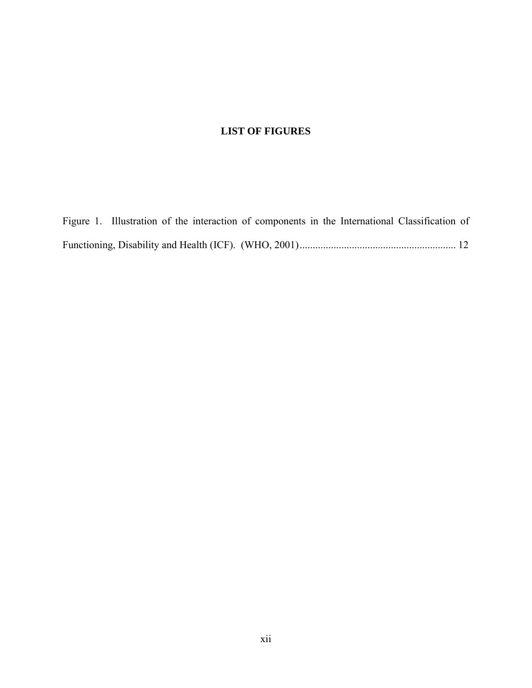## **LIST OF FIGURES**

[Figure 1. Illustration of the interaction of components in the International Classification of](#page-26-0)  [Functioning, Disability and Health \(ICF\). \(WHO, 2001\)............................................................ 12](#page-26-0)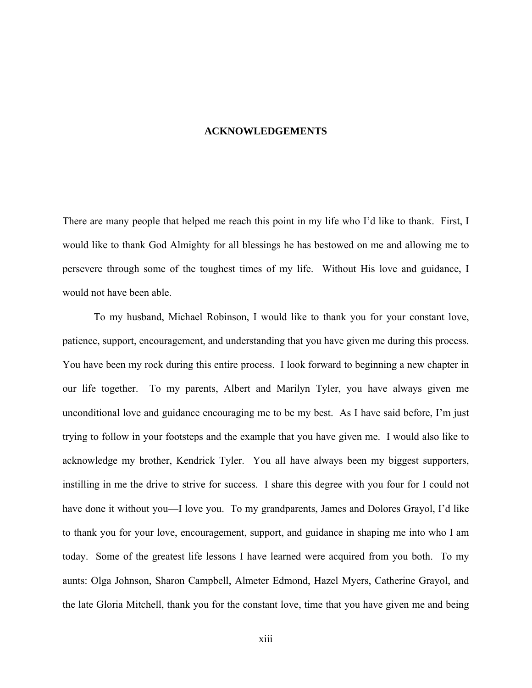#### **ACKNOWLEDGEMENTS**

<span id="page-12-0"></span>There are many people that helped me reach this point in my life who I'd like to thank. First, I would like to thank God Almighty for all blessings he has bestowed on me and allowing me to persevere through some of the toughest times of my life. Without His love and guidance, I would not have been able.

 To my husband, Michael Robinson, I would like to thank you for your constant love, patience, support, encouragement, and understanding that you have given me during this process. You have been my rock during this entire process. I look forward to beginning a new chapter in our life together. To my parents, Albert and Marilyn Tyler, you have always given me unconditional love and guidance encouraging me to be my best. As I have said before, I'm just trying to follow in your footsteps and the example that you have given me. I would also like to acknowledge my brother, Kendrick Tyler. You all have always been my biggest supporters, instilling in me the drive to strive for success. I share this degree with you four for I could not have done it without you—I love you. To my grandparents, James and Dolores Grayol, I'd like to thank you for your love, encouragement, support, and guidance in shaping me into who I am today. Some of the greatest life lessons I have learned were acquired from you both. To my aunts: Olga Johnson, Sharon Campbell, Almeter Edmond, Hazel Myers, Catherine Grayol, and the late Gloria Mitchell, thank you for the constant love, time that you have given me and being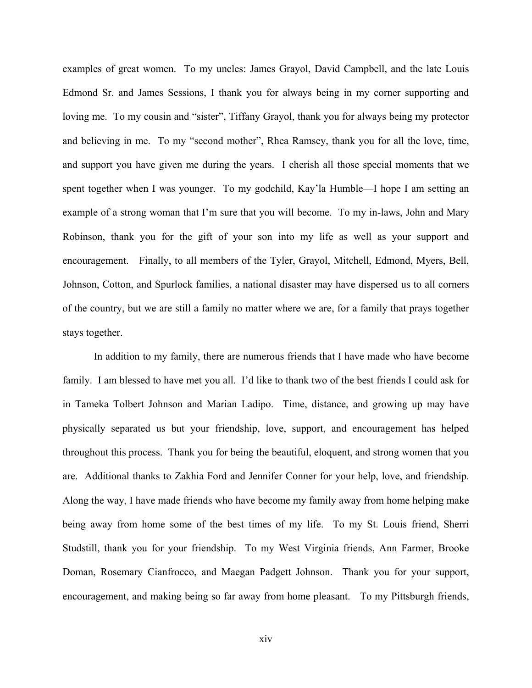examples of great women. To my uncles: James Grayol, David Campbell, and the late Louis Edmond Sr. and James Sessions, I thank you for always being in my corner supporting and loving me. To my cousin and "sister", Tiffany Grayol, thank you for always being my protector and believing in me. To my "second mother", Rhea Ramsey, thank you for all the love, time, and support you have given me during the years. I cherish all those special moments that we spent together when I was younger. To my godchild, Kay'la Humble—I hope I am setting an example of a strong woman that I'm sure that you will become. To my in-laws, John and Mary Robinson, thank you for the gift of your son into my life as well as your support and encouragement. Finally, to all members of the Tyler, Grayol, Mitchell, Edmond, Myers, Bell, Johnson, Cotton, and Spurlock families, a national disaster may have dispersed us to all corners of the country, but we are still a family no matter where we are, for a family that prays together stays together.

 In addition to my family, there are numerous friends that I have made who have become family. I am blessed to have met you all. I'd like to thank two of the best friends I could ask for in Tameka Tolbert Johnson and Marian Ladipo. Time, distance, and growing up may have physically separated us but your friendship, love, support, and encouragement has helped throughout this process. Thank you for being the beautiful, eloquent, and strong women that you are. Additional thanks to Zakhia Ford and Jennifer Conner for your help, love, and friendship. Along the way, I have made friends who have become my family away from home helping make being away from home some of the best times of my life. To my St. Louis friend, Sherri Studstill, thank you for your friendship. To my West Virginia friends, Ann Farmer, Brooke Doman, Rosemary Cianfrocco, and Maegan Padgett Johnson. Thank you for your support, encouragement, and making being so far away from home pleasant. To my Pittsburgh friends,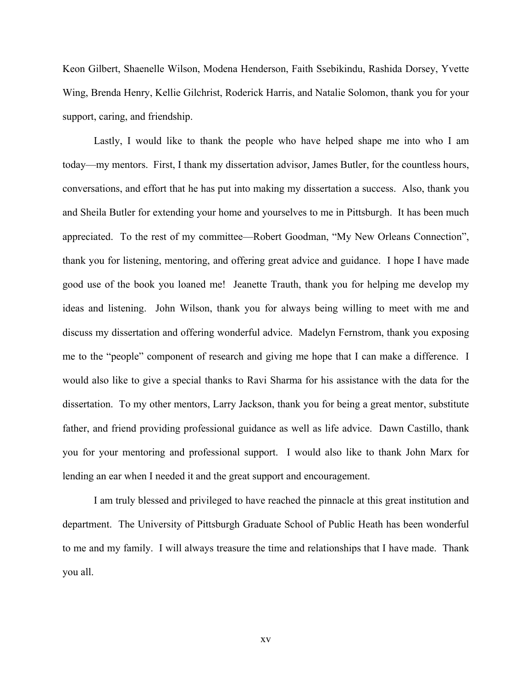Keon Gilbert, Shaenelle Wilson, Modena Henderson, Faith Ssebikindu, Rashida Dorsey, Yvette Wing, Brenda Henry, Kellie Gilchrist, Roderick Harris, and Natalie Solomon, thank you for your support, caring, and friendship.

 Lastly, I would like to thank the people who have helped shape me into who I am today—my mentors. First, I thank my dissertation advisor, James Butler, for the countless hours, conversations, and effort that he has put into making my dissertation a success. Also, thank you and Sheila Butler for extending your home and yourselves to me in Pittsburgh. It has been much appreciated. To the rest of my committee—Robert Goodman, "My New Orleans Connection", thank you for listening, mentoring, and offering great advice and guidance. I hope I have made good use of the book you loaned me! Jeanette Trauth, thank you for helping me develop my ideas and listening. John Wilson, thank you for always being willing to meet with me and discuss my dissertation and offering wonderful advice. Madelyn Fernstrom, thank you exposing me to the "people" component of research and giving me hope that I can make a difference. I would also like to give a special thanks to Ravi Sharma for his assistance with the data for the dissertation. To my other mentors, Larry Jackson, thank you for being a great mentor, substitute father, and friend providing professional guidance as well as life advice. Dawn Castillo, thank you for your mentoring and professional support. I would also like to thank John Marx for lending an ear when I needed it and the great support and encouragement.

 I am truly blessed and privileged to have reached the pinnacle at this great institution and department. The University of Pittsburgh Graduate School of Public Heath has been wonderful to me and my family. I will always treasure the time and relationships that I have made. Thank you all.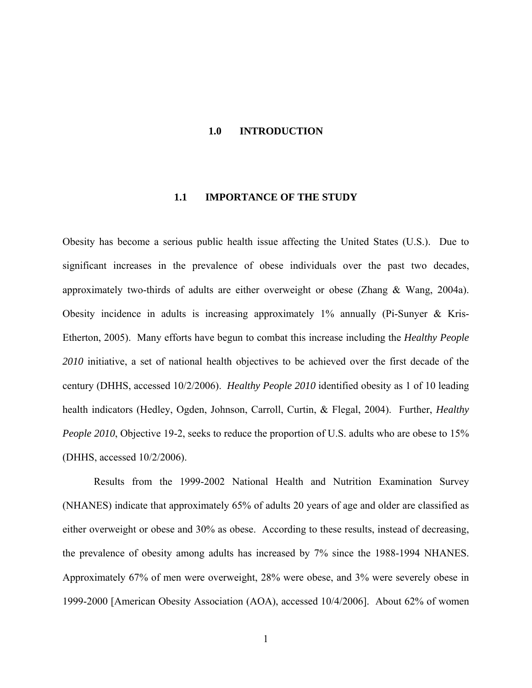#### <span id="page-15-0"></span>**1.0 INTRODUCTION**

#### **1.1 IMPORTANCE OF THE STUDY**

Obesity has become a serious public health issue affecting the United States (U.S.). Due to significant increases in the prevalence of obese individuals over the past two decades, approximately two-thirds of adults are either overweight or obese (Zhang & Wang, 2004a). Obesity incidence in adults is increasing approximately 1% annually (Pi-Sunyer & Kris-Etherton, 2005). Many efforts have begun to combat this increase including the *Healthy People 2010* initiative, a set of national health objectives to be achieved over the first decade of the century (DHHS, accessed 10/2/2006). *Healthy People 2010* identified obesity as 1 of 10 leading health indicators (Hedley, Ogden, Johnson, Carroll, Curtin, & Flegal, 2004). Further, *Healthy People 2010*, Objective 19-2, seeks to reduce the proportion of U.S. adults who are obese to 15% (DHHS, accessed 10/2/2006).

Results from the 1999-2002 National Health and Nutrition Examination Survey (NHANES) indicate that approximately 65% of adults 20 years of age and older are classified as either overweight or obese and 30% as obese. According to these results, instead of decreasing, the prevalence of obesity among adults has increased by 7% since the 1988-1994 NHANES. Approximately 67% of men were overweight, 28% were obese, and 3% were severely obese in 1999-2000 [American Obesity Association (AOA), accessed 10/4/2006]. About 62% of women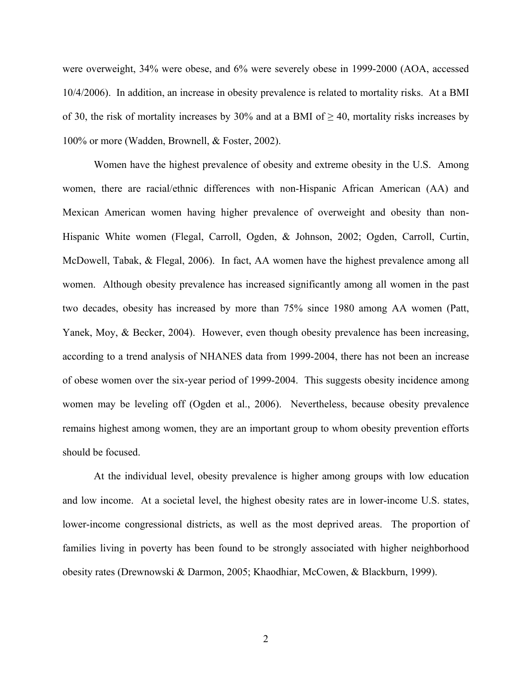were overweight, 34% were obese, and 6% were severely obese in 1999-2000 (AOA, accessed 10/4/2006). In addition, an increase in obesity prevalence is related to mortality risks. At a BMI of 30, the risk of mortality increases by 30% and at a BMI of  $\geq$  40, mortality risks increases by 100% or more (Wadden, Brownell, & Foster, 2002).

Women have the highest prevalence of obesity and extreme obesity in the U.S. Among women, there are racial/ethnic differences with non-Hispanic African American (AA) and Mexican American women having higher prevalence of overweight and obesity than non-Hispanic White women (Flegal, Carroll, Ogden, & Johnson, 2002; Ogden, Carroll, Curtin, McDowell, Tabak, & Flegal, 2006). In fact, AA women have the highest prevalence among all women. Although obesity prevalence has increased significantly among all women in the past two decades, obesity has increased by more than 75% since 1980 among AA women (Patt, Yanek, Moy, & Becker, 2004). However, even though obesity prevalence has been increasing, according to a trend analysis of NHANES data from 1999-2004, there has not been an increase of obese women over the six-year period of 1999-2004. This suggests obesity incidence among women may be leveling off (Ogden et al., 2006). Nevertheless, because obesity prevalence remains highest among women, they are an important group to whom obesity prevention efforts should be focused.

At the individual level, obesity prevalence is higher among groups with low education and low income. At a societal level, the highest obesity rates are in lower-income U.S. states, lower-income congressional districts, as well as the most deprived areas. The proportion of families living in poverty has been found to be strongly associated with higher neighborhood obesity rates (Drewnowski & Darmon, 2005; Khaodhiar, McCowen, & Blackburn, 1999).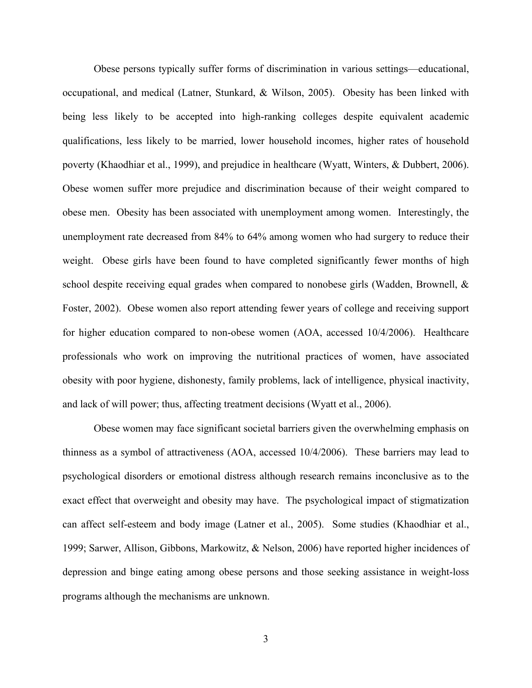Obese persons typically suffer forms of discrimination in various settings—educational, occupational, and medical (Latner, Stunkard, & Wilson, 2005). Obesity has been linked with being less likely to be accepted into high-ranking colleges despite equivalent academic qualifications, less likely to be married, lower household incomes, higher rates of household poverty (Khaodhiar et al., 1999), and prejudice in healthcare (Wyatt, Winters, & Dubbert, 2006). Obese women suffer more prejudice and discrimination because of their weight compared to obese men. Obesity has been associated with unemployment among women. Interestingly, the unemployment rate decreased from 84% to 64% among women who had surgery to reduce their weight. Obese girls have been found to have completed significantly fewer months of high school despite receiving equal grades when compared to nonobese girls (Wadden, Brownell, & Foster, 2002). Obese women also report attending fewer years of college and receiving support for higher education compared to non-obese women (AOA, accessed 10/4/2006). Healthcare professionals who work on improving the nutritional practices of women, have associated obesity with poor hygiene, dishonesty, family problems, lack of intelligence, physical inactivity, and lack of will power; thus, affecting treatment decisions (Wyatt et al., 2006).

Obese women may face significant societal barriers given the overwhelming emphasis on thinness as a symbol of attractiveness (AOA, accessed 10/4/2006). These barriers may lead to psychological disorders or emotional distress although research remains inconclusive as to the exact effect that overweight and obesity may have. The psychological impact of stigmatization can affect self-esteem and body image (Latner et al., 2005). Some studies (Khaodhiar et al., 1999; Sarwer, Allison, Gibbons, Markowitz, & Nelson, 2006) have reported higher incidences of depression and binge eating among obese persons and those seeking assistance in weight-loss programs although the mechanisms are unknown.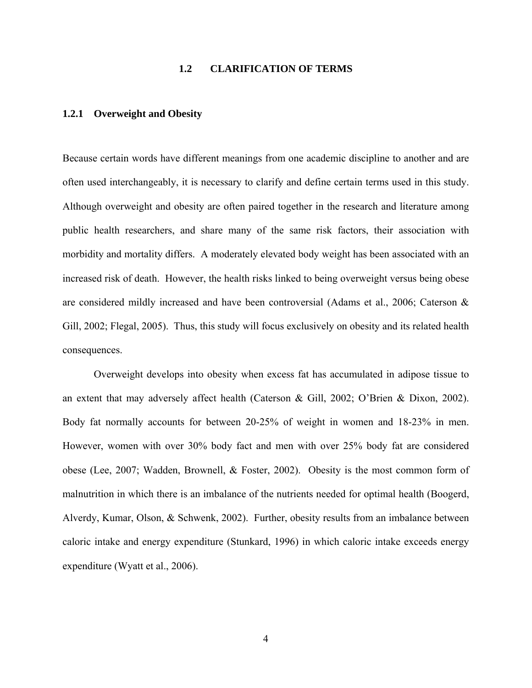#### **1.2 CLARIFICATION OF TERMS**

#### <span id="page-18-0"></span>**1.2.1 Overweight and Obesity**

Because certain words have different meanings from one academic discipline to another and are often used interchangeably, it is necessary to clarify and define certain terms used in this study. Although overweight and obesity are often paired together in the research and literature among public health researchers, and share many of the same risk factors, their association with morbidity and mortality differs. A moderately elevated body weight has been associated with an increased risk of death. However, the health risks linked to being overweight versus being obese are considered mildly increased and have been controversial (Adams et al., 2006; Caterson & Gill, 2002; Flegal, 2005). Thus, this study will focus exclusively on obesity and its related health consequences.

 Overweight develops into obesity when excess fat has accumulated in adipose tissue to an extent that may adversely affect health (Caterson & Gill, 2002; O'Brien & Dixon, 2002). Body fat normally accounts for between 20-25% of weight in women and 18-23% in men. However, women with over 30% body fact and men with over 25% body fat are considered obese (Lee, 2007; Wadden, Brownell, & Foster, 2002). Obesity is the most common form of malnutrition in which there is an imbalance of the nutrients needed for optimal health (Boogerd, Alverdy, Kumar, Olson, & Schwenk, 2002). Further, obesity results from an imbalance between caloric intake and energy expenditure (Stunkard, 1996) in which caloric intake exceeds energy expenditure (Wyatt et al., 2006).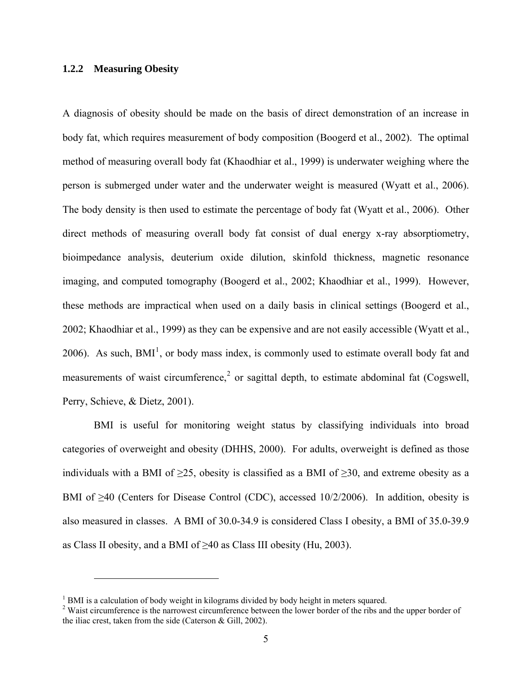#### <span id="page-19-0"></span>**1.2.2 Measuring Obesity**

 $\overline{a}$ 

A diagnosis of obesity should be made on the basis of direct demonstration of an increase in body fat, which requires measurement of body composition (Boogerd et al., 2002). The optimal method of measuring overall body fat (Khaodhiar et al., 1999) is underwater weighing where the person is submerged under water and the underwater weight is measured (Wyatt et al., 2006). The body density is then used to estimate the percentage of body fat (Wyatt et al., 2006). Other direct methods of measuring overall body fat consist of dual energy x-ray absorptiometry, bioimpedance analysis, deuterium oxide dilution, skinfold thickness, magnetic resonance imaging, and computed tomography (Boogerd et al., 2002; Khaodhiar et al., 1999). However, these methods are impractical when used on a daily basis in clinical settings (Boogerd et al., 2002; Khaodhiar et al., 1999) as they can be expensive and are not easily accessible (Wyatt et al., 2006). As such,  $BMI<sup>1</sup>$  $BMI<sup>1</sup>$  $BMI<sup>1</sup>$ , or body mass index, is commonly used to estimate overall body fat and measurements of waist circumference,<sup>[2](#page-19-2)</sup> or sagittal depth, to estimate abdominal fat (Cogswell, Perry, Schieve, & Dietz, 2001).

BMI is useful for monitoring weight status by classifying individuals into broad categories of overweight and obesity (DHHS, 2000). For adults, overweight is defined as those individuals with a BMI of  $\geq$ 25, obesity is classified as a BMI of  $\geq$ 30, and extreme obesity as a BMI of  $\geq$ 40 (Centers for Disease Control (CDC), accessed 10/2/2006). In addition, obesity is also measured in classes. A BMI of 30.0-34.9 is considered Class I obesity, a BMI of 35.0-39.9 as Class II obesity, and a BMI of  $\geq 40$  as Class III obesity (Hu, 2003).

 $1$  BMI is a calculation of body weight in kilograms divided by body height in meters squared.

<span id="page-19-2"></span><span id="page-19-1"></span> $2$  Waist circumference is the narrowest circumference between the lower border of the ribs and the upper border of the iliac crest, taken from the side (Caterson & Gill, 2002).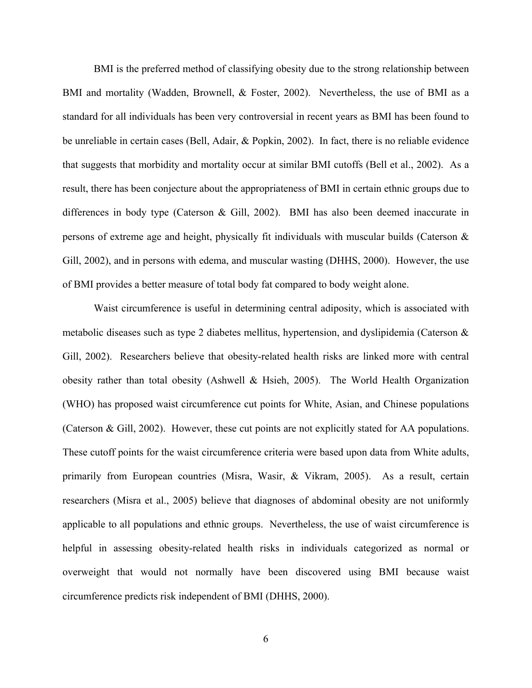BMI is the preferred method of classifying obesity due to the strong relationship between BMI and mortality (Wadden, Brownell, & Foster, 2002). Nevertheless, the use of BMI as a standard for all individuals has been very controversial in recent years as BMI has been found to be unreliable in certain cases (Bell, Adair, & Popkin, 2002). In fact, there is no reliable evidence that suggests that morbidity and mortality occur at similar BMI cutoffs (Bell et al., 2002). As a result, there has been conjecture about the appropriateness of BMI in certain ethnic groups due to differences in body type (Caterson & Gill, 2002). BMI has also been deemed inaccurate in persons of extreme age and height, physically fit individuals with muscular builds (Caterson & Gill, 2002), and in persons with edema, and muscular wasting (DHHS, 2000). However, the use of BMI provides a better measure of total body fat compared to body weight alone.

Waist circumference is useful in determining central adiposity, which is associated with metabolic diseases such as type 2 diabetes mellitus, hypertension, and dyslipidemia (Caterson  $\&$ Gill, 2002). Researchers believe that obesity-related health risks are linked more with central obesity rather than total obesity (Ashwell & Hsieh, 2005). The World Health Organization (WHO) has proposed waist circumference cut points for White, Asian, and Chinese populations (Caterson & Gill, 2002). However, these cut points are not explicitly stated for AA populations. These cutoff points for the waist circumference criteria were based upon data from White adults, primarily from European countries (Misra, Wasir, & Vikram, 2005). As a result, certain researchers (Misra et al., 2005) believe that diagnoses of abdominal obesity are not uniformly applicable to all populations and ethnic groups. Nevertheless, the use of waist circumference is helpful in assessing obesity-related health risks in individuals categorized as normal or overweight that would not normally have been discovered using BMI because waist circumference predicts risk independent of BMI (DHHS, 2000).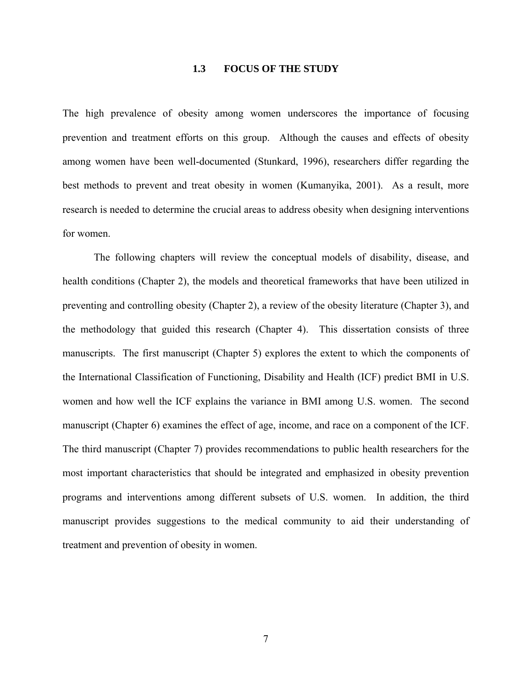#### **1.3 FOCUS OF THE STUDY**

<span id="page-21-0"></span>The high prevalence of obesity among women underscores the importance of focusing prevention and treatment efforts on this group. Although the causes and effects of obesity among women have been well-documented (Stunkard, 1996), researchers differ regarding the best methods to prevent and treat obesity in women (Kumanyika, 2001). As a result, more research is needed to determine the crucial areas to address obesity when designing interventions for women.

 The following chapters will review the conceptual models of disability, disease, and health conditions (Chapter 2), the models and theoretical frameworks that have been utilized in preventing and controlling obesity (Chapter 2), a review of the obesity literature (Chapter 3), and the methodology that guided this research (Chapter 4). This dissertation consists of three manuscripts. The first manuscript (Chapter 5) explores the extent to which the components of the International Classification of Functioning, Disability and Health (ICF) predict BMI in U.S. women and how well the ICF explains the variance in BMI among U.S. women. The second manuscript (Chapter 6) examines the effect of age, income, and race on a component of the ICF. The third manuscript (Chapter 7) provides recommendations to public health researchers for the most important characteristics that should be integrated and emphasized in obesity prevention programs and interventions among different subsets of U.S. women. In addition, the third manuscript provides suggestions to the medical community to aid their understanding of treatment and prevention of obesity in women.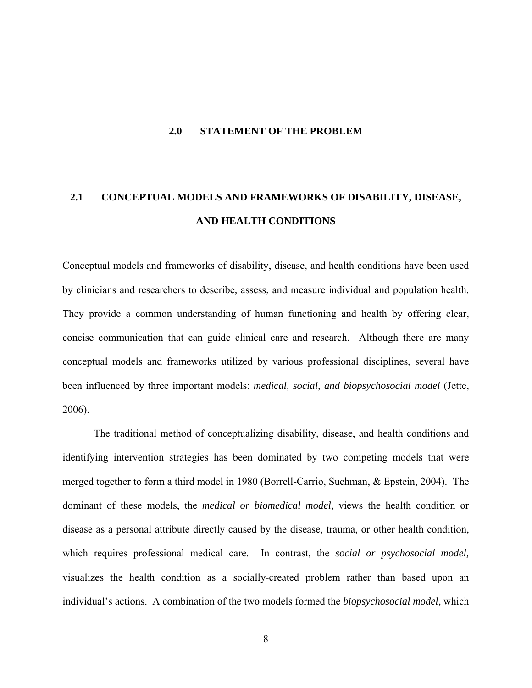#### **2.0 STATEMENT OF THE PROBLEM**

# <span id="page-22-0"></span>**2.1 CONCEPTUAL MODELS AND FRAMEWORKS OF DISABILITY, DISEASE, AND HEALTH CONDITIONS**

Conceptual models and frameworks of disability, disease, and health conditions have been used by clinicians and researchers to describe, assess, and measure individual and population health. They provide a common understanding of human functioning and health by offering clear, concise communication that can guide clinical care and research. Although there are many conceptual models and frameworks utilized by various professional disciplines, several have been influenced by three important models: *medical, social, and biopsychosocial model* (Jette, 2006).

The traditional method of conceptualizing disability, disease, and health conditions and identifying intervention strategies has been dominated by two competing models that were merged together to form a third model in 1980 (Borrell-Carrio, Suchman, & Epstein, 2004). The dominant of these models, the *medical or biomedical model,* views the health condition or disease as a personal attribute directly caused by the disease, trauma, or other health condition, which requires professional medical care. In contrast, the *social or psychosocial model,* visualizes the health condition as a socially-created problem rather than based upon an individual's actions. A combination of the two models formed the *biopsychosocial model*, which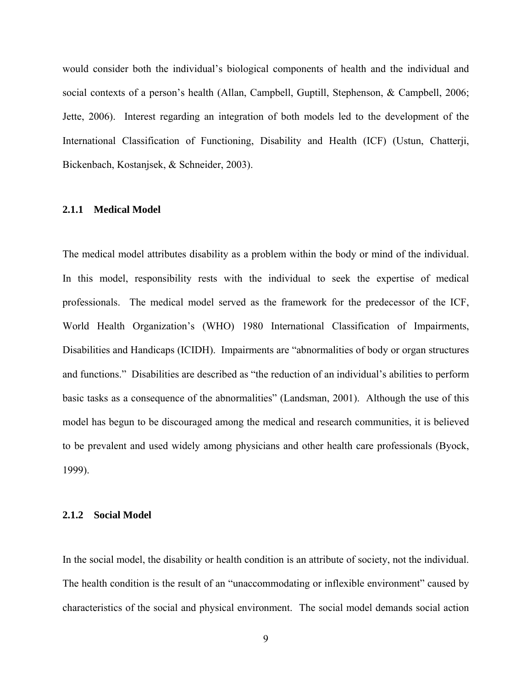<span id="page-23-0"></span>would consider both the individual's biological components of health and the individual and social contexts of a person's health (Allan, Campbell, Guptill, Stephenson, & Campbell, 2006; Jette, 2006). Interest regarding an integration of both models led to the development of the International Classification of Functioning, Disability and Health (ICF) (Ustun, Chatterji, Bickenbach, Kostanjsek, & Schneider, 2003).

#### **2.1.1 Medical Model**

The medical model attributes disability as a problem within the body or mind of the individual. In this model, responsibility rests with the individual to seek the expertise of medical professionals. The medical model served as the framework for the predecessor of the ICF, World Health Organization's (WHO) 1980 International Classification of Impairments, Disabilities and Handicaps (ICIDH). Impairments are "abnormalities of body or organ structures and functions." Disabilities are described as "the reduction of an individual's abilities to perform basic tasks as a consequence of the abnormalities" (Landsman, 2001). Although the use of this model has begun to be discouraged among the medical and research communities, it is believed to be prevalent and used widely among physicians and other health care professionals (Byock, 1999).

### **2.1.2 Social Model**

In the social model, the disability or health condition is an attribute of society, not the individual. The health condition is the result of an "unaccommodating or inflexible environment" caused by characteristics of the social and physical environment. The social model demands social action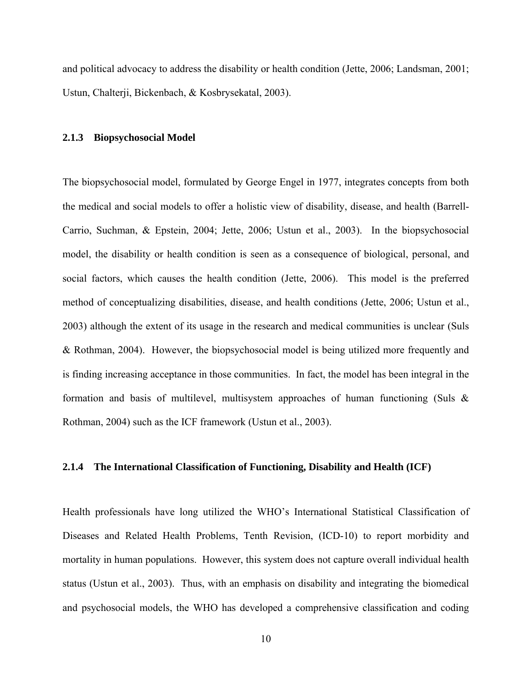<span id="page-24-0"></span>and political advocacy to address the disability or health condition (Jette, 2006; Landsman, 2001; Ustun, Chalterji, Bickenbach, & Kosbrysekatal, 2003).

#### **2.1.3 Biopsychosocial Model**

The biopsychosocial model, formulated by George Engel in 1977, integrates concepts from both the medical and social models to offer a holistic view of disability, disease, and health (Barrell-Carrio, Suchman, & Epstein, 2004; Jette, 2006; Ustun et al., 2003). In the biopsychosocial model, the disability or health condition is seen as a consequence of biological, personal, and social factors, which causes the health condition (Jette, 2006). This model is the preferred method of conceptualizing disabilities, disease, and health conditions (Jette, 2006; Ustun et al., 2003) although the extent of its usage in the research and medical communities is unclear (Suls & Rothman, 2004). However, the biopsychosocial model is being utilized more frequently and is finding increasing acceptance in those communities. In fact, the model has been integral in the formation and basis of multilevel, multisystem approaches of human functioning (Suls  $\&$ Rothman, 2004) such as the ICF framework (Ustun et al., 2003).

#### **2.1.4 The International Classification of Functioning, Disability and Health (ICF)**

Health professionals have long utilized the WHO's International Statistical Classification of Diseases and Related Health Problems, Tenth Revision, (ICD-10) to report morbidity and mortality in human populations. However, this system does not capture overall individual health status (Ustun et al., 2003). Thus, with an emphasis on disability and integrating the biomedical and psychosocial models, the WHO has developed a comprehensive classification and coding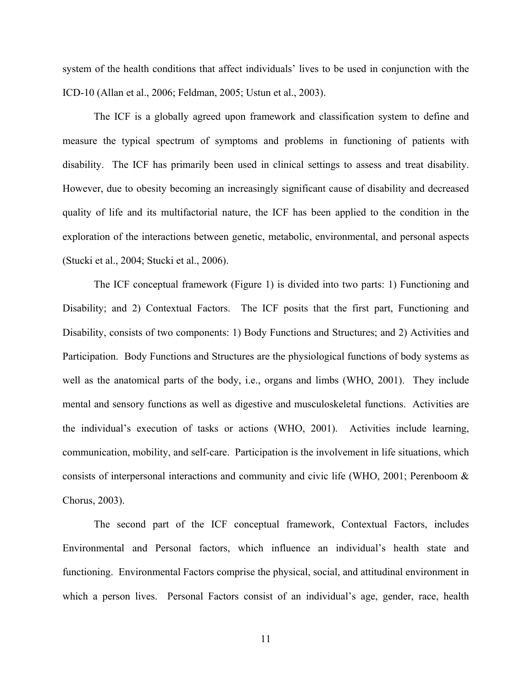system of the health conditions that affect individuals' lives to be used in conjunction with the ICD-10 (Allan et al., 2006; Feldman, 2005; Ustun et al., 2003).

The ICF is a globally agreed upon framework and classification system to define and measure the typical spectrum of symptoms and problems in functioning of patients with disability. The ICF has primarily been used in clinical settings to assess and treat disability. However, due to obesity becoming an increasingly significant cause of disability and decreased quality of life and its multifactorial nature, the ICF has been applied to the condition in the exploration of the interactions between genetic, metabolic, environmental, and personal aspects (Stucki et al., 2004; Stucki et al., 2006).

The ICF conceptual framework (Figure 1) is divided into two parts: 1) Functioning and Disability; and 2) Contextual Factors. The ICF posits that the first part, Functioning and Disability, consists of two components: 1) Body Functions and Structures; and 2) Activities and Participation. Body Functions and Structures are the physiological functions of body systems as well as the anatomical parts of the body, i.e., organs and limbs (WHO, 2001). They include mental and sensory functions as well as digestive and musculoskeletal functions. Activities are the individual's execution of tasks or actions (WHO, 2001). Activities include learning, communication, mobility, and self-care. Participation is the involvement in life situations, which consists of interpersonal interactions and community and civic life (WHO, 2001; Perenboom & Chorus, 2003).

The second part of the ICF conceptual framework, Contextual Factors, includes Environmental and Personal factors, which influence an individual's health state and functioning. Environmental Factors comprise the physical, social, and attitudinal environment in which a person lives. Personal Factors consist of an individual's age, gender, race, health

11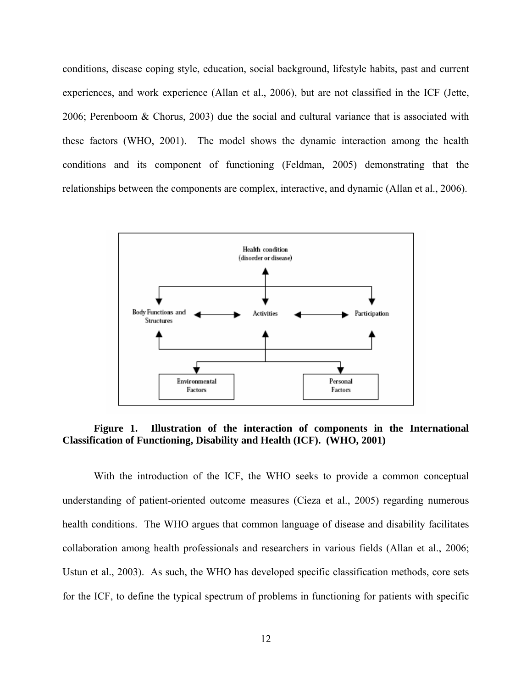<span id="page-26-0"></span>conditions, disease coping style, education, social background, lifestyle habits, past and current experiences, and work experience (Allan et al., 2006), but are not classified in the ICF (Jette, 2006; Perenboom & Chorus, 2003) due the social and cultural variance that is associated with these factors (WHO, 2001). The model shows the dynamic interaction among the health conditions and its component of functioning (Feldman, 2005) demonstrating that the relationships between the components are complex, interactive, and dynamic (Allan et al., 2006).



**Figure 1. Illustration of the interaction of components in the International Classification of Functioning, Disability and Health (ICF). (WHO, 2001)** 

With the introduction of the ICF, the WHO seeks to provide a common conceptual understanding of patient-oriented outcome measures (Cieza et al., 2005) regarding numerous health conditions. The WHO argues that common language of disease and disability facilitates collaboration among health professionals and researchers in various fields (Allan et al., 2006; Ustun et al., 2003). As such, the WHO has developed specific classification methods, core sets for the ICF, to define the typical spectrum of problems in functioning for patients with specific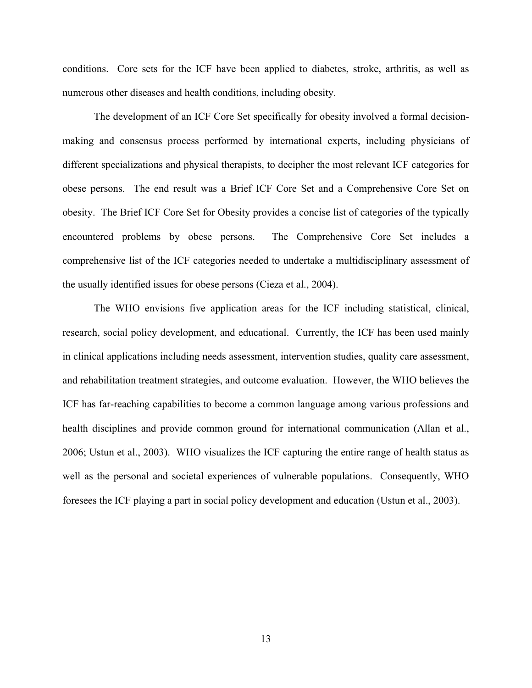conditions. Core sets for the ICF have been applied to diabetes, stroke, arthritis, as well as numerous other diseases and health conditions, including obesity.

The development of an ICF Core Set specifically for obesity involved a formal decisionmaking and consensus process performed by international experts, including physicians of different specializations and physical therapists, to decipher the most relevant ICF categories for obese persons. The end result was a Brief ICF Core Set and a Comprehensive Core Set on obesity. The Brief ICF Core Set for Obesity provides a concise list of categories of the typically encountered problems by obese persons. The Comprehensive Core Set includes a comprehensive list of the ICF categories needed to undertake a multidisciplinary assessment of the usually identified issues for obese persons (Cieza et al., 2004).

The WHO envisions five application areas for the ICF including statistical, clinical, research, social policy development, and educational. Currently, the ICF has been used mainly in clinical applications including needs assessment, intervention studies, quality care assessment, and rehabilitation treatment strategies, and outcome evaluation. However, the WHO believes the ICF has far-reaching capabilities to become a common language among various professions and health disciplines and provide common ground for international communication (Allan et al., 2006; Ustun et al., 2003). WHO visualizes the ICF capturing the entire range of health status as well as the personal and societal experiences of vulnerable populations. Consequently, WHO foresees the ICF playing a part in social policy development and education (Ustun et al., 2003).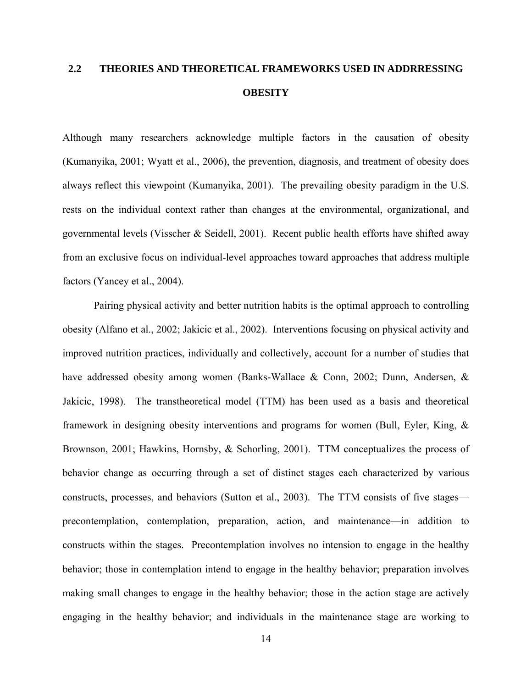# <span id="page-28-0"></span>**2.2 THEORIES AND THEORETICAL FRAMEWORKS USED IN ADDRRESSING OBESITY**

Although many researchers acknowledge multiple factors in the causation of obesity (Kumanyika, 2001; Wyatt et al., 2006), the prevention, diagnosis, and treatment of obesity does always reflect this viewpoint (Kumanyika, 2001). The prevailing obesity paradigm in the U.S. rests on the individual context rather than changes at the environmental, organizational, and governmental levels (Visscher & Seidell, 2001). Recent public health efforts have shifted away from an exclusive focus on individual-level approaches toward approaches that address multiple factors (Yancey et al., 2004).

Pairing physical activity and better nutrition habits is the optimal approach to controlling obesity (Alfano et al., 2002; Jakicic et al., 2002). Interventions focusing on physical activity and improved nutrition practices, individually and collectively, account for a number of studies that have addressed obesity among women (Banks-Wallace & Conn, 2002; Dunn, Andersen, & Jakicic, 1998). The transtheoretical model (TTM) has been used as a basis and theoretical framework in designing obesity interventions and programs for women (Bull, Eyler, King, & Brownson, 2001; Hawkins, Hornsby, & Schorling, 2001). TTM conceptualizes the process of behavior change as occurring through a set of distinct stages each characterized by various constructs, processes, and behaviors (Sutton et al., 2003). The TTM consists of five stages precontemplation, contemplation, preparation, action, and maintenance—in addition to constructs within the stages. Precontemplation involves no intension to engage in the healthy behavior; those in contemplation intend to engage in the healthy behavior; preparation involves making small changes to engage in the healthy behavior; those in the action stage are actively engaging in the healthy behavior; and individuals in the maintenance stage are working to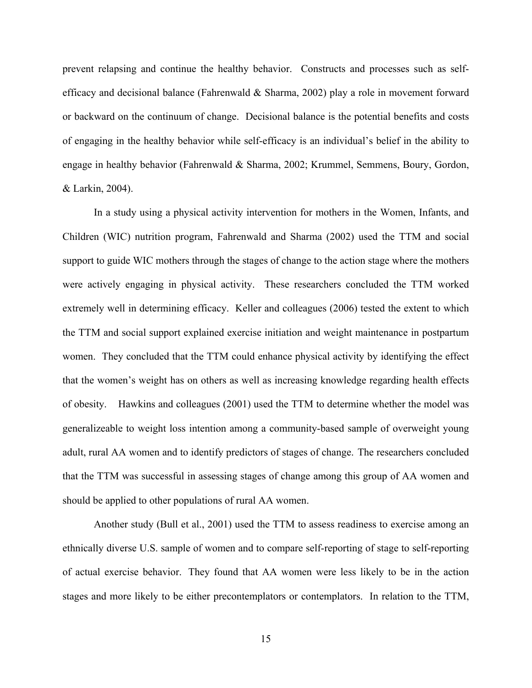prevent relapsing and continue the healthy behavior. Constructs and processes such as selfefficacy and decisional balance (Fahrenwald & Sharma, 2002) play a role in movement forward or backward on the continuum of change. Decisional balance is the potential benefits and costs of engaging in the healthy behavior while self-efficacy is an individual's belief in the ability to engage in healthy behavior (Fahrenwald & Sharma, 2002; Krummel, Semmens, Boury, Gordon, & Larkin, 2004).

In a study using a physical activity intervention for mothers in the Women, Infants, and Children (WIC) nutrition program, Fahrenwald and Sharma (2002) used the TTM and social support to guide WIC mothers through the stages of change to the action stage where the mothers were actively engaging in physical activity. These researchers concluded the TTM worked extremely well in determining efficacy. Keller and colleagues (2006) tested the extent to which the TTM and social support explained exercise initiation and weight maintenance in postpartum women. They concluded that the TTM could enhance physical activity by identifying the effect that the women's weight has on others as well as increasing knowledge regarding health effects of obesity. Hawkins and colleagues (2001) used the TTM to determine whether the model was generalizeable to weight loss intention among a community-based sample of overweight young adult, rural AA women and to identify predictors of stages of change. The researchers concluded that the TTM was successful in assessing stages of change among this group of AA women and should be applied to other populations of rural AA women.

Another study (Bull et al., 2001) used the TTM to assess readiness to exercise among an ethnically diverse U.S. sample of women and to compare self-reporting of stage to self-reporting of actual exercise behavior. They found that AA women were less likely to be in the action stages and more likely to be either precontemplators or contemplators. In relation to the TTM,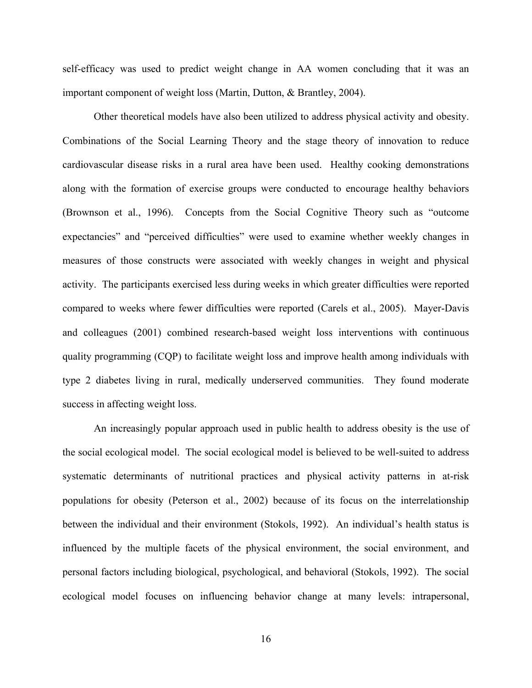self-efficacy was used to predict weight change in AA women concluding that it was an important component of weight loss (Martin, Dutton, & Brantley, 2004).

Other theoretical models have also been utilized to address physical activity and obesity. Combinations of the Social Learning Theory and the stage theory of innovation to reduce cardiovascular disease risks in a rural area have been used. Healthy cooking demonstrations along with the formation of exercise groups were conducted to encourage healthy behaviors (Brownson et al., 1996). Concepts from the Social Cognitive Theory such as "outcome expectancies" and "perceived difficulties" were used to examine whether weekly changes in measures of those constructs were associated with weekly changes in weight and physical activity. The participants exercised less during weeks in which greater difficulties were reported compared to weeks where fewer difficulties were reported (Carels et al., 2005). Mayer-Davis and colleagues (2001) combined research-based weight loss interventions with continuous quality programming (CQP) to facilitate weight loss and improve health among individuals with type 2 diabetes living in rural, medically underserved communities. They found moderate success in affecting weight loss.

An increasingly popular approach used in public health to address obesity is the use of the social ecological model. The social ecological model is believed to be well-suited to address systematic determinants of nutritional practices and physical activity patterns in at-risk populations for obesity (Peterson et al., 2002) because of its focus on the interrelationship between the individual and their environment (Stokols, 1992). An individual's health status is influenced by the multiple facets of the physical environment, the social environment, and personal factors including biological, psychological, and behavioral (Stokols, 1992). The social ecological model focuses on influencing behavior change at many levels: intrapersonal,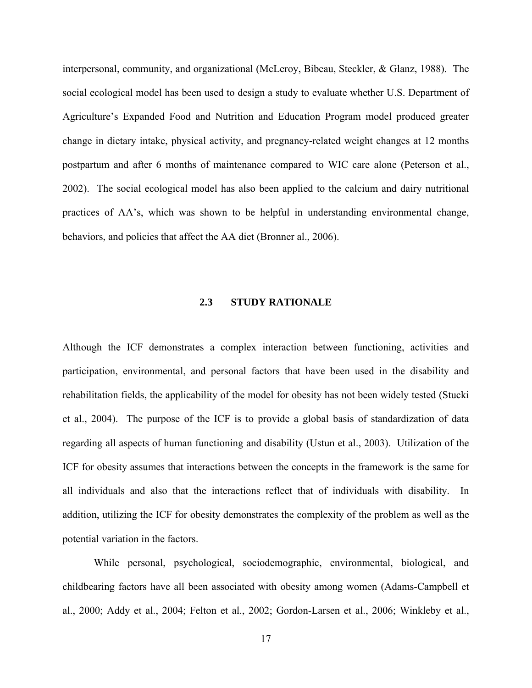<span id="page-31-0"></span>interpersonal, community, and organizational (McLeroy, Bibeau, Steckler, & Glanz, 1988). The social ecological model has been used to design a study to evaluate whether U.S. Department of Agriculture's Expanded Food and Nutrition and Education Program model produced greater change in dietary intake, physical activity, and pregnancy-related weight changes at 12 months postpartum and after 6 months of maintenance compared to WIC care alone (Peterson et al., 2002). The social ecological model has also been applied to the calcium and dairy nutritional practices of AA's, which was shown to be helpful in understanding environmental change, behaviors, and policies that affect the AA diet (Bronner al., 2006).

### **2.3 STUDY RATIONALE**

Although the ICF demonstrates a complex interaction between functioning, activities and participation, environmental, and personal factors that have been used in the disability and rehabilitation fields, the applicability of the model for obesity has not been widely tested (Stucki et al., 2004). The purpose of the ICF is to provide a global basis of standardization of data regarding all aspects of human functioning and disability (Ustun et al., 2003). Utilization of the ICF for obesity assumes that interactions between the concepts in the framework is the same for all individuals and also that the interactions reflect that of individuals with disability. In addition, utilizing the ICF for obesity demonstrates the complexity of the problem as well as the potential variation in the factors.

While personal, psychological, sociodemographic, environmental, biological, and childbearing factors have all been associated with obesity among women (Adams-Campbell et al., 2000; Addy et al., 2004; Felton et al., 2002; Gordon-Larsen et al., 2006; Winkleby et al.,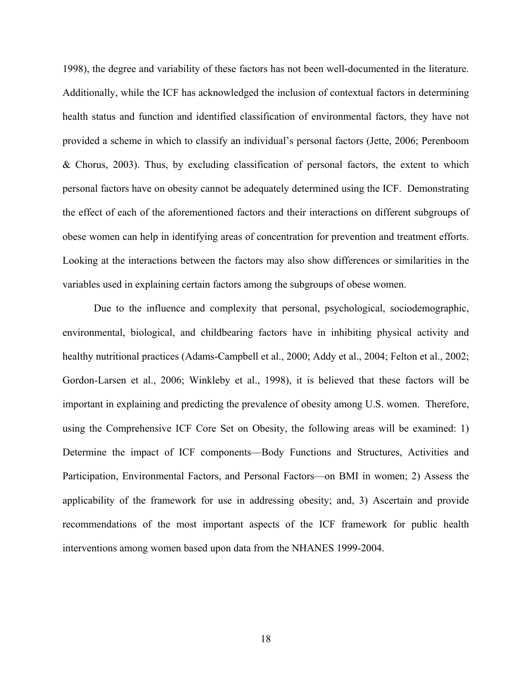1998), the degree and variability of these factors has not been well-documented in the literature. Additionally, while the ICF has acknowledged the inclusion of contextual factors in determining health status and function and identified classification of environmental factors, they have not provided a scheme in which to classify an individual's personal factors (Jette, 2006; Perenboom & Chorus, 2003). Thus, by excluding classification of personal factors, the extent to which personal factors have on obesity cannot be adequately determined using the ICF. Demonstrating the effect of each of the aforementioned factors and their interactions on different subgroups of obese women can help in identifying areas of concentration for prevention and treatment efforts. Looking at the interactions between the factors may also show differences or similarities in the variables used in explaining certain factors among the subgroups of obese women.

Due to the influence and complexity that personal, psychological, sociodemographic, environmental, biological, and childbearing factors have in inhibiting physical activity and healthy nutritional practices (Adams-Campbell et al., 2000; Addy et al., 2004; Felton et al., 2002; Gordon-Larsen et al., 2006; Winkleby et al., 1998), it is believed that these factors will be important in explaining and predicting the prevalence of obesity among U.S. women. Therefore, using the Comprehensive ICF Core Set on Obesity, the following areas will be examined: 1) Determine the impact of ICF components—Body Functions and Structures, Activities and Participation, Environmental Factors, and Personal Factors—on BMI in women; 2) Assess the applicability of the framework for use in addressing obesity; and, 3) Ascertain and provide recommendations of the most important aspects of the ICF framework for public health interventions among women based upon data from the NHANES 1999-2004.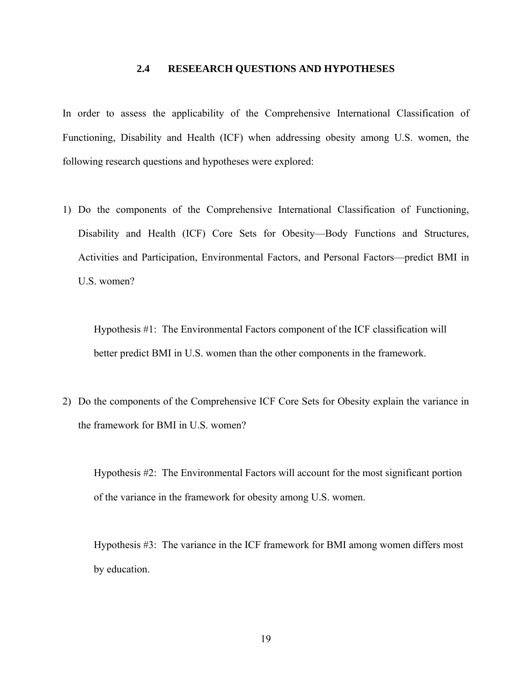### **2.4 RESEEARCH QUESTIONS AND HYPOTHESES**

<span id="page-33-0"></span>In order to assess the applicability of the Comprehensive International Classification of Functioning, Disability and Health (ICF) when addressing obesity among U.S. women, the following research questions and hypotheses were explored:

1) Do the components of the Comprehensive International Classification of Functioning, Disability and Health (ICF) Core Sets for Obesity—Body Functions and Structures, Activities and Participation, Environmental Factors, and Personal Factors—predict BMI in U.S. women?

Hypothesis #1: The Environmental Factors component of the ICF classification will better predict BMI in U.S. women than the other components in the framework.

2) Do the components of the Comprehensive ICF Core Sets for Obesity explain the variance in the framework for BMI in U.S. women?

Hypothesis #2: The Environmental Factors will account for the most significant portion of the variance in the framework for obesity among U.S. women.

Hypothesis #3: The variance in the ICF framework for BMI among women differs most by education.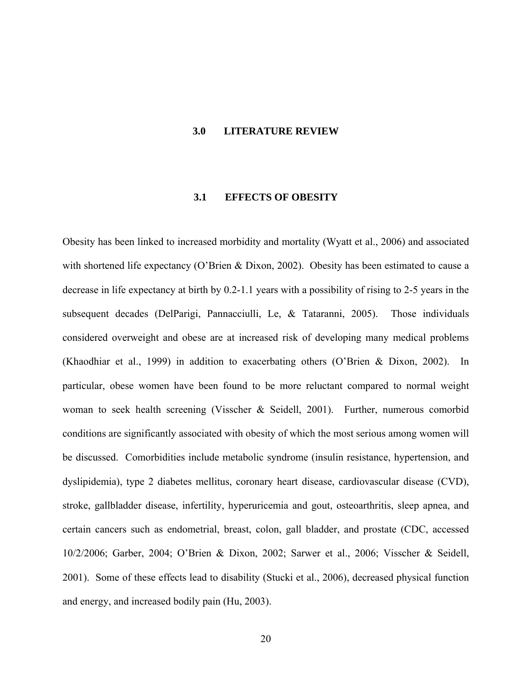#### <span id="page-34-0"></span>**3.0 LITERATURE REVIEW**

#### **3.1 EFFECTS OF OBESITY**

Obesity has been linked to increased morbidity and mortality (Wyatt et al., 2006) and associated with shortened life expectancy (O'Brien & Dixon, 2002). Obesity has been estimated to cause a decrease in life expectancy at birth by 0.2-1.1 years with a possibility of rising to 2-5 years in the subsequent decades (DelParigi, Pannacciulli, Le, & Tataranni, 2005). Those individuals considered overweight and obese are at increased risk of developing many medical problems (Khaodhiar et al., 1999) in addition to exacerbating others (O'Brien & Dixon, 2002). In particular, obese women have been found to be more reluctant compared to normal weight woman to seek health screening (Visscher & Seidell, 2001). Further, numerous comorbid conditions are significantly associated with obesity of which the most serious among women will be discussed. Comorbidities include metabolic syndrome (insulin resistance, hypertension, and dyslipidemia), type 2 diabetes mellitus, coronary heart disease, cardiovascular disease (CVD), stroke, gallbladder disease, infertility, hyperuricemia and gout, osteoarthritis, sleep apnea, and certain cancers such as endometrial, breast, colon, gall bladder, and prostate (CDC, accessed 10/2/2006; Garber, 2004; O'Brien & Dixon, 2002; Sarwer et al., 2006; Visscher & Seidell, 2001). Some of these effects lead to disability (Stucki et al., 2006), decreased physical function and energy, and increased bodily pain (Hu, 2003).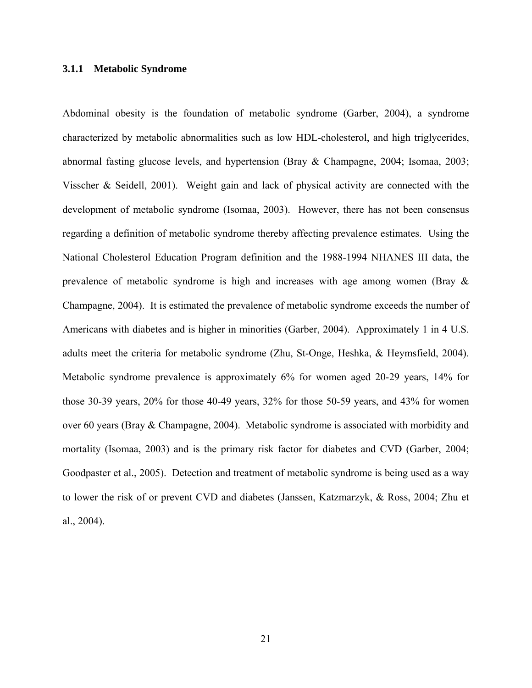#### <span id="page-35-0"></span>**3.1.1 Metabolic Syndrome**

Abdominal obesity is the foundation of metabolic syndrome (Garber, 2004), a syndrome characterized by metabolic abnormalities such as low HDL-cholesterol, and high triglycerides, abnormal fasting glucose levels, and hypertension (Bray & Champagne, 2004; Isomaa, 2003; Visscher & Seidell, 2001). Weight gain and lack of physical activity are connected with the development of metabolic syndrome (Isomaa, 2003). However, there has not been consensus regarding a definition of metabolic syndrome thereby affecting prevalence estimates. Using the National Cholesterol Education Program definition and the 1988-1994 NHANES III data, the prevalence of metabolic syndrome is high and increases with age among women (Bray & Champagne, 2004). It is estimated the prevalence of metabolic syndrome exceeds the number of Americans with diabetes and is higher in minorities (Garber, 2004). Approximately 1 in 4 U.S. adults meet the criteria for metabolic syndrome (Zhu, St-Onge, Heshka, & Heymsfield, 2004). Metabolic syndrome prevalence is approximately 6% for women aged 20-29 years, 14% for those 30-39 years, 20% for those 40-49 years, 32% for those 50-59 years, and 43% for women over 60 years (Bray & Champagne, 2004). Metabolic syndrome is associated with morbidity and mortality (Isomaa, 2003) and is the primary risk factor for diabetes and CVD (Garber, 2004; Goodpaster et al., 2005). Detection and treatment of metabolic syndrome is being used as a way to lower the risk of or prevent CVD and diabetes (Janssen, Katzmarzyk, & Ross, 2004; Zhu et al., 2004).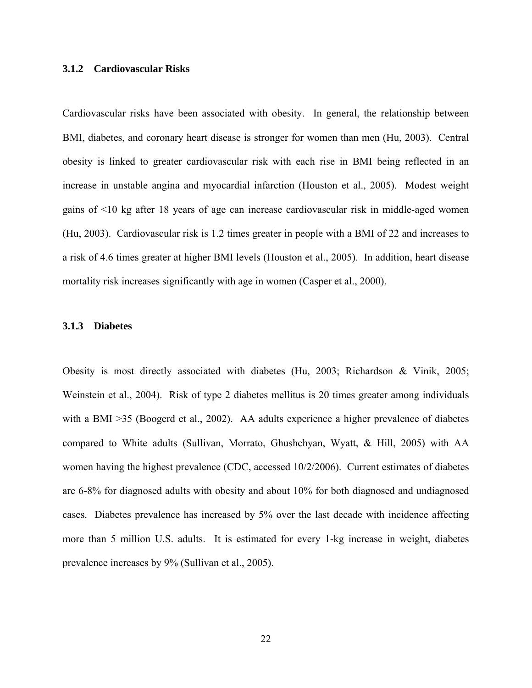### **3.1.2 Cardiovascular Risks**

Cardiovascular risks have been associated with obesity. In general, the relationship between BMI, diabetes, and coronary heart disease is stronger for women than men (Hu, 2003). Central obesity is linked to greater cardiovascular risk with each rise in BMI being reflected in an increase in unstable angina and myocardial infarction (Houston et al., 2005). Modest weight gains of <10 kg after 18 years of age can increase cardiovascular risk in middle-aged women (Hu, 2003). Cardiovascular risk is 1.2 times greater in people with a BMI of 22 and increases to a risk of 4.6 times greater at higher BMI levels (Houston et al., 2005). In addition, heart disease mortality risk increases significantly with age in women (Casper et al., 2000).

### **3.1.3 Diabetes**

Obesity is most directly associated with diabetes (Hu, 2003; Richardson & Vinik, 2005; Weinstein et al., 2004). Risk of type 2 diabetes mellitus is 20 times greater among individuals with a BMI >35 (Boogerd et al., 2002). AA adults experience a higher prevalence of diabetes compared to White adults (Sullivan, Morrato, Ghushchyan, Wyatt, & Hill, 2005) with AA women having the highest prevalence (CDC, accessed 10/2/2006). Current estimates of diabetes are 6-8% for diagnosed adults with obesity and about 10% for both diagnosed and undiagnosed cases. Diabetes prevalence has increased by 5% over the last decade with incidence affecting more than 5 million U.S. adults. It is estimated for every 1-kg increase in weight, diabetes prevalence increases by 9% (Sullivan et al., 2005).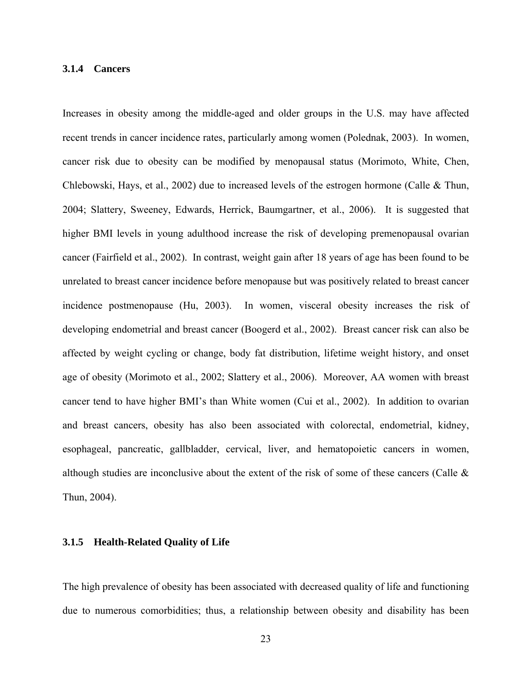### **3.1.4 Cancers**

Increases in obesity among the middle-aged and older groups in the U.S. may have affected recent trends in cancer incidence rates, particularly among women (Polednak, 2003). In women, cancer risk due to obesity can be modified by menopausal status (Morimoto, White, Chen, Chlebowski, Hays, et al., 2002) due to increased levels of the estrogen hormone (Calle  $\&$  Thun, 2004; Slattery, Sweeney, Edwards, Herrick, Baumgartner, et al., 2006). It is suggested that higher BMI levels in young adulthood increase the risk of developing premenopausal ovarian cancer (Fairfield et al., 2002). In contrast, weight gain after 18 years of age has been found to be unrelated to breast cancer incidence before menopause but was positively related to breast cancer incidence postmenopause (Hu, 2003). In women, visceral obesity increases the risk of developing endometrial and breast cancer (Boogerd et al., 2002). Breast cancer risk can also be affected by weight cycling or change, body fat distribution, lifetime weight history, and onset age of obesity (Morimoto et al., 2002; Slattery et al., 2006). Moreover, AA women with breast cancer tend to have higher BMI's than White women (Cui et al., 2002). In addition to ovarian and breast cancers, obesity has also been associated with colorectal, endometrial, kidney, esophageal, pancreatic, gallbladder, cervical, liver, and hematopoietic cancers in women, although studies are inconclusive about the extent of the risk of some of these cancers (Calle & Thun, 2004).

### **3.1.5 Health-Related Quality of Life**

The high prevalence of obesity has been associated with decreased quality of life and functioning due to numerous comorbidities; thus, a relationship between obesity and disability has been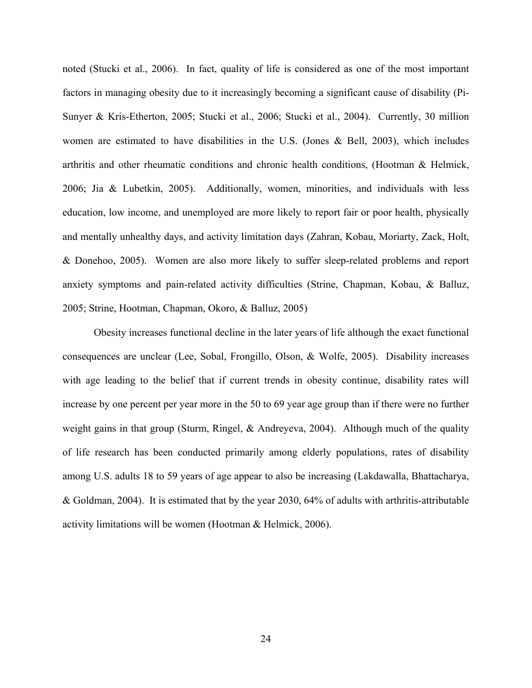noted (Stucki et al., 2006). In fact, quality of life is considered as one of the most important factors in managing obesity due to it increasingly becoming a significant cause of disability (Pi-Sunyer & Kris-Etherton, 2005; Stucki et al., 2006; Stucki et al., 2004). Currently, 30 million women are estimated to have disabilities in the U.S. (Jones & Bell, 2003), which includes arthritis and other rheumatic conditions and chronic health conditions, (Hootman & Helmick, 2006; Jia & Lubetkin, 2005). Additionally, women, minorities, and individuals with less education, low income, and unemployed are more likely to report fair or poor health, physically and mentally unhealthy days, and activity limitation days (Zahran, Kobau, Moriarty, Zack, Holt, & Donehoo, 2005). Women are also more likely to suffer sleep-related problems and report anxiety symptoms and pain-related activity difficulties (Strine, Chapman, Kobau, & Balluz, 2005; Strine, Hootman, Chapman, Okoro, & Balluz, 2005)

Obesity increases functional decline in the later years of life although the exact functional consequences are unclear (Lee, Sobal, Frongillo, Olson, & Wolfe, 2005). Disability increases with age leading to the belief that if current trends in obesity continue, disability rates will increase by one percent per year more in the 50 to 69 year age group than if there were no further weight gains in that group (Sturm, Ringel, & Andreyeva, 2004). Although much of the quality of life research has been conducted primarily among elderly populations, rates of disability among U.S. adults 18 to 59 years of age appear to also be increasing (Lakdawalla, Bhattacharya, & Goldman, 2004). It is estimated that by the year 2030, 64% of adults with arthritis-attributable activity limitations will be women (Hootman & Helmick, 2006).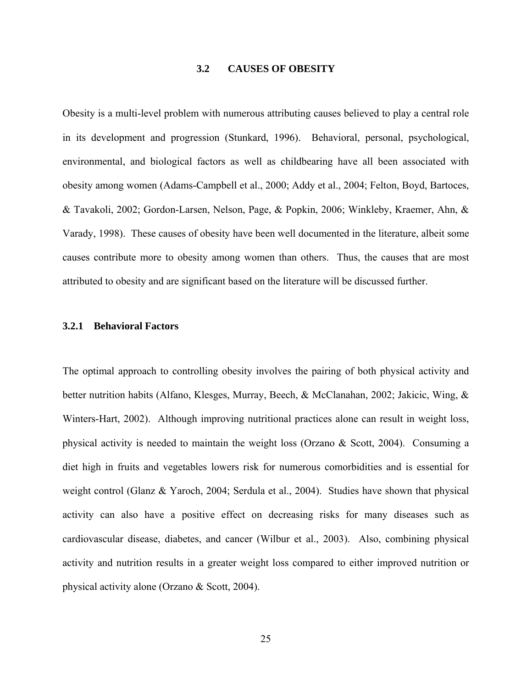### **3.2 CAUSES OF OBESITY**

Obesity is a multi-level problem with numerous attributing causes believed to play a central role in its development and progression (Stunkard, 1996). Behavioral, personal, psychological, environmental, and biological factors as well as childbearing have all been associated with obesity among women (Adams-Campbell et al., 2000; Addy et al., 2004; Felton, Boyd, Bartoces, & Tavakoli, 2002; Gordon-Larsen, Nelson, Page, & Popkin, 2006; Winkleby, Kraemer, Ahn, & Varady, 1998). These causes of obesity have been well documented in the literature, albeit some causes contribute more to obesity among women than others. Thus, the causes that are most attributed to obesity and are significant based on the literature will be discussed further.

### **3.2.1 Behavioral Factors**

The optimal approach to controlling obesity involves the pairing of both physical activity and better nutrition habits (Alfano, Klesges, Murray, Beech, & McClanahan, 2002; Jakicic, Wing, & Winters-Hart, 2002). Although improving nutritional practices alone can result in weight loss, physical activity is needed to maintain the weight loss (Orzano & Scott, 2004). Consuming a diet high in fruits and vegetables lowers risk for numerous comorbidities and is essential for weight control (Glanz & Yaroch, 2004; Serdula et al., 2004). Studies have shown that physical activity can also have a positive effect on decreasing risks for many diseases such as cardiovascular disease, diabetes, and cancer (Wilbur et al., 2003). Also, combining physical activity and nutrition results in a greater weight loss compared to either improved nutrition or physical activity alone (Orzano & Scott, 2004).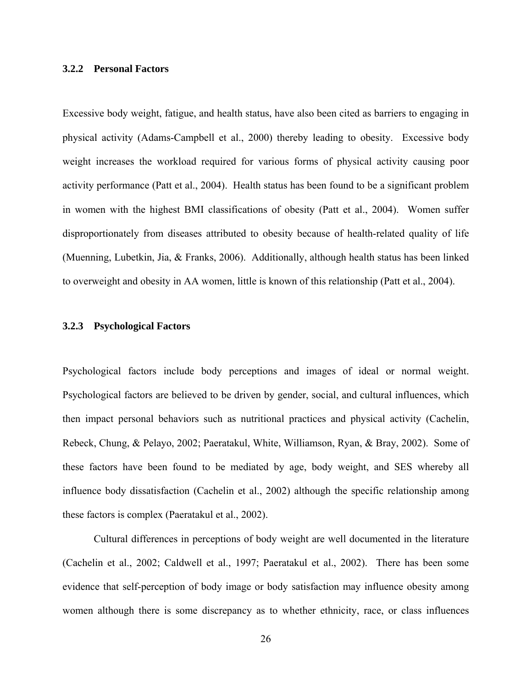### **3.2.2 Personal Factors**

Excessive body weight, fatigue, and health status, have also been cited as barriers to engaging in physical activity (Adams-Campbell et al., 2000) thereby leading to obesity. Excessive body weight increases the workload required for various forms of physical activity causing poor activity performance (Patt et al., 2004). Health status has been found to be a significant problem in women with the highest BMI classifications of obesity (Patt et al., 2004). Women suffer disproportionately from diseases attributed to obesity because of health-related quality of life (Muenning, Lubetkin, Jia, & Franks, 2006). Additionally, although health status has been linked to overweight and obesity in AA women, little is known of this relationship (Patt et al., 2004).

### **3.2.3 Psychological Factors**

Psychological factors include body perceptions and images of ideal or normal weight. Psychological factors are believed to be driven by gender, social, and cultural influences, which then impact personal behaviors such as nutritional practices and physical activity (Cachelin, Rebeck, Chung, & Pelayo, 2002; Paeratakul, White, Williamson, Ryan, & Bray, 2002). Some of these factors have been found to be mediated by age, body weight, and SES whereby all influence body dissatisfaction (Cachelin et al., 2002) although the specific relationship among these factors is complex (Paeratakul et al., 2002).

Cultural differences in perceptions of body weight are well documented in the literature (Cachelin et al., 2002; Caldwell et al., 1997; Paeratakul et al., 2002). There has been some evidence that self-perception of body image or body satisfaction may influence obesity among women although there is some discrepancy as to whether ethnicity, race, or class influences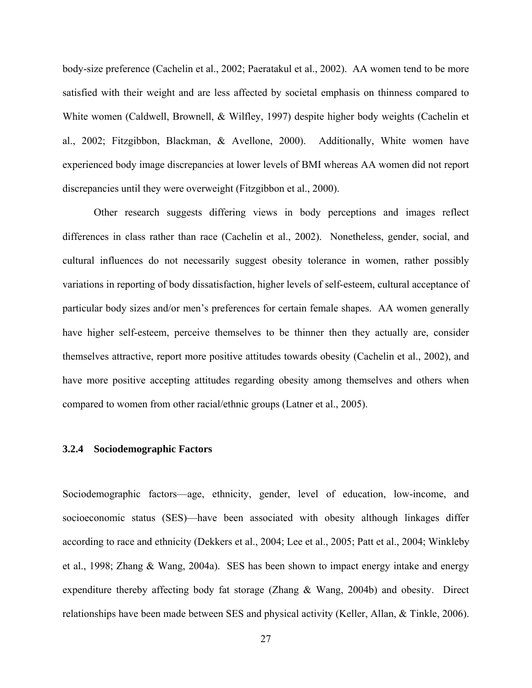body-size preference (Cachelin et al., 2002; Paeratakul et al., 2002). AA women tend to be more satisfied with their weight and are less affected by societal emphasis on thinness compared to White women (Caldwell, Brownell, & Wilfley, 1997) despite higher body weights (Cachelin et al., 2002; Fitzgibbon, Blackman, & Avellone, 2000). Additionally, White women have experienced body image discrepancies at lower levels of BMI whereas AA women did not report discrepancies until they were overweight (Fitzgibbon et al., 2000).

Other research suggests differing views in body perceptions and images reflect differences in class rather than race (Cachelin et al., 2002). Nonetheless, gender, social, and cultural influences do not necessarily suggest obesity tolerance in women, rather possibly variations in reporting of body dissatisfaction, higher levels of self-esteem, cultural acceptance of particular body sizes and/or men's preferences for certain female shapes. AA women generally have higher self-esteem, perceive themselves to be thinner then they actually are, consider themselves attractive, report more positive attitudes towards obesity (Cachelin et al., 2002), and have more positive accepting attitudes regarding obesity among themselves and others when compared to women from other racial/ethnic groups (Latner et al., 2005).

### **3.2.4 Sociodemographic Factors**

Sociodemographic factors—age, ethnicity, gender, level of education, low-income, and socioeconomic status (SES)—have been associated with obesity although linkages differ according to race and ethnicity (Dekkers et al., 2004; Lee et al., 2005; Patt et al., 2004; Winkleby et al., 1998; Zhang & Wang, 2004a). SES has been shown to impact energy intake and energy expenditure thereby affecting body fat storage (Zhang & Wang, 2004b) and obesity. Direct relationships have been made between SES and physical activity (Keller, Allan, & Tinkle, 2006).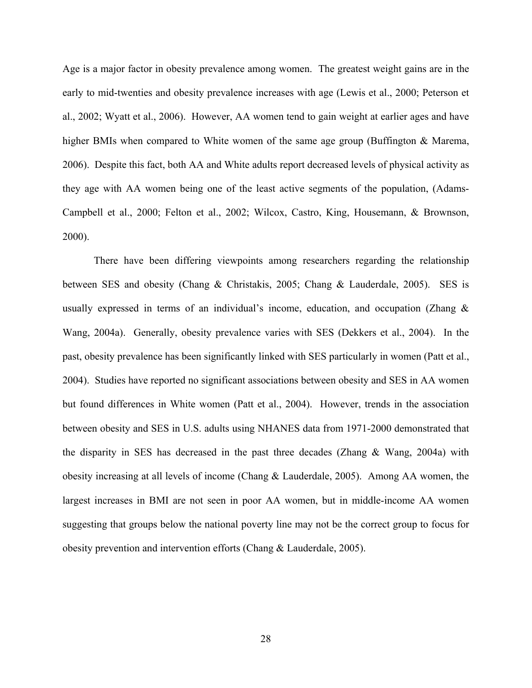Age is a major factor in obesity prevalence among women. The greatest weight gains are in the early to mid-twenties and obesity prevalence increases with age (Lewis et al., 2000; Peterson et al., 2002; Wyatt et al., 2006). However, AA women tend to gain weight at earlier ages and have higher BMIs when compared to White women of the same age group (Buffington & Marema, 2006). Despite this fact, both AA and White adults report decreased levels of physical activity as they age with AA women being one of the least active segments of the population, (Adams-Campbell et al., 2000; Felton et al., 2002; Wilcox, Castro, King, Housemann, & Brownson, 2000).

There have been differing viewpoints among researchers regarding the relationship between SES and obesity (Chang & Christakis, 2005; Chang & Lauderdale, 2005). SES is usually expressed in terms of an individual's income, education, and occupation (Zhang & Wang, 2004a). Generally, obesity prevalence varies with SES (Dekkers et al., 2004). In the past, obesity prevalence has been significantly linked with SES particularly in women (Patt et al., 2004). Studies have reported no significant associations between obesity and SES in AA women but found differences in White women (Patt et al., 2004). However, trends in the association between obesity and SES in U.S. adults using NHANES data from 1971-2000 demonstrated that the disparity in SES has decreased in the past three decades (Zhang & Wang, 2004a) with obesity increasing at all levels of income (Chang & Lauderdale, 2005). Among AA women, the largest increases in BMI are not seen in poor AA women, but in middle-income AA women suggesting that groups below the national poverty line may not be the correct group to focus for obesity prevention and intervention efforts (Chang & Lauderdale, 2005).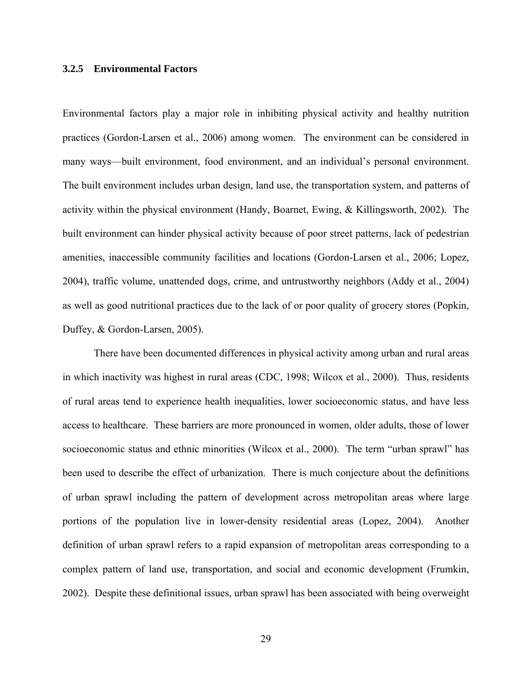### **3.2.5 Environmental Factors**

Environmental factors play a major role in inhibiting physical activity and healthy nutrition practices (Gordon-Larsen et al., 2006) among women. The environment can be considered in many ways—built environment, food environment, and an individual's personal environment. The built environment includes urban design, land use, the transportation system, and patterns of activity within the physical environment (Handy, Boarnet, Ewing, & Killingsworth, 2002). The built environment can hinder physical activity because of poor street patterns, lack of pedestrian amenities, inaccessible community facilities and locations (Gordon-Larsen et al., 2006; Lopez, 2004), traffic volume, unattended dogs, crime, and untrustworthy neighbors (Addy et al., 2004) as well as good nutritional practices due to the lack of or poor quality of grocery stores (Popkin, Duffey, & Gordon-Larsen, 2005).

There have been documented differences in physical activity among urban and rural areas in which inactivity was highest in rural areas (CDC, 1998; Wilcox et al., 2000). Thus, residents of rural areas tend to experience health inequalities, lower socioeconomic status, and have less access to healthcare. These barriers are more pronounced in women, older adults, those of lower socioeconomic status and ethnic minorities (Wilcox et al., 2000). The term "urban sprawl" has been used to describe the effect of urbanization. There is much conjecture about the definitions of urban sprawl including the pattern of development across metropolitan areas where large portions of the population live in lower-density residential areas (Lopez, 2004). Another definition of urban sprawl refers to a rapid expansion of metropolitan areas corresponding to a complex pattern of land use, transportation, and social and economic development (Frumkin, 2002). Despite these definitional issues, urban sprawl has been associated with being overweight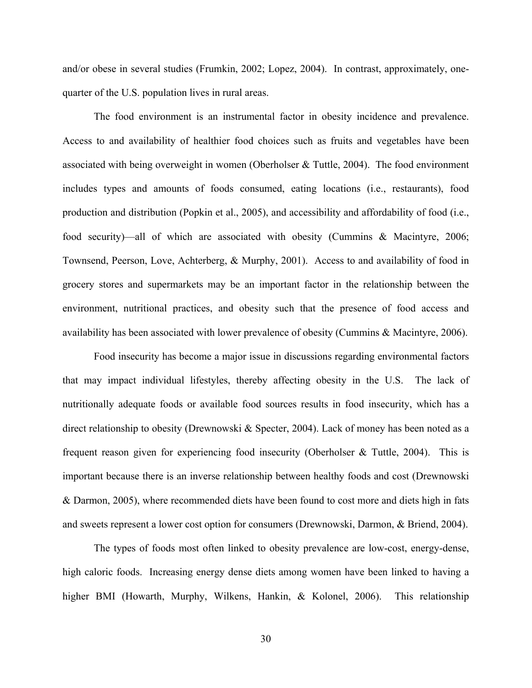and/or obese in several studies (Frumkin, 2002; Lopez, 2004). In contrast, approximately, onequarter of the U.S. population lives in rural areas.

The food environment is an instrumental factor in obesity incidence and prevalence. Access to and availability of healthier food choices such as fruits and vegetables have been associated with being overweight in women (Oberholser & Tuttle, 2004). The food environment includes types and amounts of foods consumed, eating locations (i.e., restaurants), food production and distribution (Popkin et al., 2005), and accessibility and affordability of food (i.e., food security)—all of which are associated with obesity (Cummins & Macintyre, 2006; Townsend, Peerson, Love, Achterberg, & Murphy, 2001). Access to and availability of food in grocery stores and supermarkets may be an important factor in the relationship between the environment, nutritional practices, and obesity such that the presence of food access and availability has been associated with lower prevalence of obesity (Cummins & Macintyre, 2006).

Food insecurity has become a major issue in discussions regarding environmental factors that may impact individual lifestyles, thereby affecting obesity in the U.S. The lack of nutritionally adequate foods or available food sources results in food insecurity, which has a direct relationship to obesity (Drewnowski & Specter, 2004). Lack of money has been noted as a frequent reason given for experiencing food insecurity (Oberholser & Tuttle, 2004). This is important because there is an inverse relationship between healthy foods and cost (Drewnowski & Darmon, 2005), where recommended diets have been found to cost more and diets high in fats and sweets represent a lower cost option for consumers (Drewnowski, Darmon, & Briend, 2004).

The types of foods most often linked to obesity prevalence are low-cost, energy-dense, high caloric foods. Increasing energy dense diets among women have been linked to having a higher BMI (Howarth, Murphy, Wilkens, Hankin, & Kolonel, 2006). This relationship

30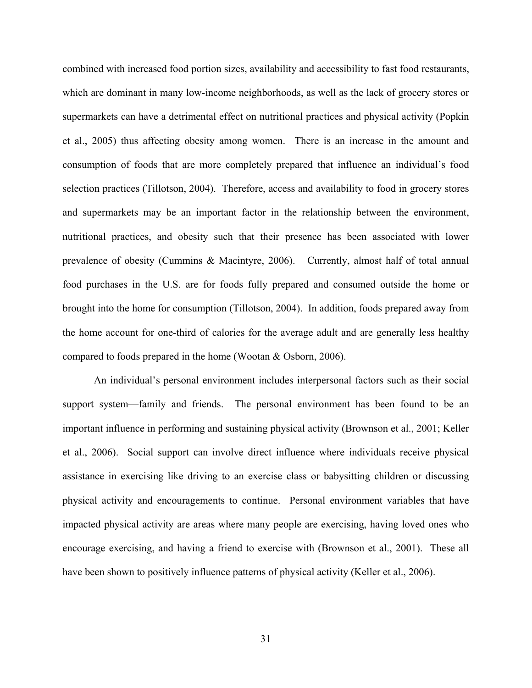combined with increased food portion sizes, availability and accessibility to fast food restaurants, which are dominant in many low-income neighborhoods, as well as the lack of grocery stores or supermarkets can have a detrimental effect on nutritional practices and physical activity (Popkin et al., 2005) thus affecting obesity among women. There is an increase in the amount and consumption of foods that are more completely prepared that influence an individual's food selection practices (Tillotson, 2004). Therefore, access and availability to food in grocery stores and supermarkets may be an important factor in the relationship between the environment, nutritional practices, and obesity such that their presence has been associated with lower prevalence of obesity (Cummins & Macintyre, 2006). Currently, almost half of total annual food purchases in the U.S. are for foods fully prepared and consumed outside the home or brought into the home for consumption (Tillotson, 2004). In addition, foods prepared away from the home account for one-third of calories for the average adult and are generally less healthy compared to foods prepared in the home (Wootan & Osborn, 2006).

An individual's personal environment includes interpersonal factors such as their social support system—family and friends. The personal environment has been found to be an important influence in performing and sustaining physical activity (Brownson et al., 2001; Keller et al., 2006). Social support can involve direct influence where individuals receive physical assistance in exercising like driving to an exercise class or babysitting children or discussing physical activity and encouragements to continue. Personal environment variables that have impacted physical activity are areas where many people are exercising, having loved ones who encourage exercising, and having a friend to exercise with (Brownson et al., 2001). These all have been shown to positively influence patterns of physical activity (Keller et al., 2006).

31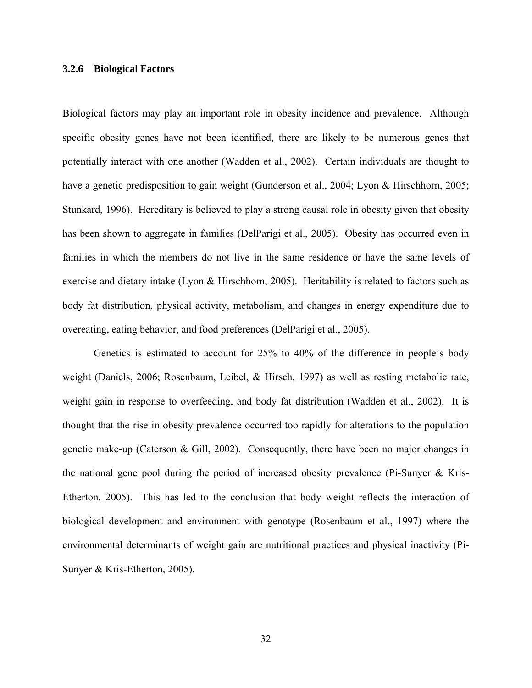### **3.2.6 Biological Factors**

Biological factors may play an important role in obesity incidence and prevalence. Although specific obesity genes have not been identified, there are likely to be numerous genes that potentially interact with one another (Wadden et al., 2002). Certain individuals are thought to have a genetic predisposition to gain weight (Gunderson et al., 2004; Lyon & Hirschhorn, 2005; Stunkard, 1996). Hereditary is believed to play a strong causal role in obesity given that obesity has been shown to aggregate in families (DelParigi et al., 2005). Obesity has occurred even in families in which the members do not live in the same residence or have the same levels of exercise and dietary intake (Lyon & Hirschhorn, 2005). Heritability is related to factors such as body fat distribution, physical activity, metabolism, and changes in energy expenditure due to overeating, eating behavior, and food preferences (DelParigi et al., 2005).

Genetics is estimated to account for 25% to 40% of the difference in people's body weight (Daniels, 2006; Rosenbaum, Leibel, & Hirsch, 1997) as well as resting metabolic rate, weight gain in response to overfeeding, and body fat distribution (Wadden et al., 2002). It is thought that the rise in obesity prevalence occurred too rapidly for alterations to the population genetic make-up (Caterson & Gill, 2002). Consequently, there have been no major changes in the national gene pool during the period of increased obesity prevalence (Pi-Sunyer & Kris-Etherton, 2005). This has led to the conclusion that body weight reflects the interaction of biological development and environment with genotype (Rosenbaum et al., 1997) where the environmental determinants of weight gain are nutritional practices and physical inactivity (Pi-Sunyer & Kris-Etherton, 2005).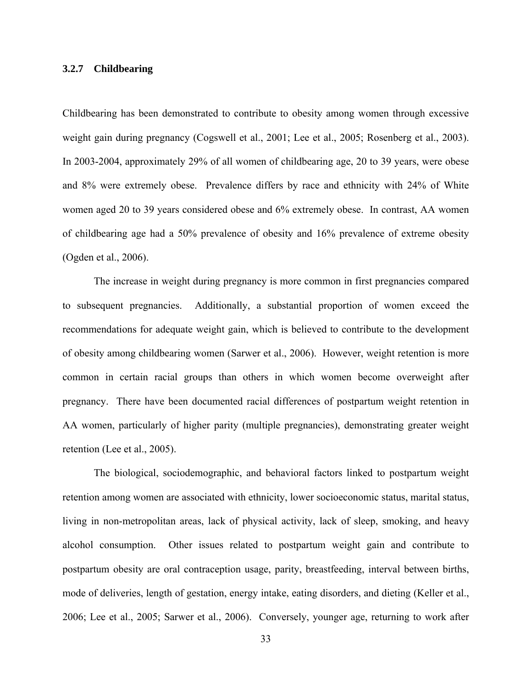### **3.2.7 Childbearing**

Childbearing has been demonstrated to contribute to obesity among women through excessive weight gain during pregnancy (Cogswell et al., 2001; Lee et al., 2005; Rosenberg et al., 2003). In 2003-2004, approximately 29% of all women of childbearing age, 20 to 39 years, were obese and 8% were extremely obese. Prevalence differs by race and ethnicity with 24% of White women aged 20 to 39 years considered obese and 6% extremely obese. In contrast, AA women of childbearing age had a 50% prevalence of obesity and 16% prevalence of extreme obesity (Ogden et al., 2006).

The increase in weight during pregnancy is more common in first pregnancies compared to subsequent pregnancies. Additionally, a substantial proportion of women exceed the recommendations for adequate weight gain, which is believed to contribute to the development of obesity among childbearing women (Sarwer et al., 2006). However, weight retention is more common in certain racial groups than others in which women become overweight after pregnancy. There have been documented racial differences of postpartum weight retention in AA women, particularly of higher parity (multiple pregnancies), demonstrating greater weight retention (Lee et al., 2005).

The biological, sociodemographic, and behavioral factors linked to postpartum weight retention among women are associated with ethnicity, lower socioeconomic status, marital status, living in non-metropolitan areas, lack of physical activity, lack of sleep, smoking, and heavy alcohol consumption. Other issues related to postpartum weight gain and contribute to postpartum obesity are oral contraception usage, parity, breastfeeding, interval between births, mode of deliveries, length of gestation, energy intake, eating disorders, and dieting (Keller et al., 2006; Lee et al., 2005; Sarwer et al., 2006). Conversely, younger age, returning to work after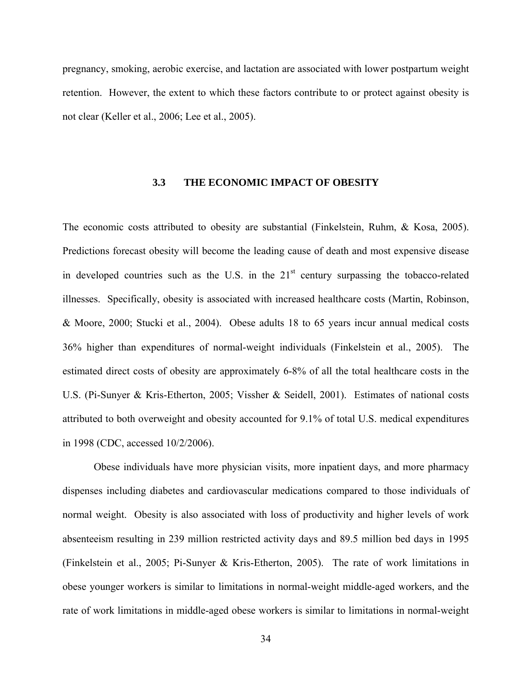pregnancy, smoking, aerobic exercise, and lactation are associated with lower postpartum weight retention. However, the extent to which these factors contribute to or protect against obesity is not clear (Keller et al., 2006; Lee et al., 2005).

### **3.3 THE ECONOMIC IMPACT OF OBESITY**

The economic costs attributed to obesity are substantial (Finkelstein, Ruhm, & Kosa, 2005). Predictions forecast obesity will become the leading cause of death and most expensive disease in developed countries such as the U.S. in the  $21<sup>st</sup>$  century surpassing the tobacco-related illnesses. Specifically, obesity is associated with increased healthcare costs (Martin, Robinson, & Moore, 2000; Stucki et al., 2004). Obese adults 18 to 65 years incur annual medical costs 36% higher than expenditures of normal-weight individuals (Finkelstein et al., 2005). The estimated direct costs of obesity are approximately 6-8% of all the total healthcare costs in the U.S. (Pi-Sunyer & Kris-Etherton, 2005; Vissher & Seidell, 2001). Estimates of national costs attributed to both overweight and obesity accounted for 9.1% of total U.S. medical expenditures in 1998 (CDC, accessed 10/2/2006).

Obese individuals have more physician visits, more inpatient days, and more pharmacy dispenses including diabetes and cardiovascular medications compared to those individuals of normal weight. Obesity is also associated with loss of productivity and higher levels of work absenteeism resulting in 239 million restricted activity days and 89.5 million bed days in 1995 (Finkelstein et al., 2005; Pi-Sunyer & Kris-Etherton, 2005). The rate of work limitations in obese younger workers is similar to limitations in normal-weight middle-aged workers, and the rate of work limitations in middle-aged obese workers is similar to limitations in normal-weight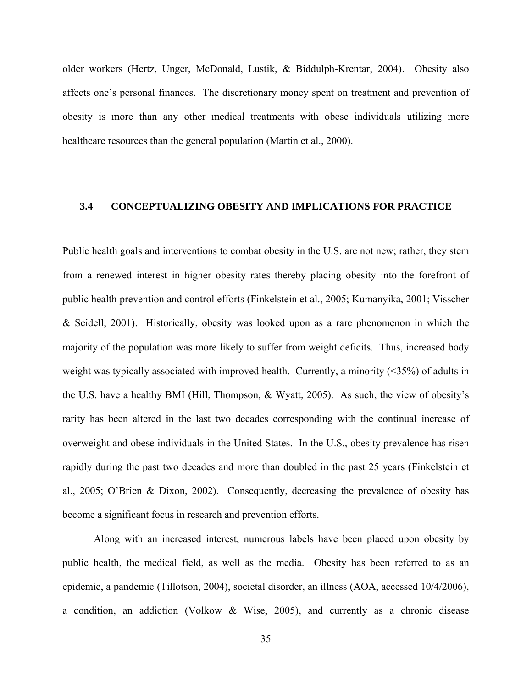older workers (Hertz, Unger, McDonald, Lustik, & Biddulph-Krentar, 2004). Obesity also affects one's personal finances. The discretionary money spent on treatment and prevention of obesity is more than any other medical treatments with obese individuals utilizing more healthcare resources than the general population (Martin et al., 2000).

### **3.4 CONCEPTUALIZING OBESITY AND IMPLICATIONS FOR PRACTICE**

Public health goals and interventions to combat obesity in the U.S. are not new; rather, they stem from a renewed interest in higher obesity rates thereby placing obesity into the forefront of public health prevention and control efforts (Finkelstein et al., 2005; Kumanyika, 2001; Visscher & Seidell, 2001). Historically, obesity was looked upon as a rare phenomenon in which the majority of the population was more likely to suffer from weight deficits. Thus, increased body weight was typically associated with improved health. Currently, a minority  $(\leq 35\%)$  of adults in the U.S. have a healthy BMI (Hill, Thompson, & Wyatt, 2005). As such, the view of obesity's rarity has been altered in the last two decades corresponding with the continual increase of overweight and obese individuals in the United States. In the U.S., obesity prevalence has risen rapidly during the past two decades and more than doubled in the past 25 years (Finkelstein et al., 2005; O'Brien & Dixon, 2002). Consequently, decreasing the prevalence of obesity has become a significant focus in research and prevention efforts.

Along with an increased interest, numerous labels have been placed upon obesity by public health, the medical field, as well as the media. Obesity has been referred to as an epidemic, a pandemic (Tillotson, 2004), societal disorder, an illness (AOA, accessed 10/4/2006), a condition, an addiction (Volkow & Wise, 2005), and currently as a chronic disease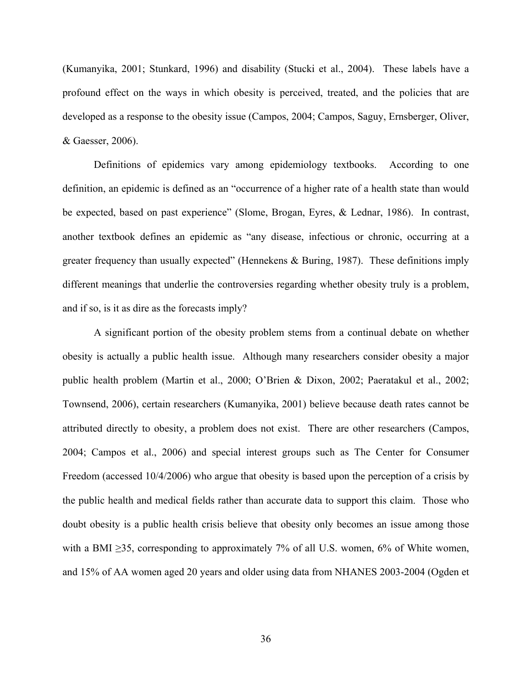(Kumanyika, 2001; Stunkard, 1996) and disability (Stucki et al., 2004). These labels have a profound effect on the ways in which obesity is perceived, treated, and the policies that are developed as a response to the obesity issue (Campos, 2004; Campos, Saguy, Ernsberger, Oliver, & Gaesser, 2006).

Definitions of epidemics vary among epidemiology textbooks. According to one definition, an epidemic is defined as an "occurrence of a higher rate of a health state than would be expected, based on past experience" (Slome, Brogan, Eyres, & Lednar, 1986). In contrast, another textbook defines an epidemic as "any disease, infectious or chronic, occurring at a greater frequency than usually expected" (Hennekens & Buring, 1987). These definitions imply different meanings that underlie the controversies regarding whether obesity truly is a problem, and if so, is it as dire as the forecasts imply?

A significant portion of the obesity problem stems from a continual debate on whether obesity is actually a public health issue. Although many researchers consider obesity a major public health problem (Martin et al., 2000; O'Brien & Dixon, 2002; Paeratakul et al., 2002; Townsend, 2006), certain researchers (Kumanyika, 2001) believe because death rates cannot be attributed directly to obesity, a problem does not exist. There are other researchers (Campos, 2004; Campos et al., 2006) and special interest groups such as The Center for Consumer Freedom (accessed 10/4/2006) who argue that obesity is based upon the perception of a crisis by the public health and medical fields rather than accurate data to support this claim. Those who doubt obesity is a public health crisis believe that obesity only becomes an issue among those with a BMI  $\geq$ 35, corresponding to approximately 7% of all U.S. women, 6% of White women, and 15% of AA women aged 20 years and older using data from NHANES 2003-2004 (Ogden et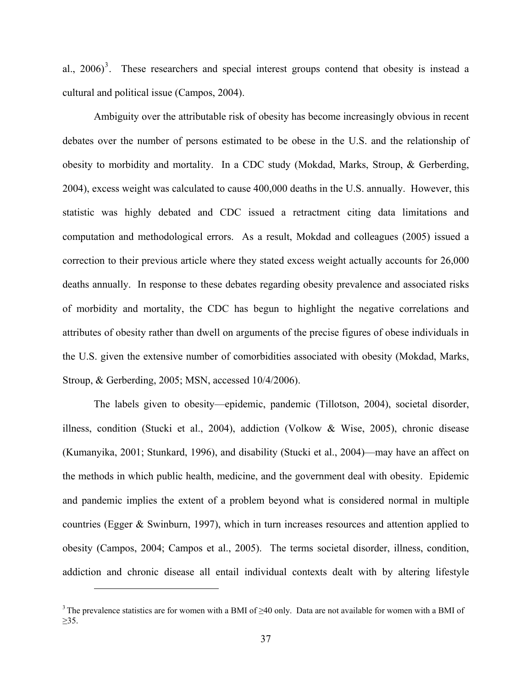al.,  $2006$ <sup>[3](#page-51-0)</sup>. These researchers and special interest groups contend that obesity is instead a cultural and political issue (Campos, 2004).

Ambiguity over the attributable risk of obesity has become increasingly obvious in recent debates over the number of persons estimated to be obese in the U.S. and the relationship of obesity to morbidity and mortality. In a CDC study (Mokdad, Marks, Stroup, & Gerberding, 2004), excess weight was calculated to cause 400,000 deaths in the U.S. annually. However, this statistic was highly debated and CDC issued a retractment citing data limitations and computation and methodological errors. As a result, Mokdad and colleagues (2005) issued a correction to their previous article where they stated excess weight actually accounts for 26,000 deaths annually. In response to these debates regarding obesity prevalence and associated risks of morbidity and mortality, the CDC has begun to highlight the negative correlations and attributes of obesity rather than dwell on arguments of the precise figures of obese individuals in the U.S. given the extensive number of comorbidities associated with obesity (Mokdad, Marks, Stroup, & Gerberding, 2005; MSN, accessed 10/4/2006).

The labels given to obesity—epidemic, pandemic (Tillotson, 2004), societal disorder, illness, condition (Stucki et al., 2004), addiction (Volkow & Wise, 2005), chronic disease (Kumanyika, 2001; Stunkard, 1996), and disability (Stucki et al., 2004)—may have an affect on the methods in which public health, medicine, and the government deal with obesity. Epidemic and pandemic implies the extent of a problem beyond what is considered normal in multiple countries (Egger & Swinburn, 1997), which in turn increases resources and attention applied to obesity (Campos, 2004; Campos et al., 2005). The terms societal disorder, illness, condition, addiction and chronic disease all entail individual contexts dealt with by altering lifestyle

 $\overline{a}$ 

<span id="page-51-0"></span> $3$  The prevalence statistics are for women with a BMI of  $\geq$ 40 only. Data are not available for women with a BMI of ≥35.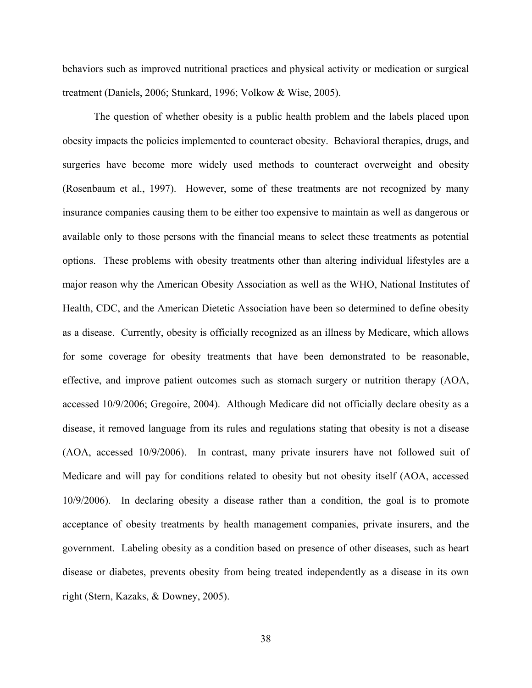behaviors such as improved nutritional practices and physical activity or medication or surgical treatment (Daniels, 2006; Stunkard, 1996; Volkow & Wise, 2005).

The question of whether obesity is a public health problem and the labels placed upon obesity impacts the policies implemented to counteract obesity. Behavioral therapies, drugs, and surgeries have become more widely used methods to counteract overweight and obesity (Rosenbaum et al., 1997). However, some of these treatments are not recognized by many insurance companies causing them to be either too expensive to maintain as well as dangerous or available only to those persons with the financial means to select these treatments as potential options. These problems with obesity treatments other than altering individual lifestyles are a major reason why the American Obesity Association as well as the WHO, National Institutes of Health, CDC, and the American Dietetic Association have been so determined to define obesity as a disease. Currently, obesity is officially recognized as an illness by Medicare, which allows for some coverage for obesity treatments that have been demonstrated to be reasonable, effective, and improve patient outcomes such as stomach surgery or nutrition therapy (AOA, accessed 10/9/2006; Gregoire, 2004). Although Medicare did not officially declare obesity as a disease, it removed language from its rules and regulations stating that obesity is not a disease (AOA, accessed 10/9/2006). In contrast, many private insurers have not followed suit of Medicare and will pay for conditions related to obesity but not obesity itself (AOA, accessed 10/9/2006). In declaring obesity a disease rather than a condition, the goal is to promote acceptance of obesity treatments by health management companies, private insurers, and the government. Labeling obesity as a condition based on presence of other diseases, such as heart disease or diabetes, prevents obesity from being treated independently as a disease in its own right (Stern, Kazaks, & Downey, 2005).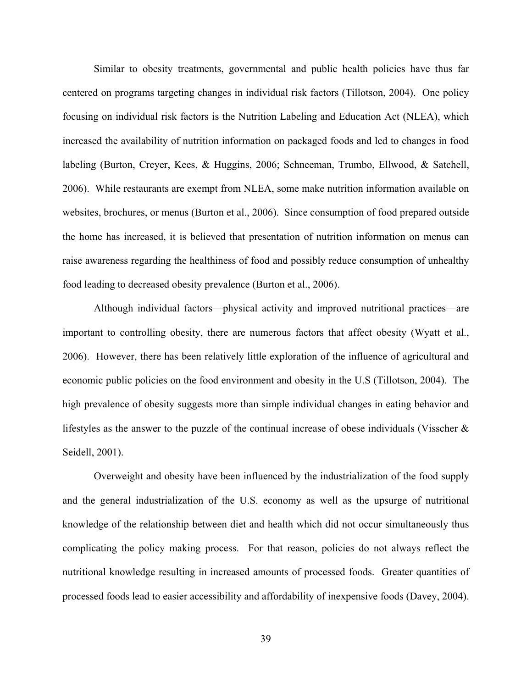Similar to obesity treatments, governmental and public health policies have thus far centered on programs targeting changes in individual risk factors (Tillotson, 2004). One policy focusing on individual risk factors is the Nutrition Labeling and Education Act (NLEA), which increased the availability of nutrition information on packaged foods and led to changes in food labeling (Burton, Creyer, Kees, & Huggins, 2006; Schneeman, Trumbo, Ellwood, & Satchell, 2006). While restaurants are exempt from NLEA, some make nutrition information available on websites, brochures, or menus (Burton et al., 2006). Since consumption of food prepared outside the home has increased, it is believed that presentation of nutrition information on menus can raise awareness regarding the healthiness of food and possibly reduce consumption of unhealthy food leading to decreased obesity prevalence (Burton et al., 2006).

Although individual factors—physical activity and improved nutritional practices—are important to controlling obesity, there are numerous factors that affect obesity (Wyatt et al., 2006). However, there has been relatively little exploration of the influence of agricultural and economic public policies on the food environment and obesity in the U.S (Tillotson, 2004). The high prevalence of obesity suggests more than simple individual changes in eating behavior and lifestyles as the answer to the puzzle of the continual increase of obese individuals (Visscher & Seidell, 2001).

Overweight and obesity have been influenced by the industrialization of the food supply and the general industrialization of the U.S. economy as well as the upsurge of nutritional knowledge of the relationship between diet and health which did not occur simultaneously thus complicating the policy making process. For that reason, policies do not always reflect the nutritional knowledge resulting in increased amounts of processed foods. Greater quantities of processed foods lead to easier accessibility and affordability of inexpensive foods (Davey, 2004).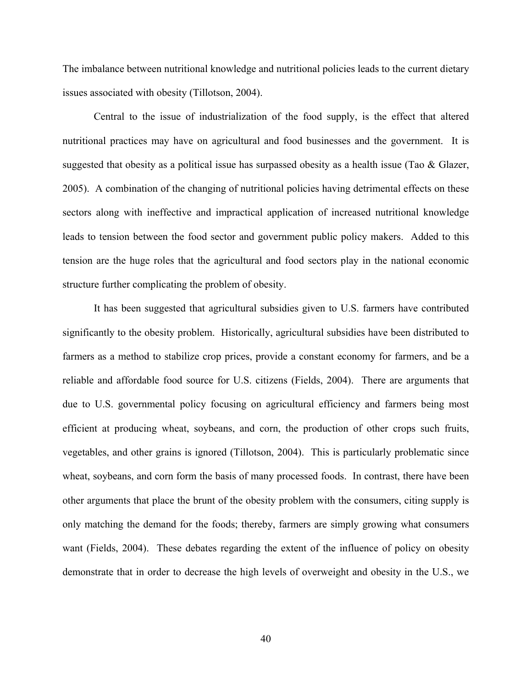The imbalance between nutritional knowledge and nutritional policies leads to the current dietary issues associated with obesity (Tillotson, 2004).

Central to the issue of industrialization of the food supply, is the effect that altered nutritional practices may have on agricultural and food businesses and the government. It is suggested that obesity as a political issue has surpassed obesity as a health issue (Tao  $\&$  Glazer, 2005). A combination of the changing of nutritional policies having detrimental effects on these sectors along with ineffective and impractical application of increased nutritional knowledge leads to tension between the food sector and government public policy makers. Added to this tension are the huge roles that the agricultural and food sectors play in the national economic structure further complicating the problem of obesity.

It has been suggested that agricultural subsidies given to U.S. farmers have contributed significantly to the obesity problem. Historically, agricultural subsidies have been distributed to farmers as a method to stabilize crop prices, provide a constant economy for farmers, and be a reliable and affordable food source for U.S. citizens (Fields, 2004). There are arguments that due to U.S. governmental policy focusing on agricultural efficiency and farmers being most efficient at producing wheat, soybeans, and corn, the production of other crops such fruits, vegetables, and other grains is ignored (Tillotson, 2004). This is particularly problematic since wheat, soybeans, and corn form the basis of many processed foods. In contrast, there have been other arguments that place the brunt of the obesity problem with the consumers, citing supply is only matching the demand for the foods; thereby, farmers are simply growing what consumers want (Fields, 2004). These debates regarding the extent of the influence of policy on obesity demonstrate that in order to decrease the high levels of overweight and obesity in the U.S., we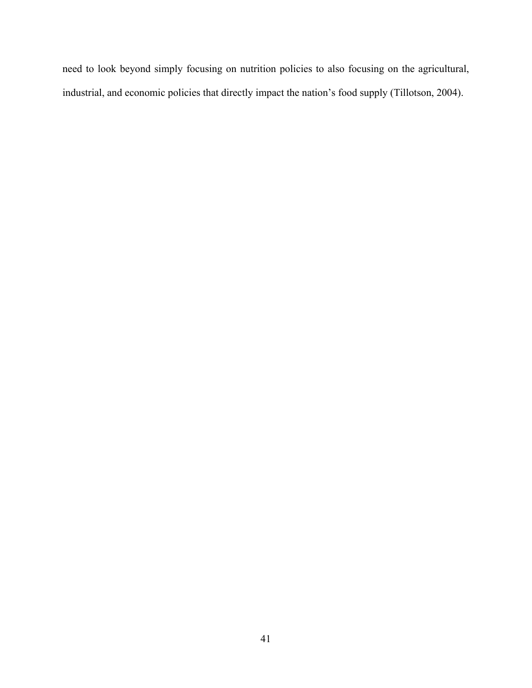need to look beyond simply focusing on nutrition policies to also focusing on the agricultural, industrial, and economic policies that directly impact the nation's food supply (Tillotson, 2004).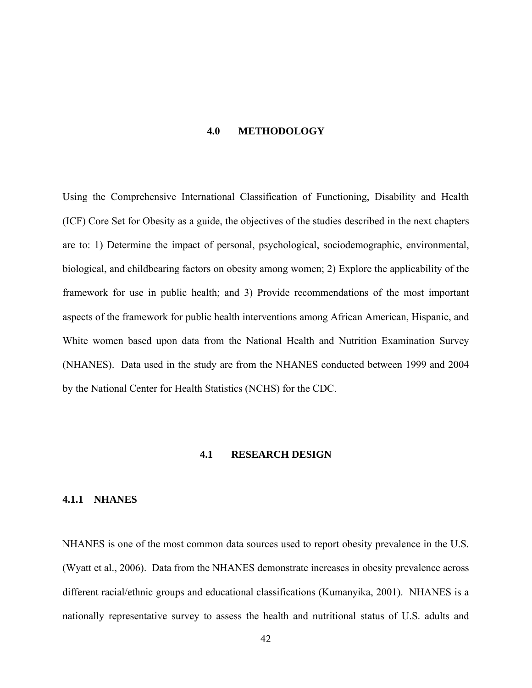### **4.0 METHODOLOGY**

Using the Comprehensive International Classification of Functioning, Disability and Health (ICF) Core Set for Obesity as a guide, the objectives of the studies described in the next chapters are to: 1) Determine the impact of personal, psychological, sociodemographic, environmental, biological, and childbearing factors on obesity among women; 2) Explore the applicability of the framework for use in public health; and 3) Provide recommendations of the most important aspects of the framework for public health interventions among African American, Hispanic, and White women based upon data from the National Health and Nutrition Examination Survey (NHANES). Data used in the study are from the NHANES conducted between 1999 and 2004 by the National Center for Health Statistics (NCHS) for the CDC.

### **4.1 RESEARCH DESIGN**

### **4.1.1 NHANES**

NHANES is one of the most common data sources used to report obesity prevalence in the U.S. (Wyatt et al., 2006). Data from the NHANES demonstrate increases in obesity prevalence across different racial/ethnic groups and educational classifications (Kumanyika, 2001). NHANES is a nationally representative survey to assess the health and nutritional status of U.S. adults and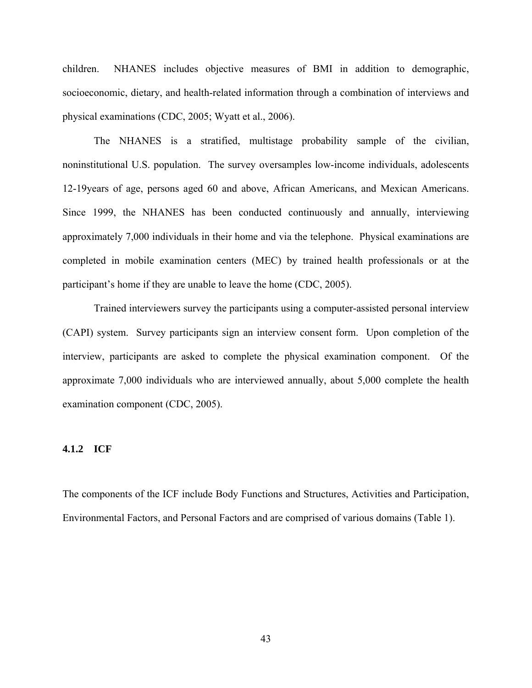children. NHANES includes objective measures of BMI in addition to demographic, socioeconomic, dietary, and health-related information through a combination of interviews and physical examinations (CDC, 2005; Wyatt et al., 2006).

 The NHANES is a stratified, multistage probability sample of the civilian, noninstitutional U.S. population. The survey oversamples low-income individuals, adolescents 12-19years of age, persons aged 60 and above, African Americans, and Mexican Americans. Since 1999, the NHANES has been conducted continuously and annually, interviewing approximately 7,000 individuals in their home and via the telephone. Physical examinations are completed in mobile examination centers (MEC) by trained health professionals or at the participant's home if they are unable to leave the home (CDC, 2005).

 Trained interviewers survey the participants using a computer-assisted personal interview (CAPI) system. Survey participants sign an interview consent form. Upon completion of the interview, participants are asked to complete the physical examination component. Of the approximate 7,000 individuals who are interviewed annually, about 5,000 complete the health examination component (CDC, 2005).

### **4.1.2 ICF**

The components of the ICF include Body Functions and Structures, Activities and Participation, Environmental Factors, and Personal Factors and are comprised of various domains (Table 1).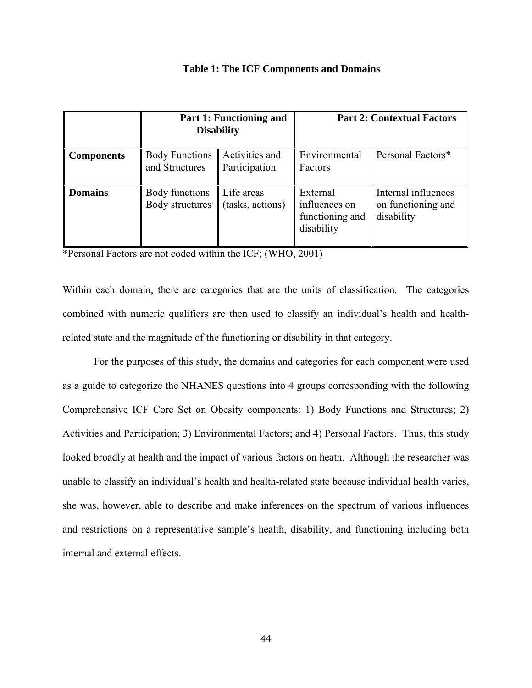### **Table 1: The ICF Components and Domains**

|                   | <b>Part 1: Functioning and</b><br><b>Disability</b> |                                 | <b>Part 2: Contextual Factors</b>                          |                                                         |
|-------------------|-----------------------------------------------------|---------------------------------|------------------------------------------------------------|---------------------------------------------------------|
| <b>Components</b> | <b>Body Functions</b><br>and Structures             | Activities and<br>Participation | Environmental<br>Factors                                   | Personal Factors*                                       |
| <b>Domains</b>    | Body functions<br>Body structures                   | Life areas<br>(tasks, actions)  | External<br>influences on<br>functioning and<br>disability | Internal influences<br>on functioning and<br>disability |

\*Personal Factors are not coded within the ICF; (WHO, 2001)

Within each domain, there are categories that are the units of classification. The categories combined with numeric qualifiers are then used to classify an individual's health and healthrelated state and the magnitude of the functioning or disability in that category.

For the purposes of this study, the domains and categories for each component were used as a guide to categorize the NHANES questions into 4 groups corresponding with the following Comprehensive ICF Core Set on Obesity components: 1) Body Functions and Structures; 2) Activities and Participation; 3) Environmental Factors; and 4) Personal Factors. Thus, this study looked broadly at health and the impact of various factors on heath. Although the researcher was unable to classify an individual's health and health-related state because individual health varies, she was, however, able to describe and make inferences on the spectrum of various influences and restrictions on a representative sample's health, disability, and functioning including both internal and external effects.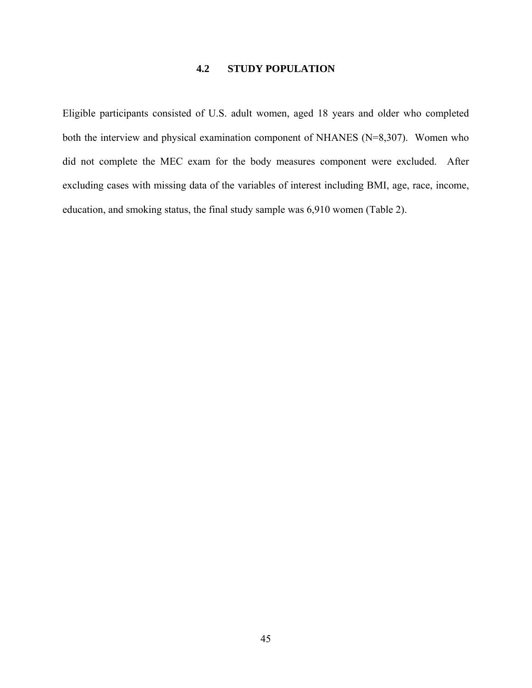### **4.2 STUDY POPULATION**

Eligible participants consisted of U.S. adult women, aged 18 years and older who completed both the interview and physical examination component of NHANES (N=8,307). Women who did not complete the MEC exam for the body measures component were excluded. After excluding cases with missing data of the variables of interest including BMI, age, race, income, education, and smoking status, the final study sample was 6,910 women (Table 2).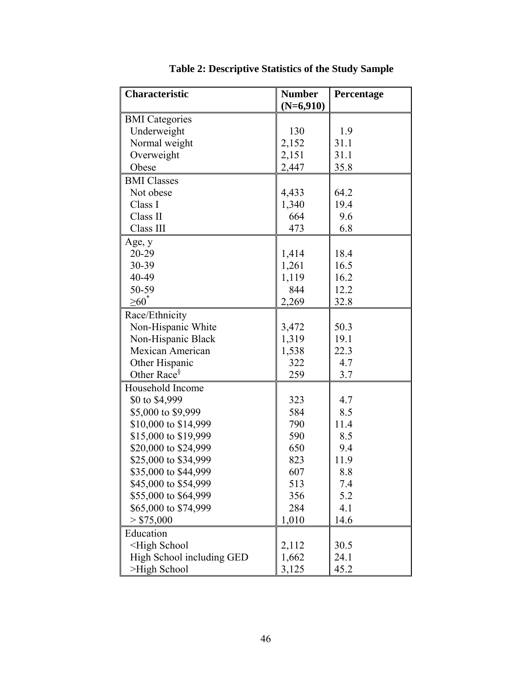| $(N=6,910)$<br><b>BMI</b> Categories<br>130<br>Underweight<br>1.9<br>Normal weight<br>2,152<br>31.1<br>2,151<br>31.1<br>Overweight<br>Obese<br>2,447<br>35.8<br><b>BMI</b> Classes<br>4,433<br>Not obese<br>64.2<br>1,340<br>19.4<br>Class I<br>Class II<br>664<br>9.6<br>Class III<br>473<br>6.8<br>Age, y<br>20-29<br>1,414<br>18.4<br>30-39<br>16.5<br>1,261<br>40-49<br>1,119<br>16.2<br>50-59<br>844<br>12.2<br>$\geq 60$ <sup>*</sup><br>2,269<br>32.8<br>Race/Ethnicity<br>Non-Hispanic White<br>3,472<br>50.3<br>Non-Hispanic Black<br>1,319<br>19.1<br>Mexican American<br>1,538<br>22.3<br>Other Hispanic<br>322<br>4.7<br>Other Race <sup>§</sup><br>3.7<br>259<br>Household Income<br>\$0 to \$4,999<br>323<br>4.7<br>8.5<br>\$5,000 to \$9,999<br>584<br>\$10,000 to \$14,999<br>790<br>11.4<br>\$15,000 to \$19,999<br>8.5<br>590<br>\$20,000 to \$24,999<br>650<br>9.4<br>\$25,000 to \$34,999<br>823<br>11.9<br>\$35,000 to \$44,999<br>607<br>8.8<br>\$45,000 to \$54,999<br>513<br>7.4<br>\$55,000 to \$64,999<br>5.2<br>356<br>\$65,000 to \$74,999<br>284<br>4.1<br>14.6<br>> \$75,000<br>1,010<br>Education | <b>Characteristic</b> | <b>Number</b> | Percentage |
|----------------------------------------------------------------------------------------------------------------------------------------------------------------------------------------------------------------------------------------------------------------------------------------------------------------------------------------------------------------------------------------------------------------------------------------------------------------------------------------------------------------------------------------------------------------------------------------------------------------------------------------------------------------------------------------------------------------------------------------------------------------------------------------------------------------------------------------------------------------------------------------------------------------------------------------------------------------------------------------------------------------------------------------------------------------------------------------------------------------------------------|-----------------------|---------------|------------|
|                                                                                                                                                                                                                                                                                                                                                                                                                                                                                                                                                                                                                                                                                                                                                                                                                                                                                                                                                                                                                                                                                                                                  |                       |               |            |
|                                                                                                                                                                                                                                                                                                                                                                                                                                                                                                                                                                                                                                                                                                                                                                                                                                                                                                                                                                                                                                                                                                                                  |                       |               |            |
|                                                                                                                                                                                                                                                                                                                                                                                                                                                                                                                                                                                                                                                                                                                                                                                                                                                                                                                                                                                                                                                                                                                                  |                       |               |            |
|                                                                                                                                                                                                                                                                                                                                                                                                                                                                                                                                                                                                                                                                                                                                                                                                                                                                                                                                                                                                                                                                                                                                  |                       |               |            |
|                                                                                                                                                                                                                                                                                                                                                                                                                                                                                                                                                                                                                                                                                                                                                                                                                                                                                                                                                                                                                                                                                                                                  |                       |               |            |
|                                                                                                                                                                                                                                                                                                                                                                                                                                                                                                                                                                                                                                                                                                                                                                                                                                                                                                                                                                                                                                                                                                                                  |                       |               |            |
|                                                                                                                                                                                                                                                                                                                                                                                                                                                                                                                                                                                                                                                                                                                                                                                                                                                                                                                                                                                                                                                                                                                                  |                       |               |            |
|                                                                                                                                                                                                                                                                                                                                                                                                                                                                                                                                                                                                                                                                                                                                                                                                                                                                                                                                                                                                                                                                                                                                  |                       |               |            |
|                                                                                                                                                                                                                                                                                                                                                                                                                                                                                                                                                                                                                                                                                                                                                                                                                                                                                                                                                                                                                                                                                                                                  |                       |               |            |
|                                                                                                                                                                                                                                                                                                                                                                                                                                                                                                                                                                                                                                                                                                                                                                                                                                                                                                                                                                                                                                                                                                                                  |                       |               |            |
|                                                                                                                                                                                                                                                                                                                                                                                                                                                                                                                                                                                                                                                                                                                                                                                                                                                                                                                                                                                                                                                                                                                                  |                       |               |            |
|                                                                                                                                                                                                                                                                                                                                                                                                                                                                                                                                                                                                                                                                                                                                                                                                                                                                                                                                                                                                                                                                                                                                  |                       |               |            |
|                                                                                                                                                                                                                                                                                                                                                                                                                                                                                                                                                                                                                                                                                                                                                                                                                                                                                                                                                                                                                                                                                                                                  |                       |               |            |
|                                                                                                                                                                                                                                                                                                                                                                                                                                                                                                                                                                                                                                                                                                                                                                                                                                                                                                                                                                                                                                                                                                                                  |                       |               |            |
|                                                                                                                                                                                                                                                                                                                                                                                                                                                                                                                                                                                                                                                                                                                                                                                                                                                                                                                                                                                                                                                                                                                                  |                       |               |            |
|                                                                                                                                                                                                                                                                                                                                                                                                                                                                                                                                                                                                                                                                                                                                                                                                                                                                                                                                                                                                                                                                                                                                  |                       |               |            |
|                                                                                                                                                                                                                                                                                                                                                                                                                                                                                                                                                                                                                                                                                                                                                                                                                                                                                                                                                                                                                                                                                                                                  |                       |               |            |
|                                                                                                                                                                                                                                                                                                                                                                                                                                                                                                                                                                                                                                                                                                                                                                                                                                                                                                                                                                                                                                                                                                                                  |                       |               |            |
|                                                                                                                                                                                                                                                                                                                                                                                                                                                                                                                                                                                                                                                                                                                                                                                                                                                                                                                                                                                                                                                                                                                                  |                       |               |            |
|                                                                                                                                                                                                                                                                                                                                                                                                                                                                                                                                                                                                                                                                                                                                                                                                                                                                                                                                                                                                                                                                                                                                  |                       |               |            |
|                                                                                                                                                                                                                                                                                                                                                                                                                                                                                                                                                                                                                                                                                                                                                                                                                                                                                                                                                                                                                                                                                                                                  |                       |               |            |
|                                                                                                                                                                                                                                                                                                                                                                                                                                                                                                                                                                                                                                                                                                                                                                                                                                                                                                                                                                                                                                                                                                                                  |                       |               |            |
|                                                                                                                                                                                                                                                                                                                                                                                                                                                                                                                                                                                                                                                                                                                                                                                                                                                                                                                                                                                                                                                                                                                                  |                       |               |            |
|                                                                                                                                                                                                                                                                                                                                                                                                                                                                                                                                                                                                                                                                                                                                                                                                                                                                                                                                                                                                                                                                                                                                  |                       |               |            |
|                                                                                                                                                                                                                                                                                                                                                                                                                                                                                                                                                                                                                                                                                                                                                                                                                                                                                                                                                                                                                                                                                                                                  |                       |               |            |
|                                                                                                                                                                                                                                                                                                                                                                                                                                                                                                                                                                                                                                                                                                                                                                                                                                                                                                                                                                                                                                                                                                                                  |                       |               |            |
|                                                                                                                                                                                                                                                                                                                                                                                                                                                                                                                                                                                                                                                                                                                                                                                                                                                                                                                                                                                                                                                                                                                                  |                       |               |            |
|                                                                                                                                                                                                                                                                                                                                                                                                                                                                                                                                                                                                                                                                                                                                                                                                                                                                                                                                                                                                                                                                                                                                  |                       |               |            |
|                                                                                                                                                                                                                                                                                                                                                                                                                                                                                                                                                                                                                                                                                                                                                                                                                                                                                                                                                                                                                                                                                                                                  |                       |               |            |
|                                                                                                                                                                                                                                                                                                                                                                                                                                                                                                                                                                                                                                                                                                                                                                                                                                                                                                                                                                                                                                                                                                                                  |                       |               |            |
|                                                                                                                                                                                                                                                                                                                                                                                                                                                                                                                                                                                                                                                                                                                                                                                                                                                                                                                                                                                                                                                                                                                                  |                       |               |            |
|                                                                                                                                                                                                                                                                                                                                                                                                                                                                                                                                                                                                                                                                                                                                                                                                                                                                                                                                                                                                                                                                                                                                  |                       |               |            |
|                                                                                                                                                                                                                                                                                                                                                                                                                                                                                                                                                                                                                                                                                                                                                                                                                                                                                                                                                                                                                                                                                                                                  |                       |               |            |
|                                                                                                                                                                                                                                                                                                                                                                                                                                                                                                                                                                                                                                                                                                                                                                                                                                                                                                                                                                                                                                                                                                                                  |                       |               |            |
|                                                                                                                                                                                                                                                                                                                                                                                                                                                                                                                                                                                                                                                                                                                                                                                                                                                                                                                                                                                                                                                                                                                                  |                       |               |            |
|                                                                                                                                                                                                                                                                                                                                                                                                                                                                                                                                                                                                                                                                                                                                                                                                                                                                                                                                                                                                                                                                                                                                  |                       |               |            |
| <high school<br="">2,112<br/>30.5</high>                                                                                                                                                                                                                                                                                                                                                                                                                                                                                                                                                                                                                                                                                                                                                                                                                                                                                                                                                                                                                                                                                         |                       |               |            |
| High School including GED<br>24.1<br>1,662                                                                                                                                                                                                                                                                                                                                                                                                                                                                                                                                                                                                                                                                                                                                                                                                                                                                                                                                                                                                                                                                                       |                       |               |            |
| 45.2<br>>High School<br>3,125                                                                                                                                                                                                                                                                                                                                                                                                                                                                                                                                                                                                                                                                                                                                                                                                                                                                                                                                                                                                                                                                                                    |                       |               |            |

**Table 2: Descriptive Statistics of the Study Sample**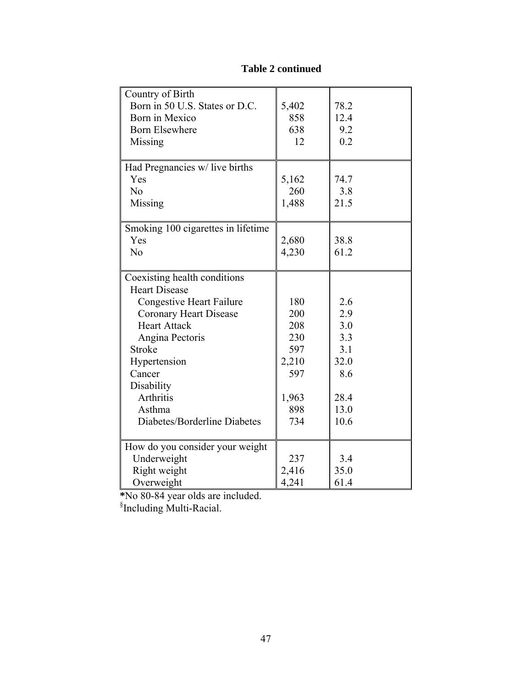| Country of Birth                   |       |      |
|------------------------------------|-------|------|
| Born in 50 U.S. States or D.C.     | 5,402 | 78.2 |
| Born in Mexico                     | 858   | 12.4 |
| <b>Born Elsewhere</b>              | 638   | 9.2  |
| Missing                            | 12    | 0.2  |
|                                    |       |      |
| Had Pregnancies w/ live births     |       |      |
| Yes                                | 5,162 | 74.7 |
| N <sub>o</sub>                     | 260   | 3.8  |
| Missing                            | 1,488 | 21.5 |
|                                    |       |      |
| Smoking 100 cigarettes in lifetime |       |      |
| Yes                                | 2,680 | 38.8 |
| N <sub>o</sub>                     | 4,230 | 61.2 |
|                                    |       |      |
| Coexisting health conditions       |       |      |
| <b>Heart Disease</b>               |       |      |
| <b>Congestive Heart Failure</b>    | 180   | 2.6  |
| <b>Coronary Heart Disease</b>      | 200   | 2.9  |
| <b>Heart Attack</b>                | 208   | 3.0  |
| Angina Pectoris                    | 230   | 3.3  |
| <b>Stroke</b>                      | 597   | 3.1  |
| Hypertension                       | 2,210 | 32.0 |
| Cancer                             | 597   | 8.6  |
| Disability                         |       |      |
| <b>Arthritis</b>                   | 1,963 | 28.4 |
| Asthma                             | 898   | 13.0 |
| Diabetes/Borderline Diabetes       | 734   | 10.6 |
|                                    |       |      |
| How do you consider your weight    |       |      |
| Underweight                        | 237   | 3.4  |
| Right weight                       | 2,416 | 35.0 |
| Overweight                         | 4,241 | 61.4 |

## **Table 2 continued**

 **\***No 80-84 year olds are included. §Including Multi-Racial.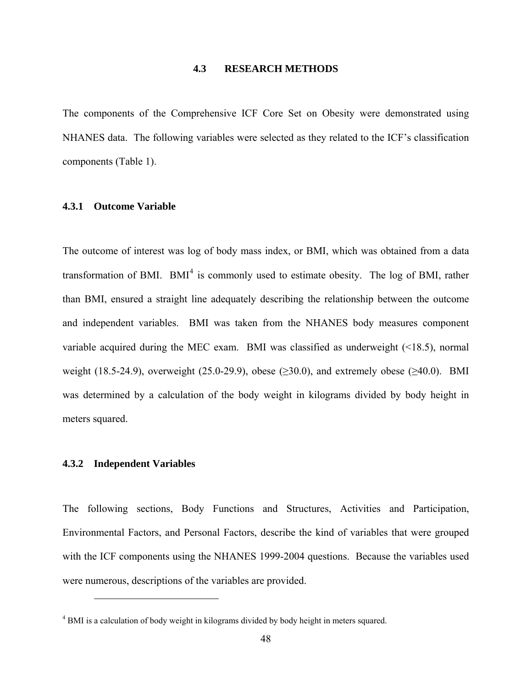### **4.3 RESEARCH METHODS**

The components of the Comprehensive ICF Core Set on Obesity were demonstrated using NHANES data. The following variables were selected as they related to the ICF's classification components (Table 1).

### **4.3.1 Outcome Variable**

The outcome of interest was log of body mass index, or BMI, which was obtained from a data transformation of BMI.  $BMI<sup>4</sup>$  $BMI<sup>4</sup>$  $BMI<sup>4</sup>$  is commonly used to estimate obesity. The log of BMI, rather than BMI, ensured a straight line adequately describing the relationship between the outcome and independent variables. BMI was taken from the NHANES body measures component variable acquired during the MEC exam. BMI was classified as underweight (<18.5), normal weight (18.5-24.9), overweight (25.0-29.9), obese ( $\geq 30.0$ ), and extremely obese ( $\geq 40.0$ ). BMI was determined by a calculation of the body weight in kilograms divided by body height in meters squared.

### **4.3.2 Independent Variables**

1

The following sections, Body Functions and Structures, Activities and Participation, Environmental Factors, and Personal Factors, describe the kind of variables that were grouped with the ICF components using the NHANES 1999-2004 questions. Because the variables used were numerous, descriptions of the variables are provided.

<span id="page-62-0"></span><sup>&</sup>lt;sup>4</sup> BMI is a calculation of body weight in kilograms divided by body height in meters squared.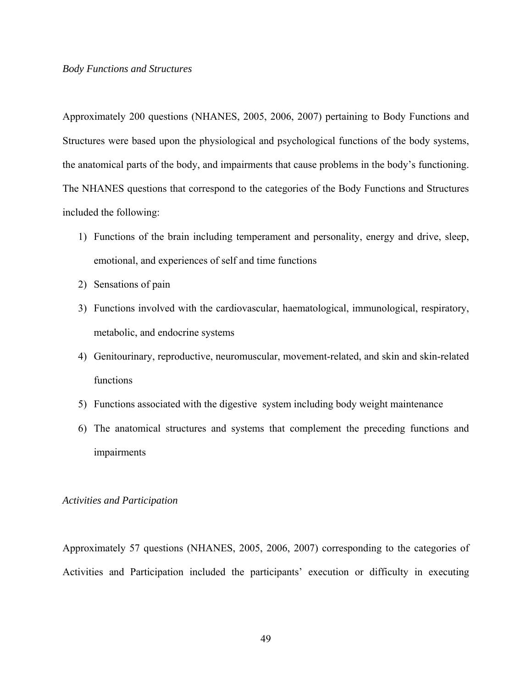### *Body Functions and Structures*

Approximately 200 questions (NHANES, 2005, 2006, 2007) pertaining to Body Functions and Structures were based upon the physiological and psychological functions of the body systems, the anatomical parts of the body, and impairments that cause problems in the body's functioning. The NHANES questions that correspond to the categories of the Body Functions and Structures included the following:

- 1) Functions of the brain including temperament and personality, energy and drive, sleep, emotional, and experiences of self and time functions
- 2) Sensations of pain
- 3) Functions involved with the cardiovascular, haematological, immunological, respiratory, metabolic, and endocrine systems
- 4) Genitourinary, reproductive, neuromuscular, movement-related, and skin and skin-related functions
- 5) Functions associated with the digestive system including body weight maintenance
- 6) The anatomical structures and systems that complement the preceding functions and impairments

#### *Activities and Participation*

Approximately 57 questions (NHANES, 2005, 2006, 2007) corresponding to the categories of Activities and Participation included the participants' execution or difficulty in executing

49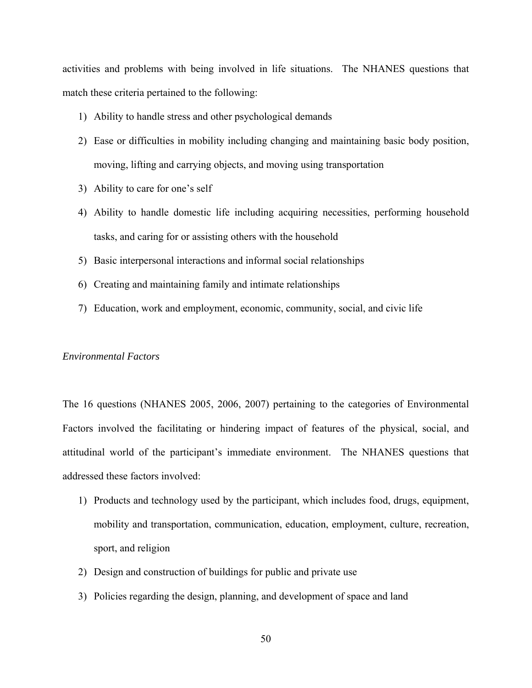activities and problems with being involved in life situations. The NHANES questions that match these criteria pertained to the following:

- 1) Ability to handle stress and other psychological demands
- 2) Ease or difficulties in mobility including changing and maintaining basic body position, moving, lifting and carrying objects, and moving using transportation
- 3) Ability to care for one's self
- 4) Ability to handle domestic life including acquiring necessities, performing household tasks, and caring for or assisting others with the household
- 5) Basic interpersonal interactions and informal social relationships
- 6) Creating and maintaining family and intimate relationships
- 7) Education, work and employment, economic, community, social, and civic life

### *Environmental Factors*

The 16 questions (NHANES 2005, 2006, 2007) pertaining to the categories of Environmental Factors involved the facilitating or hindering impact of features of the physical, social, and attitudinal world of the participant's immediate environment. The NHANES questions that addressed these factors involved:

- 1) Products and technology used by the participant, which includes food, drugs, equipment, mobility and transportation, communication, education, employment, culture, recreation, sport, and religion
- 2) Design and construction of buildings for public and private use
- 3) Policies regarding the design, planning, and development of space and land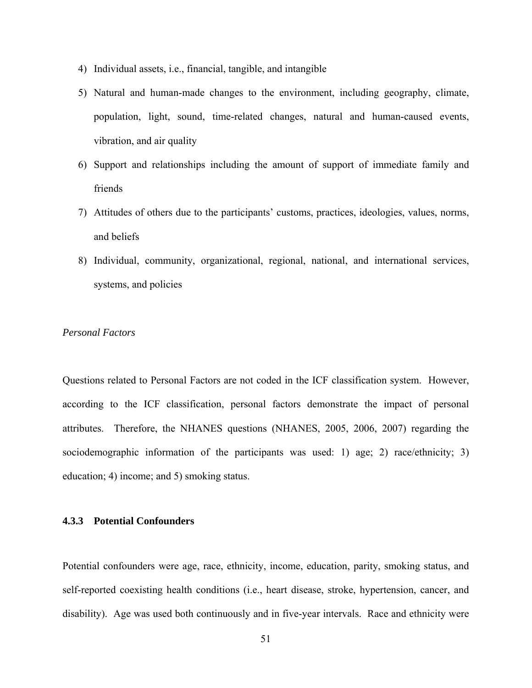- 4) Individual assets, i.e., financial, tangible, and intangible
- 5) Natural and human-made changes to the environment, including geography, climate, population, light, sound, time-related changes, natural and human-caused events, vibration, and air quality
- 6) Support and relationships including the amount of support of immediate family and friends
- 7) Attitudes of others due to the participants' customs, practices, ideologies, values, norms, and beliefs
- 8) Individual, community, organizational, regional, national, and international services, systems, and policies

### *Personal Factors*

Questions related to Personal Factors are not coded in the ICF classification system. However, according to the ICF classification, personal factors demonstrate the impact of personal attributes. Therefore, the NHANES questions (NHANES, 2005, 2006, 2007) regarding the sociodemographic information of the participants was used: 1) age; 2) race/ethnicity; 3) education; 4) income; and 5) smoking status.

### **4.3.3 Potential Confounders**

Potential confounders were age, race, ethnicity, income, education, parity, smoking status, and self-reported coexisting health conditions (i.e., heart disease, stroke, hypertension, cancer, and disability). Age was used both continuously and in five-year intervals. Race and ethnicity were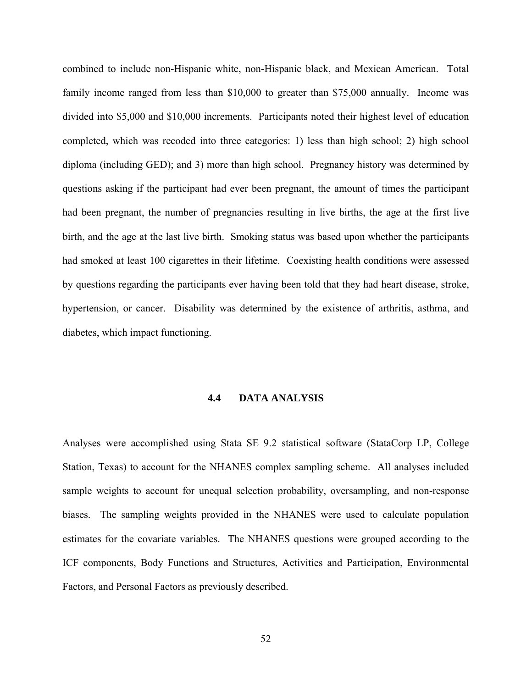combined to include non-Hispanic white, non-Hispanic black, and Mexican American. Total family income ranged from less than \$10,000 to greater than \$75,000 annually. Income was divided into \$5,000 and \$10,000 increments. Participants noted their highest level of education completed, which was recoded into three categories: 1) less than high school; 2) high school diploma (including GED); and 3) more than high school. Pregnancy history was determined by questions asking if the participant had ever been pregnant, the amount of times the participant had been pregnant, the number of pregnancies resulting in live births, the age at the first live birth, and the age at the last live birth. Smoking status was based upon whether the participants had smoked at least 100 cigarettes in their lifetime. Coexisting health conditions were assessed by questions regarding the participants ever having been told that they had heart disease, stroke, hypertension, or cancer. Disability was determined by the existence of arthritis, asthma, and diabetes, which impact functioning.

### **4.4 DATA ANALYSIS**

Analyses were accomplished using Stata SE 9.2 statistical software (StataCorp LP, College Station, Texas) to account for the NHANES complex sampling scheme. All analyses included sample weights to account for unequal selection probability, oversampling, and non-response biases. The sampling weights provided in the NHANES were used to calculate population estimates for the covariate variables. The NHANES questions were grouped according to the ICF components, Body Functions and Structures, Activities and Participation, Environmental Factors, and Personal Factors as previously described.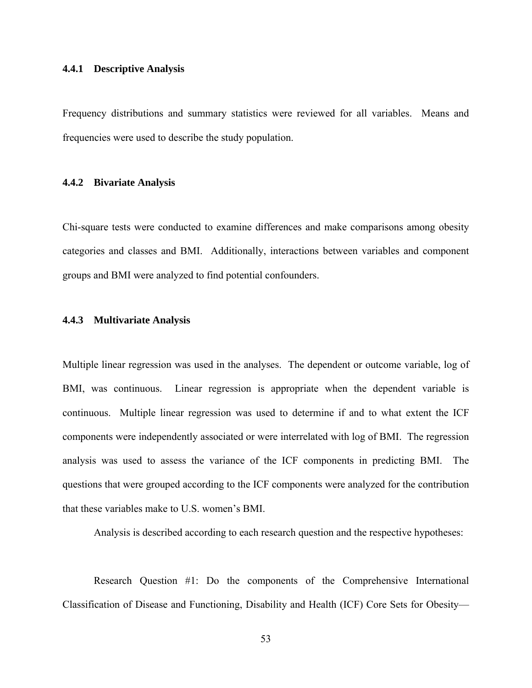### **4.4.1 Descriptive Analysis**

Frequency distributions and summary statistics were reviewed for all variables. Means and frequencies were used to describe the study population.

### **4.4.2 Bivariate Analysis**

Chi-square tests were conducted to examine differences and make comparisons among obesity categories and classes and BMI. Additionally, interactions between variables and component groups and BMI were analyzed to find potential confounders.

### **4.4.3 Multivariate Analysis**

Multiple linear regression was used in the analyses. The dependent or outcome variable, log of BMI, was continuous. Linear regression is appropriate when the dependent variable is continuous. Multiple linear regression was used to determine if and to what extent the ICF components were independently associated or were interrelated with log of BMI. The regression analysis was used to assess the variance of the ICF components in predicting BMI. The questions that were grouped according to the ICF components were analyzed for the contribution that these variables make to U.S. women's BMI.

Analysis is described according to each research question and the respective hypotheses:

Research Question #1: Do the components of the Comprehensive International Classification of Disease and Functioning, Disability and Health (ICF) Core Sets for Obesity—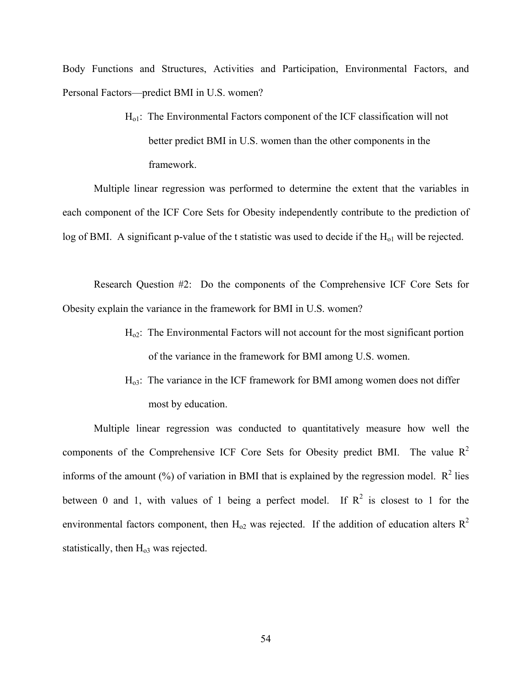Body Functions and Structures, Activities and Participation, Environmental Factors, and Personal Factors—predict BMI in U.S. women?

> Ho1: The Environmental Factors component of the ICF classification will not better predict BMI in U.S. women than the other components in the framework.

 Multiple linear regression was performed to determine the extent that the variables in each component of the ICF Core Sets for Obesity independently contribute to the prediction of log of BMI. A significant p-value of the t statistic was used to decide if the  $H<sub>01</sub>$  will be rejected.

Research Question #2: Do the components of the Comprehensive ICF Core Sets for Obesity explain the variance in the framework for BMI in U.S. women?

- $H<sub>02</sub>$ : The Environmental Factors will not account for the most significant portion of the variance in the framework for BMI among U.S. women.
- $H<sub>o3</sub>$ : The variance in the ICF framework for BMI among women does not differ most by education.

Multiple linear regression was conducted to quantitatively measure how well the components of the Comprehensive ICF Core Sets for Obesity predict BMI. The value  $R^2$ informs of the amount  $\frac{N}{2}$  of variation in BMI that is explained by the regression model.  $R^2$  lies between 0 and 1, with values of 1 being a perfect model. If  $R^2$  is closest to 1 for the environmental factors component, then  $H_{02}$  was rejected. If the addition of education alters  $R^2$ statistically, then  $H<sub>o3</sub>$  was rejected.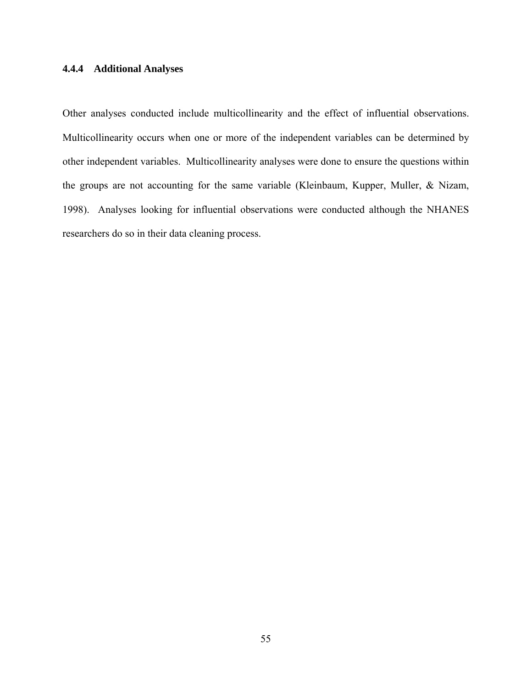### **4.4.4 Additional Analyses**

Other analyses conducted include multicollinearity and the effect of influential observations. Multicollinearity occurs when one or more of the independent variables can be determined by other independent variables. Multicollinearity analyses were done to ensure the questions within the groups are not accounting for the same variable (Kleinbaum, Kupper, Muller, & Nizam, 1998). Analyses looking for influential observations were conducted although the NHANES researchers do so in their data cleaning process.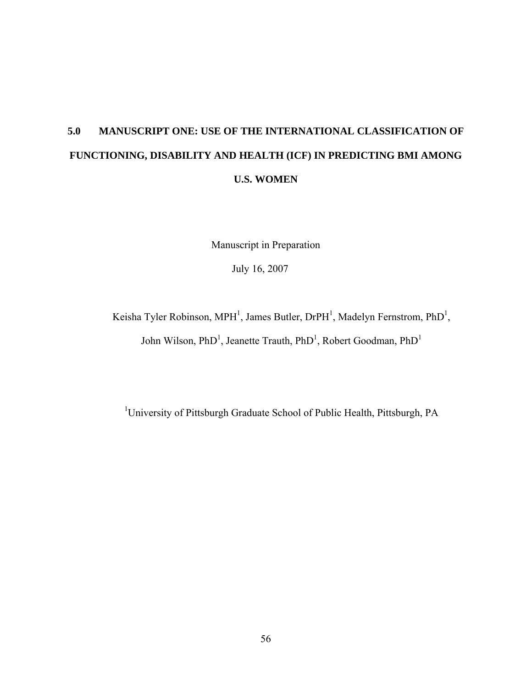# **5.0 MANUSCRIPT ONE: USE OF THE INTERNATIONAL CLASSIFICATION OF FUNCTIONING, DISABILITY AND HEALTH (ICF) IN PREDICTING BMI AMONG U.S. WOMEN**

Manuscript in Preparation

July 16, 2007

Keisha Tyler Robinson, MPH<sup>1</sup>, James Butler, DrPH<sup>1</sup>, Madelyn Fernstrom, PhD<sup>1</sup>, John Wilson, PhD<sup>1</sup>, Jeanette Trauth, PhD<sup>1</sup>, Robert Goodman, PhD<sup>1</sup>

<sup>1</sup>University of Pittsburgh Graduate School of Public Health, Pittsburgh, PA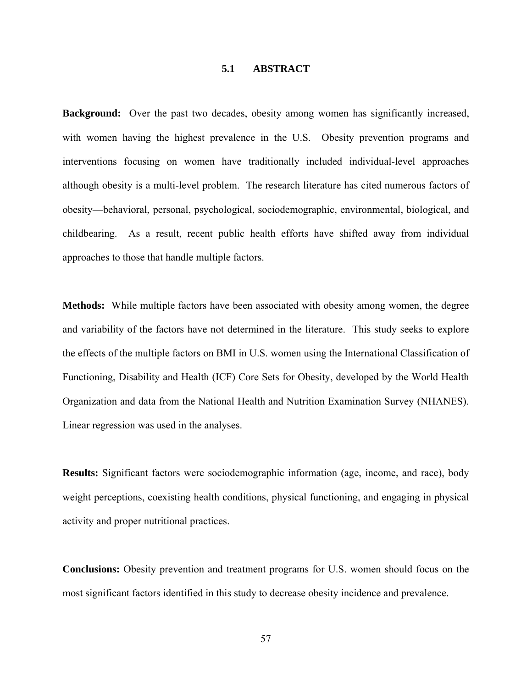### **5.1 ABSTRACT**

**Background:** Over the past two decades, obesity among women has significantly increased, with women having the highest prevalence in the U.S. Obesity prevention programs and interventions focusing on women have traditionally included individual-level approaches although obesity is a multi-level problem. The research literature has cited numerous factors of obesity—behavioral, personal, psychological, sociodemographic, environmental, biological, and childbearing. As a result, recent public health efforts have shifted away from individual approaches to those that handle multiple factors.

**Methods:** While multiple factors have been associated with obesity among women, the degree and variability of the factors have not determined in the literature. This study seeks to explore the effects of the multiple factors on BMI in U.S. women using the International Classification of Functioning, Disability and Health (ICF) Core Sets for Obesity, developed by the World Health Organization and data from the National Health and Nutrition Examination Survey (NHANES). Linear regression was used in the analyses.

**Results:** Significant factors were sociodemographic information (age, income, and race), body weight perceptions, coexisting health conditions, physical functioning, and engaging in physical activity and proper nutritional practices.

**Conclusions:** Obesity prevention and treatment programs for U.S. women should focus on the most significant factors identified in this study to decrease obesity incidence and prevalence.

57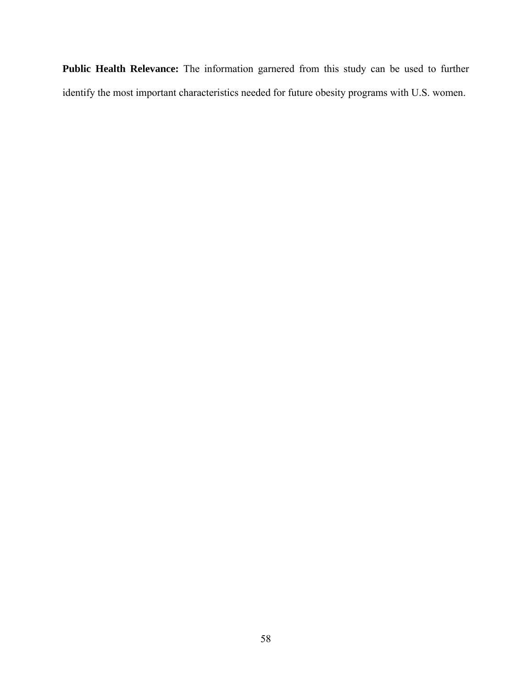**Public Health Relevance:** The information garnered from this study can be used to further identify the most important characteristics needed for future obesity programs with U.S. women.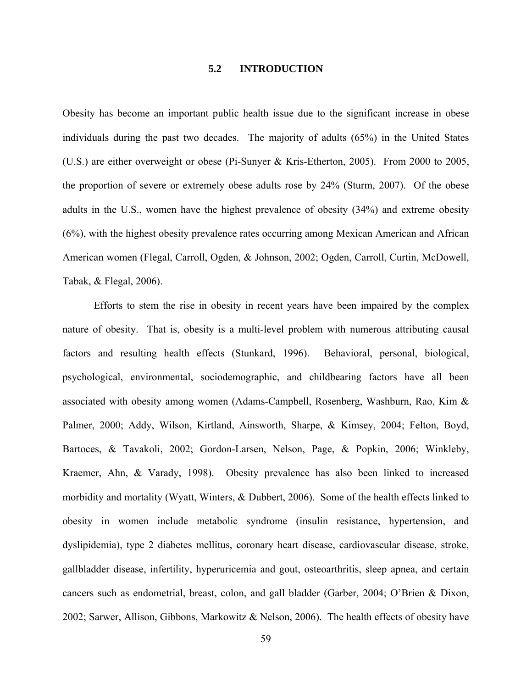## **5.2 INTRODUCTION**

Obesity has become an important public health issue due to the significant increase in obese individuals during the past two decades. The majority of adults (65%) in the United States (U.S.) are either overweight or obese (Pi-Sunyer & Kris-Etherton, 2005). From 2000 to 2005, the proportion of severe or extremely obese adults rose by 24% (Sturm, 2007). Of the obese adults in the U.S., women have the highest prevalence of obesity (34%) and extreme obesity (6%), with the highest obesity prevalence rates occurring among Mexican American and African American women (Flegal, Carroll, Ogden, & Johnson, 2002; Ogden, Carroll, Curtin, McDowell, Tabak, & Flegal, 2006).

 Efforts to stem the rise in obesity in recent years have been impaired by the complex nature of obesity. That is, obesity is a multi-level problem with numerous attributing causal factors and resulting health effects (Stunkard, 1996). Behavioral, personal, biological, psychological, environmental, sociodemographic, and childbearing factors have all been associated with obesity among women (Adams-Campbell, Rosenberg, Washburn, Rao, Kim & Palmer, 2000; Addy, Wilson, Kirtland, Ainsworth, Sharpe, & Kimsey, 2004; Felton, Boyd, Bartoces, & Tavakoli, 2002; Gordon-Larsen, Nelson, Page, & Popkin, 2006; Winkleby, Kraemer, Ahn, & Varady, 1998). Obesity prevalence has also been linked to increased morbidity and mortality (Wyatt, Winters, & Dubbert, 2006). Some of the health effects linked to obesity in women include metabolic syndrome (insulin resistance, hypertension, and dyslipidemia), type 2 diabetes mellitus, coronary heart disease, cardiovascular disease, stroke, gallbladder disease, infertility, hyperuricemia and gout, osteoarthritis, sleep apnea, and certain cancers such as endometrial, breast, colon, and gall bladder (Garber, 2004; O'Brien & Dixon, 2002; Sarwer, Allison, Gibbons, Markowitz & Nelson, 2006). The health effects of obesity have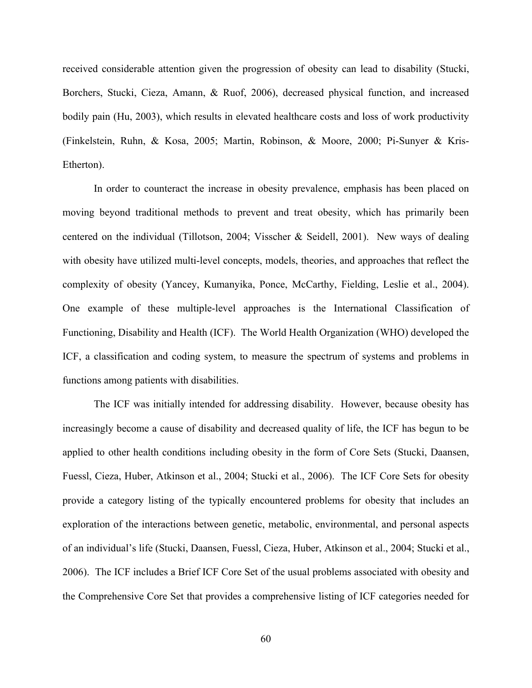received considerable attention given the progression of obesity can lead to disability (Stucki, Borchers, Stucki, Cieza, Amann, & Ruof, 2006), decreased physical function, and increased bodily pain (Hu, 2003), which results in elevated healthcare costs and loss of work productivity (Finkelstein, Ruhn, & Kosa, 2005; Martin, Robinson, & Moore, 2000; Pi-Sunyer & Kris-Etherton).

In order to counteract the increase in obesity prevalence, emphasis has been placed on moving beyond traditional methods to prevent and treat obesity, which has primarily been centered on the individual (Tillotson, 2004; Visscher & Seidell, 2001). New ways of dealing with obesity have utilized multi-level concepts, models, theories, and approaches that reflect the complexity of obesity (Yancey, Kumanyika, Ponce, McCarthy, Fielding, Leslie et al., 2004). One example of these multiple-level approaches is the International Classification of Functioning, Disability and Health (ICF). The World Health Organization (WHO) developed the ICF, a classification and coding system, to measure the spectrum of systems and problems in functions among patients with disabilities.

The ICF was initially intended for addressing disability. However, because obesity has increasingly become a cause of disability and decreased quality of life, the ICF has begun to be applied to other health conditions including obesity in the form of Core Sets (Stucki, Daansen, Fuessl, Cieza, Huber, Atkinson et al., 2004; Stucki et al., 2006). The ICF Core Sets for obesity provide a category listing of the typically encountered problems for obesity that includes an exploration of the interactions between genetic, metabolic, environmental, and personal aspects of an individual's life (Stucki, Daansen, Fuessl, Cieza, Huber, Atkinson et al., 2004; Stucki et al., 2006). The ICF includes a Brief ICF Core Set of the usual problems associated with obesity and the Comprehensive Core Set that provides a comprehensive listing of ICF categories needed for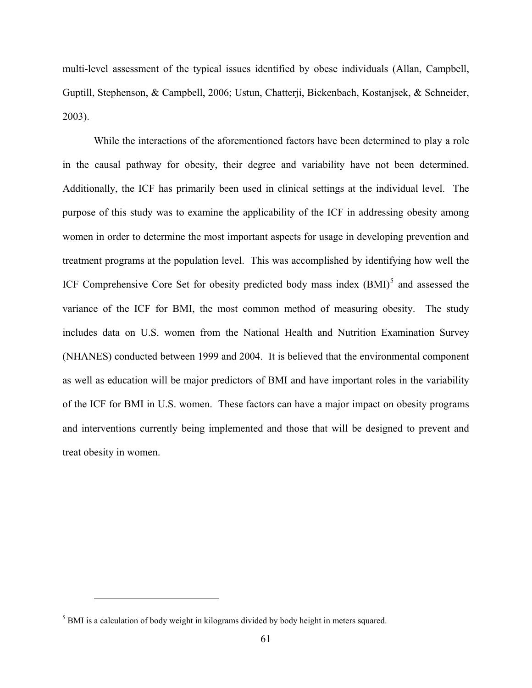multi-level assessment of the typical issues identified by obese individuals (Allan, Campbell, Guptill, Stephenson, & Campbell, 2006; Ustun, Chatterji, Bickenbach, Kostanjsek, & Schneider, 2003).

While the interactions of the aforementioned factors have been determined to play a role in the causal pathway for obesity, their degree and variability have not been determined. Additionally, the ICF has primarily been used in clinical settings at the individual level. The purpose of this study was to examine the applicability of the ICF in addressing obesity among women in order to determine the most important aspects for usage in developing prevention and treatment programs at the population level. This was accomplished by identifying how well the ICF Comprehensive Core Set for obesity predicted body mass index  $(BMI)^5$  $(BMI)^5$  and assessed the variance of the ICF for BMI, the most common method of measuring obesity. The study includes data on U.S. women from the National Health and Nutrition Examination Survey (NHANES) conducted between 1999 and 2004. It is believed that the environmental component as well as education will be major predictors of BMI and have important roles in the variability of the ICF for BMI in U.S. women. These factors can have a major impact on obesity programs and interventions currently being implemented and those that will be designed to prevent and treat obesity in women.

 $\overline{a}$ 

<span id="page-75-0"></span> $<sup>5</sup>$  BMI is a calculation of body weight in kilograms divided by body height in meters squared.</sup>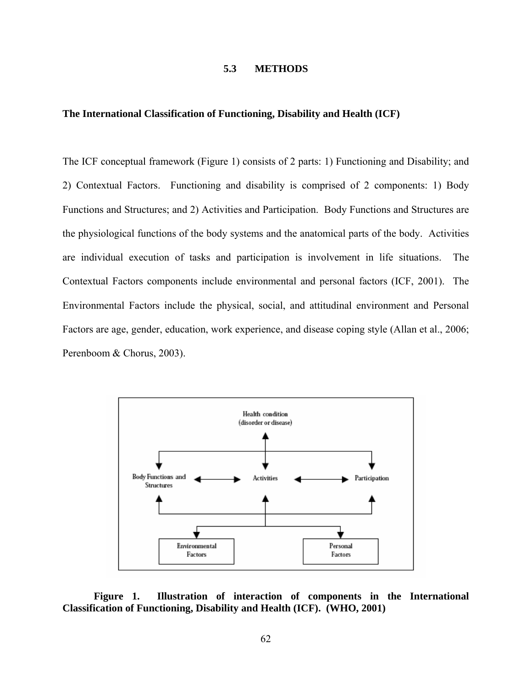## **5.3 METHODS**

#### **The International Classification of Functioning, Disability and Health (ICF)**

The ICF conceptual framework (Figure 1) consists of 2 parts: 1) Functioning and Disability; and 2) Contextual Factors. Functioning and disability is comprised of 2 components: 1) Body Functions and Structures; and 2) Activities and Participation. Body Functions and Structures are the physiological functions of the body systems and the anatomical parts of the body. Activities are individual execution of tasks and participation is involvement in life situations. The Contextual Factors components include environmental and personal factors (ICF, 2001). The Environmental Factors include the physical, social, and attitudinal environment and Personal Factors are age, gender, education, work experience, and disease coping style (Allan et al., 2006; Perenboom & Chorus, 2003).



**Figure 1. Illustration of interaction of components in the International Classification of Functioning, Disability and Health (ICF). (WHO, 2001)**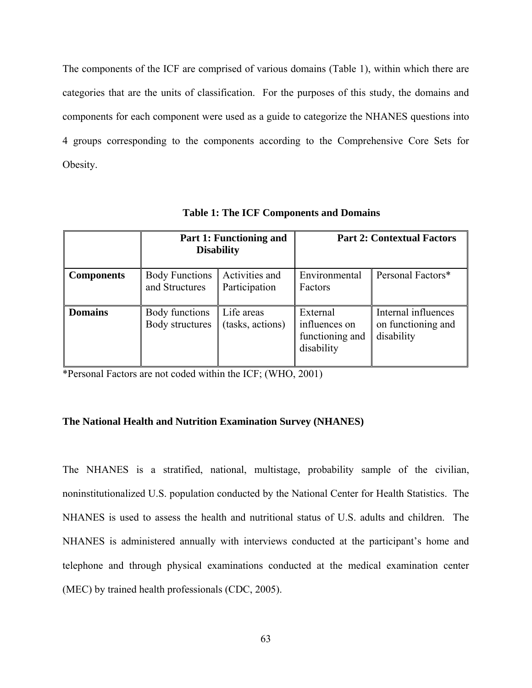The components of the ICF are comprised of various domains (Table 1), within which there are categories that are the units of classification. For the purposes of this study, the domains and components for each component were used as a guide to categorize the NHANES questions into 4 groups corresponding to the components according to the Comprehensive Core Sets for Obesity.

|                   | Part 1: Functioning and<br><b>Disability</b> |                                 |                                                            | <b>Part 2: Contextual Factors</b>                       |
|-------------------|----------------------------------------------|---------------------------------|------------------------------------------------------------|---------------------------------------------------------|
| <b>Components</b> | <b>Body Functions</b><br>and Structures      | Activities and<br>Participation | Environmental<br>Factors                                   | Personal Factors*                                       |
| <b>Domains</b>    | Body functions<br><b>Body structures</b>     | Life areas<br>(tasks, actions)  | External<br>influences on<br>functioning and<br>disability | Internal influences<br>on functioning and<br>disability |

**Table 1: The ICF Components and Domains** 

**EXECUTE: Personal Factors are not coded within the ICF; (WHO, 2001)** 

## **The National Health and Nutrition Examination Survey (NHANES)**

The NHANES is a stratified, national, multistage, probability sample of the civilian, noninstitutionalized U.S. population conducted by the National Center for Health Statistics. The NHANES is used to assess the health and nutritional status of U.S. adults and children. The NHANES is administered annually with interviews conducted at the participant's home and telephone and through physical examinations conducted at the medical examination center (MEC) by trained health professionals (CDC, 2005).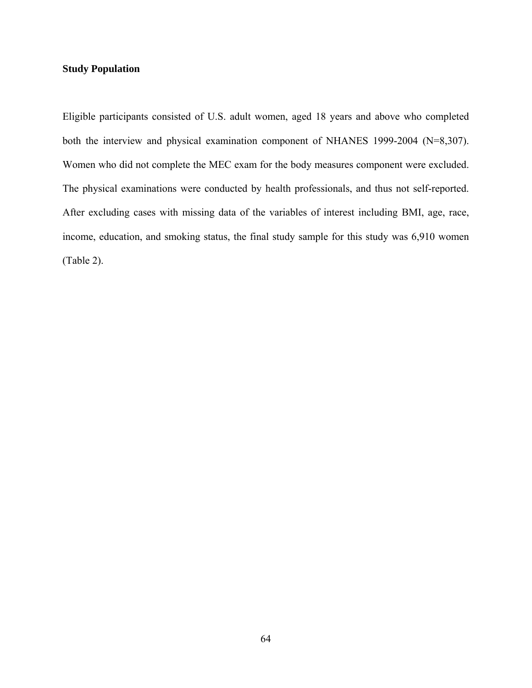## **Study Population**

Eligible participants consisted of U.S. adult women, aged 18 years and above who completed both the interview and physical examination component of NHANES 1999-2004 (N=8,307). Women who did not complete the MEC exam for the body measures component were excluded. The physical examinations were conducted by health professionals, and thus not self-reported. After excluding cases with missing data of the variables of interest including BMI, age, race, income, education, and smoking status, the final study sample for this study was 6,910 women (Table 2).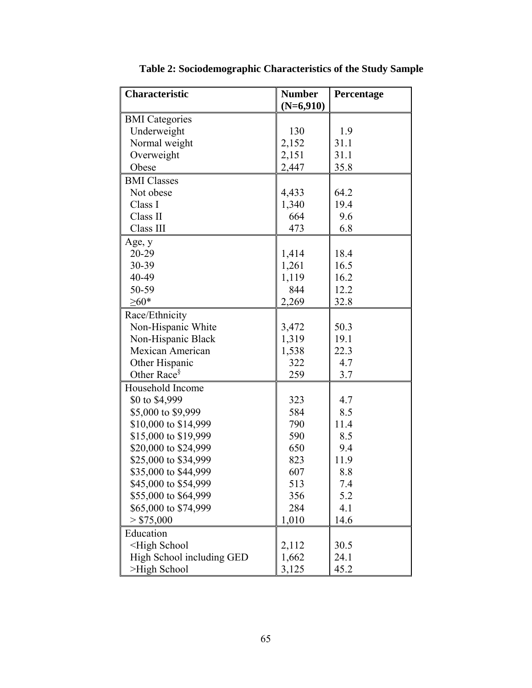| Characteristic                                            | <b>Number</b> | Percentage |
|-----------------------------------------------------------|---------------|------------|
|                                                           | $(N=6,910)$   |            |
| <b>BMI</b> Categories                                     |               |            |
| Underweight                                               | 130           | 1.9        |
| Normal weight                                             | 2,152         | 31.1       |
| Overweight                                                | 2,151         | 31.1       |
| Obese                                                     | 2,447         | 35.8       |
| <b>BMI</b> Classes                                        |               |            |
| Not obese                                                 | 4,433         | 64.2       |
| Class I                                                   | 1,340         | 19.4       |
| Class II                                                  | 664           | 9.6        |
| Class III                                                 | 473           | 6.8        |
| Age, y                                                    |               |            |
| 20-29                                                     | 1,414         | 18.4       |
| 30-39                                                     | 1,261         | 16.5       |
| 40-49                                                     | 1,119         | 16.2       |
| 50-59                                                     | 844           | 12.2       |
| $\geq 60*$                                                | 2,269         | 32.8       |
| Race/Ethnicity                                            |               |            |
| Non-Hispanic White                                        | 3,472         | 50.3       |
| Non-Hispanic Black                                        | 1,319         | 19.1       |
| Mexican American                                          | 1,538         | 22.3       |
| Other Hispanic                                            | 322           | 4.7        |
| Other Race <sup>§</sup>                                   | 259           | 3.7        |
| Household Income                                          |               |            |
| \$0 to \$4,999                                            | 323           | 4.7        |
| \$5,000 to \$9,999                                        | 584           | 8.5        |
| \$10,000 to \$14,999                                      | 790           | 11.4       |
| \$15,000 to \$19,999                                      | 590           | 8.5        |
| \$20,000 to \$24,999                                      | 650           | 9.4        |
| \$25,000 to \$34,999                                      | 823           | 11.9       |
| \$35,000 to \$44,999                                      | 607           | 8.8        |
| \$45,000 to \$54,999                                      | 513           | 7.4        |
| \$55,000 to \$64,999                                      | 356           | 5.2        |
| \$65,000 to \$74,999                                      | 284           | 4.1        |
| > \$75,000                                                | 1,010         | 14.6       |
| Education                                                 |               |            |
| <high school<="" td=""><td>2,112</td><td>30.5</td></high> | 2,112         | 30.5       |
| High School including GED                                 | 1,662         | 24.1       |
| >High School                                              | 3,125         | 45.2       |

**Table 2: Sociodemographic Characteristics of the Study Sample**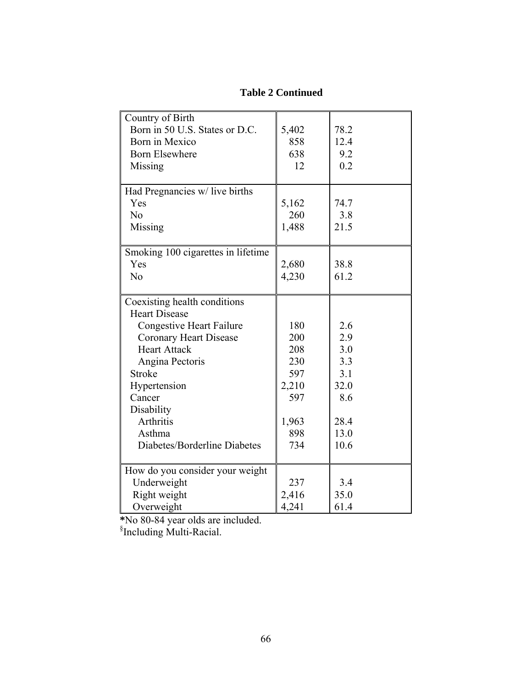| Country of Birth<br>Born in 50 U.S. States or D.C.<br>Born in Mexico<br><b>Born Elsewhere</b><br>Missing                                                                                                                                                                                  | 5,402<br>858<br>638<br>12                                              | 78.2<br>12.4<br>9.2<br>0.2                                             |
|-------------------------------------------------------------------------------------------------------------------------------------------------------------------------------------------------------------------------------------------------------------------------------------------|------------------------------------------------------------------------|------------------------------------------------------------------------|
| Had Pregnancies w/ live births<br>Yes<br>No<br>Missing                                                                                                                                                                                                                                    | 5,162<br>260<br>1,488                                                  | 74.7<br>3.8<br>21.5                                                    |
| Smoking 100 cigarettes in lifetime<br>Yes<br>N <sub>o</sub>                                                                                                                                                                                                                               | 2,680<br>4,230                                                         | 38.8<br>61.2                                                           |
| Coexisting health conditions<br><b>Heart Disease</b><br><b>Congestive Heart Failure</b><br><b>Coronary Heart Disease</b><br><b>Heart Attack</b><br>Angina Pectoris<br><b>Stroke</b><br>Hypertension<br>Cancer<br>Disability<br><b>Arthritis</b><br>Asthma<br>Diabetes/Borderline Diabetes | 180<br>200<br>208<br>230<br>597<br>2,210<br>597<br>1,963<br>898<br>734 | 2.6<br>2.9<br>3.0<br>3.3<br>3.1<br>32.0<br>8.6<br>28.4<br>13.0<br>10.6 |
| How do you consider your weight<br>Underweight<br>Right weight<br>Overweight                                                                                                                                                                                                              | 237<br>2,416<br>4,241                                                  | 3.4<br>35.0<br>61.4                                                    |

# **Table 2 Continued**

 **\***No 80-84 year olds are included. §Including Multi-Racial.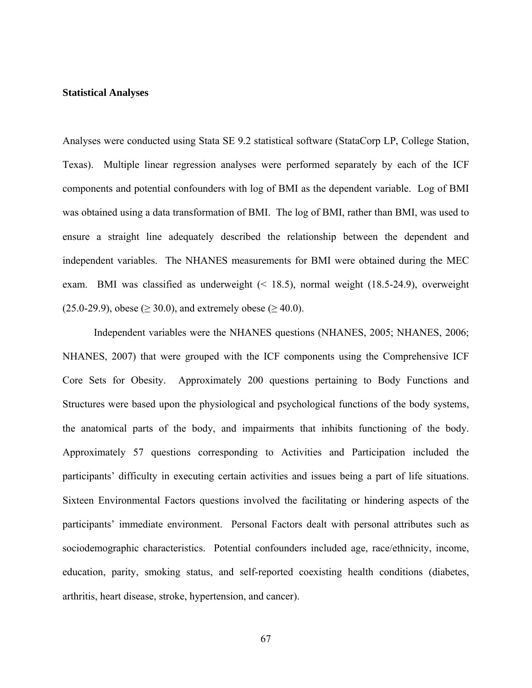#### **Statistical Analyses**

Analyses were conducted using Stata SE 9.2 statistical software (StataCorp LP, College Station, Texas). Multiple linear regression analyses were performed separately by each of the ICF components and potential confounders with log of BMI as the dependent variable. Log of BMI was obtained using a data transformation of BMI. The log of BMI, rather than BMI, was used to ensure a straight line adequately described the relationship between the dependent and independent variables. The NHANES measurements for BMI were obtained during the MEC exam. BMI was classified as underweight (< 18.5), normal weight (18.5-24.9), overweight  $(25.0-29.9)$ , obese ( $\geq 30.0$ ), and extremely obese ( $\geq 40.0$ ).

Independent variables were the NHANES questions (NHANES, 2005; NHANES, 2006; NHANES, 2007) that were grouped with the ICF components using the Comprehensive ICF Core Sets for Obesity. Approximately 200 questions pertaining to Body Functions and Structures were based upon the physiological and psychological functions of the body systems, the anatomical parts of the body, and impairments that inhibits functioning of the body. Approximately 57 questions corresponding to Activities and Participation included the participants' difficulty in executing certain activities and issues being a part of life situations. Sixteen Environmental Factors questions involved the facilitating or hindering aspects of the participants' immediate environment. Personal Factors dealt with personal attributes such as sociodemographic characteristics. Potential confounders included age, race/ethnicity, income, education, parity, smoking status, and self-reported coexisting health conditions (diabetes, arthritis, heart disease, stroke, hypertension, and cancer).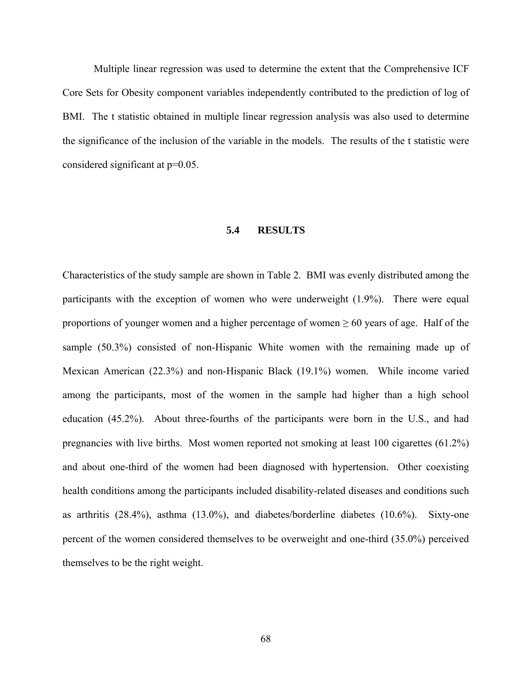Multiple linear regression was used to determine the extent that the Comprehensive ICF Core Sets for Obesity component variables independently contributed to the prediction of log of BMI. The t statistic obtained in multiple linear regression analysis was also used to determine the significance of the inclusion of the variable in the models. The results of the t statistic were considered significant at p=0.05.

## **5.4 RESULTS**

Characteristics of the study sample are shown in Table 2. BMI was evenly distributed among the participants with the exception of women who were underweight (1.9%). There were equal proportions of younger women and a higher percentage of women  $\geq 60$  years of age. Half of the sample (50.3%) consisted of non-Hispanic White women with the remaining made up of Mexican American (22.3%) and non-Hispanic Black (19.1%) women. While income varied among the participants, most of the women in the sample had higher than a high school education (45.2%). About three-fourths of the participants were born in the U.S., and had pregnancies with live births. Most women reported not smoking at least 100 cigarettes (61.2%) and about one-third of the women had been diagnosed with hypertension. Other coexisting health conditions among the participants included disability-related diseases and conditions such as arthritis (28.4%), asthma (13.0%), and diabetes/borderline diabetes (10.6%). Sixty-one percent of the women considered themselves to be overweight and one-third (35.0%) perceived themselves to be the right weight.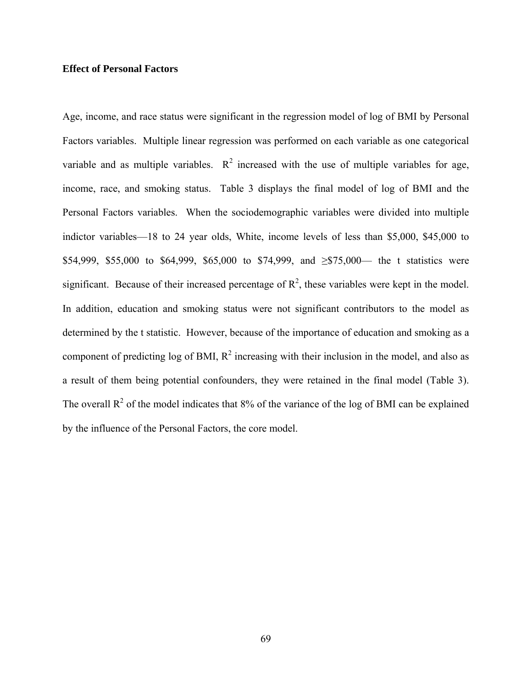## **Effect of Personal Factors**

Age, income, and race status were significant in the regression model of log of BMI by Personal Factors variables. Multiple linear regression was performed on each variable as one categorical variable and as multiple variables.  $R^2$  increased with the use of multiple variables for age, income, race, and smoking status. Table 3 displays the final model of log of BMI and the Personal Factors variables. When the sociodemographic variables were divided into multiple indictor variables—18 to 24 year olds, White, income levels of less than \$5,000, \$45,000 to \$54,999, \$55,000 to \$64,999, \$65,000 to \$74,999, and ≥\$75,000— the t statistics were significant. Because of their increased percentage of  $\mathbb{R}^2$ , these variables were kept in the model. In addition, education and smoking status were not significant contributors to the model as determined by the t statistic. However, because of the importance of education and smoking as a component of predicting log of BMI,  $R^2$  increasing with their inclusion in the model, and also as a result of them being potential confounders, they were retained in the final model (Table 3). The overall  $R^2$  of the model indicates that 8% of the variance of the log of BMI can be explained by the influence of the Personal Factors, the core model.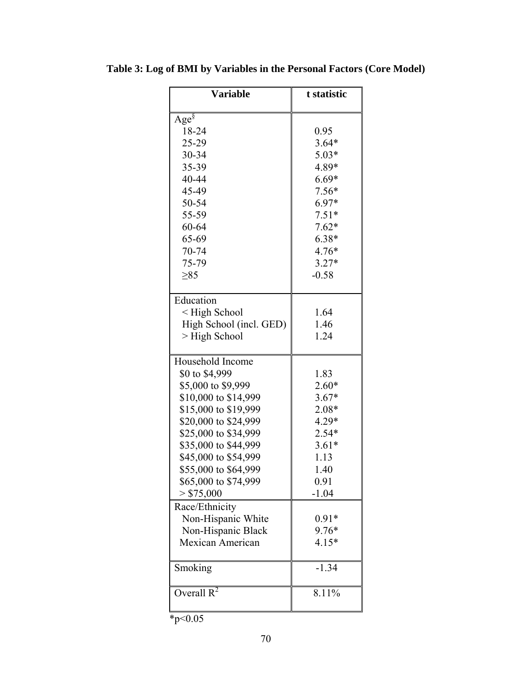| <b>Variable</b>                             | t statistic |
|---------------------------------------------|-------------|
| $Age^{\S}$                                  |             |
| 18-24                                       | 0.95        |
| 25-29                                       | $3.64*$     |
| 30-34                                       | $5.03*$     |
| 35-39                                       | 4.89*       |
| 40-44                                       | $6.69*$     |
| 45-49                                       | $7.56*$     |
| 50-54                                       | 6.97*       |
| 55-59                                       | $7.51*$     |
| 60-64                                       | $7.62*$     |
| 65-69                                       | $6.38*$     |
| 70-74                                       | $4.76*$     |
| 75-79                                       | $3.27*$     |
| $\geq 85$                                   | $-0.58$     |
|                                             |             |
| Education                                   |             |
| <high school<="" td=""><td>1.64</td></high> | 1.64        |
| High School (incl. GED)                     | 1.46        |
| > High School                               | 1.24        |
| Household Income                            |             |
| \$0 to \$4,999                              | 1.83        |
| \$5,000 to \$9,999                          | $2.60*$     |
| \$10,000 to \$14,999                        | $3.67*$     |
| \$15,000 to \$19,999                        | $2.08*$     |
| \$20,000 to \$24,999                        | 4.29*       |
| \$25,000 to \$34,999                        | $2.54*$     |
| \$35,000 to \$44,999                        | $3.61*$     |
| \$45,000 to \$54,999                        | 1.13        |
| \$55,000 to \$64,999                        | 1.40        |
| \$65,000 to \$74,999                        | 0.91        |
| > \$75,000                                  | $-1.04$     |
| Race/Ethnicity                              |             |
| Non-Hispanic White                          | $0.91*$     |
| Non-Hispanic Black                          | $9.76*$     |
| Mexican American                            | $4.15*$     |
|                                             |             |
| Smoking                                     | $-1.34$     |
| Overall $R^2$                               | 8.11%       |
|                                             |             |

**Table 3: Log of BMI by Variables in the Personal Factors (Core Model)** 

 $*_{p<0.05}$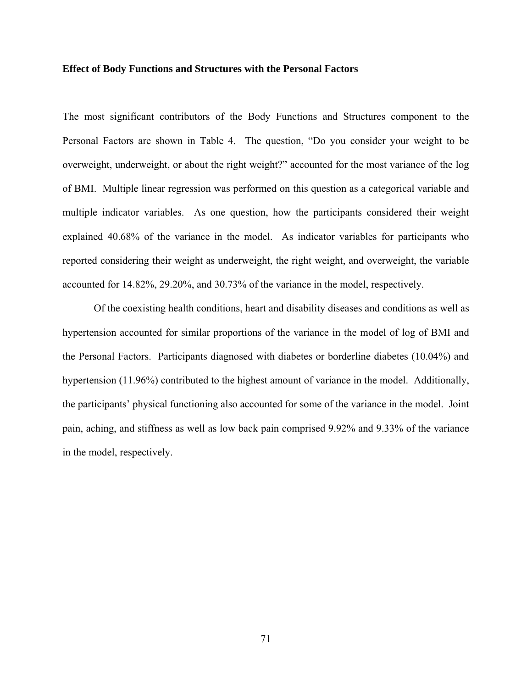## **Effect of Body Functions and Structures with the Personal Factors**

The most significant contributors of the Body Functions and Structures component to the Personal Factors are shown in Table 4. The question, "Do you consider your weight to be overweight, underweight, or about the right weight?" accounted for the most variance of the log of BMI. Multiple linear regression was performed on this question as a categorical variable and multiple indicator variables. As one question, how the participants considered their weight explained 40.68% of the variance in the model. As indicator variables for participants who reported considering their weight as underweight, the right weight, and overweight, the variable accounted for 14.82%, 29.20%, and 30.73% of the variance in the model, respectively.

 Of the coexisting health conditions, heart and disability diseases and conditions as well as hypertension accounted for similar proportions of the variance in the model of log of BMI and the Personal Factors. Participants diagnosed with diabetes or borderline diabetes (10.04%) and hypertension (11.96%) contributed to the highest amount of variance in the model. Additionally, the participants' physical functioning also accounted for some of the variance in the model. Joint pain, aching, and stiffness as well as low back pain comprised 9.92% and 9.33% of the variance in the model, respectively.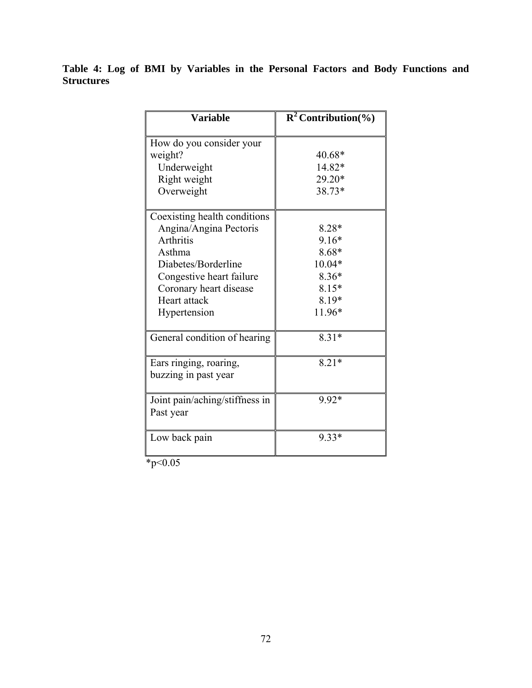**Table 4: Log of BMI by Variables in the Personal Factors and Body Functions and Structures** 

| <b>Variable</b>                                                                                                                                                                                          | $R^2$ Contribution(%)                                                          |
|----------------------------------------------------------------------------------------------------------------------------------------------------------------------------------------------------------|--------------------------------------------------------------------------------|
| How do you consider your<br>weight?<br>Underweight<br>Right weight                                                                                                                                       | 40.68*<br>14.82*<br>29.20*                                                     |
| Overweight                                                                                                                                                                                               | 38.73*                                                                         |
| Coexisting health conditions<br>Angina/Angina Pectoris<br><b>Arthritis</b><br>Asthma<br>Diabetes/Borderline<br>Congestive heart failure<br>Coronary heart disease<br><b>Heart</b> attack<br>Hypertension | $8.28*$<br>$9.16*$<br>8.68*<br>$10.04*$<br>$8.36*$<br>8.15*<br>8.19*<br>11.96* |
| General condition of hearing                                                                                                                                                                             | $8.31*$                                                                        |
| Ears ringing, roaring,<br>buzzing in past year                                                                                                                                                           | $821*$                                                                         |
| Joint pain/aching/stiffness in<br>Past year                                                                                                                                                              | 9.92*                                                                          |
| Low back pain                                                                                                                                                                                            | 9.33*                                                                          |

 $*_{p<0.05}$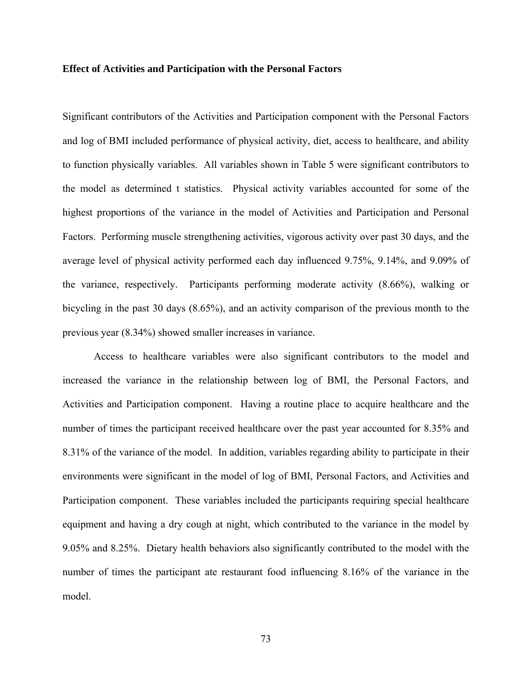## **Effect of Activities and Participation with the Personal Factors**

Significant contributors of the Activities and Participation component with the Personal Factors and log of BMI included performance of physical activity, diet, access to healthcare, and ability to function physically variables. All variables shown in Table 5 were significant contributors to the model as determined t statistics. Physical activity variables accounted for some of the highest proportions of the variance in the model of Activities and Participation and Personal Factors. Performing muscle strengthening activities, vigorous activity over past 30 days, and the average level of physical activity performed each day influenced 9.75%, 9.14%, and 9.09% of the variance, respectively. Participants performing moderate activity (8.66%), walking or bicycling in the past 30 days (8.65%), and an activity comparison of the previous month to the previous year (8.34%) showed smaller increases in variance.

 Access to healthcare variables were also significant contributors to the model and increased the variance in the relationship between log of BMI, the Personal Factors, and Activities and Participation component. Having a routine place to acquire healthcare and the number of times the participant received healthcare over the past year accounted for 8.35% and 8.31% of the variance of the model. In addition, variables regarding ability to participate in their environments were significant in the model of log of BMI, Personal Factors, and Activities and Participation component. These variables included the participants requiring special healthcare equipment and having a dry cough at night, which contributed to the variance in the model by 9.05% and 8.25%. Dietary health behaviors also significantly contributed to the model with the number of times the participant ate restaurant food influencing 8.16% of the variance in the model.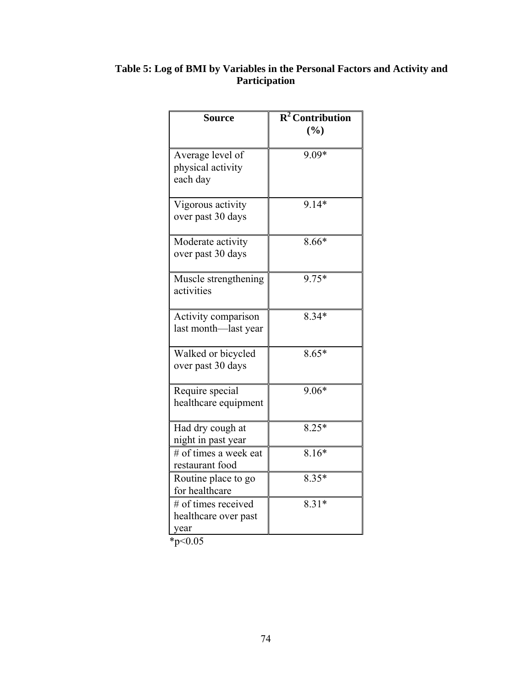## **Table 5: Log of BMI by Variables in the Personal Factors and Activity and Participation**

| <b>Source</b>                                       | $\overline{R^2}$ Contribution<br>(%) |  |  |
|-----------------------------------------------------|--------------------------------------|--|--|
|                                                     |                                      |  |  |
| Average level of<br>physical activity<br>each day   | 9.09*                                |  |  |
| Vigorous activity<br>over past 30 days              | $9.14*$                              |  |  |
| Moderate activity<br>over past 30 days              | $8.66*$                              |  |  |
| Muscle strengthening<br>activities                  | 9.75*                                |  |  |
| Activity comparison<br>last month-last year         | $8.34*$                              |  |  |
| Walked or bicycled<br>over past 30 days             | $8.65*$                              |  |  |
| Require special<br>healthcare equipment             | $9.06*$                              |  |  |
| Had dry cough at<br>night in past year              | $8.25*$                              |  |  |
| # of times a week eat<br>restaurant food            | $8.16*$                              |  |  |
| Routine place to go<br>for healthcare               | $8.35*$                              |  |  |
| # of times received<br>healthcare over past<br>year | $8.31*$                              |  |  |

 $*_{p<0.05}$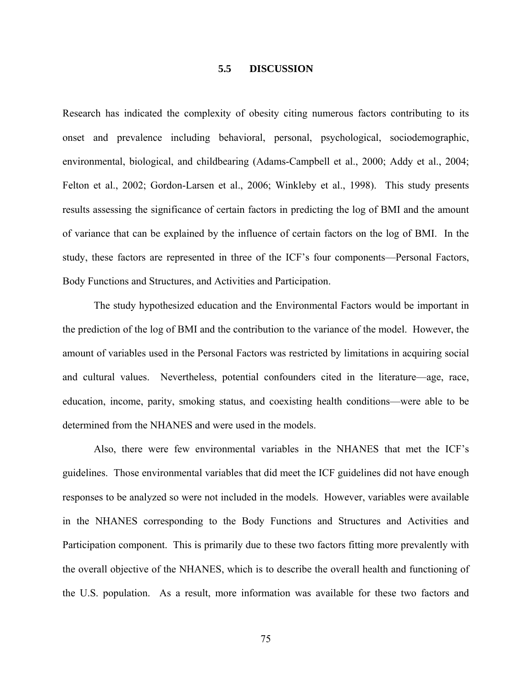## **5.5 DISCUSSION**

Research has indicated the complexity of obesity citing numerous factors contributing to its onset and prevalence including behavioral, personal, psychological, sociodemographic, environmental, biological, and childbearing (Adams-Campbell et al., 2000; Addy et al., 2004; Felton et al., 2002; Gordon-Larsen et al., 2006; Winkleby et al., 1998). This study presents results assessing the significance of certain factors in predicting the log of BMI and the amount of variance that can be explained by the influence of certain factors on the log of BMI. In the study, these factors are represented in three of the ICF's four components—Personal Factors, Body Functions and Structures, and Activities and Participation.

The study hypothesized education and the Environmental Factors would be important in the prediction of the log of BMI and the contribution to the variance of the model. However, the amount of variables used in the Personal Factors was restricted by limitations in acquiring social and cultural values. Nevertheless, potential confounders cited in the literature—age, race, education, income, parity, smoking status, and coexisting health conditions—were able to be determined from the NHANES and were used in the models.

Also, there were few environmental variables in the NHANES that met the ICF's guidelines. Those environmental variables that did meet the ICF guidelines did not have enough responses to be analyzed so were not included in the models. However, variables were available in the NHANES corresponding to the Body Functions and Structures and Activities and Participation component. This is primarily due to these two factors fitting more prevalently with the overall objective of the NHANES, which is to describe the overall health and functioning of the U.S. population. As a result, more information was available for these two factors and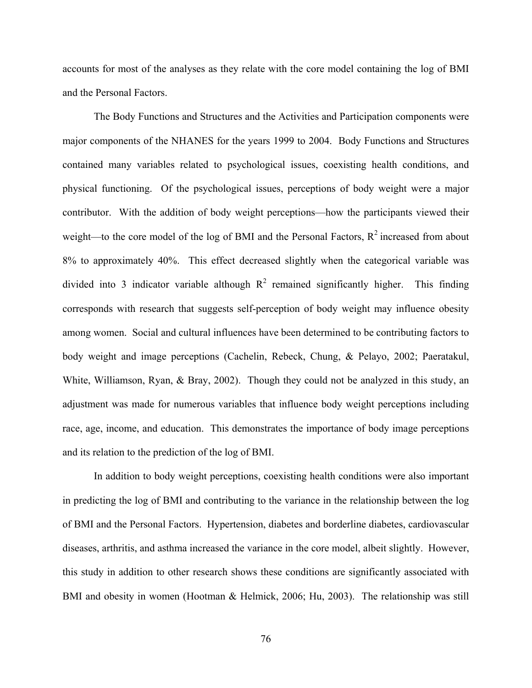accounts for most of the analyses as they relate with the core model containing the log of BMI and the Personal Factors.

The Body Functions and Structures and the Activities and Participation components were major components of the NHANES for the years 1999 to 2004. Body Functions and Structures contained many variables related to psychological issues, coexisting health conditions, and physical functioning. Of the psychological issues, perceptions of body weight were a major contributor. With the addition of body weight perceptions—how the participants viewed their weight—to the core model of the log of BMI and the Personal Factors,  $R^2$  increased from about 8% to approximately 40%. This effect decreased slightly when the categorical variable was divided into 3 indicator variable although  $R^2$  remained significantly higher. This finding corresponds with research that suggests self-perception of body weight may influence obesity among women. Social and cultural influences have been determined to be contributing factors to body weight and image perceptions (Cachelin, Rebeck, Chung, & Pelayo, 2002; Paeratakul, White, Williamson, Ryan, & Bray, 2002). Though they could not be analyzed in this study, an adjustment was made for numerous variables that influence body weight perceptions including race, age, income, and education. This demonstrates the importance of body image perceptions and its relation to the prediction of the log of BMI.

In addition to body weight perceptions, coexisting health conditions were also important in predicting the log of BMI and contributing to the variance in the relationship between the log of BMI and the Personal Factors. Hypertension, diabetes and borderline diabetes, cardiovascular diseases, arthritis, and asthma increased the variance in the core model, albeit slightly. However, this study in addition to other research shows these conditions are significantly associated with BMI and obesity in women (Hootman & Helmick, 2006; Hu, 2003). The relationship was still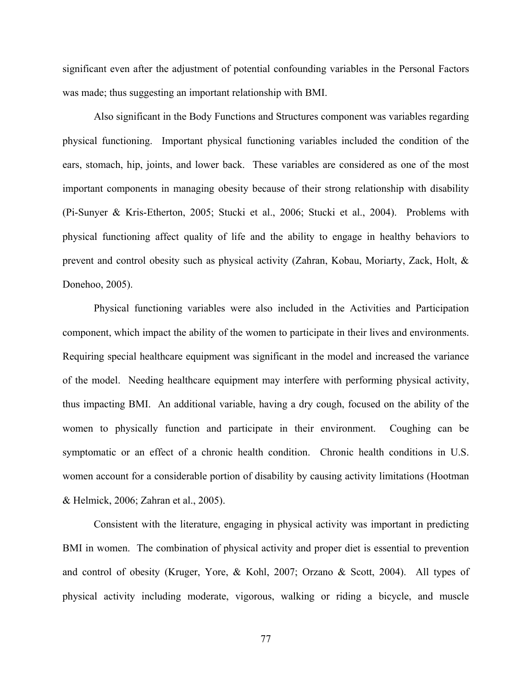significant even after the adjustment of potential confounding variables in the Personal Factors was made; thus suggesting an important relationship with BMI.

Also significant in the Body Functions and Structures component was variables regarding physical functioning. Important physical functioning variables included the condition of the ears, stomach, hip, joints, and lower back. These variables are considered as one of the most important components in managing obesity because of their strong relationship with disability (Pi-Sunyer & Kris-Etherton, 2005; Stucki et al., 2006; Stucki et al., 2004). Problems with physical functioning affect quality of life and the ability to engage in healthy behaviors to prevent and control obesity such as physical activity (Zahran, Kobau, Moriarty, Zack, Holt, & Donehoo, 2005).

Physical functioning variables were also included in the Activities and Participation component, which impact the ability of the women to participate in their lives and environments. Requiring special healthcare equipment was significant in the model and increased the variance of the model. Needing healthcare equipment may interfere with performing physical activity, thus impacting BMI. An additional variable, having a dry cough, focused on the ability of the women to physically function and participate in their environment. Coughing can be symptomatic or an effect of a chronic health condition. Chronic health conditions in U.S. women account for a considerable portion of disability by causing activity limitations (Hootman & Helmick, 2006; Zahran et al., 2005).

Consistent with the literature, engaging in physical activity was important in predicting BMI in women. The combination of physical activity and proper diet is essential to prevention and control of obesity (Kruger, Yore, & Kohl, 2007; Orzano & Scott, 2004). All types of physical activity including moderate, vigorous, walking or riding a bicycle, and muscle

77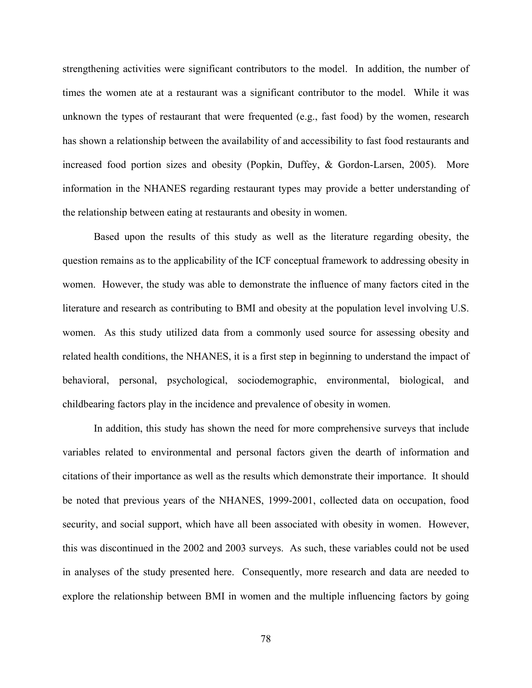strengthening activities were significant contributors to the model. In addition, the number of times the women ate at a restaurant was a significant contributor to the model. While it was unknown the types of restaurant that were frequented (e.g., fast food) by the women, research has shown a relationship between the availability of and accessibility to fast food restaurants and increased food portion sizes and obesity (Popkin, Duffey, & Gordon-Larsen, 2005). More information in the NHANES regarding restaurant types may provide a better understanding of the relationship between eating at restaurants and obesity in women.

Based upon the results of this study as well as the literature regarding obesity, the question remains as to the applicability of the ICF conceptual framework to addressing obesity in women. However, the study was able to demonstrate the influence of many factors cited in the literature and research as contributing to BMI and obesity at the population level involving U.S. women. As this study utilized data from a commonly used source for assessing obesity and related health conditions, the NHANES, it is a first step in beginning to understand the impact of behavioral, personal, psychological, sociodemographic, environmental, biological, and childbearing factors play in the incidence and prevalence of obesity in women.

In addition, this study has shown the need for more comprehensive surveys that include variables related to environmental and personal factors given the dearth of information and citations of their importance as well as the results which demonstrate their importance. It should be noted that previous years of the NHANES, 1999-2001, collected data on occupation, food security, and social support, which have all been associated with obesity in women. However, this was discontinued in the 2002 and 2003 surveys. As such, these variables could not be used in analyses of the study presented here. Consequently, more research and data are needed to explore the relationship between BMI in women and the multiple influencing factors by going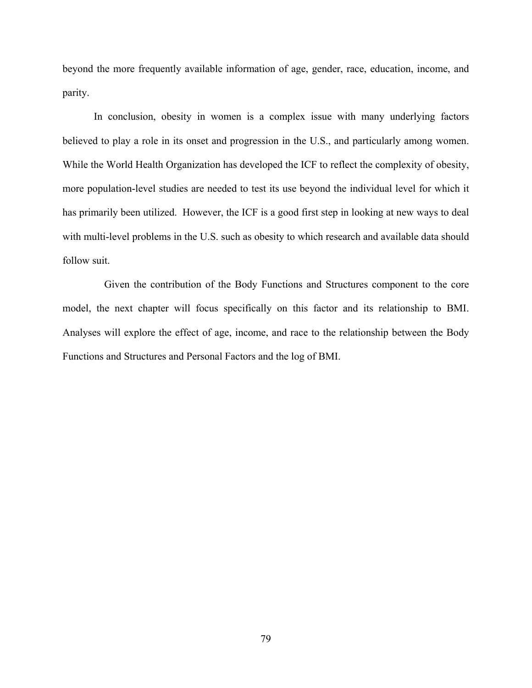beyond the more frequently available information of age, gender, race, education, income, and parity.

In conclusion, obesity in women is a complex issue with many underlying factors believed to play a role in its onset and progression in the U.S., and particularly among women. While the World Health Organization has developed the ICF to reflect the complexity of obesity, more population-level studies are needed to test its use beyond the individual level for which it has primarily been utilized. However, the ICF is a good first step in looking at new ways to deal with multi-level problems in the U.S. such as obesity to which research and available data should follow suit.

 Given the contribution of the Body Functions and Structures component to the core model, the next chapter will focus specifically on this factor and its relationship to BMI. Analyses will explore the effect of age, income, and race to the relationship between the Body Functions and Structures and Personal Factors and the log of BMI.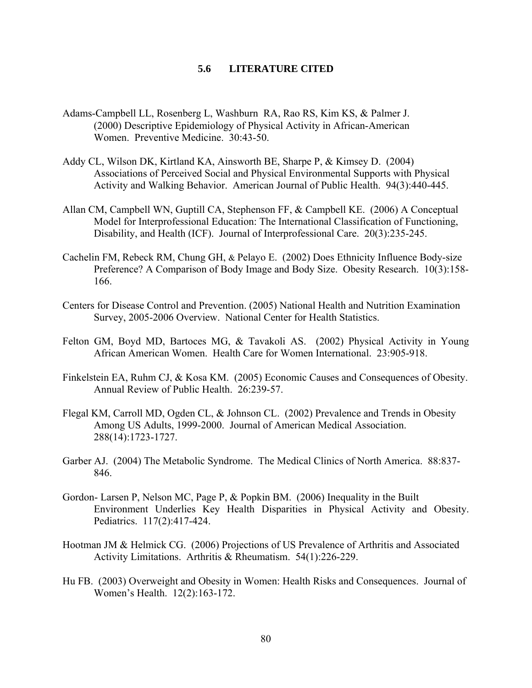## **5.6 LITERATURE CITED**

- Adams-Campbell LL, Rosenberg L, Washburn RA, Rao RS, Kim KS, & Palmer J. (2000) Descriptive Epidemiology of Physical Activity in African-American Women. Preventive Medicine. 30:43-50.
- Addy CL, Wilson DK, Kirtland KA, Ainsworth BE, Sharpe P, & Kimsey D. (2004) Associations of Perceived Social and Physical Environmental Supports with Physical Activity and Walking Behavior. American Journal of Public Health. 94(3):440-445.
- Allan CM, Campbell WN, Guptill CA, Stephenson FF, & Campbell KE. (2006) A Conceptual Model for Interprofessional Education: The International Classification of Functioning, Disability, and Health (ICF). Journal of Interprofessional Care. 20(3):235-245.
- Cachelin FM, Rebeck RM, Chung GH, & Pelayo E. (2002) Does Ethnicity Influence Body-size Preference? A Comparison of Body Image and Body Size. Obesity Research. 10(3):158- 166.
- Centers for Disease Control and Prevention. (2005) National Health and Nutrition Examination Survey, 2005-2006 Overview. National Center for Health Statistics.
- Felton GM, Boyd MD, Bartoces MG, & Tavakoli AS. (2002) Physical Activity in Young African American Women. Health Care for Women International. 23:905-918.
- Finkelstein EA, Ruhm CJ, & Kosa KM. (2005) Economic Causes and Consequences of Obesity. Annual Review of Public Health. 26:239-57.
- Flegal KM, Carroll MD, Ogden CL, & Johnson CL. (2002) Prevalence and Trends in Obesity Among US Adults, 1999-2000. Journal of American Medical Association. 288(14):1723-1727.
- Garber AJ. (2004) The Metabolic Syndrome. The Medical Clinics of North America. 88:837- 846.
- Gordon- Larsen P, Nelson MC, Page P, & Popkin BM. (2006) Inequality in the Built Environment Underlies Key Health Disparities in Physical Activity and Obesity. Pediatrics. 117(2):417-424.
- Hootman JM & Helmick CG. (2006) Projections of US Prevalence of Arthritis and Associated Activity Limitations. Arthritis & Rheumatism. 54(1):226-229.
- Hu FB. (2003) Overweight and Obesity in Women: Health Risks and Consequences. Journal of Women's Health. 12(2):163-172.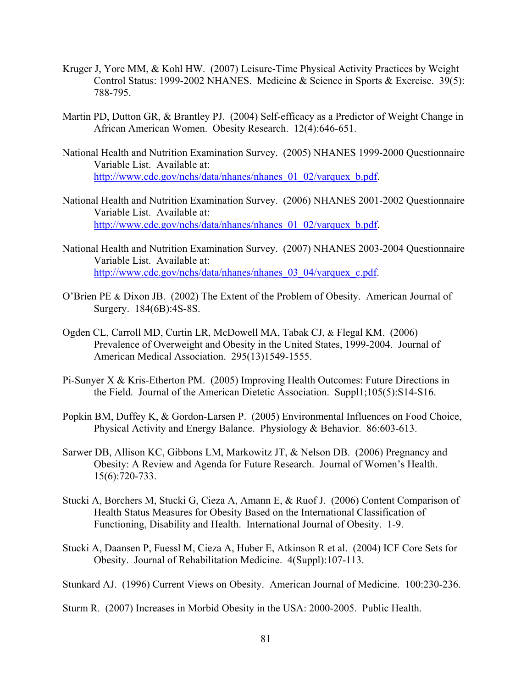- Kruger J, Yore MM, & Kohl HW. (2007) Leisure-Time Physical Activity Practices by Weight Control Status: 1999-2002 NHANES. Medicine & Science in Sports & Exercise. 39(5): 788-795.
- Martin PD, Dutton GR, & Brantley PJ. (2004) Self-efficacy as a Predictor of Weight Change in African American Women. Obesity Research. 12(4):646-651.
- National Health and Nutrition Examination Survey. (2005) NHANES 1999-2000 Questionnaire Variable List. Available at: [http://www.cdc.gov/nchs/data/nhanes/nhanes\\_01\\_02/varquex\\_b.pdf](http://www.cdc.gov/nchs/data/nhanes/nhanes_01_02/varquex_b.pdf).
- National Health and Nutrition Examination Survey. (2006) NHANES 2001-2002 Questionnaire Variable List. Available at: [http://www.cdc.gov/nchs/data/nhanes/nhanes\\_01\\_02/varquex\\_b.pdf](http://www.cdc.gov/nchs/data/nhanes/nhanes_01_02/varquex_b.pdf).
- National Health and Nutrition Examination Survey. (2007) NHANES 2003-2004 Questionnaire Variable List. Available at: [http://www.cdc.gov/nchs/data/nhanes/nhanes\\_03\\_04/varquex\\_c.pdf.](http://www.cdc.gov/nchs/data/nhanes/nhanes_03_04/varquex_c.pdf)
- O'Brien PE & Dixon JB. (2002) The Extent of the Problem of Obesity. American Journal of Surgery. 184(6B):4S-8S.
- Ogden CL, Carroll MD, Curtin LR, McDowell MA, Tabak CJ, & Flegal KM. (2006) Prevalence of Overweight and Obesity in the United States, 1999-2004. Journal of American Medical Association. 295(13)1549-1555.
- Pi-Sunyer X & Kris-Etherton PM. (2005) Improving Health Outcomes: Future Directions in the Field. Journal of the American Dietetic Association. Suppl1;105(5):S14-S16.
- Popkin BM, Duffey K, & Gordon-Larsen P. (2005) Environmental Influences on Food Choice, Physical Activity and Energy Balance. Physiology & Behavior. 86:603-613.
- Sarwer DB, Allison KC, Gibbons LM, Markowitz JT, & Nelson DB. (2006) Pregnancy and Obesity: A Review and Agenda for Future Research. Journal of Women's Health. 15(6):720-733.
- Stucki A, Borchers M, Stucki G, Cieza A, Amann E, & Ruof J. (2006) Content Comparison of Health Status Measures for Obesity Based on the International Classification of Functioning, Disability and Health. International Journal of Obesity. 1-9.
- Stucki A, Daansen P, Fuessl M, Cieza A, Huber E, Atkinson R et al. (2004) ICF Core Sets for Obesity. Journal of Rehabilitation Medicine. 4(Suppl):107-113.

Stunkard AJ. (1996) Current Views on Obesity. American Journal of Medicine. 100:230-236.

Sturm R. (2007) Increases in Morbid Obesity in the USA: 2000-2005. Public Health.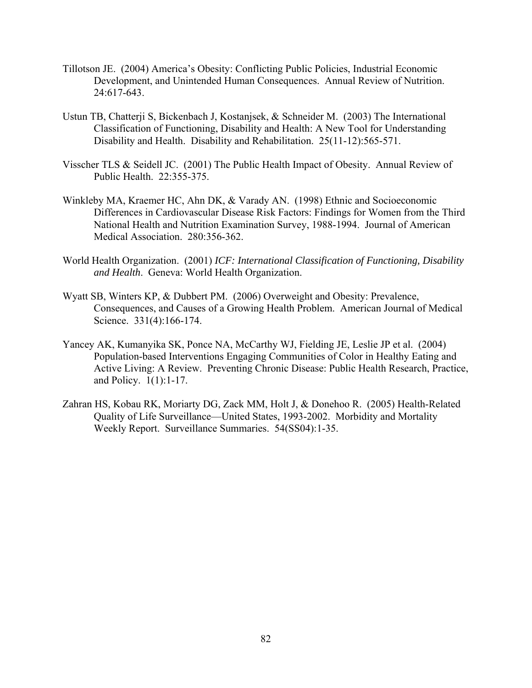- Tillotson JE. (2004) America's Obesity: Conflicting Public Policies, Industrial Economic Development, and Unintended Human Consequences. Annual Review of Nutrition. 24:617-643.
- Ustun TB, Chatterji S, Bickenbach J, Kostanjsek, & Schneider M. (2003) The International Classification of Functioning, Disability and Health: A New Tool for Understanding Disability and Health. Disability and Rehabilitation. 25(11-12):565-571.
- Visscher TLS & Seidell JC. (2001) The Public Health Impact of Obesity. Annual Review of Public Health. 22:355-375.
- Winkleby MA, Kraemer HC, Ahn DK, & Varady AN. (1998) Ethnic and Socioeconomic Differences in Cardiovascular Disease Risk Factors: Findings for Women from the Third National Health and Nutrition Examination Survey, 1988-1994. Journal of American Medical Association. 280:356-362.
- World Health Organization. (2001) *ICF: International Classification of Functioning, Disability and Health*. Geneva: World Health Organization.
- Wyatt SB, Winters KP, & Dubbert PM. (2006) Overweight and Obesity: Prevalence, Consequences, and Causes of a Growing Health Problem. American Journal of Medical Science. 331(4):166-174.
- Yancey AK, Kumanyika SK, Ponce NA, McCarthy WJ, Fielding JE, Leslie JP et al. (2004) Population-based Interventions Engaging Communities of Color in Healthy Eating and Active Living: A Review. Preventing Chronic Disease: Public Health Research, Practice, and Policy. 1(1):1-17.
- Zahran HS, Kobau RK, Moriarty DG, Zack MM, Holt J, & Donehoo R. (2005) Health-Related Quality of Life Surveillance—United States, 1993-2002. Morbidity and Mortality Weekly Report. Surveillance Summaries. 54(SS04):1-35.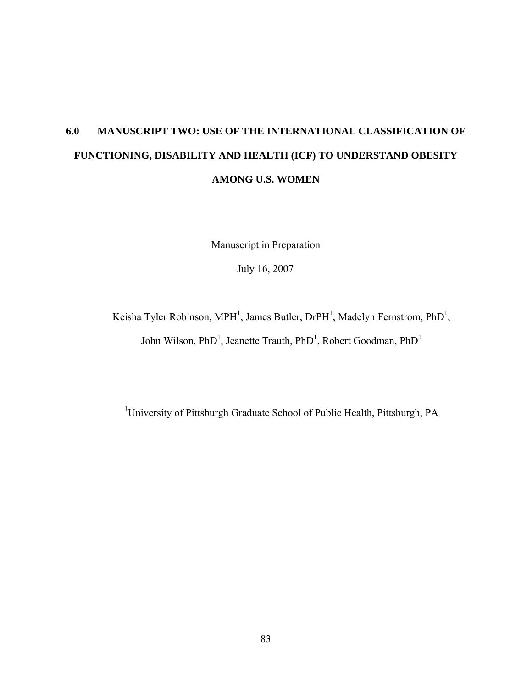# **6.0 MANUSCRIPT TWO: USE OF THE INTERNATIONAL CLASSIFICATION OF FUNCTIONING, DISABILITY AND HEALTH (ICF) TO UNDERSTAND OBESITY AMONG U.S. WOMEN**

Manuscript in Preparation

July 16, 2007

Keisha Tyler Robinson, MPH<sup>1</sup>, James Butler, DrPH<sup>1</sup>, Madelyn Fernstrom, PhD<sup>1</sup>, John Wilson, PhD<sup>1</sup>, Jeanette Trauth, PhD<sup>1</sup>, Robert Goodman, PhD<sup>1</sup>

<sup>1</sup>University of Pittsburgh Graduate School of Public Health, Pittsburgh, PA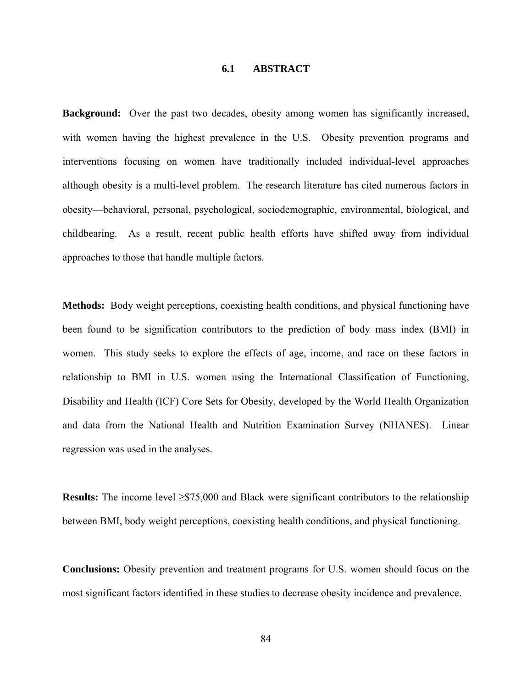## **6.1 ABSTRACT**

**Background:** Over the past two decades, obesity among women has significantly increased, with women having the highest prevalence in the U.S. Obesity prevention programs and interventions focusing on women have traditionally included individual-level approaches although obesity is a multi-level problem. The research literature has cited numerous factors in obesity—behavioral, personal, psychological, sociodemographic, environmental, biological, and childbearing. As a result, recent public health efforts have shifted away from individual approaches to those that handle multiple factors.

**Methods:** Body weight perceptions, coexisting health conditions, and physical functioning have been found to be signification contributors to the prediction of body mass index (BMI) in women. This study seeks to explore the effects of age, income, and race on these factors in relationship to BMI in U.S. women using the International Classification of Functioning, Disability and Health (ICF) Core Sets for Obesity, developed by the World Health Organization and data from the National Health and Nutrition Examination Survey (NHANES). Linear regression was used in the analyses.

**Results:** The income level ≥\$75,000 and Black were significant contributors to the relationship between BMI, body weight perceptions, coexisting health conditions, and physical functioning.

**Conclusions:** Obesity prevention and treatment programs for U.S. women should focus on the most significant factors identified in these studies to decrease obesity incidence and prevalence.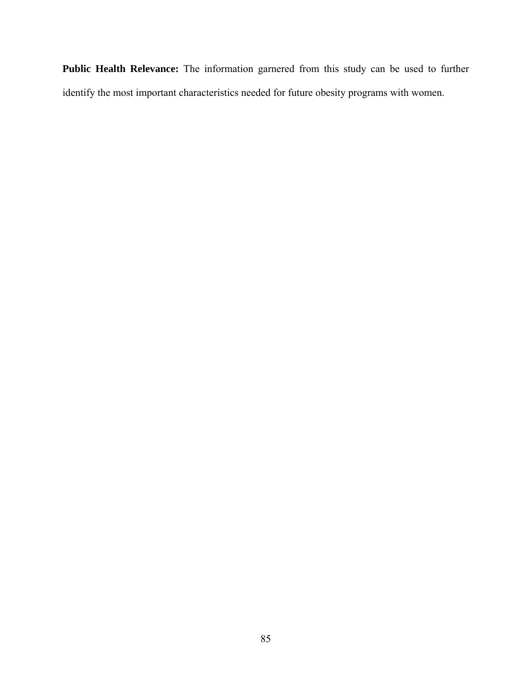**Public Health Relevance:** The information garnered from this study can be used to further identify the most important characteristics needed for future obesity programs with women.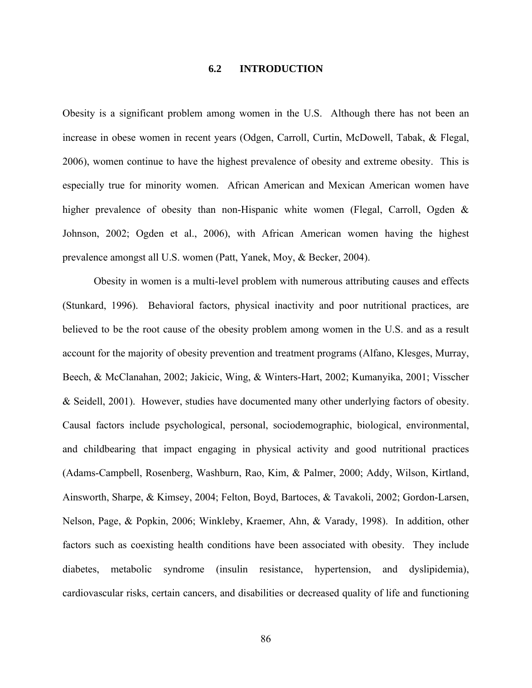## **6.2 INTRODUCTION**

Obesity is a significant problem among women in the U.S. Although there has not been an increase in obese women in recent years (Odgen, Carroll, Curtin, McDowell, Tabak, & Flegal, 2006), women continue to have the highest prevalence of obesity and extreme obesity. This is especially true for minority women. African American and Mexican American women have higher prevalence of obesity than non-Hispanic white women (Flegal, Carroll, Ogden & Johnson, 2002; Ogden et al., 2006), with African American women having the highest prevalence amongst all U.S. women (Patt, Yanek, Moy, & Becker, 2004).

 Obesity in women is a multi-level problem with numerous attributing causes and effects (Stunkard, 1996). Behavioral factors, physical inactivity and poor nutritional practices, are believed to be the root cause of the obesity problem among women in the U.S. and as a result account for the majority of obesity prevention and treatment programs (Alfano, Klesges, Murray, Beech, & McClanahan, 2002; Jakicic, Wing, & Winters-Hart, 2002; Kumanyika, 2001; Visscher & Seidell, 2001). However, studies have documented many other underlying factors of obesity. Causal factors include psychological, personal, sociodemographic, biological, environmental, and childbearing that impact engaging in physical activity and good nutritional practices (Adams-Campbell, Rosenberg, Washburn, Rao, Kim, & Palmer, 2000; Addy, Wilson, Kirtland, Ainsworth, Sharpe, & Kimsey, 2004; Felton, Boyd, Bartoces, & Tavakoli, 2002; Gordon-Larsen, Nelson, Page, & Popkin, 2006; Winkleby, Kraemer, Ahn, & Varady, 1998). In addition, other factors such as coexisting health conditions have been associated with obesity. They include diabetes, metabolic syndrome (insulin resistance, hypertension, and dyslipidemia), cardiovascular risks, certain cancers, and disabilities or decreased quality of life and functioning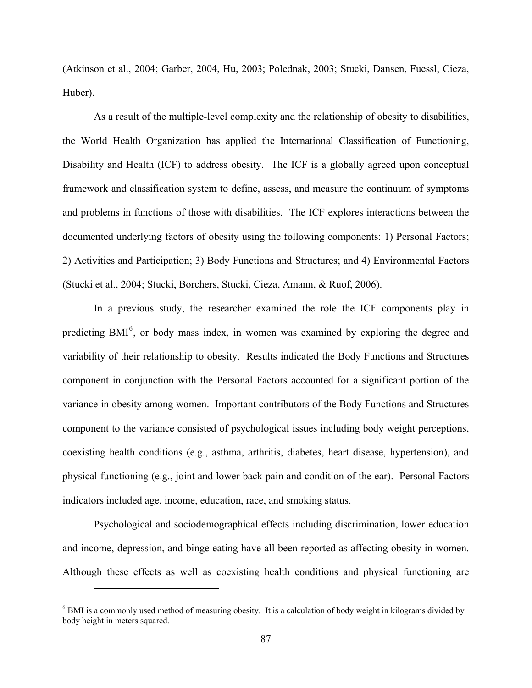(Atkinson et al., 2004; Garber, 2004, Hu, 2003; Polednak, 2003; Stucki, Dansen, Fuessl, Cieza, Huber).

As a result of the multiple-level complexity and the relationship of obesity to disabilities, the World Health Organization has applied the International Classification of Functioning, Disability and Health (ICF) to address obesity. The ICF is a globally agreed upon conceptual framework and classification system to define, assess, and measure the continuum of symptoms and problems in functions of those with disabilities. The ICF explores interactions between the documented underlying factors of obesity using the following components: 1) Personal Factors; 2) Activities and Participation; 3) Body Functions and Structures; and 4) Environmental Factors (Stucki et al., 2004; Stucki, Borchers, Stucki, Cieza, Amann, & Ruof, 2006).

In a previous study, the researcher examined the role the ICF components play in predicting  $BMI<sup>6</sup>$  $BMI<sup>6</sup>$  $BMI<sup>6</sup>$ , or body mass index, in women was examined by exploring the degree and variability of their relationship to obesity. Results indicated the Body Functions and Structures component in conjunction with the Personal Factors accounted for a significant portion of the variance in obesity among women. Important contributors of the Body Functions and Structures component to the variance consisted of psychological issues including body weight perceptions, coexisting health conditions (e.g., asthma, arthritis, diabetes, heart disease, hypertension), and physical functioning (e.g., joint and lower back pain and condition of the ear). Personal Factors indicators included age, income, education, race, and smoking status.

Psychological and sociodemographical effects including discrimination, lower education and income, depression, and binge eating have all been reported as affecting obesity in women. Although these effects as well as coexisting health conditions and physical functioning are

 $\overline{a}$ 

<span id="page-101-0"></span><sup>&</sup>lt;sup>6</sup> BMI is a commonly used method of measuring obesity. It is a calculation of body weight in kilograms divided by body height in meters squared.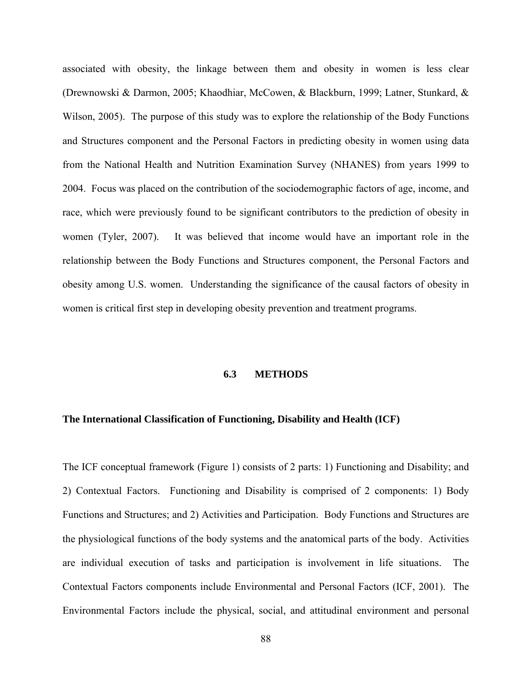associated with obesity, the linkage between them and obesity in women is less clear (Drewnowski & Darmon, 2005; Khaodhiar, McCowen, & Blackburn, 1999; Latner, Stunkard, & Wilson, 2005). The purpose of this study was to explore the relationship of the Body Functions and Structures component and the Personal Factors in predicting obesity in women using data from the National Health and Nutrition Examination Survey (NHANES) from years 1999 to 2004. Focus was placed on the contribution of the sociodemographic factors of age, income, and race, which were previously found to be significant contributors to the prediction of obesity in women (Tyler, 2007). It was believed that income would have an important role in the relationship between the Body Functions and Structures component, the Personal Factors and obesity among U.S. women. Understanding the significance of the causal factors of obesity in women is critical first step in developing obesity prevention and treatment programs.

## **6.3 METHODS**

## **The International Classification of Functioning, Disability and Health (ICF)**

The ICF conceptual framework (Figure 1) consists of 2 parts: 1) Functioning and Disability; and 2) Contextual Factors. Functioning and Disability is comprised of 2 components: 1) Body Functions and Structures; and 2) Activities and Participation. Body Functions and Structures are the physiological functions of the body systems and the anatomical parts of the body. Activities are individual execution of tasks and participation is involvement in life situations. The Contextual Factors components include Environmental and Personal Factors (ICF, 2001). The Environmental Factors include the physical, social, and attitudinal environment and personal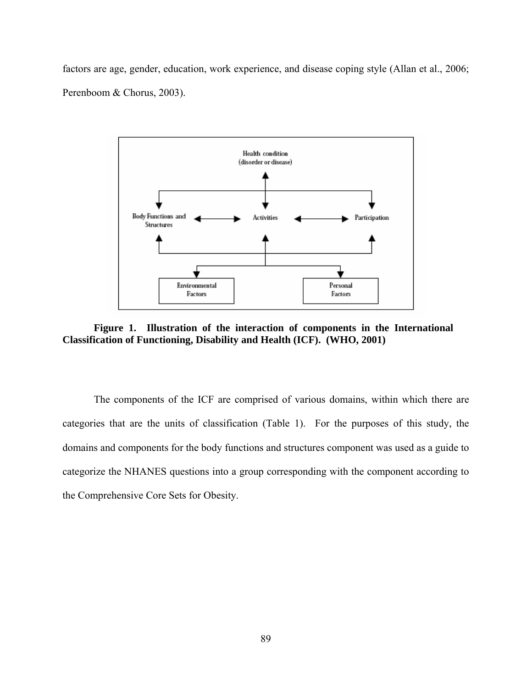factors are age, gender, education, work experience, and disease coping style (Allan et al., 2006; Perenboom & Chorus, 2003).



**Figure 1. Illustration of the interaction of components in the International Classification of Functioning, Disability and Health (ICF). (WHO, 2001)** 

The components of the ICF are comprised of various domains, within which there are categories that are the units of classification (Table 1). For the purposes of this study, the domains and components for the body functions and structures component was used as a guide to categorize the NHANES questions into a group corresponding with the component according to the Comprehensive Core Sets for Obesity.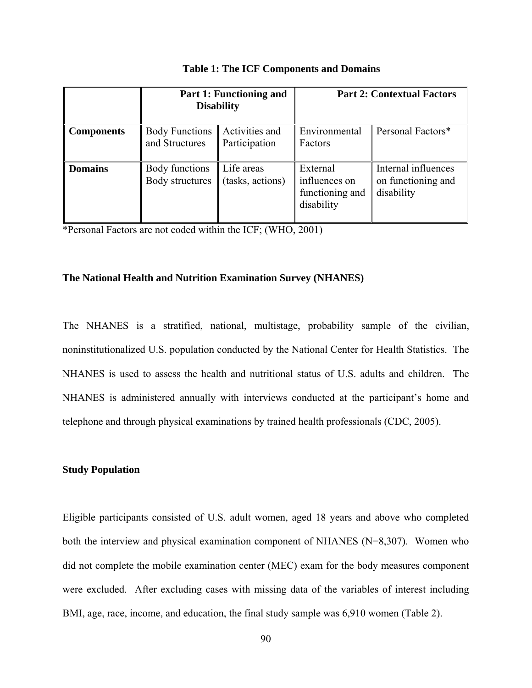|                   | <b>Part 1: Functioning and</b><br><b>Disability</b> |                                 |                                                            | <b>Part 2: Contextual Factors</b>                       |
|-------------------|-----------------------------------------------------|---------------------------------|------------------------------------------------------------|---------------------------------------------------------|
| <b>Components</b> | <b>Body Functions</b><br>and Structures             | Activities and<br>Participation | Environmental<br>Factors                                   | Personal Factors*                                       |
| <b>Domains</b>    | Body functions<br>Body structures                   | Life areas<br>(tasks, actions)  | External<br>influences on<br>functioning and<br>disability | Internal influences<br>on functioning and<br>disability |

## **Table 1: The ICF Components and Domains**

\*Personal Factors are not coded within the ICF; (WHO, 2001)

## **The National Health and Nutrition Examination Survey (NHANES)**

The NHANES is a stratified, national, multistage, probability sample of the civilian, noninstitutionalized U.S. population conducted by the National Center for Health Statistics. The NHANES is used to assess the health and nutritional status of U.S. adults and children. The NHANES is administered annually with interviews conducted at the participant's home and telephone and through physical examinations by trained health professionals (CDC, 2005).

## **Study Population**

Eligible participants consisted of U.S. adult women, aged 18 years and above who completed both the interview and physical examination component of NHANES (N=8,307). Women who did not complete the mobile examination center (MEC) exam for the body measures component were excluded. After excluding cases with missing data of the variables of interest including BMI, age, race, income, and education, the final study sample was 6,910 women (Table 2).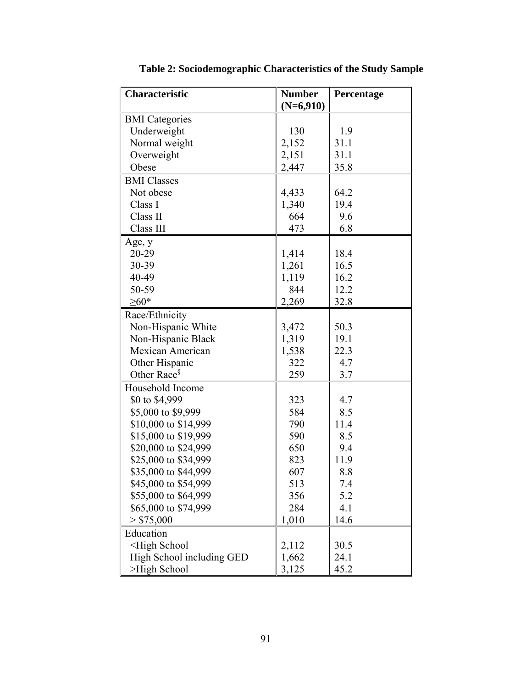| <b>Characteristic</b>                                     | <b>Number</b> | Percentage |
|-----------------------------------------------------------|---------------|------------|
|                                                           | $(N=6,910)$   |            |
| <b>BMI</b> Categories                                     |               |            |
| Underweight                                               | 130           | 1.9        |
| Normal weight                                             | 2,152         | 31.1       |
| Overweight                                                | 2,151         | 31.1       |
| Obese                                                     | 2,447         | 35.8       |
| <b>BMI</b> Classes                                        |               |            |
| Not obese                                                 | 4,433         | 64.2       |
| Class I                                                   | 1,340         | 19.4       |
| Class II                                                  | 664           | 9.6        |
| Class III                                                 | 473           | 6.8        |
| Age, y                                                    |               |            |
| 20-29                                                     | 1,414         | 18.4       |
| 30-39                                                     | 1,261         | 16.5       |
| 40-49                                                     | 1,119         | 16.2       |
| 50-59                                                     | 844           | 12.2       |
| $>60*$                                                    | 2,269         | 32.8       |
| Race/Ethnicity                                            |               |            |
| Non-Hispanic White                                        | 3,472         | 50.3       |
| Non-Hispanic Black                                        | 1,319         | 19.1       |
| Mexican American                                          | 1,538         | 22.3       |
| Other Hispanic                                            | 322           | 4.7        |
| Other Race <sup>§</sup>                                   | 259           | 3.7        |
| Household Income                                          |               |            |
| \$0 to \$4,999                                            | 323           | 4.7        |
| \$5,000 to \$9,999                                        | 584           | 8.5        |
| \$10,000 to \$14,999                                      | 790           | 11.4       |
| \$15,000 to \$19,999                                      | 590           | 8.5        |
| \$20,000 to \$24,999                                      | 650           | 9.4        |
| \$25,000 to \$34,999                                      | 823           | 11.9       |
| \$35,000 to \$44,999                                      | 607           | 8.8        |
| \$45,000 to \$54,999                                      | 513           | 7.4        |
| \$55,000 to \$64,999                                      | 356           | 5.2        |
| \$65,000 to \$74,999                                      | 284           | 4.1        |
| > \$75,000                                                | 1,010         | 14.6       |
| Education                                                 |               |            |
| <high school<="" td=""><td>2,112</td><td>30.5</td></high> | 2,112         | 30.5       |
| High School including GED                                 | 1,662         | 24.1       |
| >High School                                              | 3,125         | 45.2       |

**Table 2: Sociodemographic Characteristics of the Study Sample**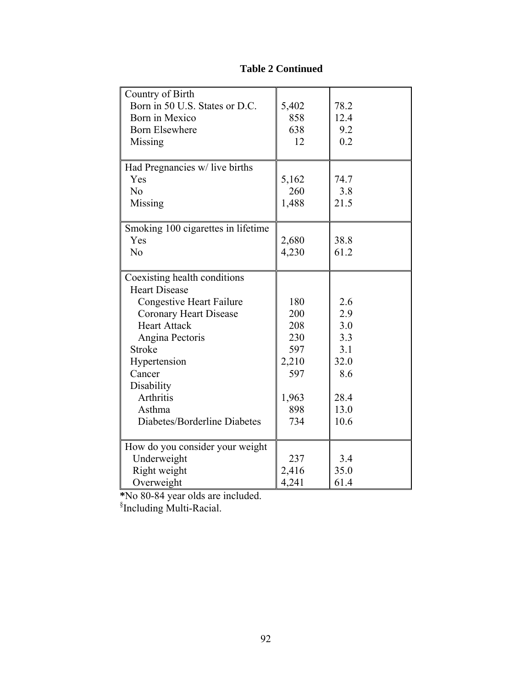| Country of Birth                   |       |      |
|------------------------------------|-------|------|
| Born in 50 U.S. States or D.C.     | 5,402 | 78.2 |
| Born in Mexico                     | 858   | 12.4 |
| <b>Born Elsewhere</b>              | 638   | 9.2  |
| Missing                            | 12    | 0.2  |
|                                    |       |      |
| Had Pregnancies w/ live births     |       |      |
| Yes                                | 5,162 | 74.7 |
| N <sub>0</sub>                     | 260   | 3.8  |
| Missing                            | 1,488 | 21.5 |
|                                    |       |      |
| Smoking 100 cigarettes in lifetime |       |      |
| Yes                                | 2,680 | 38.8 |
| N <sub>o</sub>                     | 4,230 | 61.2 |
|                                    |       |      |
| Coexisting health conditions       |       |      |
| <b>Heart Disease</b>               |       |      |
| <b>Congestive Heart Failure</b>    | 180   | 2.6  |
| <b>Coronary Heart Disease</b>      | 200   | 2.9  |
| <b>Heart Attack</b>                | 208   | 3.0  |
| Angina Pectoris                    | 230   | 3.3  |
| <b>Stroke</b>                      | 597   | 3.1  |
| Hypertension                       | 2,210 | 32.0 |
| Cancer                             | 597   | 8.6  |
| Disability                         |       |      |
| Arthritis                          | 1,963 | 28.4 |
| Asthma                             | 898   | 13.0 |
| Diabetes/Borderline Diabetes       | 734   | 10.6 |
|                                    |       |      |
| How do you consider your weight    |       |      |
| Underweight                        | 237   | 3.4  |
| Right weight                       | 2,416 | 35.0 |
| Overweight                         | 4,241 | 61.4 |

# **Table 2 Continued**

 **\***No 80-84 year olds are included.

§Including Multi-Racial.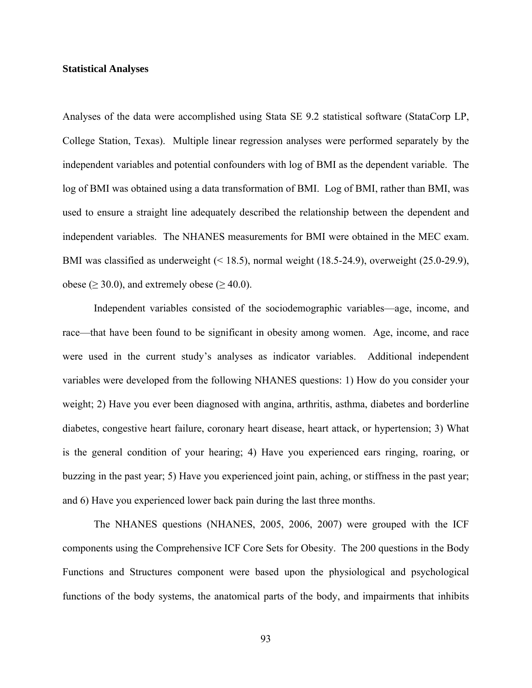## **Statistical Analyses**

Analyses of the data were accomplished using Stata SE 9.2 statistical software (StataCorp LP, College Station, Texas). Multiple linear regression analyses were performed separately by the independent variables and potential confounders with log of BMI as the dependent variable. The log of BMI was obtained using a data transformation of BMI. Log of BMI, rather than BMI, was used to ensure a straight line adequately described the relationship between the dependent and independent variables. The NHANES measurements for BMI were obtained in the MEC exam. BMI was classified as underweight (< 18.5), normal weight (18.5-24.9), overweight (25.0-29.9), obese ( $\geq 30.0$ ), and extremely obese ( $\geq 40.0$ ).

Independent variables consisted of the sociodemographic variables—age, income, and race—that have been found to be significant in obesity among women. Age, income, and race were used in the current study's analyses as indicator variables. Additional independent variables were developed from the following NHANES questions: 1) How do you consider your weight; 2) Have you ever been diagnosed with angina, arthritis, asthma, diabetes and borderline diabetes, congestive heart failure, coronary heart disease, heart attack, or hypertension; 3) What is the general condition of your hearing; 4) Have you experienced ears ringing, roaring, or buzzing in the past year; 5) Have you experienced joint pain, aching, or stiffness in the past year; and 6) Have you experienced lower back pain during the last three months.

The NHANES questions (NHANES, 2005, 2006, 2007) were grouped with the ICF components using the Comprehensive ICF Core Sets for Obesity. The 200 questions in the Body Functions and Structures component were based upon the physiological and psychological functions of the body systems, the anatomical parts of the body, and impairments that inhibits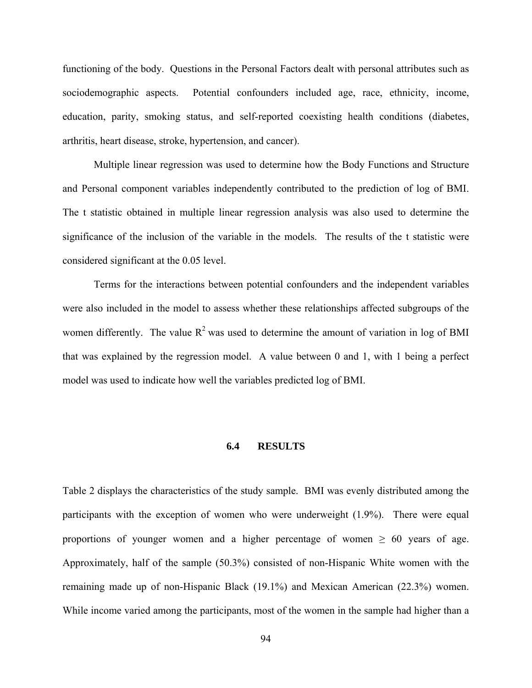functioning of the body. Questions in the Personal Factors dealt with personal attributes such as sociodemographic aspects. Potential confounders included age, race, ethnicity, income, education, parity, smoking status, and self-reported coexisting health conditions (diabetes, arthritis, heart disease, stroke, hypertension, and cancer).

 Multiple linear regression was used to determine how the Body Functions and Structure and Personal component variables independently contributed to the prediction of log of BMI. The t statistic obtained in multiple linear regression analysis was also used to determine the significance of the inclusion of the variable in the models. The results of the t statistic were considered significant at the 0.05 level.

Terms for the interactions between potential confounders and the independent variables were also included in the model to assess whether these relationships affected subgroups of the women differently. The value  $R^2$  was used to determine the amount of variation in log of BMI that was explained by the regression model. A value between 0 and 1, with 1 being a perfect model was used to indicate how well the variables predicted log of BMI.

#### **6.4 RESULTS**

Table 2 displays the characteristics of the study sample. BMI was evenly distributed among the participants with the exception of women who were underweight (1.9%). There were equal proportions of younger women and a higher percentage of women  $\geq 60$  years of age. Approximately, half of the sample (50.3%) consisted of non-Hispanic White women with the remaining made up of non-Hispanic Black (19.1%) and Mexican American (22.3%) women. While income varied among the participants, most of the women in the sample had higher than a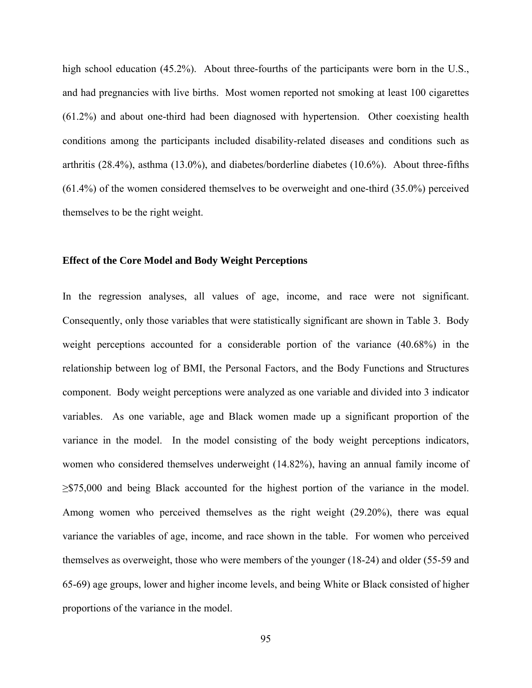high school education (45.2%). About three-fourths of the participants were born in the U.S., and had pregnancies with live births. Most women reported not smoking at least 100 cigarettes (61.2%) and about one-third had been diagnosed with hypertension. Other coexisting health conditions among the participants included disability-related diseases and conditions such as arthritis (28.4%), asthma (13.0%), and diabetes/borderline diabetes (10.6%). About three-fifths (61.4%) of the women considered themselves to be overweight and one-third (35.0%) perceived themselves to be the right weight.

#### **Effect of the Core Model and Body Weight Perceptions**

In the regression analyses, all values of age, income, and race were not significant. Consequently, only those variables that were statistically significant are shown in Table 3. Body weight perceptions accounted for a considerable portion of the variance (40.68%) in the relationship between log of BMI, the Personal Factors, and the Body Functions and Structures component. Body weight perceptions were analyzed as one variable and divided into 3 indicator variables. As one variable, age and Black women made up a significant proportion of the variance in the model. In the model consisting of the body weight perceptions indicators, women who considered themselves underweight (14.82%), having an annual family income of ≥\$75,000 and being Black accounted for the highest portion of the variance in the model. Among women who perceived themselves as the right weight (29.20%), there was equal variance the variables of age, income, and race shown in the table. For women who perceived themselves as overweight, those who were members of the younger (18-24) and older (55-59 and 65-69) age groups, lower and higher income levels, and being White or Black consisted of higher proportions of the variance in the model.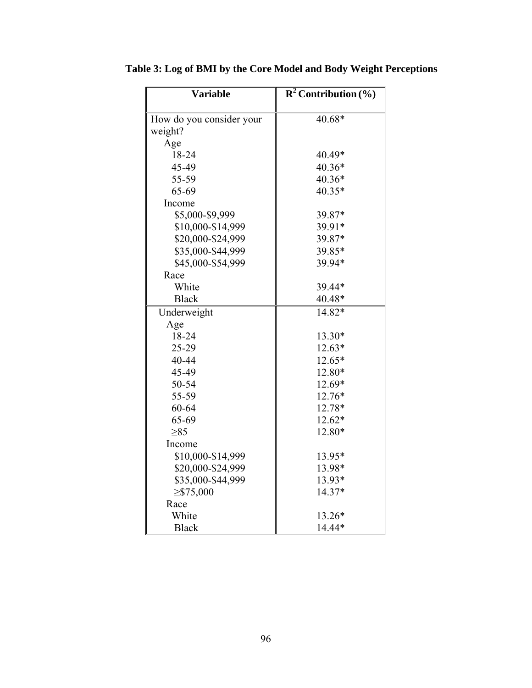| <b>Variable</b>          | $\overline{R^2}$ Contribution (%) |
|--------------------------|-----------------------------------|
| How do you consider your | 40.68*                            |
| weight?                  |                                   |
| Age                      |                                   |
| 18-24                    | 40.49*                            |
| 45-49                    | 40.36*                            |
| 55-59                    | 40.36*                            |
| 65-69                    | 40.35*                            |
| Income                   |                                   |
| \$5,000-\$9,999          | 39.87*                            |
| \$10,000-\$14,999        | 39.91*                            |
| \$20,000-\$24,999        | 39.87*                            |
| \$35,000-\$44,999        | 39.85*                            |
| \$45,000-\$54,999        | 39.94*                            |
| Race                     |                                   |
| White                    | 39.44*                            |
| <b>Black</b>             | 40.48*                            |
| Underweight              | 14.82*                            |
| Age                      |                                   |
| 18-24                    | 13.30*                            |
| 25-29                    | $12.63*$                          |
| 40-44                    | 12.65*                            |
| 45-49                    | 12.80*                            |
| 50-54                    | 12.69*                            |
| 55-59                    | 12.76*                            |
| 60-64                    | 12.78*                            |
| 65-69                    | 12.62*                            |
| $\geq 85$                | 12.80*                            |
| Income                   |                                   |
| \$10,000-\$14,999        | 13.95*                            |
| \$20,000-\$24,999        | 13.98*                            |
| \$35,000-\$44,999        | 13.93*                            |
| $\geq$ \$75,000          | 14.37*                            |
| Race                     |                                   |
| White                    | 13.26*                            |
| <b>Black</b>             | 14.44*                            |

**Table 3: Log of BMI by the Core Model and Body Weight Perceptions**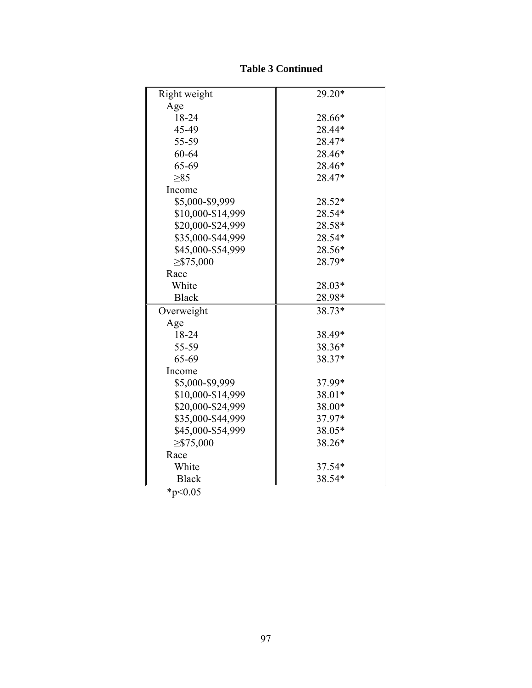| Right weight      | 29.20* |
|-------------------|--------|
| Age               |        |
| 18-24             | 28.66* |
| 45-49             | 28.44* |
| 55-59             | 28.47* |
| 60-64             | 28.46* |
| 65-69             | 28.46* |
| >85               | 28.47* |
| Income            |        |
| \$5,000-\$9,999   | 28.52* |
| \$10,000-\$14,999 | 28.54* |
| \$20,000-\$24,999 | 28.58* |
| \$35,000-\$44,999 | 28.54* |
| \$45,000-\$54,999 | 28.56* |
| $\geq$ \$75,000   | 28.79* |
| Race              |        |
| White             | 28.03* |
| <b>Black</b>      | 28.98* |
| Overweight        | 38.73* |
| Age               |        |
| 18-24             | 38.49* |
| 55-59             | 38.36* |
| 65-69             | 38.37* |
| Income            |        |
| \$5,000-\$9,999   | 37.99* |
| \$10,000-\$14,999 | 38.01* |
| \$20,000-\$24,999 | 38.00* |
| \$35,000-\$44,999 | 37.97* |
| \$45,000-\$54,999 | 38.05* |
| $\geq$ \$75,000   | 38.26* |
| Race              |        |
| White             | 37.54* |
| <b>Black</b>      | 38.54* |

**Table 3 Continued** 

 $*_{p<0.05}$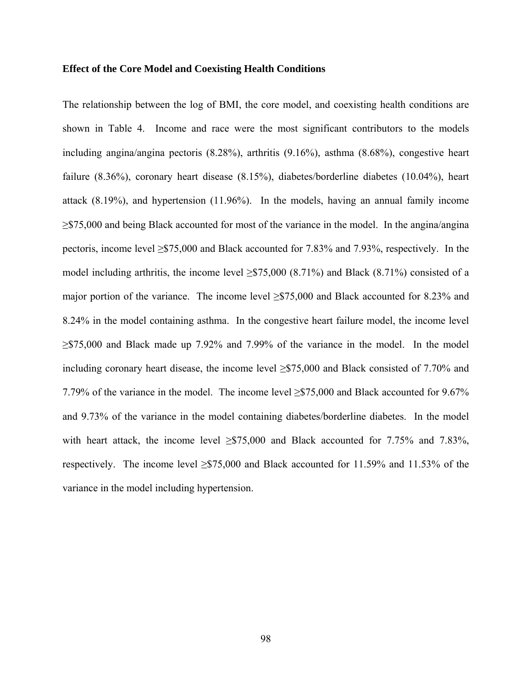#### **Effect of the Core Model and Coexisting Health Conditions**

The relationship between the log of BMI, the core model, and coexisting health conditions are shown in Table 4. Income and race were the most significant contributors to the models including angina/angina pectoris (8.28%), arthritis (9.16%), asthma (8.68%), congestive heart failure (8.36%), coronary heart disease (8.15%), diabetes/borderline diabetes (10.04%), heart attack (8.19%), and hypertension (11.96%). In the models, having an annual family income ≥\$75,000 and being Black accounted for most of the variance in the model. In the angina/angina pectoris, income level ≥\$75,000 and Black accounted for 7.83% and 7.93%, respectively. In the model including arthritis, the income level  $\geq$ \$75,000 (8.71%) and Black (8.71%) consisted of a major portion of the variance. The income level  $\geq$ \$75,000 and Black accounted for 8.23% and 8.24% in the model containing asthma. In the congestive heart failure model, the income level  $\geq$ \$75,000 and Black made up 7.92% and 7.99% of the variance in the model. In the model including coronary heart disease, the income level ≥\$75,000 and Black consisted of 7.70% and 7.79% of the variance in the model. The income level ≥\$75,000 and Black accounted for 9.67% and 9.73% of the variance in the model containing diabetes/borderline diabetes. In the model with heart attack, the income level  $\geq$ \$75,000 and Black accounted for 7.75% and 7.83%, respectively. The income level  $\geq$ \$75,000 and Black accounted for 11.59% and 11.53% of the variance in the model including hypertension.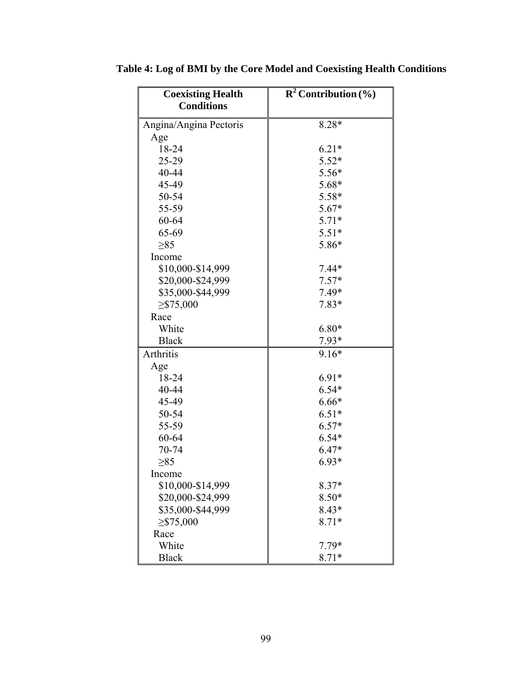| <b>Coexisting Health</b> | $\mathbb{R}^2$ Contribution (%) |
|--------------------------|---------------------------------|
| <b>Conditions</b>        |                                 |
| Angina/Angina Pectoris   | $8.28*$                         |
| Age                      |                                 |
| 18-24                    | $6.21*$                         |
| 25-29                    | $5.52*$                         |
| 40-44                    | 5.56*                           |
| 45-49                    | 5.68*                           |
| 50-54                    | 5.58*                           |
| 55-59                    | $5.67*$                         |
| 60-64                    | $5.71*$                         |
| 65-69                    | $5.51*$                         |
| $\geq 85$                | 5.86*                           |
| Income                   |                                 |
| \$10,000-\$14,999        | $7.44*$                         |
| \$20,000-\$24,999        | $7.57*$                         |
| \$35,000-\$44,999        | $7.49*$                         |
| $\geq$ \$75,000          | $7.83*$                         |
| Race                     |                                 |
| White                    | $6.80*$                         |
| <b>Black</b>             | 7.93*                           |
| Arthritis                | $9.16*$                         |
| Age                      |                                 |
| 18-24                    | $6.91*$                         |
| 40-44                    | $6.54*$                         |
| 45-49                    | $6.66*$                         |
| 50-54                    | $6.51*$                         |
| 55-59                    | $6.57*$                         |
| 60-64                    | $6.54*$                         |
| 70-74                    | $6.47*$                         |
| $\geq 85$                | $6.93*$                         |
| Income                   |                                 |
| \$10,000-\$14,999        | 8.37*                           |
| \$20,000-\$24,999        | 8.50*                           |
| \$35,000-\$44,999        | $8.43*$                         |
| $\geq$ \$75,000          | $8.71*$                         |
| Race                     |                                 |
| White                    | $7.79*$                         |
| <b>Black</b>             | $8.71*$                         |

**Table 4: Log of BMI by the Core Model and Coexisting Health Conditions**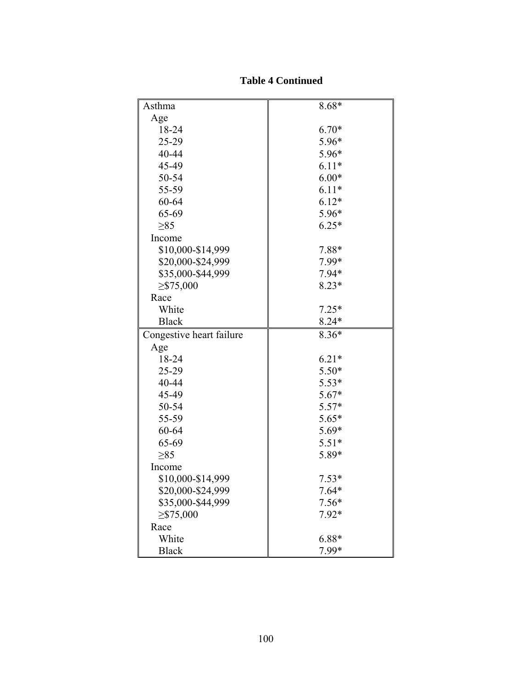| Asthma                   | $8.68*$ |
|--------------------------|---------|
| Age                      |         |
| 18-24                    | $6.70*$ |
| 25-29                    | 5.96*   |
| 40-44                    | 5.96*   |
| 45-49                    | $6.11*$ |
| 50-54                    | $6.00*$ |
| 55-59                    | $6.11*$ |
| 60-64                    | $6.12*$ |
| 65-69                    | 5.96*   |
| $\geq 85$                | $6.25*$ |
| Income                   |         |
| \$10,000-\$14,999        | 7.88*   |
| \$20,000-\$24,999        | 7.99*   |
| \$35,000-\$44,999        | $7.94*$ |
| $\geq$ \$75,000          | $8.23*$ |
| Race                     |         |
| White                    | $7.25*$ |
| <b>Black</b>             | $8.24*$ |
| Congestive heart failure | $8.36*$ |
| Age                      |         |
| 18-24                    | $6.21*$ |
| 25-29                    | 5.50*   |
| 40-44                    | $5.53*$ |
| 45-49                    | $5.67*$ |
| 50-54                    | $5.57*$ |
| 55-59                    | $5.65*$ |
| 60-64                    | 5.69*   |
| 65-69                    | $5.51*$ |
| $\geq 85$                | 5.89*   |
| Income                   |         |
| \$10,000-\$14,999        | $7.53*$ |
| \$20,000-\$24,999        | $7.64*$ |
| \$35,000-\$44,999        | $7.56*$ |
| $\geq$ \$75,000          | $7.92*$ |
| Race                     |         |
| White                    | $6.88*$ |
| <b>Black</b>             | 7.99*   |

### **Table 4 Continued**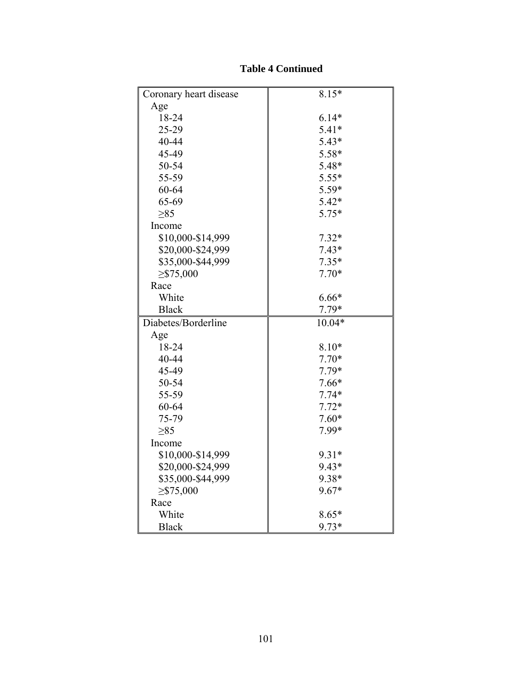| Coronary heart disease | $8.15*$ |
|------------------------|---------|
| Age                    |         |
| 18-24                  | $6.14*$ |
| 25-29                  | $5.41*$ |
| 40-44                  | 5.43*   |
| 45-49                  | 5.58*   |
| 50-54                  | 5.48*   |
| 55-59                  | $5.55*$ |
| 60-64                  | 5.59*   |
| 65-69                  | $5.42*$ |
| $\geq 85$              | $5.75*$ |
| Income                 |         |
| \$10,000-\$14,999      | $7.32*$ |
| \$20,000-\$24,999      | $7.43*$ |
| \$35,000-\$44,999      | $7.35*$ |
| $\geq$ \$75,000        | $7.70*$ |
| Race                   |         |
| White                  | $6.66*$ |
| <b>Black</b>           | $7.79*$ |
| Diabetes/Borderline    | 10.04*  |
| Age                    |         |
| 18-24                  | $8.10*$ |
| 40-44                  | $7.70*$ |
| 45-49                  | 7.79*   |
| 50-54                  | $7.66*$ |
| 55-59                  | $7.74*$ |
| 60-64                  | $7.72*$ |
| 75-79                  | $7.60*$ |
| $\geq 85$              | 7.99*   |
| Income                 |         |
| \$10,000-\$14,999      | $9.31*$ |
| \$20,000-\$24,999      | 9.43*   |
| \$35,000-\$44,999      | 9.38*   |
| $\geq$ \$75,000        | $9.67*$ |
| Race                   |         |
| White                  | $8.65*$ |
| <b>Black</b>           | 9.73*   |

## **Table 4 Continued**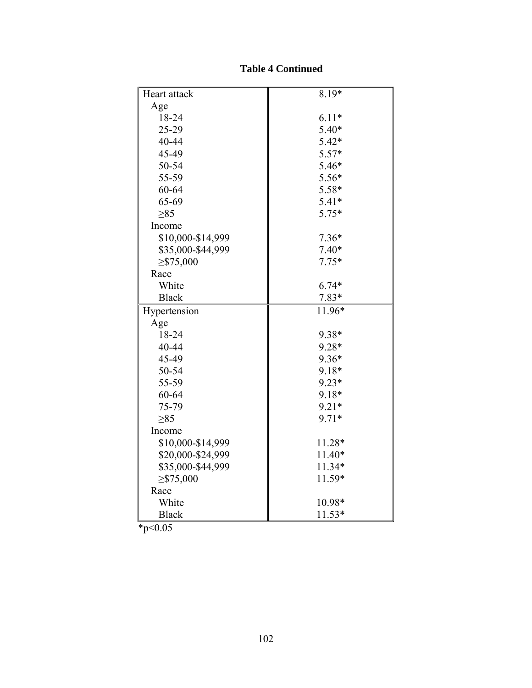| Heart attack      | 8.19*    |
|-------------------|----------|
| Age               |          |
| 18-24             | $6.11*$  |
| 25-29             | $5.40*$  |
| 40-44             | 5.42*    |
| 45-49             | $5.57*$  |
| 50-54             | 5.46*    |
| 55-59             | $5.56*$  |
| 60-64             | 5.58*    |
| 65-69             | $5.41*$  |
| $\geq 85$         | $5.75*$  |
| Income            |          |
| \$10,000-\$14,999 | $7.36*$  |
| \$35,000-\$44,999 | $7.40*$  |
| $\geq$ \$75,000   | $7.75*$  |
| Race              |          |
| White             | $6.74*$  |
| <b>Black</b>      | $7.83*$  |
| Hypertension      | 11.96*   |
| Age               |          |
| 18-24             | 9.38*    |
| 40-44             | 9.28*    |
| 45-49             | $9.36*$  |
| 50-54             | 9.18*    |
| 55-59             | $9.23*$  |
| 60-64             | 9.18*    |
| 75-79             | $9.21*$  |
| $\geq 85$         | 9.71*    |
| Income            |          |
| \$10,000-\$14,999 | 11.28*   |
| \$20,000-\$24,999 | $11.40*$ |
| \$35,000-\$44,999 | 11.34*   |
| $\geq$ \$75,000   | 11.59*   |
| Race              |          |
| White             | 10.98*   |
| <b>Black</b>      | $11.53*$ |

## **Table 4 Continued**

 $*_{p<0.05}$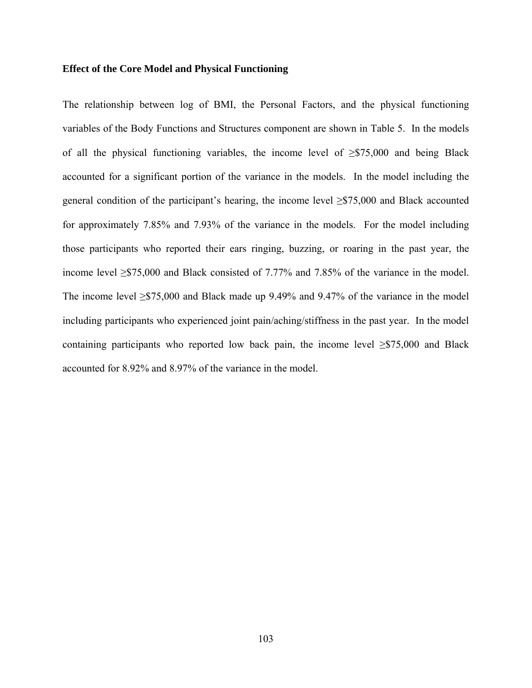#### **Effect of the Core Model and Physical Functioning**

The relationship between log of BMI, the Personal Factors, and the physical functioning variables of the Body Functions and Structures component are shown in Table 5. In the models of all the physical functioning variables, the income level of  $\geq$ \$75,000 and being Black accounted for a significant portion of the variance in the models. In the model including the general condition of the participant's hearing, the income level  $\geq$ \$75,000 and Black accounted for approximately 7.85% and 7.93% of the variance in the models. For the model including those participants who reported their ears ringing, buzzing, or roaring in the past year, the income level ≥\$75,000 and Black consisted of 7.77% and 7.85% of the variance in the model. The income level  $\geq$ \$75,000 and Black made up 9.49% and 9.47% of the variance in the model including participants who experienced joint pain/aching/stiffness in the past year. In the model containing participants who reported low back pain, the income level  $\geq$ \$75,000 and Black accounted for 8.92% and 8.97% of the variance in the model.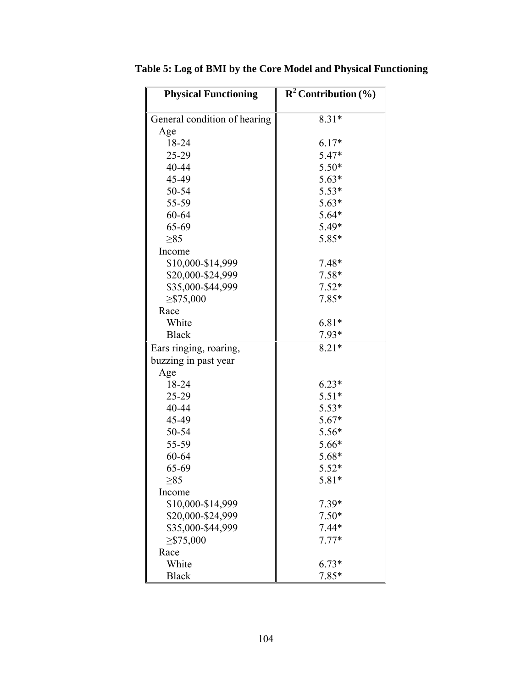| <b>Physical Functioning</b>  | $\mathbb{R}^2$ Contribution (%) |
|------------------------------|---------------------------------|
| General condition of hearing | $8.31*$                         |
| Age                          |                                 |
| 18-24                        | $6.17*$                         |
| 25-29                        | 5.47*                           |
| 40-44                        | $5.50*$                         |
| 45-49                        | $5.63*$                         |
| 50-54                        | $5.53*$                         |
| 55-59                        | $5.63*$                         |
| 60-64                        | $5.64*$                         |
| 65-69                        | 5.49*                           |
| $\geq 85$                    | 5.85*                           |
| Income                       |                                 |
| \$10,000-\$14,999            | $7.48*$                         |
| \$20,000-\$24,999            | $7.58*$                         |
| \$35,000-\$44,999            | $7.52*$                         |
| $\geq$ \$75,000              | $7.85*$                         |
| Race                         |                                 |
| White                        | $6.81*$                         |
| <b>Black</b>                 | $7.93*$                         |
| Ears ringing, roaring,       | $8.21*$                         |
| buzzing in past year         |                                 |
| Age                          |                                 |
| 18-24                        | $6.23*$                         |
| 25-29                        | $5.51*$                         |
| 40-44                        | 5.53*                           |
| 45-49                        | $5.67*$                         |
| 50-54                        | $5.56*$                         |
| 55-59                        | $5.66*$                         |
| 60-64                        | 5.68*                           |
| 65-69                        | $5.52*$                         |
| $\geq 85$                    | $5.81*$                         |
| Income                       |                                 |
| \$10,000-\$14,999            | 7.39*                           |
| \$20,000-\$24,999            | $7.50*$                         |
| \$35,000-\$44,999            | $7.44*$                         |
| $\geq$ \$75,000              | $7.77*$                         |
| Race                         |                                 |
| White                        | $6.73*$                         |
| <b>Black</b>                 | $7.85*$                         |

**Table 5: Log of BMI by the Core Model and Physical Functioning**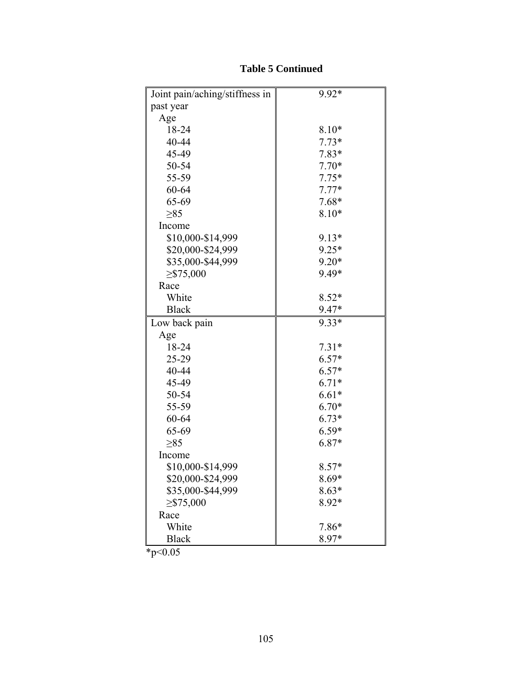| Joint pain/aching/stiffness in | $9.92*$ |
|--------------------------------|---------|
| past year                      |         |
| Age                            |         |
| 18-24                          | $8.10*$ |
| 40-44                          | $7.73*$ |
| 45-49                          | 7.83*   |
| 50-54                          | $7.70*$ |
| 55-59                          | $7.75*$ |
| 60-64                          | $7.77*$ |
| 65-69                          | $7.68*$ |
| $\geq 85$                      | $8.10*$ |
| Income                         |         |
| \$10,000-\$14,999              | $9.13*$ |
| \$20,000-\$24,999              | $9.25*$ |
| \$35,000-\$44,999              | $9.20*$ |
| $\geq$ \$75,000                | 9.49*   |
| Race                           |         |
| White                          | $8.52*$ |
| <b>Black</b>                   | 9.47*   |
| Low back pain                  | $9.33*$ |
| Age                            |         |
| 18-24                          | $7.31*$ |
| 25-29                          | $6.57*$ |
| 40-44                          | $6.57*$ |
| 45-49                          | $6.71*$ |
| 50-54                          | $6.61*$ |
| 55-59                          | $6.70*$ |
| 60-64                          | $6.73*$ |
| 65-69                          | $6.59*$ |
| $\geq 85$                      | $6.87*$ |
| Income                         |         |
| \$10,000-\$14,999              | $8.57*$ |
| \$20,000-\$24,999              | 8.69*   |
| \$35,000-\$44,999              | $8.63*$ |
| $\geq$ \$75,000                | 8.92*   |
| Race                           |         |
| White                          | 7.86*   |
| <b>Black</b>                   | 8.97*   |

## **Table 5 Continued**

 $*_{p<0.05}$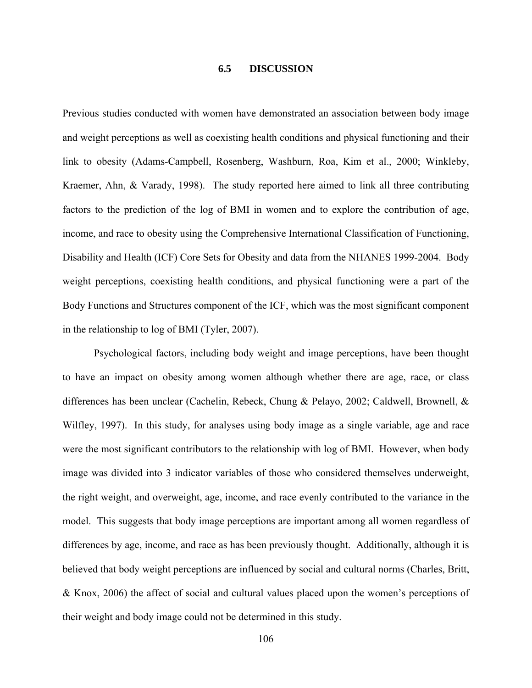#### **6.5 DISCUSSION**

Previous studies conducted with women have demonstrated an association between body image and weight perceptions as well as coexisting health conditions and physical functioning and their link to obesity (Adams-Campbell, Rosenberg, Washburn, Roa, Kim et al., 2000; Winkleby, Kraemer, Ahn, & Varady, 1998). The study reported here aimed to link all three contributing factors to the prediction of the log of BMI in women and to explore the contribution of age, income, and race to obesity using the Comprehensive International Classification of Functioning, Disability and Health (ICF) Core Sets for Obesity and data from the NHANES 1999-2004. Body weight perceptions, coexisting health conditions, and physical functioning were a part of the Body Functions and Structures component of the ICF, which was the most significant component in the relationship to log of BMI (Tyler, 2007).

 Psychological factors, including body weight and image perceptions, have been thought to have an impact on obesity among women although whether there are age, race, or class differences has been unclear (Cachelin, Rebeck, Chung & Pelayo, 2002; Caldwell, Brownell, & Wilfley, 1997). In this study, for analyses using body image as a single variable, age and race were the most significant contributors to the relationship with log of BMI. However, when body image was divided into 3 indicator variables of those who considered themselves underweight, the right weight, and overweight, age, income, and race evenly contributed to the variance in the model. This suggests that body image perceptions are important among all women regardless of differences by age, income, and race as has been previously thought. Additionally, although it is believed that body weight perceptions are influenced by social and cultural norms (Charles, Britt, & Knox, 2006) the affect of social and cultural values placed upon the women's perceptions of their weight and body image could not be determined in this study.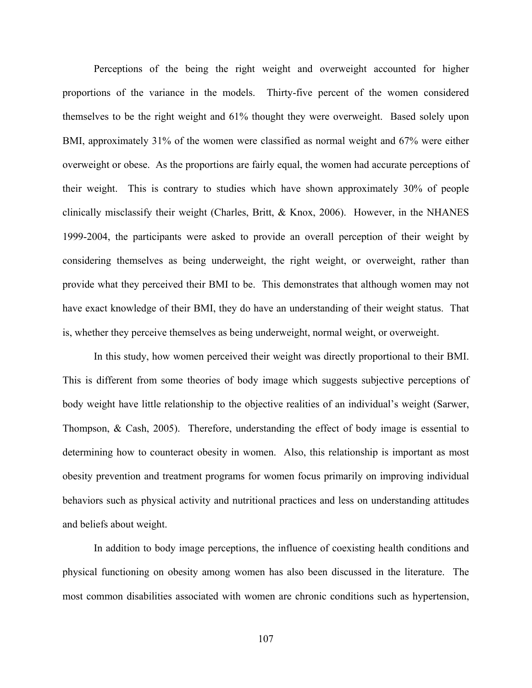Perceptions of the being the right weight and overweight accounted for higher proportions of the variance in the models. Thirty-five percent of the women considered themselves to be the right weight and 61% thought they were overweight. Based solely upon BMI, approximately 31% of the women were classified as normal weight and 67% were either overweight or obese. As the proportions are fairly equal, the women had accurate perceptions of their weight. This is contrary to studies which have shown approximately 30% of people clinically misclassify their weight (Charles, Britt, & Knox, 2006). However, in the NHANES 1999-2004, the participants were asked to provide an overall perception of their weight by considering themselves as being underweight, the right weight, or overweight, rather than provide what they perceived their BMI to be. This demonstrates that although women may not have exact knowledge of their BMI, they do have an understanding of their weight status. That is, whether they perceive themselves as being underweight, normal weight, or overweight.

In this study, how women perceived their weight was directly proportional to their BMI. This is different from some theories of body image which suggests subjective perceptions of body weight have little relationship to the objective realities of an individual's weight (Sarwer, Thompson, & Cash, 2005). Therefore, understanding the effect of body image is essential to determining how to counteract obesity in women. Also, this relationship is important as most obesity prevention and treatment programs for women focus primarily on improving individual behaviors such as physical activity and nutritional practices and less on understanding attitudes and beliefs about weight.

 In addition to body image perceptions, the influence of coexisting health conditions and physical functioning on obesity among women has also been discussed in the literature. The most common disabilities associated with women are chronic conditions such as hypertension,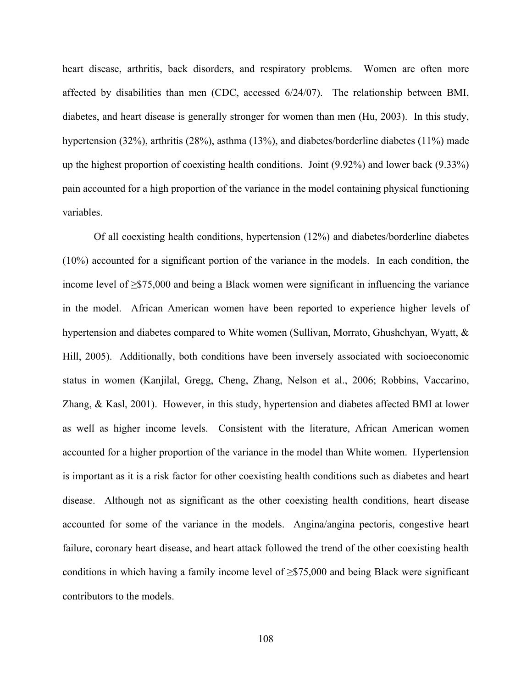heart disease, arthritis, back disorders, and respiratory problems. Women are often more affected by disabilities than men (CDC, accessed 6/24/07). The relationship between BMI, diabetes, and heart disease is generally stronger for women than men (Hu, 2003). In this study, hypertension (32%), arthritis (28%), asthma (13%), and diabetes/borderline diabetes (11%) made up the highest proportion of coexisting health conditions. Joint (9.92%) and lower back (9.33%) pain accounted for a high proportion of the variance in the model containing physical functioning variables.

Of all coexisting health conditions, hypertension (12%) and diabetes/borderline diabetes (10%) accounted for a significant portion of the variance in the models. In each condition, the income level of ≥\$75,000 and being a Black women were significant in influencing the variance in the model. African American women have been reported to experience higher levels of hypertension and diabetes compared to White women (Sullivan, Morrato, Ghushchyan, Wyatt, & Hill, 2005). Additionally, both conditions have been inversely associated with socioeconomic status in women (Kanjilal, Gregg, Cheng, Zhang, Nelson et al., 2006; Robbins, Vaccarino, Zhang, & Kasl, 2001). However, in this study, hypertension and diabetes affected BMI at lower as well as higher income levels. Consistent with the literature, African American women accounted for a higher proportion of the variance in the model than White women. Hypertension is important as it is a risk factor for other coexisting health conditions such as diabetes and heart disease. Although not as significant as the other coexisting health conditions, heart disease accounted for some of the variance in the models. Angina/angina pectoris, congestive heart failure, coronary heart disease, and heart attack followed the trend of the other coexisting health conditions in which having a family income level of  $\geq$ \$75,000 and being Black were significant contributors to the models.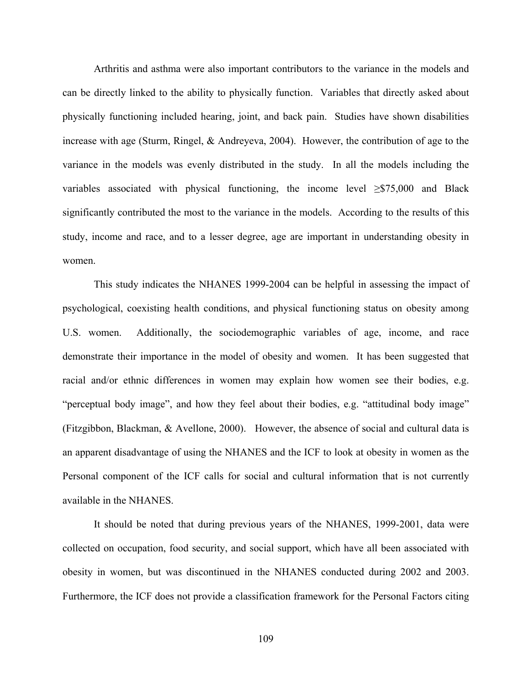Arthritis and asthma were also important contributors to the variance in the models and can be directly linked to the ability to physically function. Variables that directly asked about physically functioning included hearing, joint, and back pain. Studies have shown disabilities increase with age (Sturm, Ringel, & Andreyeva, 2004). However, the contribution of age to the variance in the models was evenly distributed in the study. In all the models including the variables associated with physical functioning, the income level  $\geq$ \$75,000 and Black significantly contributed the most to the variance in the models. According to the results of this study, income and race, and to a lesser degree, age are important in understanding obesity in women.

 This study indicates the NHANES 1999-2004 can be helpful in assessing the impact of psychological, coexisting health conditions, and physical functioning status on obesity among U.S. women. Additionally, the sociodemographic variables of age, income, and race demonstrate their importance in the model of obesity and women. It has been suggested that racial and/or ethnic differences in women may explain how women see their bodies, e.g. "perceptual body image", and how they feel about their bodies, e.g. "attitudinal body image" (Fitzgibbon, Blackman, & Avellone, 2000). However, the absence of social and cultural data is an apparent disadvantage of using the NHANES and the ICF to look at obesity in women as the Personal component of the ICF calls for social and cultural information that is not currently available in the NHANES.

It should be noted that during previous years of the NHANES, 1999-2001, data were collected on occupation, food security, and social support, which have all been associated with obesity in women, but was discontinued in the NHANES conducted during 2002 and 2003. Furthermore, the ICF does not provide a classification framework for the Personal Factors citing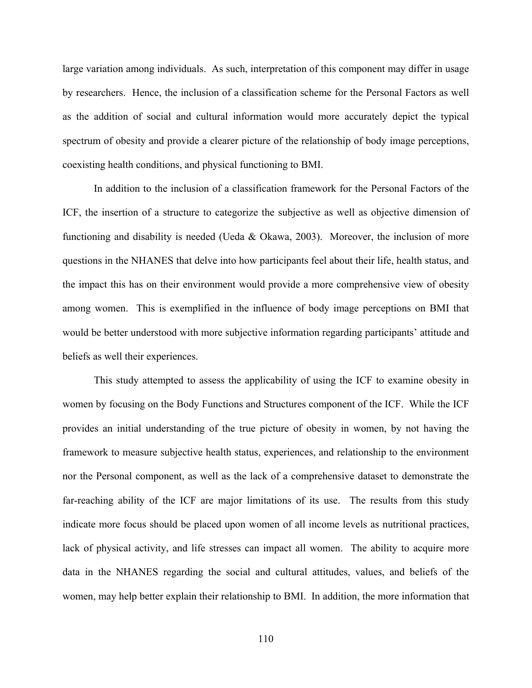large variation among individuals. As such, interpretation of this component may differ in usage by researchers. Hence, the inclusion of a classification scheme for the Personal Factors as well as the addition of social and cultural information would more accurately depict the typical spectrum of obesity and provide a clearer picture of the relationship of body image perceptions, coexisting health conditions, and physical functioning to BMI.

 In addition to the inclusion of a classification framework for the Personal Factors of the ICF, the insertion of a structure to categorize the subjective as well as objective dimension of functioning and disability is needed (Ueda & Okawa, 2003). Moreover, the inclusion of more questions in the NHANES that delve into how participants feel about their life, health status, and the impact this has on their environment would provide a more comprehensive view of obesity among women. This is exemplified in the influence of body image perceptions on BMI that would be better understood with more subjective information regarding participants' attitude and beliefs as well their experiences.

This study attempted to assess the applicability of using the ICF to examine obesity in women by focusing on the Body Functions and Structures component of the ICF. While the ICF provides an initial understanding of the true picture of obesity in women, by not having the framework to measure subjective health status, experiences, and relationship to the environment nor the Personal component, as well as the lack of a comprehensive dataset to demonstrate the far-reaching ability of the ICF are major limitations of its use. The results from this study indicate more focus should be placed upon women of all income levels as nutritional practices, lack of physical activity, and life stresses can impact all women. The ability to acquire more data in the NHANES regarding the social and cultural attitudes, values, and beliefs of the women, may help better explain their relationship to BMI. In addition, the more information that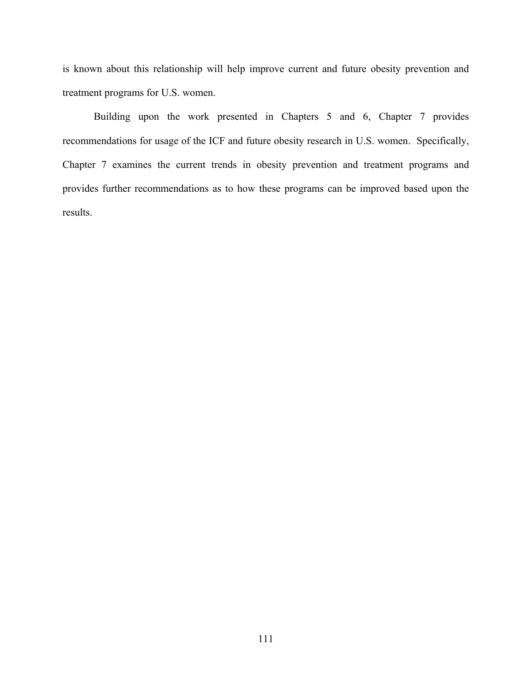is known about this relationship will help improve current and future obesity prevention and treatment programs for U.S. women.

 Building upon the work presented in Chapters 5 and 6, Chapter 7 provides recommendations for usage of the ICF and future obesity research in U.S. women. Specifically, Chapter 7 examines the current trends in obesity prevention and treatment programs and provides further recommendations as to how these programs can be improved based upon the results.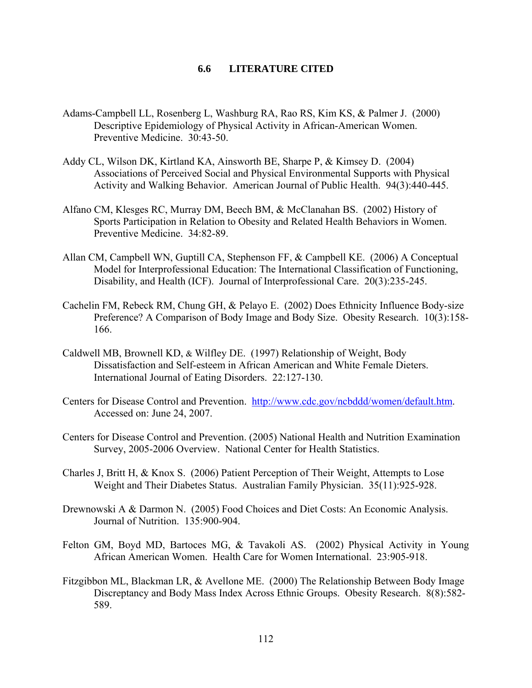#### **6.6 LITERATURE CITED**

- Adams-Campbell LL, Rosenberg L, Washburg RA, Rao RS, Kim KS, & Palmer J. (2000) Descriptive Epidemiology of Physical Activity in African-American Women. Preventive Medicine. 30:43-50.
- Addy CL, Wilson DK, Kirtland KA, Ainsworth BE, Sharpe P, & Kimsey D. (2004) Associations of Perceived Social and Physical Environmental Supports with Physical Activity and Walking Behavior. American Journal of Public Health. 94(3):440-445.
- Alfano CM, Klesges RC, Murray DM, Beech BM, & McClanahan BS. (2002) History of Sports Participation in Relation to Obesity and Related Health Behaviors in Women. Preventive Medicine. 34:82-89.
- Allan CM, Campbell WN, Guptill CA, Stephenson FF, & Campbell KE. (2006) A Conceptual Model for Interprofessional Education: The International Classification of Functioning, Disability, and Health (ICF). Journal of Interprofessional Care. 20(3):235-245.
- Cachelin FM, Rebeck RM, Chung GH, & Pelayo E. (2002) Does Ethnicity Influence Body-size Preference? A Comparison of Body Image and Body Size. Obesity Research. 10(3):158- 166.
- Caldwell MB, Brownell KD, & Wilfley DE. (1997) Relationship of Weight, Body Dissatisfaction and Self-esteem in African American and White Female Dieters. International Journal of Eating Disorders. 22:127-130.
- Centers for Disease Control and Prevention. [http://www.cdc.gov/ncbddd/women/default.htm.](http://www.cdc.gov/ncbddd/women/default.htm) Accessed on: June 24, 2007.
- Centers for Disease Control and Prevention. (2005) National Health and Nutrition Examination Survey, 2005-2006 Overview. National Center for Health Statistics.
- Charles J, Britt H, & Knox S. (2006) Patient Perception of Their Weight, Attempts to Lose Weight and Their Diabetes Status. Australian Family Physician. 35(11):925-928.
- Drewnowski A & Darmon N. (2005) Food Choices and Diet Costs: An Economic Analysis. Journal of Nutrition. 135:900-904.
- Felton GM, Boyd MD, Bartoces MG, & Tavakoli AS. (2002) Physical Activity in Young African American Women. Health Care for Women International. 23:905-918.
- Fitzgibbon ML, Blackman LR, & Avellone ME. (2000) The Relationship Between Body Image Discreptancy and Body Mass Index Across Ethnic Groups. Obesity Research. 8(8):582- 589.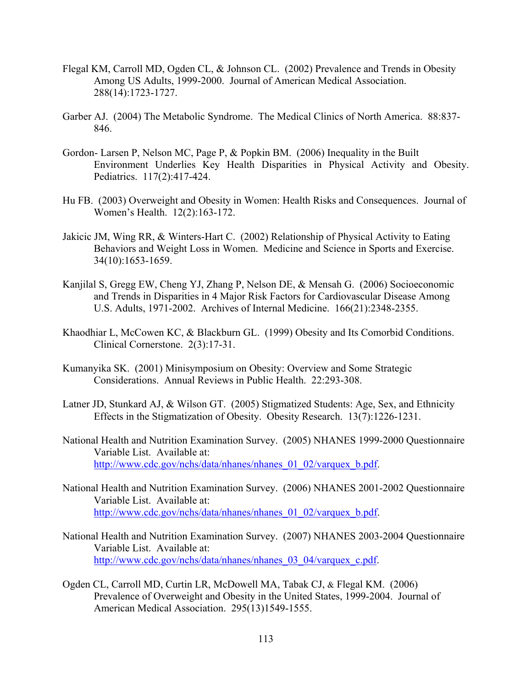- Flegal KM, Carroll MD, Ogden CL, & Johnson CL. (2002) Prevalence and Trends in Obesity Among US Adults, 1999-2000. Journal of American Medical Association. 288(14):1723-1727.
- Garber AJ. (2004) The Metabolic Syndrome. The Medical Clinics of North America. 88:837- 846.
- Gordon- Larsen P, Nelson MC, Page P, & Popkin BM. (2006) Inequality in the Built Environment Underlies Key Health Disparities in Physical Activity and Obesity. Pediatrics. 117(2):417-424.
- Hu FB. (2003) Overweight and Obesity in Women: Health Risks and Consequences. Journal of Women's Health. 12(2):163-172.
- Jakicic JM, Wing RR, & Winters-Hart C. (2002) Relationship of Physical Activity to Eating Behaviors and Weight Loss in Women. Medicine and Science in Sports and Exercise. 34(10):1653-1659.
- Kanjilal S, Gregg EW, Cheng YJ, Zhang P, Nelson DE, & Mensah G. (2006) Socioeconomic and Trends in Disparities in 4 Major Risk Factors for Cardiovascular Disease Among U.S. Adults, 1971-2002. Archives of Internal Medicine. 166(21):2348-2355.
- Khaodhiar L, McCowen KC, & Blackburn GL. (1999) Obesity and Its Comorbid Conditions. Clinical Cornerstone. 2(3):17-31.
- Kumanyika SK. (2001) Minisymposium on Obesity: Overview and Some Strategic Considerations. Annual Reviews in Public Health. 22:293-308.
- Latner JD, Stunkard AJ, & Wilson GT. (2005) Stigmatized Students: Age, Sex, and Ethnicity Effects in the Stigmatization of Obesity. Obesity Research. 13(7):1226-1231.
- National Health and Nutrition Examination Survey. (2005) NHANES 1999-2000 Questionnaire Variable List. Available at: [http://www.cdc.gov/nchs/data/nhanes/nhanes\\_01\\_02/varquex\\_b.pdf](http://www.cdc.gov/nchs/data/nhanes/nhanes_01_02/varquex_b.pdf).
- National Health and Nutrition Examination Survey. (2006) NHANES 2001-2002 Questionnaire Variable List. Available at: [http://www.cdc.gov/nchs/data/nhanes/nhanes\\_01\\_02/varquex\\_b.pdf](http://www.cdc.gov/nchs/data/nhanes/nhanes_01_02/varquex_b.pdf).
- National Health and Nutrition Examination Survey. (2007) NHANES 2003-2004 Questionnaire Variable List. Available at: [http://www.cdc.gov/nchs/data/nhanes/nhanes\\_03\\_04/varquex\\_c.pdf.](http://www.cdc.gov/nchs/data/nhanes/nhanes_03_04/varquex_c.pdf)
- Ogden CL, Carroll MD, Curtin LR, McDowell MA, Tabak CJ, & Flegal KM. (2006) Prevalence of Overweight and Obesity in the United States, 1999-2004. Journal of American Medical Association. 295(13)1549-1555.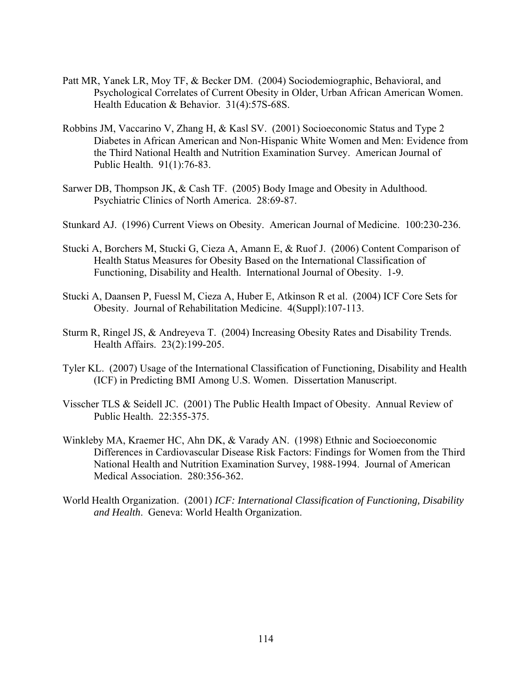- Patt MR, Yanek LR, Moy TF, & Becker DM. (2004) Sociodemiographic, Behavioral, and Psychological Correlates of Current Obesity in Older, Urban African American Women. Health Education & Behavior. 31(4):57S-68S.
- Robbins JM, Vaccarino V, Zhang H, & Kasl SV. (2001) Socioeconomic Status and Type 2 Diabetes in African American and Non-Hispanic White Women and Men: Evidence from the Third National Health and Nutrition Examination Survey. American Journal of Public Health. 91(1):76-83.
- Sarwer DB, Thompson JK, & Cash TF. (2005) Body Image and Obesity in Adulthood. Psychiatric Clinics of North America. 28:69-87.
- Stunkard AJ. (1996) Current Views on Obesity. American Journal of Medicine. 100:230-236.
- Stucki A, Borchers M, Stucki G, Cieza A, Amann E, & Ruof J. (2006) Content Comparison of Health Status Measures for Obesity Based on the International Classification of Functioning, Disability and Health. International Journal of Obesity. 1-9.
- Stucki A, Daansen P, Fuessl M, Cieza A, Huber E, Atkinson R et al. (2004) ICF Core Sets for Obesity. Journal of Rehabilitation Medicine. 4(Suppl):107-113.
- Sturm R, Ringel JS, & Andreyeva T. (2004) Increasing Obesity Rates and Disability Trends. Health Affairs. 23(2):199-205.
- Tyler KL. (2007) Usage of the International Classification of Functioning, Disability and Health (ICF) in Predicting BMI Among U.S. Women. Dissertation Manuscript.
- Visscher TLS & Seidell JC. (2001) The Public Health Impact of Obesity. Annual Review of Public Health. 22:355-375.
- Winkleby MA, Kraemer HC, Ahn DK, & Varady AN. (1998) Ethnic and Socioeconomic Differences in Cardiovascular Disease Risk Factors: Findings for Women from the Third National Health and Nutrition Examination Survey, 1988-1994. Journal of American Medical Association. 280:356-362.
- World Health Organization. (2001) *ICF: International Classification of Functioning, Disability and Health*. Geneva: World Health Organization.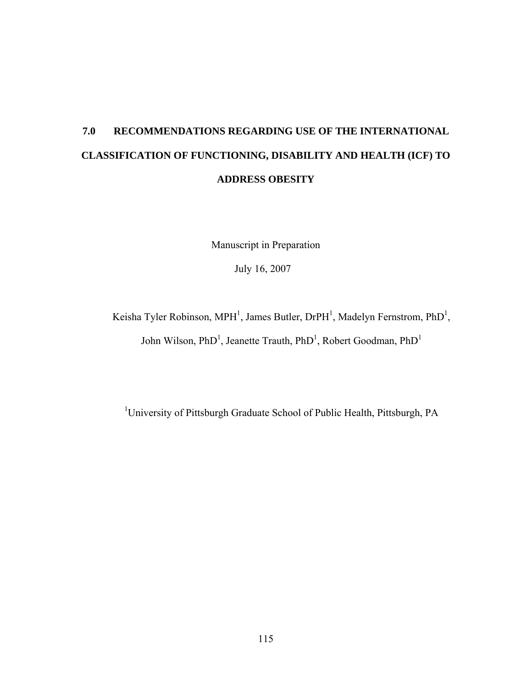# **7.0 RECOMMENDATIONS REGARDING USE OF THE INTERNATIONAL CLASSIFICATION OF FUNCTIONING, DISABILITY AND HEALTH (ICF) TO ADDRESS OBESITY**

Manuscript in Preparation

July 16, 2007

Keisha Tyler Robinson, MPH<sup>1</sup>, James Butler, DrPH<sup>1</sup>, Madelyn Fernstrom, PhD<sup>1</sup>, John Wilson, PhD<sup>1</sup>, Jeanette Trauth, PhD<sup>1</sup>, Robert Goodman, PhD<sup>1</sup>

<sup>1</sup>University of Pittsburgh Graduate School of Public Health, Pittsburgh, PA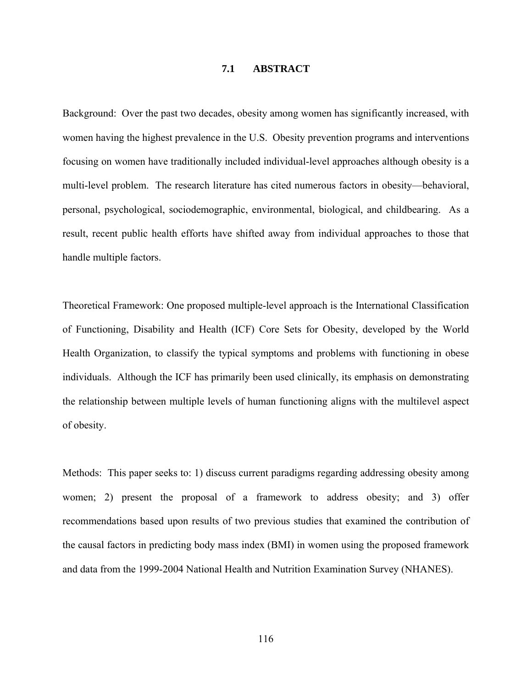#### **7.1 ABSTRACT**

Background: Over the past two decades, obesity among women has significantly increased, with women having the highest prevalence in the U.S. Obesity prevention programs and interventions focusing on women have traditionally included individual-level approaches although obesity is a multi-level problem. The research literature has cited numerous factors in obesity—behavioral, personal, psychological, sociodemographic, environmental, biological, and childbearing. As a result, recent public health efforts have shifted away from individual approaches to those that handle multiple factors.

Theoretical Framework: One proposed multiple-level approach is the International Classification of Functioning, Disability and Health (ICF) Core Sets for Obesity, developed by the World Health Organization, to classify the typical symptoms and problems with functioning in obese individuals. Although the ICF has primarily been used clinically, its emphasis on demonstrating the relationship between multiple levels of human functioning aligns with the multilevel aspect of obesity.

Methods: This paper seeks to: 1) discuss current paradigms regarding addressing obesity among women; 2) present the proposal of a framework to address obesity; and 3) offer recommendations based upon results of two previous studies that examined the contribution of the causal factors in predicting body mass index (BMI) in women using the proposed framework and data from the 1999-2004 National Health and Nutrition Examination Survey (NHANES).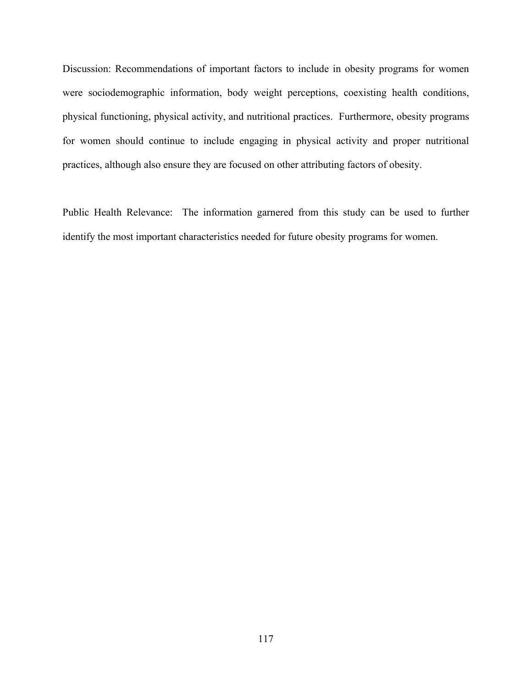Discussion: Recommendations of important factors to include in obesity programs for women were sociodemographic information, body weight perceptions, coexisting health conditions, physical functioning, physical activity, and nutritional practices. Furthermore, obesity programs for women should continue to include engaging in physical activity and proper nutritional practices, although also ensure they are focused on other attributing factors of obesity.

Public Health Relevance: The information garnered from this study can be used to further identify the most important characteristics needed for future obesity programs for women.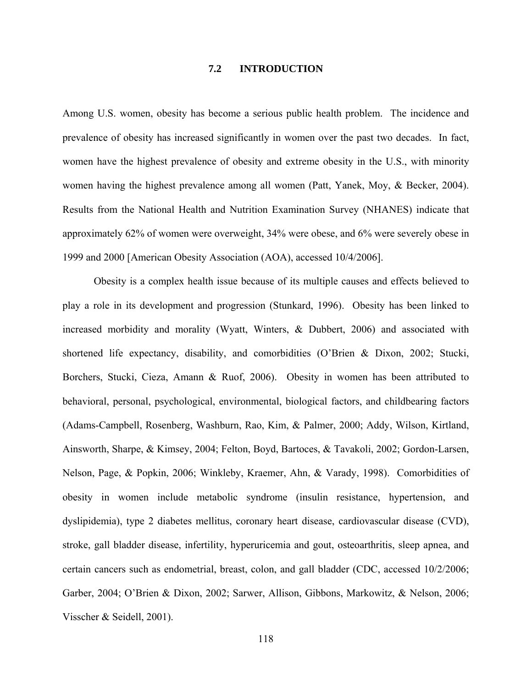#### **7.2 INTRODUCTION**

Among U.S. women, obesity has become a serious public health problem. The incidence and prevalence of obesity has increased significantly in women over the past two decades. In fact, women have the highest prevalence of obesity and extreme obesity in the U.S., with minority women having the highest prevalence among all women (Patt, Yanek, Moy, & Becker, 2004). Results from the National Health and Nutrition Examination Survey (NHANES) indicate that approximately 62% of women were overweight, 34% were obese, and 6% were severely obese in 1999 and 2000 [American Obesity Association (AOA), accessed 10/4/2006].

 Obesity is a complex health issue because of its multiple causes and effects believed to play a role in its development and progression (Stunkard, 1996). Obesity has been linked to increased morbidity and morality (Wyatt, Winters, & Dubbert, 2006) and associated with shortened life expectancy, disability, and comorbidities (O'Brien & Dixon, 2002; Stucki, Borchers, Stucki, Cieza, Amann & Ruof, 2006). Obesity in women has been attributed to behavioral, personal, psychological, environmental, biological factors, and childbearing factors (Adams-Campbell, Rosenberg, Washburn, Rao, Kim, & Palmer, 2000; Addy, Wilson, Kirtland, Ainsworth, Sharpe, & Kimsey, 2004; Felton, Boyd, Bartoces, & Tavakoli, 2002; Gordon-Larsen, Nelson, Page, & Popkin, 2006; Winkleby, Kraemer, Ahn, & Varady, 1998). Comorbidities of obesity in women include metabolic syndrome (insulin resistance, hypertension, and dyslipidemia), type 2 diabetes mellitus, coronary heart disease, cardiovascular disease (CVD), stroke, gall bladder disease, infertility, hyperuricemia and gout, osteoarthritis, sleep apnea, and certain cancers such as endometrial, breast, colon, and gall bladder (CDC, accessed 10/2/2006; Garber, 2004; O'Brien & Dixon, 2002; Sarwer, Allison, Gibbons, Markowitz, & Nelson, 2006; Visscher & Seidell, 2001).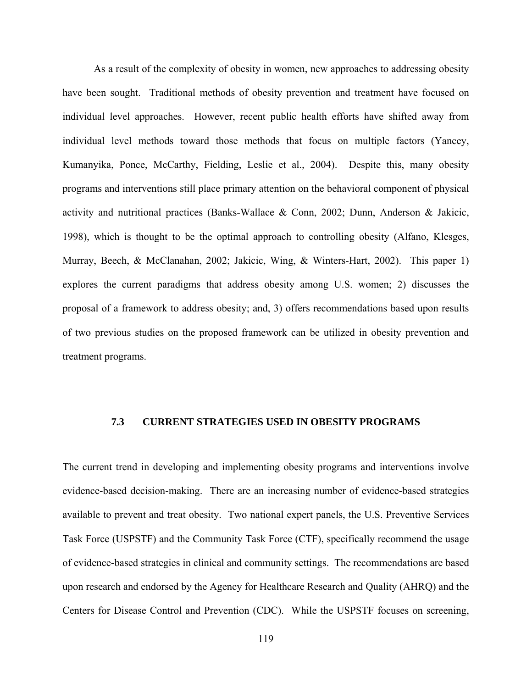As a result of the complexity of obesity in women, new approaches to addressing obesity have been sought. Traditional methods of obesity prevention and treatment have focused on individual level approaches. However, recent public health efforts have shifted away from individual level methods toward those methods that focus on multiple factors (Yancey, Kumanyika, Ponce, McCarthy, Fielding, Leslie et al., 2004). Despite this, many obesity programs and interventions still place primary attention on the behavioral component of physical activity and nutritional practices (Banks-Wallace & Conn, 2002; Dunn, Anderson & Jakicic, 1998), which is thought to be the optimal approach to controlling obesity (Alfano, Klesges, Murray, Beech, & McClanahan, 2002; Jakicic, Wing, & Winters-Hart, 2002). This paper 1) explores the current paradigms that address obesity among U.S. women; 2) discusses the proposal of a framework to address obesity; and, 3) offers recommendations based upon results of two previous studies on the proposed framework can be utilized in obesity prevention and treatment programs.

#### **7.3 CURRENT STRATEGIES USED IN OBESITY PROGRAMS**

The current trend in developing and implementing obesity programs and interventions involve evidence-based decision-making. There are an increasing number of evidence-based strategies available to prevent and treat obesity. Two national expert panels, the U.S. Preventive Services Task Force (USPSTF) and the Community Task Force (CTF), specifically recommend the usage of evidence-based strategies in clinical and community settings. The recommendations are based upon research and endorsed by the Agency for Healthcare Research and Quality (AHRQ) and the Centers for Disease Control and Prevention (CDC). While the USPSTF focuses on screening,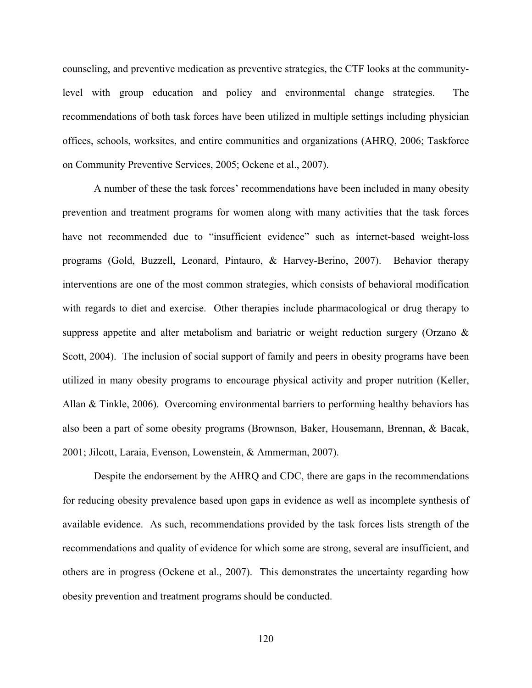counseling, and preventive medication as preventive strategies, the CTF looks at the communitylevel with group education and policy and environmental change strategies. The recommendations of both task forces have been utilized in multiple settings including physician offices, schools, worksites, and entire communities and organizations (AHRQ, 2006; Taskforce on Community Preventive Services, 2005; Ockene et al., 2007).

A number of these the task forces' recommendations have been included in many obesity prevention and treatment programs for women along with many activities that the task forces have not recommended due to "insufficient evidence" such as internet-based weight-loss programs (Gold, Buzzell, Leonard, Pintauro, & Harvey-Berino, 2007). Behavior therapy interventions are one of the most common strategies, which consists of behavioral modification with regards to diet and exercise. Other therapies include pharmacological or drug therapy to suppress appetite and alter metabolism and bariatric or weight reduction surgery (Orzano & Scott, 2004). The inclusion of social support of family and peers in obesity programs have been utilized in many obesity programs to encourage physical activity and proper nutrition (Keller, Allan & Tinkle, 2006). Overcoming environmental barriers to performing healthy behaviors has also been a part of some obesity programs (Brownson, Baker, Housemann, Brennan, & Bacak, 2001; Jilcott, Laraia, Evenson, Lowenstein, & Ammerman, 2007).

 Despite the endorsement by the AHRQ and CDC, there are gaps in the recommendations for reducing obesity prevalence based upon gaps in evidence as well as incomplete synthesis of available evidence. As such, recommendations provided by the task forces lists strength of the recommendations and quality of evidence for which some are strong, several are insufficient, and others are in progress (Ockene et al., 2007). This demonstrates the uncertainty regarding how obesity prevention and treatment programs should be conducted.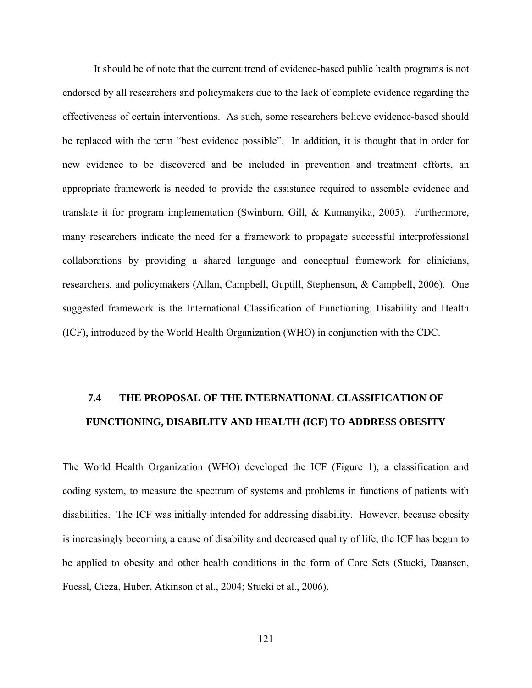It should be of note that the current trend of evidence-based public health programs is not endorsed by all researchers and policymakers due to the lack of complete evidence regarding the effectiveness of certain interventions. As such, some researchers believe evidence-based should be replaced with the term "best evidence possible". In addition, it is thought that in order for new evidence to be discovered and be included in prevention and treatment efforts, an appropriate framework is needed to provide the assistance required to assemble evidence and translate it for program implementation (Swinburn, Gill, & Kumanyika, 2005). Furthermore, many researchers indicate the need for a framework to propagate successful interprofessional collaborations by providing a shared language and conceptual framework for clinicians, researchers, and policymakers (Allan, Campbell, Guptill, Stephenson, & Campbell, 2006). One suggested framework is the International Classification of Functioning, Disability and Health (ICF), introduced by the World Health Organization (WHO) in conjunction with the CDC.

## **7.4 THE PROPOSAL OF THE INTERNATIONAL CLASSIFICATION OF FUNCTIONING, DISABILITY AND HEALTH (ICF) TO ADDRESS OBESITY**

The World Health Organization (WHO) developed the ICF (Figure 1), a classification and coding system, to measure the spectrum of systems and problems in functions of patients with disabilities. The ICF was initially intended for addressing disability. However, because obesity is increasingly becoming a cause of disability and decreased quality of life, the ICF has begun to be applied to obesity and other health conditions in the form of Core Sets (Stucki, Daansen, Fuessl, Cieza, Huber, Atkinson et al., 2004; Stucki et al., 2006).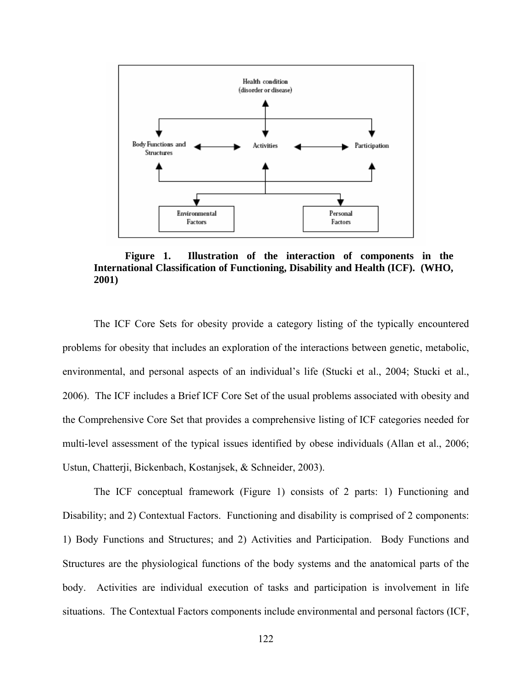

**Figure 1. Illustration of the interaction of components in the International Classification of Functioning, Disability and Health (ICF). (WHO, 2001)** 

The ICF Core Sets for obesity provide a category listing of the typically encountered problems for obesity that includes an exploration of the interactions between genetic, metabolic, environmental, and personal aspects of an individual's life (Stucki et al., 2004; Stucki et al., 2006). The ICF includes a Brief ICF Core Set of the usual problems associated with obesity and the Comprehensive Core Set that provides a comprehensive listing of ICF categories needed for multi-level assessment of the typical issues identified by obese individuals (Allan et al., 2006; Ustun, Chatterji, Bickenbach, Kostanjsek, & Schneider, 2003).

 The ICF conceptual framework (Figure 1) consists of 2 parts: 1) Functioning and Disability; and 2) Contextual Factors. Functioning and disability is comprised of 2 components: 1) Body Functions and Structures; and 2) Activities and Participation. Body Functions and Structures are the physiological functions of the body systems and the anatomical parts of the body. Activities are individual execution of tasks and participation is involvement in life situations. The Contextual Factors components include environmental and personal factors (ICF,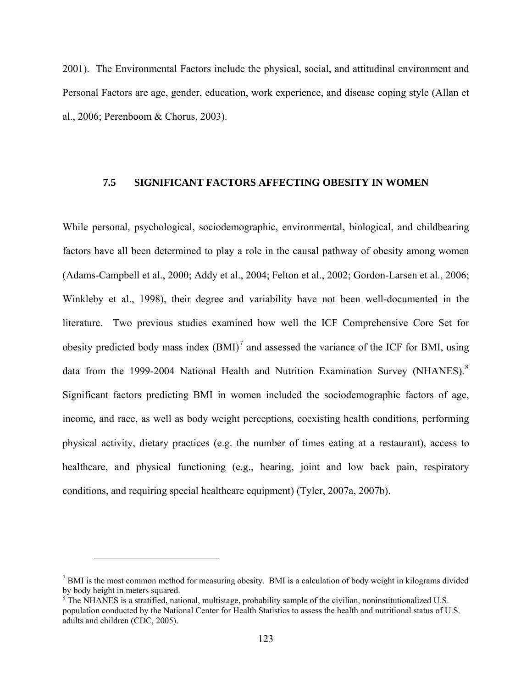2001). The Environmental Factors include the physical, social, and attitudinal environment and Personal Factors are age, gender, education, work experience, and disease coping style (Allan et al., 2006; Perenboom & Chorus, 2003).

#### **7.5 SIGNIFICANT FACTORS AFFECTING OBESITY IN WOMEN**

While personal, psychological, sociodemographic, environmental, biological, and childbearing factors have all been determined to play a role in the causal pathway of obesity among women (Adams-Campbell et al., 2000; Addy et al., 2004; Felton et al., 2002; Gordon-Larsen et al., 2006; Winkleby et al., 1998), their degree and variability have not been well-documented in the literature. Two previous studies examined how well the ICF Comprehensive Core Set for obesity predicted body mass index  $(BMI)^7$  $(BMI)^7$  and assessed the variance of the ICF for BMI, using data from the 1999-2004 National Health and Nutrition Examination Survey (NHANES).<sup>[8](#page-137-1)</sup> Significant factors predicting BMI in women included the sociodemographic factors of age, income, and race, as well as body weight perceptions, coexisting health conditions, performing physical activity, dietary practices (e.g. the number of times eating at a restaurant), access to healthcare, and physical functioning (e.g., hearing, joint and low back pain, respiratory conditions, and requiring special healthcare equipment) (Tyler, 2007a, 2007b).

1

<span id="page-137-0"></span> $<sup>7</sup>$  BMI is the most common method for measuring obesity. BMI is a calculation of body weight in kilograms divided</sup> by body height in meters squared.

<span id="page-137-1"></span><sup>&</sup>lt;sup>8</sup> The NHANES is a stratified, national, multistage, probability sample of the civilian, noninstitutionalized U.S. population conducted by the National Center for Health Statistics to assess the health and nutritional status of U.S. adults and children (CDC, 2005).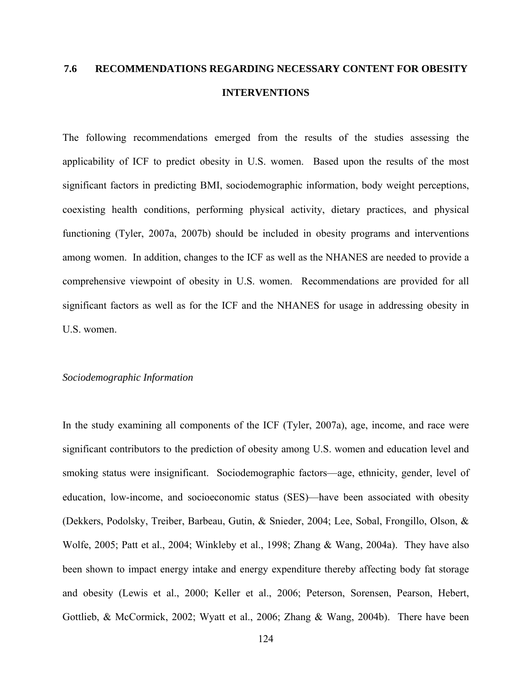## **7.6 RECOMMENDATIONS REGARDING NECESSARY CONTENT FOR OBESITY INTERVENTIONS**

The following recommendations emerged from the results of the studies assessing the applicability of ICF to predict obesity in U.S. women. Based upon the results of the most significant factors in predicting BMI, sociodemographic information, body weight perceptions, coexisting health conditions, performing physical activity, dietary practices, and physical functioning (Tyler, 2007a, 2007b) should be included in obesity programs and interventions among women. In addition, changes to the ICF as well as the NHANES are needed to provide a comprehensive viewpoint of obesity in U.S. women. Recommendations are provided for all significant factors as well as for the ICF and the NHANES for usage in addressing obesity in U.S. women.

#### *Sociodemographic Information*

In the study examining all components of the ICF (Tyler, 2007a), age, income, and race were significant contributors to the prediction of obesity among U.S. women and education level and smoking status were insignificant. Sociodemographic factors—age, ethnicity, gender, level of education, low-income, and socioeconomic status (SES)—have been associated with obesity (Dekkers, Podolsky, Treiber, Barbeau, Gutin, & Snieder, 2004; Lee, Sobal, Frongillo, Olson, & Wolfe, 2005; Patt et al., 2004; Winkleby et al., 1998; Zhang & Wang, 2004a). They have also been shown to impact energy intake and energy expenditure thereby affecting body fat storage and obesity (Lewis et al., 2000; Keller et al., 2006; Peterson, Sorensen, Pearson, Hebert, Gottlieb, & McCormick, 2002; Wyatt et al., 2006; Zhang & Wang, 2004b). There have been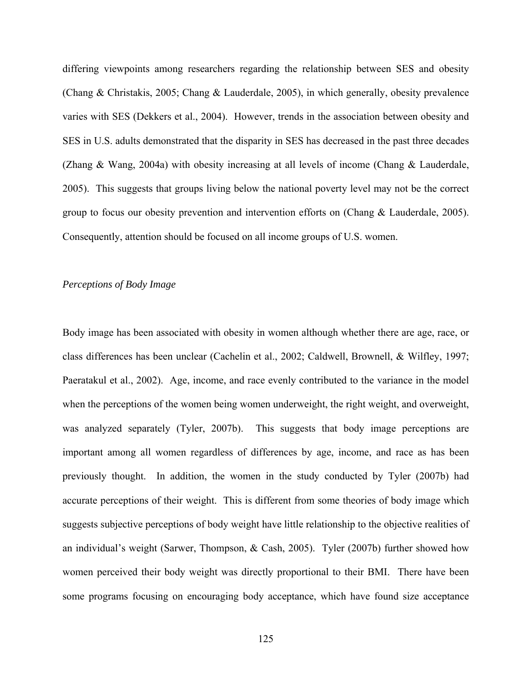differing viewpoints among researchers regarding the relationship between SES and obesity (Chang & Christakis, 2005; Chang & Lauderdale, 2005), in which generally, obesity prevalence varies with SES (Dekkers et al., 2004). However, trends in the association between obesity and SES in U.S. adults demonstrated that the disparity in SES has decreased in the past three decades (Zhang & Wang, 2004a) with obesity increasing at all levels of income (Chang & Lauderdale, 2005). This suggests that groups living below the national poverty level may not be the correct group to focus our obesity prevention and intervention efforts on (Chang & Lauderdale, 2005). Consequently, attention should be focused on all income groups of U.S. women.

#### *Perceptions of Body Image*

Body image has been associated with obesity in women although whether there are age, race, or class differences has been unclear (Cachelin et al., 2002; Caldwell, Brownell, & Wilfley, 1997; Paeratakul et al., 2002). Age, income, and race evenly contributed to the variance in the model when the perceptions of the women being women underweight, the right weight, and overweight, was analyzed separately (Tyler, 2007b). This suggests that body image perceptions are important among all women regardless of differences by age, income, and race as has been previously thought. In addition, the women in the study conducted by Tyler (2007b) had accurate perceptions of their weight. This is different from some theories of body image which suggests subjective perceptions of body weight have little relationship to the objective realities of an individual's weight (Sarwer, Thompson, & Cash, 2005). Tyler (2007b) further showed how women perceived their body weight was directly proportional to their BMI. There have been some programs focusing on encouraging body acceptance, which have found size acceptance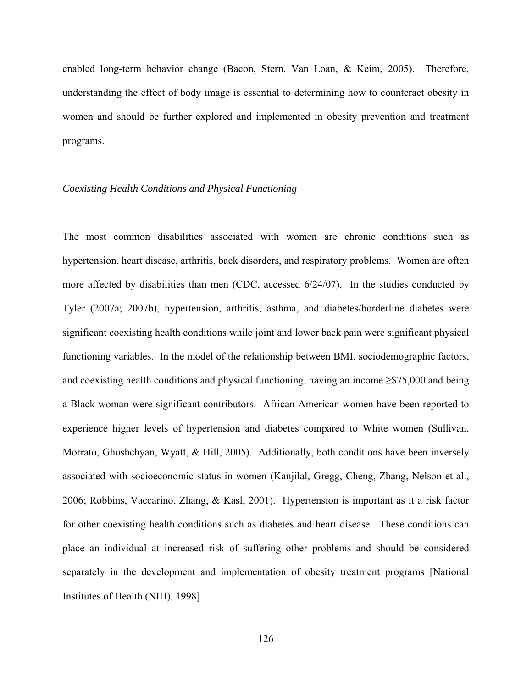enabled long-term behavior change (Bacon, Stern, Van Loan, & Keim, 2005). Therefore, understanding the effect of body image is essential to determining how to counteract obesity in women and should be further explored and implemented in obesity prevention and treatment programs.

#### *Coexisting Health Conditions and Physical Functioning*

The most common disabilities associated with women are chronic conditions such as hypertension, heart disease, arthritis, back disorders, and respiratory problems. Women are often more affected by disabilities than men (CDC, accessed 6/24/07). In the studies conducted by Tyler (2007a; 2007b), hypertension, arthritis, asthma, and diabetes/borderline diabetes were significant coexisting health conditions while joint and lower back pain were significant physical functioning variables. In the model of the relationship between BMI, sociodemographic factors, and coexisting health conditions and physical functioning, having an income  $\geq$ \$75,000 and being a Black woman were significant contributors. African American women have been reported to experience higher levels of hypertension and diabetes compared to White women (Sullivan, Morrato, Ghushchyan, Wyatt, & Hill, 2005). Additionally, both conditions have been inversely associated with socioeconomic status in women (Kanjilal, Gregg, Cheng, Zhang, Nelson et al., 2006; Robbins, Vaccarino, Zhang, & Kasl, 2001). Hypertension is important as it a risk factor for other coexisting health conditions such as diabetes and heart disease. These conditions can place an individual at increased risk of suffering other problems and should be considered separately in the development and implementation of obesity treatment programs [National Institutes of Health (NIH), 1998].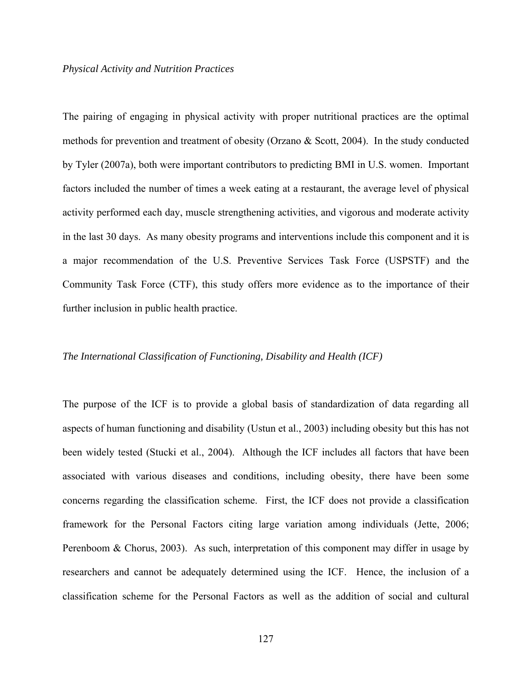#### *Physical Activity and Nutrition Practices*

The pairing of engaging in physical activity with proper nutritional practices are the optimal methods for prevention and treatment of obesity (Orzano & Scott, 2004). In the study conducted by Tyler (2007a), both were important contributors to predicting BMI in U.S. women. Important factors included the number of times a week eating at a restaurant, the average level of physical activity performed each day, muscle strengthening activities, and vigorous and moderate activity in the last 30 days. As many obesity programs and interventions include this component and it is a major recommendation of the U.S. Preventive Services Task Force (USPSTF) and the Community Task Force (CTF), this study offers more evidence as to the importance of their further inclusion in public health practice.

#### *The International Classification of Functioning, Disability and Health (ICF)*

The purpose of the ICF is to provide a global basis of standardization of data regarding all aspects of human functioning and disability (Ustun et al., 2003) including obesity but this has not been widely tested (Stucki et al., 2004). Although the ICF includes all factors that have been associated with various diseases and conditions, including obesity, there have been some concerns regarding the classification scheme. First, the ICF does not provide a classification framework for the Personal Factors citing large variation among individuals (Jette, 2006; Perenboom & Chorus, 2003). As such, interpretation of this component may differ in usage by researchers and cannot be adequately determined using the ICF. Hence, the inclusion of a classification scheme for the Personal Factors as well as the addition of social and cultural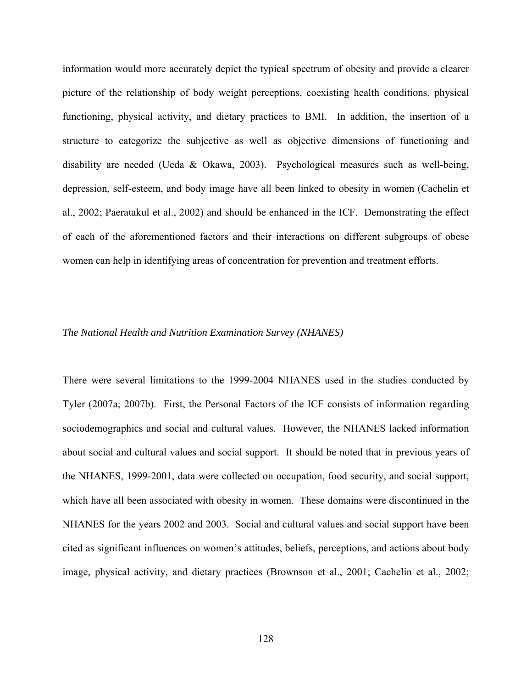information would more accurately depict the typical spectrum of obesity and provide a clearer picture of the relationship of body weight perceptions, coexisting health conditions, physical functioning, physical activity, and dietary practices to BMI. In addition, the insertion of a structure to categorize the subjective as well as objective dimensions of functioning and disability are needed (Ueda & Okawa, 2003). Psychological measures such as well-being, depression, self-esteem, and body image have all been linked to obesity in women (Cachelin et al., 2002; Paeratakul et al., 2002) and should be enhanced in the ICF. Demonstrating the effect of each of the aforementioned factors and their interactions on different subgroups of obese women can help in identifying areas of concentration for prevention and treatment efforts.

#### *The National Health and Nutrition Examination Survey (NHANES)*

There were several limitations to the 1999-2004 NHANES used in the studies conducted by Tyler (2007a; 2007b). First, the Personal Factors of the ICF consists of information regarding sociodemographics and social and cultural values. However, the NHANES lacked information about social and cultural values and social support. It should be noted that in previous years of the NHANES, 1999-2001, data were collected on occupation, food security, and social support, which have all been associated with obesity in women. These domains were discontinued in the NHANES for the years 2002 and 2003. Social and cultural values and social support have been cited as significant influences on women's attitudes, beliefs, perceptions, and actions about body image, physical activity, and dietary practices (Brownson et al., 2001; Cachelin et al., 2002;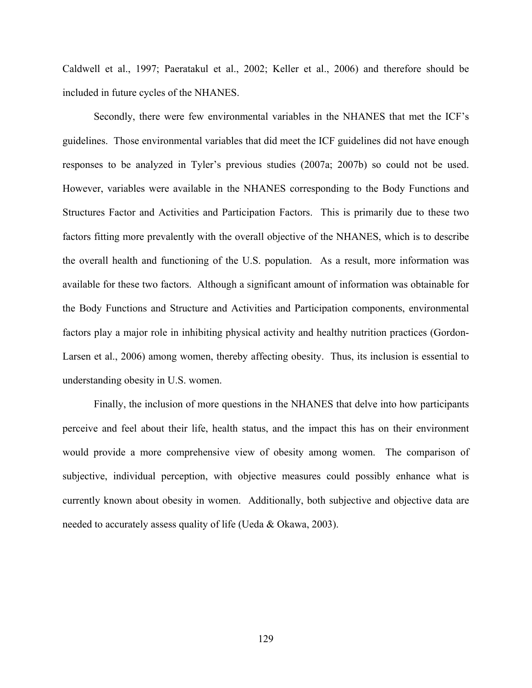Caldwell et al., 1997; Paeratakul et al., 2002; Keller et al., 2006) and therefore should be included in future cycles of the NHANES.

 Secondly, there were few environmental variables in the NHANES that met the ICF's guidelines. Those environmental variables that did meet the ICF guidelines did not have enough responses to be analyzed in Tyler's previous studies (2007a; 2007b) so could not be used. However, variables were available in the NHANES corresponding to the Body Functions and Structures Factor and Activities and Participation Factors. This is primarily due to these two factors fitting more prevalently with the overall objective of the NHANES, which is to describe the overall health and functioning of the U.S. population. As a result, more information was available for these two factors. Although a significant amount of information was obtainable for the Body Functions and Structure and Activities and Participation components, environmental factors play a major role in inhibiting physical activity and healthy nutrition practices (Gordon-Larsen et al., 2006) among women, thereby affecting obesity. Thus, its inclusion is essential to understanding obesity in U.S. women.

Finally, the inclusion of more questions in the NHANES that delve into how participants perceive and feel about their life, health status, and the impact this has on their environment would provide a more comprehensive view of obesity among women. The comparison of subjective, individual perception, with objective measures could possibly enhance what is currently known about obesity in women. Additionally, both subjective and objective data are needed to accurately assess quality of life (Ueda & Okawa, 2003).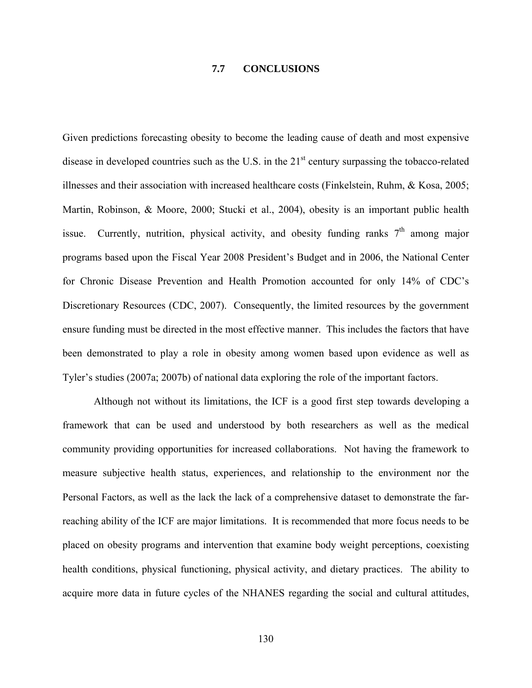### **7.7 CONCLUSIONS**

Given predictions forecasting obesity to become the leading cause of death and most expensive disease in developed countries such as the U.S. in the 21<sup>st</sup> century surpassing the tobacco-related illnesses and their association with increased healthcare costs (Finkelstein, Ruhm, & Kosa, 2005; Martin, Robinson, & Moore, 2000; Stucki et al., 2004), obesity is an important public health issue. Currently, nutrition, physical activity, and obesity funding ranks  $7<sup>th</sup>$  among major programs based upon the Fiscal Year 2008 President's Budget and in 2006, the National Center for Chronic Disease Prevention and Health Promotion accounted for only 14% of CDC's Discretionary Resources (CDC, 2007). Consequently, the limited resources by the government ensure funding must be directed in the most effective manner. This includes the factors that have been demonstrated to play a role in obesity among women based upon evidence as well as Tyler's studies (2007a; 2007b) of national data exploring the role of the important factors.

Although not without its limitations, the ICF is a good first step towards developing a framework that can be used and understood by both researchers as well as the medical community providing opportunities for increased collaborations. Not having the framework to measure subjective health status, experiences, and relationship to the environment nor the Personal Factors, as well as the lack the lack of a comprehensive dataset to demonstrate the farreaching ability of the ICF are major limitations. It is recommended that more focus needs to be placed on obesity programs and intervention that examine body weight perceptions, coexisting health conditions, physical functioning, physical activity, and dietary practices. The ability to acquire more data in future cycles of the NHANES regarding the social and cultural attitudes,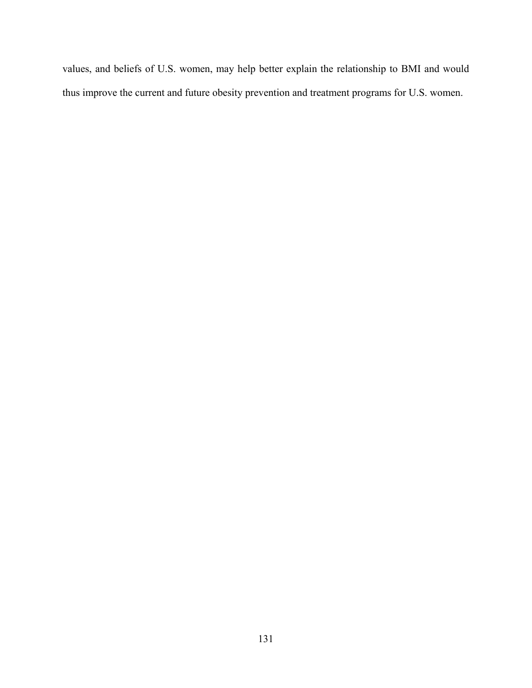values, and beliefs of U.S. women, may help better explain the relationship to BMI and would thus improve the current and future obesity prevention and treatment programs for U.S. women.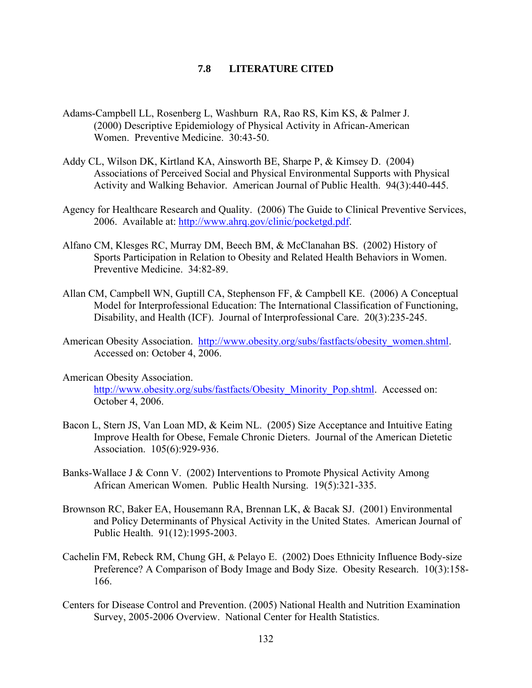# **7.8 LITERATURE CITED**

- Adams-Campbell LL, Rosenberg L, Washburn RA, Rao RS, Kim KS, & Palmer J. (2000) Descriptive Epidemiology of Physical Activity in African-American Women. Preventive Medicine. 30:43-50.
- Addy CL, Wilson DK, Kirtland KA, Ainsworth BE, Sharpe P, & Kimsey D. (2004) Associations of Perceived Social and Physical Environmental Supports with Physical Activity and Walking Behavior. American Journal of Public Health. 94(3):440-445.
- Agency for Healthcare Research and Quality. (2006) The Guide to Clinical Preventive Services, 2006. Available at: [http://www.ahrq.gov/clinic/pocketgd.pdf.](http://www.ahrq.gov/clinic/pocketgd.pdf)
- Alfano CM, Klesges RC, Murray DM, Beech BM, & McClanahan BS. (2002) History of Sports Participation in Relation to Obesity and Related Health Behaviors in Women. Preventive Medicine. 34:82-89.
- Allan CM, Campbell WN, Guptill CA, Stephenson FF, & Campbell KE. (2006) A Conceptual Model for Interprofessional Education: The International Classification of Functioning, Disability, and Health (ICF). Journal of Interprofessional Care. 20(3):235-245.
- American Obesity Association. [http://www.obesity.org/subs/fastfacts/obesity\\_women.shtml.](http://www.obesity.org/subs/fastfacts/obesity_women.shtml) Accessed on: October 4, 2006.
- American Obesity Association. [http://www.obesity.org/subs/fastfacts/Obesity\\_Minority\\_Pop.shtml.](http://www.obesity.org/subs/fastfacts/Obesity_Minority_Pop.shtml) Accessed on: October 4, 2006.
- Bacon L, Stern JS, Van Loan MD, & Keim NL. (2005) Size Acceptance and Intuitive Eating Improve Health for Obese, Female Chronic Dieters. Journal of the American Dietetic Association. 105(6):929-936.
- Banks-Wallace J & Conn V. (2002) Interventions to Promote Physical Activity Among African American Women. Public Health Nursing. 19(5):321-335.
- Brownson RC, Baker EA, Housemann RA, Brennan LK, & Bacak SJ. (2001) Environmental and Policy Determinants of Physical Activity in the United States. American Journal of Public Health. 91(12):1995-2003.
- Cachelin FM, Rebeck RM, Chung GH, & Pelayo E. (2002) Does Ethnicity Influence Body-size Preference? A Comparison of Body Image and Body Size. Obesity Research. 10(3):158- 166.
- Centers for Disease Control and Prevention. (2005) National Health and Nutrition Examination Survey, 2005-2006 Overview. National Center for Health Statistics.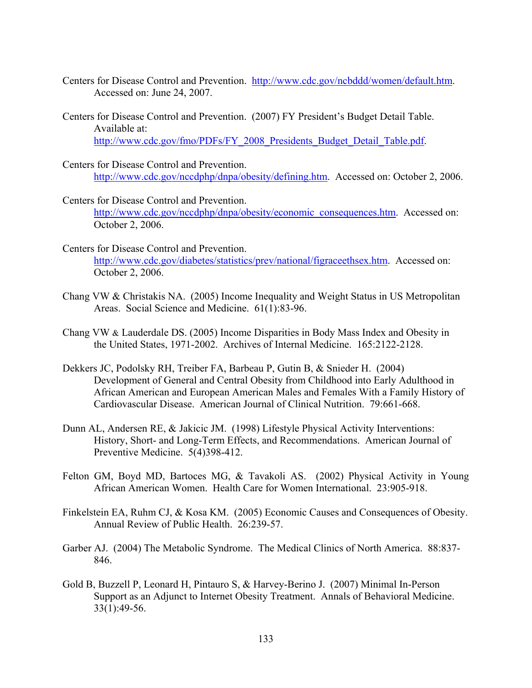- Centers for Disease Control and Prevention. [http://www.cdc.gov/ncbddd/women/default.htm.](http://www.cdc.gov/ncbddd/women/default.htm) Accessed on: June 24, 2007.
- Centers for Disease Control and Prevention. (2007) FY President's Budget Detail Table. Available at: [http://www.cdc.gov/fmo/PDFs/FY\\_2008\\_Presidents\\_Budget\\_Detail\\_Table.pdf](http://www.cdc.gov/fmo/PDFs/FY_2008_Presidents_Budget_Detail_Table.pdf).
- Centers for Disease Control and Prevention. [http://www.cdc.gov/nccdphp/dnpa/obesity/defining.htm.](http://www.cdc.gov/nccdphp/dnpa/obesity/defining.htm) Accessed on: October 2, 2006.
- Centers for Disease Control and Prevention. [http://www.cdc.gov/nccdphp/dnpa/obesity/economic\\_consequences.htm.](http://www.cdc.gov/nccdphp/dnpa/obesity/economic_consequences.htm) Accessed on: October 2, 2006.
- Centers for Disease Control and Prevention. <http://www.cdc.gov/diabetes/statistics/prev/national/figraceethsex.htm>. Accessed on: October 2, 2006.
- [Chang VW & Christakis NA.](http://www.ncbi.nlm.nih.gov/entrez/query.fcgi?db=pubmed&cmd=Retrieve&dopt=AbstractPlus&list_uids=15847964&query_hl=11&itool=pubmed_docsum) (2005) Income Inequality and Weight Status in US Metropolitan Areas. Social Science and Medicine. 61(1):83-96.
- Chang VW & Lauderdale DS. (2005) Income Disparities in Body Mass Index and Obesity in the United States, 1971-2002. Archives of Internal Medicine. 165:2122-2128.
- Dekkers JC, Podolsky RH, Treiber FA, Barbeau P, Gutin B, & Snieder H. (2004) Development of General and Central Obesity from Childhood into Early Adulthood in African American and European American Males and Females With a Family History of Cardiovascular Disease. American Journal of Clinical Nutrition. 79:661-668.
- Dunn AL, Andersen RE, & Jakicic JM. (1998) Lifestyle Physical Activity Interventions: History, Short- and Long-Term Effects, and Recommendations. American Journal of Preventive Medicine. 5(4)398-412.
- Felton GM, Boyd MD, Bartoces MG, & Tavakoli AS. (2002) Physical Activity in Young African American Women. Health Care for Women International. 23:905-918.
- Finkelstein EA, Ruhm CJ, & Kosa KM. (2005) Economic Causes and Consequences of Obesity. Annual Review of Public Health. 26:239-57.
- Garber AJ. (2004) The Metabolic Syndrome. The Medical Clinics of North America. 88:837- 846.
- Gold B, Buzzell P, Leonard H, Pintauro S, & Harvey-Berino J. (2007) Minimal In-Person Support as an Adjunct to Internet Obesity Treatment. Annals of Behavioral Medicine. 33(1):49-56.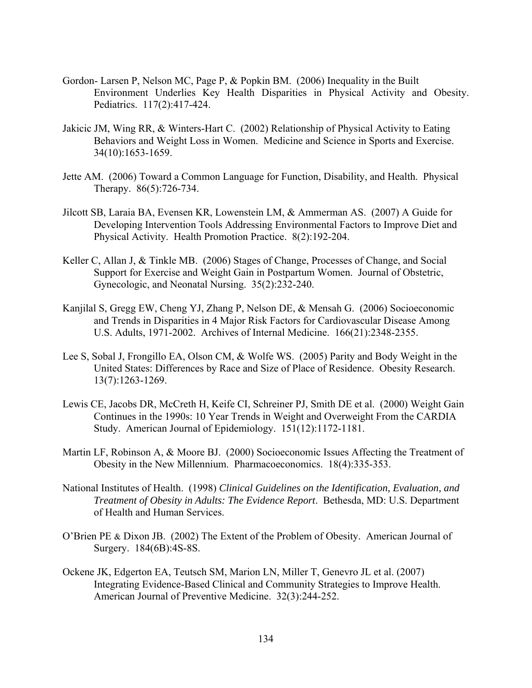- Gordon- Larsen P, Nelson MC, Page P, & Popkin BM. (2006) Inequality in the Built Environment Underlies Key Health Disparities in Physical Activity and Obesity. Pediatrics. 117(2):417-424.
- Jakicic JM, Wing RR, & Winters-Hart C. (2002) Relationship of Physical Activity to Eating Behaviors and Weight Loss in Women. Medicine and Science in Sports and Exercise. 34(10):1653-1659.
- Jette AM. (2006) Toward a Common Language for Function, Disability, and Health. Physical Therapy. 86(5):726-734.
- Jilcott SB, Laraia BA, Evensen KR, Lowenstein LM, & Ammerman AS. (2007) A Guide for Developing Intervention Tools Addressing Environmental Factors to Improve Diet and Physical Activity. Health Promotion Practice. 8(2):192-204.
- Keller C, Allan J, & Tinkle MB. (2006) Stages of Change, Processes of Change, and Social Support for Exercise and Weight Gain in Postpartum Women. Journal of Obstetric, Gynecologic, and Neonatal Nursing. 35(2):232-240.
- Kanjilal S, Gregg EW, Cheng YJ, Zhang P, Nelson DE, & Mensah G. (2006) Socioeconomic and Trends in Disparities in 4 Major Risk Factors for Cardiovascular Disease Among U.S. Adults, 1971-2002. Archives of Internal Medicine. 166(21):2348-2355.
- Lee S, Sobal J, Frongillo EA, Olson CM, & Wolfe WS. (2005) Parity and Body Weight in the United States: Differences by Race and Size of Place of Residence. Obesity Research. 13(7):1263-1269.
- Lewis CE, Jacobs DR, McCreth H, Keife CI, Schreiner PJ, Smith DE et al. (2000) Weight Gain Continues in the 1990s: 10 Year Trends in Weight and Overweight From the CARDIA Study. American Journal of Epidemiology. 151(12):1172-1181.
- Martin LF, Robinson A, & Moore BJ. (2000) Socioeconomic Issues Affecting the Treatment of Obesity in the New Millennium. Pharmacoeconomics. 18(4):335-353.
- National Institutes of Health. (1998) *Clinical Guidelines on the Identification, Evaluation, and Treatment of Obesity in Adults: The Evidence Report*. Bethesda, MD: U.S. Department of Health and Human Services.
- O'Brien PE & Dixon JB. (2002) The Extent of the Problem of Obesity. American Journal of Surgery. 184(6B):4S-8S.
- Ockene JK, Edgerton EA, Teutsch SM, Marion LN, Miller T, Genevro JL et al. (2007) Integrating Evidence-Based Clinical and Community Strategies to Improve Health. American Journal of Preventive Medicine. 32(3):244-252.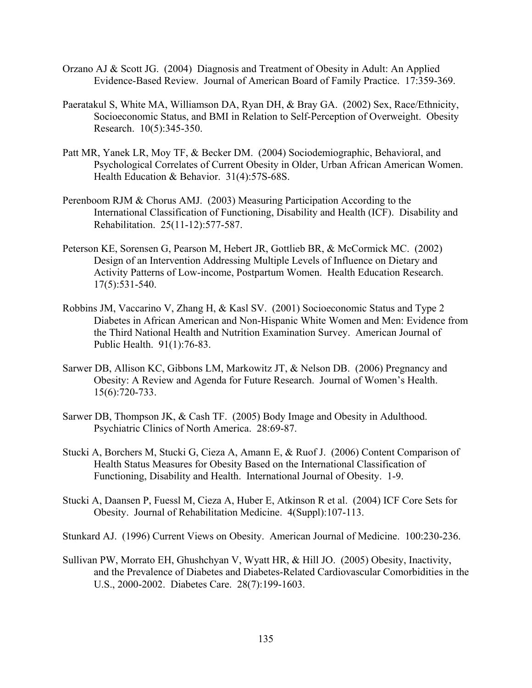- Orzano AJ & Scott JG. (2004) Diagnosis and Treatment of Obesity in Adult: An Applied Evidence-Based Review. Journal of American Board of Family Practice. 17:359-369.
- Paeratakul S, White MA, Williamson DA, Ryan DH, & Bray GA. (2002) Sex, Race/Ethnicity, Socioeconomic Status, and BMI in Relation to Self-Perception of Overweight. Obesity Research. 10(5):345-350.
- Patt MR, Yanek LR, Moy TF, & Becker DM. (2004) Sociodemiographic, Behavioral, and Psychological Correlates of Current Obesity in Older, Urban African American Women. Health Education & Behavior. 31(4):57S-68S.
- Perenboom RJM & Chorus AMJ. (2003) Measuring Participation According to the International Classification of Functioning, Disability and Health (ICF). Disability and Rehabilitation. 25(11-12):577-587.
- Peterson KE, Sorensen G, Pearson M, Hebert JR, Gottlieb BR, & McCormick MC. (2002) Design of an Intervention Addressing Multiple Levels of Influence on Dietary and Activity Patterns of Low-income, Postpartum Women. Health Education Research. 17(5):531-540.
- Robbins JM, Vaccarino V, Zhang H, & Kasl SV. (2001) Socioeconomic Status and Type 2 Diabetes in African American and Non-Hispanic White Women and Men: Evidence from the Third National Health and Nutrition Examination Survey. American Journal of Public Health. 91(1):76-83.
- Sarwer DB, Allison KC, Gibbons LM, Markowitz JT, & Nelson DB. (2006) Pregnancy and Obesity: A Review and Agenda for Future Research. Journal of Women's Health. 15(6):720-733.
- Sarwer DB, Thompson JK, & Cash TF. (2005) Body Image and Obesity in Adulthood. Psychiatric Clinics of North America. 28:69-87.
- Stucki A, Borchers M, Stucki G, Cieza A, Amann E, & Ruof J. (2006) Content Comparison of Health Status Measures for Obesity Based on the International Classification of Functioning, Disability and Health. International Journal of Obesity. 1-9.
- Stucki A, Daansen P, Fuessl M, Cieza A, Huber E, Atkinson R et al. (2004) ICF Core Sets for Obesity. Journal of Rehabilitation Medicine. 4(Suppl):107-113.
- Stunkard AJ. (1996) Current Views on Obesity. American Journal of Medicine. 100:230-236.
- Sullivan PW, Morrato EH, Ghushchyan V, Wyatt HR, & Hill JO. (2005) Obesity, Inactivity, and the Prevalence of Diabetes and Diabetes-Related Cardiovascular Comorbidities in the U.S., 2000-2002. Diabetes Care. 28(7):199-1603.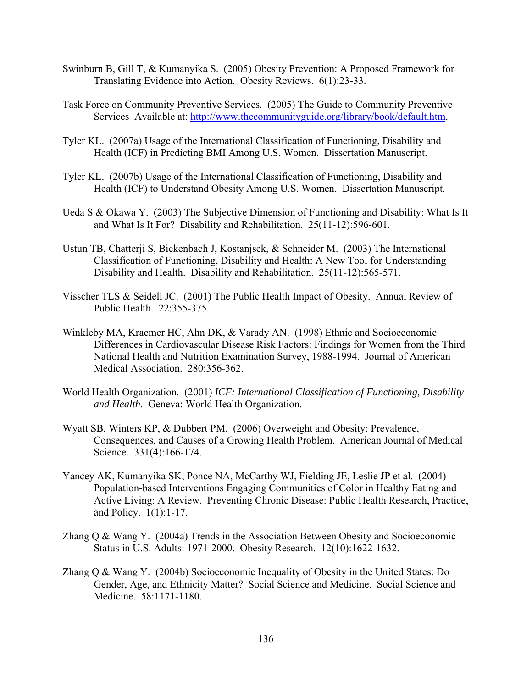- Swinburn B, Gill T, & Kumanyika S. (2005) Obesity Prevention: A Proposed Framework for Translating Evidence into Action. Obesity Reviews. 6(1):23-33.
- Task Force on Community Preventive Services. (2005) The Guide to Community Preventive Services Available at: [http://www.thecommunityguide.org/library/book/default.htm.](http://www.thecommunityguide.org/library/book/default.htm)
- Tyler KL. (2007a) Usage of the International Classification of Functioning, Disability and Health (ICF) in Predicting BMI Among U.S. Women. Dissertation Manuscript.
- Tyler KL. (2007b) Usage of the International Classification of Functioning, Disability and Health (ICF) to Understand Obesity Among U.S. Women. Dissertation Manuscript.
- Ueda S & Okawa Y. (2003) The Subjective Dimension of Functioning and Disability: What Is It and What Is It For? Disability and Rehabilitation. 25(11-12):596-601.
- Ustun TB, Chatterji S, Bickenbach J, Kostanjsek, & Schneider M. (2003) The International Classification of Functioning, Disability and Health: A New Tool for Understanding Disability and Health. Disability and Rehabilitation. 25(11-12):565-571.
- Visscher TLS & Seidell JC. (2001) The Public Health Impact of Obesity. Annual Review of Public Health. 22:355-375.
- Winkleby MA, Kraemer HC, Ahn DK, & Varady AN. (1998) Ethnic and Socioeconomic Differences in Cardiovascular Disease Risk Factors: Findings for Women from the Third National Health and Nutrition Examination Survey, 1988-1994. Journal of American Medical Association. 280:356-362.
- World Health Organization. (2001) *ICF: International Classification of Functioning, Disability and Health*. Geneva: World Health Organization.
- Wyatt SB, Winters KP, & Dubbert PM. (2006) Overweight and Obesity: Prevalence, Consequences, and Causes of a Growing Health Problem. American Journal of Medical Science. 331(4):166-174.
- Yancey AK, Kumanyika SK, Ponce NA, McCarthy WJ, Fielding JE, Leslie JP et al. (2004) Population-based Interventions Engaging Communities of Color in Healthy Eating and Active Living: A Review. Preventing Chronic Disease: Public Health Research, Practice, and Policy. 1(1):1-17.
- Zhang Q & Wang Y. (2004a) Trends in the Association Between Obesity and Socioeconomic Status in U.S. Adults: 1971-2000. Obesity Research. 12(10):1622-1632.
- Zhang Q & Wang Y. (2004b) Socioeconomic Inequality of Obesity in the United States: Do Gender, Age, and Ethnicity Matter? Social Science and Medicine. Social Science and Medicine. 58:1171-1180.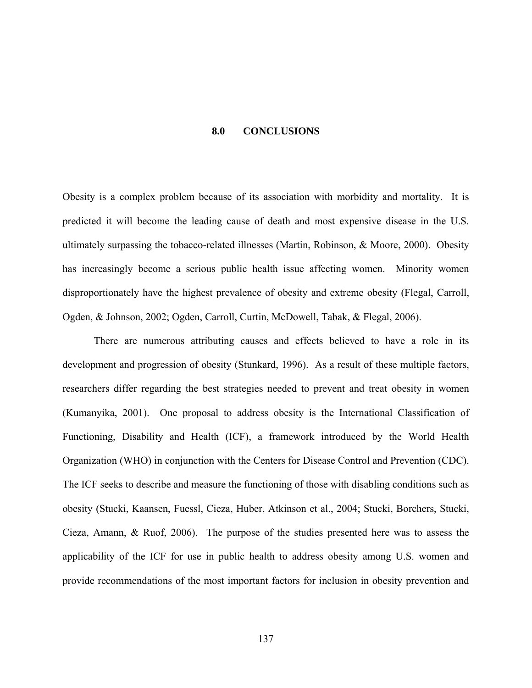#### **8.0 CONCLUSIONS**

Obesity is a complex problem because of its association with morbidity and mortality. It is predicted it will become the leading cause of death and most expensive disease in the U.S. ultimately surpassing the tobacco-related illnesses (Martin, Robinson, & Moore, 2000). Obesity has increasingly become a serious public health issue affecting women. Minority women disproportionately have the highest prevalence of obesity and extreme obesity (Flegal, Carroll, Ogden, & Johnson, 2002; Ogden, Carroll, Curtin, McDowell, Tabak, & Flegal, 2006).

There are numerous attributing causes and effects believed to have a role in its development and progression of obesity (Stunkard, 1996). As a result of these multiple factors, researchers differ regarding the best strategies needed to prevent and treat obesity in women (Kumanyika, 2001). One proposal to address obesity is the International Classification of Functioning, Disability and Health (ICF), a framework introduced by the World Health Organization (WHO) in conjunction with the Centers for Disease Control and Prevention (CDC). The ICF seeks to describe and measure the functioning of those with disabling conditions such as obesity (Stucki, Kaansen, Fuessl, Cieza, Huber, Atkinson et al., 2004; Stucki, Borchers, Stucki, Cieza, Amann, & Ruof, 2006). The purpose of the studies presented here was to assess the applicability of the ICF for use in public health to address obesity among U.S. women and provide recommendations of the most important factors for inclusion in obesity prevention and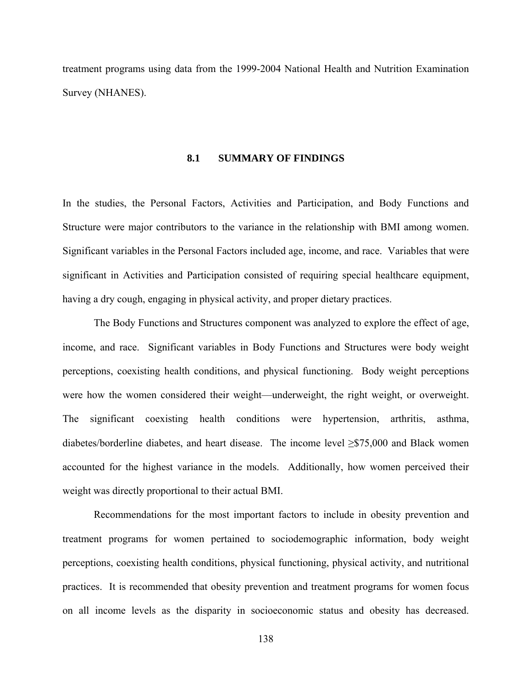treatment programs using data from the 1999-2004 National Health and Nutrition Examination Survey (NHANES).

#### **8.1 SUMMARY OF FINDINGS**

In the studies, the Personal Factors, Activities and Participation, and Body Functions and Structure were major contributors to the variance in the relationship with BMI among women. Significant variables in the Personal Factors included age, income, and race. Variables that were significant in Activities and Participation consisted of requiring special healthcare equipment, having a dry cough, engaging in physical activity, and proper dietary practices.

The Body Functions and Structures component was analyzed to explore the effect of age, income, and race. Significant variables in Body Functions and Structures were body weight perceptions, coexisting health conditions, and physical functioning. Body weight perceptions were how the women considered their weight—underweight, the right weight, or overweight. The significant coexisting health conditions were hypertension, arthritis, asthma, diabetes/borderline diabetes, and heart disease. The income level  $\geq$ \$75,000 and Black women accounted for the highest variance in the models. Additionally, how women perceived their weight was directly proportional to their actual BMI.

Recommendations for the most important factors to include in obesity prevention and treatment programs for women pertained to sociodemographic information, body weight perceptions, coexisting health conditions, physical functioning, physical activity, and nutritional practices. It is recommended that obesity prevention and treatment programs for women focus on all income levels as the disparity in socioeconomic status and obesity has decreased.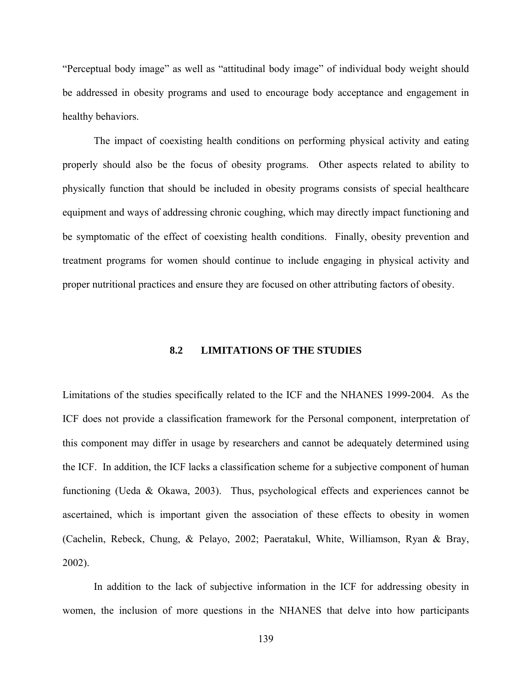"Perceptual body image" as well as "attitudinal body image" of individual body weight should be addressed in obesity programs and used to encourage body acceptance and engagement in healthy behaviors.

The impact of coexisting health conditions on performing physical activity and eating properly should also be the focus of obesity programs. Other aspects related to ability to physically function that should be included in obesity programs consists of special healthcare equipment and ways of addressing chronic coughing, which may directly impact functioning and be symptomatic of the effect of coexisting health conditions. Finally, obesity prevention and treatment programs for women should continue to include engaging in physical activity and proper nutritional practices and ensure they are focused on other attributing factors of obesity.

# **8.2 LIMITATIONS OF THE STUDIES**

Limitations of the studies specifically related to the ICF and the NHANES 1999-2004. As the ICF does not provide a classification framework for the Personal component, interpretation of this component may differ in usage by researchers and cannot be adequately determined using the ICF. In addition, the ICF lacks a classification scheme for a subjective component of human functioning (Ueda & Okawa, 2003). Thus, psychological effects and experiences cannot be ascertained, which is important given the association of these effects to obesity in women (Cachelin, Rebeck, Chung, & Pelayo, 2002; Paeratakul, White, Williamson, Ryan & Bray, 2002).

 In addition to the lack of subjective information in the ICF for addressing obesity in women, the inclusion of more questions in the NHANES that delve into how participants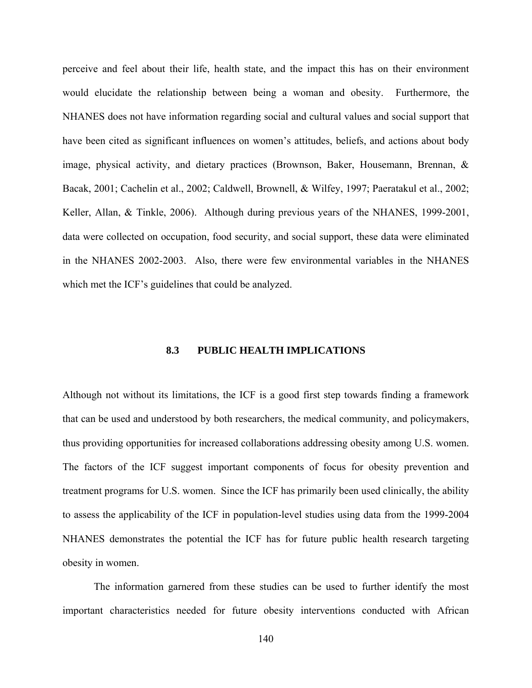perceive and feel about their life, health state, and the impact this has on their environment would elucidate the relationship between being a woman and obesity. Furthermore, the NHANES does not have information regarding social and cultural values and social support that have been cited as significant influences on women's attitudes, beliefs, and actions about body image, physical activity, and dietary practices (Brownson, Baker, Housemann, Brennan, & Bacak, 2001; Cachelin et al., 2002; Caldwell, Brownell, & Wilfey, 1997; Paeratakul et al., 2002; Keller, Allan, & Tinkle, 2006). Although during previous years of the NHANES, 1999-2001, data were collected on occupation, food security, and social support, these data were eliminated in the NHANES 2002-2003. Also, there were few environmental variables in the NHANES which met the ICF's guidelines that could be analyzed.

# **8.3 PUBLIC HEALTH IMPLICATIONS**

Although not without its limitations, the ICF is a good first step towards finding a framework that can be used and understood by both researchers, the medical community, and policymakers, thus providing opportunities for increased collaborations addressing obesity among U.S. women. The factors of the ICF suggest important components of focus for obesity prevention and treatment programs for U.S. women. Since the ICF has primarily been used clinically, the ability to assess the applicability of the ICF in population-level studies using data from the 1999-2004 NHANES demonstrates the potential the ICF has for future public health research targeting obesity in women.

The information garnered from these studies can be used to further identify the most important characteristics needed for future obesity interventions conducted with African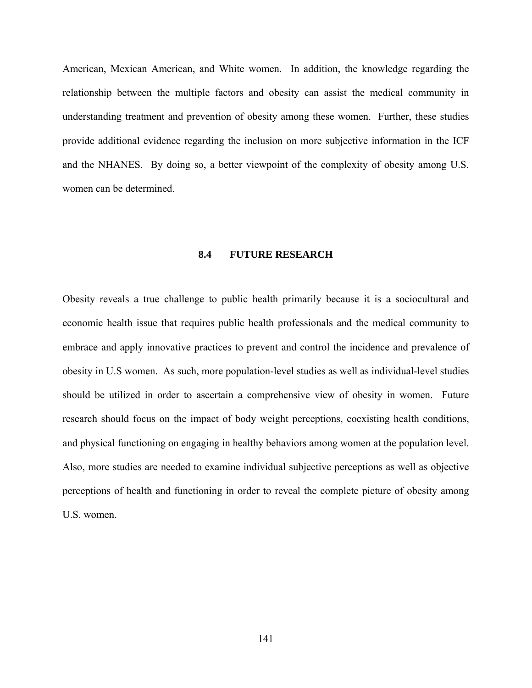American, Mexican American, and White women. In addition, the knowledge regarding the relationship between the multiple factors and obesity can assist the medical community in understanding treatment and prevention of obesity among these women. Further, these studies provide additional evidence regarding the inclusion on more subjective information in the ICF and the NHANES. By doing so, a better viewpoint of the complexity of obesity among U.S. women can be determined.

#### **8.4 FUTURE RESEARCH**

Obesity reveals a true challenge to public health primarily because it is a sociocultural and economic health issue that requires public health professionals and the medical community to embrace and apply innovative practices to prevent and control the incidence and prevalence of obesity in U.S women. As such, more population-level studies as well as individual-level studies should be utilized in order to ascertain a comprehensive view of obesity in women. Future research should focus on the impact of body weight perceptions, coexisting health conditions, and physical functioning on engaging in healthy behaviors among women at the population level. Also, more studies are needed to examine individual subjective perceptions as well as objective perceptions of health and functioning in order to reveal the complete picture of obesity among U.S. women.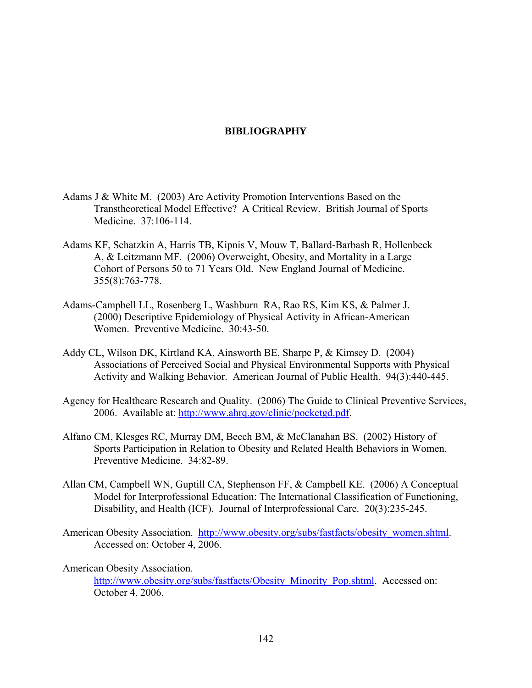# **BIBLIOGRAPHY**

- Adams J & White M. (2003) Are Activity Promotion Interventions Based on the Transtheoretical Model Effective? A Critical Review. British Journal of Sports Medicine. 37:106-114.
- Adams KF, Schatzkin A, Harris TB, Kipnis V, Mouw T, Ballard-Barbash R, Hollenbeck A, & Leitzmann MF. (2006) Overweight, Obesity, and Mortality in a Large Cohort of Persons 50 to 71 Years Old. New England Journal of Medicine. 355(8):763-778.
- Adams-Campbell LL, Rosenberg L, Washburn RA, Rao RS, Kim KS, & Palmer J. (2000) Descriptive Epidemiology of Physical Activity in African-American Women. Preventive Medicine. 30:43-50.
- Addy CL, Wilson DK, Kirtland KA, Ainsworth BE, Sharpe P, & Kimsey D. (2004) Associations of Perceived Social and Physical Environmental Supports with Physical Activity and Walking Behavior. American Journal of Public Health. 94(3):440-445.
- Agency for Healthcare Research and Quality. (2006) The Guide to Clinical Preventive Services, 2006. Available at: [http://www.ahrq.gov/clinic/pocketgd.pdf.](http://www.ahrq.gov/clinic/pocketgd.pdf)
- Alfano CM, Klesges RC, Murray DM, Beech BM, & McClanahan BS. (2002) History of Sports Participation in Relation to Obesity and Related Health Behaviors in Women. Preventive Medicine. 34:82-89.
- Allan CM, Campbell WN, Guptill CA, Stephenson FF, & Campbell KE. (2006) A Conceptual Model for Interprofessional Education: The International Classification of Functioning, Disability, and Health (ICF). Journal of Interprofessional Care. 20(3):235-245.
- American Obesity Association. [http://www.obesity.org/subs/fastfacts/obesity\\_women.shtml.](http://www.obesity.org/subs/fastfacts/obesity_women.shtml) Accessed on: October 4, 2006.

American Obesity Association. [http://www.obesity.org/subs/fastfacts/Obesity\\_Minority\\_Pop.shtml.](http://www.obesity.org/subs/fastfacts/Obesity_Minority_Pop.shtml) Accessed on: October 4, 2006.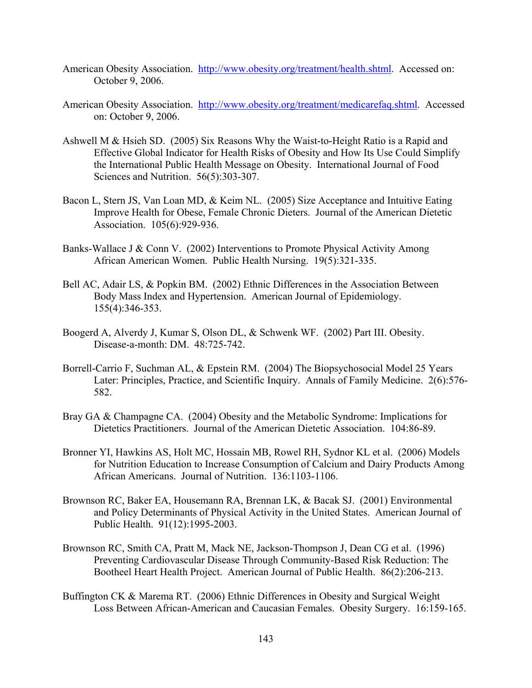- American Obesity Association. [http://www.obesity.org/treatment/health.shtml.](http://www.obesity.org/treatment/health.shtml) Accessed on: October 9, 2006.
- American Obesity Association. [http://www.obesity.org/treatment/medicarefaq.shtml.](http://www.obesity.org/treatment/medicarefaq.shtml) Accessed on: October 9, 2006.
- Ashwell M & Hsieh SD. (2005) Six Reasons Why the Waist-to-Height Ratio is a Rapid and Effective Global Indicator for Health Risks of Obesity and How Its Use Could Simplify the International Public Health Message on Obesity. International Journal of Food Sciences and Nutrition. 56(5):303-307.
- Bacon L, Stern JS, Van Loan MD, & Keim NL. (2005) Size Acceptance and Intuitive Eating Improve Health for Obese, Female Chronic Dieters. Journal of the American Dietetic Association. 105(6):929-936.
- Banks-Wallace J & Conn V. (2002) Interventions to Promote Physical Activity Among African American Women. Public Health Nursing. 19(5):321-335.
- Bell AC, Adair LS, & Popkin BM. (2002) Ethnic Differences in the Association Between Body Mass Index and Hypertension. American Journal of Epidemiology. 155(4):346-353.
- Boogerd A, Alverdy J, Kumar S, Olson DL, & Schwenk WF. (2002) Part III. Obesity. Disease-a-month: DM. 48:725-742.
- Borrell-Carrio F, Suchman AL, & Epstein RM. (2004) The Biopsychosocial Model 25 Years Later: Principles, Practice, and Scientific Inquiry. Annals of Family Medicine. 2(6):576- 582.
- Bray GA & Champagne CA. (2004) Obesity and the Metabolic Syndrome: Implications for Dietetics Practitioners. Journal of the American Dietetic Association. 104:86-89.
- Bronner YI, Hawkins AS, Holt MC, Hossain MB, Rowel RH, Sydnor KL et al. (2006) Models for Nutrition Education to Increase Consumption of Calcium and Dairy Products Among African Americans. Journal of Nutrition. 136:1103-1106.
- Brownson RC, Baker EA, Housemann RA, Brennan LK, & Bacak SJ. (2001) Environmental and Policy Determinants of Physical Activity in the United States. American Journal of Public Health. 91(12):1995-2003.
- Brownson RC, Smith CA, Pratt M, Mack NE, Jackson-Thompson J, Dean CG et al. (1996) Preventing Cardiovascular Disease Through Community-Based Risk Reduction: The Bootheel Heart Health Project. American Journal of Public Health. 86(2):206-213.
- Buffington CK & Marema RT. (2006) Ethnic Differences in Obesity and Surgical Weight Loss Between African-American and Caucasian Females. Obesity Surgery. 16:159-165.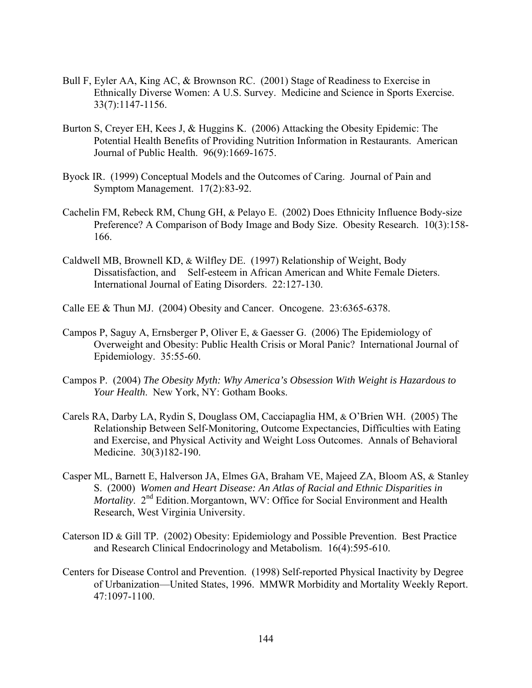- Bull F, Eyler AA, King AC, & Brownson RC. (2001) Stage of Readiness to Exercise in Ethnically Diverse Women: A U.S. Survey. Medicine and Science in Sports Exercise. 33(7):1147-1156.
- Burton S, Creyer EH, Kees J, & Huggins K. (2006) Attacking the Obesity Epidemic: The Potential Health Benefits of Providing Nutrition Information in Restaurants. American Journal of Public Health. 96(9):1669-1675.
- Byock IR. (1999) Conceptual Models and the Outcomes of Caring. Journal of Pain and Symptom Management. 17(2):83-92.
- Cachelin FM, Rebeck RM, Chung GH, & Pelayo E. (2002) Does Ethnicity Influence Body-size Preference? A Comparison of Body Image and Body Size. Obesity Research. 10(3):158- 166.
- Caldwell MB, Brownell KD, & Wilfley DE. (1997) Relationship of Weight, Body Dissatisfaction, and Self-esteem in African American and White Female Dieters. International Journal of Eating Disorders. 22:127-130.
- Calle EE & Thun MJ. (2004) Obesity and Cancer. Oncogene. 23:6365-6378.
- Campos P, Saguy A, Ernsberger P, Oliver E, & Gaesser G. (2006) The Epidemiology of Overweight and Obesity: Public Health Crisis or Moral Panic? International Journal of Epidemiology. 35:55-60.
- Campos P. (2004) *The Obesity Myth: Why America's Obsession With Weight is Hazardous to Your Health*. New York, NY: Gotham Books.
- Carels RA, Darby LA, Rydin S, Douglass OM, Cacciapaglia HM, & O'Brien WH. (2005) The Relationship Between Self-Monitoring, Outcome Expectancies, Difficulties with Eating and Exercise, and Physical Activity and Weight Loss Outcomes. Annals of Behavioral Medicine. 30(3)182-190.
- Casper ML, Barnett E, Halverson JA, Elmes GA, Braham VE, Majeed ZA, Bloom AS, & Stanley S. (2000) *Women and Heart Disease: An Atlas of Racial and Ethnic Disparities in Mortality.* 2<sup>nd</sup> Edition. Morgantown, WV: Office for Social Environment and Health Research, West Virginia University.
- Caterson ID & Gill TP. (2002) Obesity: Epidemiology and Possible Prevention. Best Practice and Research Clinical Endocrinology and Metabolism. 16(4):595-610.
- Centers for Disease Control and Prevention. (1998) Self-reported Physical Inactivity by Degree of Urbanization—United States, 1996. MMWR Morbidity and Mortality Weekly Report. 47:1097-1100.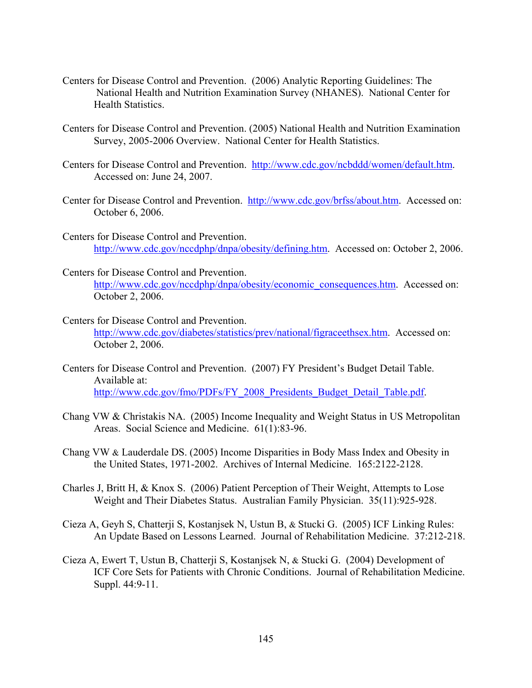- Centers for Disease Control and Prevention. (2006) Analytic Reporting Guidelines: The National Health and Nutrition Examination Survey (NHANES). National Center for Health Statistics.
- Centers for Disease Control and Prevention. (2005) National Health and Nutrition Examination Survey, 2005-2006 Overview. National Center for Health Statistics.
- Centers for Disease Control and Prevention. [http://www.cdc.gov/ncbddd/women/default.htm.](http://www.cdc.gov/ncbddd/women/default.htm) Accessed on: June 24, 2007.
- Center for Disease Control and Prevention. [http://www.cdc.gov/brfss/about.htm.](http://www.cdc.gov/brfss/about.htm) Accessed on: October 6, 2006.
- Centers for Disease Control and Prevention. [http://www.cdc.gov/nccdphp/dnpa/obesity/defining.htm.](http://www.cdc.gov/nccdphp/dnpa/obesity/defining.htm) Accessed on: October 2, 2006.
- Centers for Disease Control and Prevention. [http://www.cdc.gov/nccdphp/dnpa/obesity/economic\\_consequences.htm.](http://www.cdc.gov/nccdphp/dnpa/obesity/economic_consequences.htm) Accessed on: October 2, 2006.
- Centers for Disease Control and Prevention. <http://www.cdc.gov/diabetes/statistics/prev/national/figraceethsex.htm>. Accessed on: October 2, 2006.
- Centers for Disease Control and Prevention. (2007) FY President's Budget Detail Table. Available at: [http://www.cdc.gov/fmo/PDFs/FY\\_2008\\_Presidents\\_Budget\\_Detail\\_Table.pdf](http://www.cdc.gov/fmo/PDFs/FY_2008_Presidents_Budget_Detail_Table.pdf).
- [Chang VW & Christakis NA.](http://www.ncbi.nlm.nih.gov/entrez/query.fcgi?db=pubmed&cmd=Retrieve&dopt=AbstractPlus&list_uids=15847964&query_hl=11&itool=pubmed_docsum) (2005) Income Inequality and Weight Status in US Metropolitan Areas. Social Science and Medicine. 61(1):83-96.
- Chang VW & Lauderdale DS. (2005) Income Disparities in Body Mass Index and Obesity in the United States, 1971-2002. Archives of Internal Medicine. 165:2122-2128.
- Charles J, Britt H, & Knox S. (2006) Patient Perception of Their Weight, Attempts to Lose Weight and Their Diabetes Status. Australian Family Physician. 35(11):925-928.
- Cieza A, Geyh S, Chatterji S, Kostanjsek N, Ustun B, & Stucki G. (2005) ICF Linking Rules: An Update Based on Lessons Learned. Journal of Rehabilitation Medicine. 37:212-218.
- Cieza A, Ewert T, Ustun B, Chatterji S, Kostanjsek N, & Stucki G. (2004) Development of ICF Core Sets for Patients with Chronic Conditions. Journal of Rehabilitation Medicine. Suppl. 44:9-11.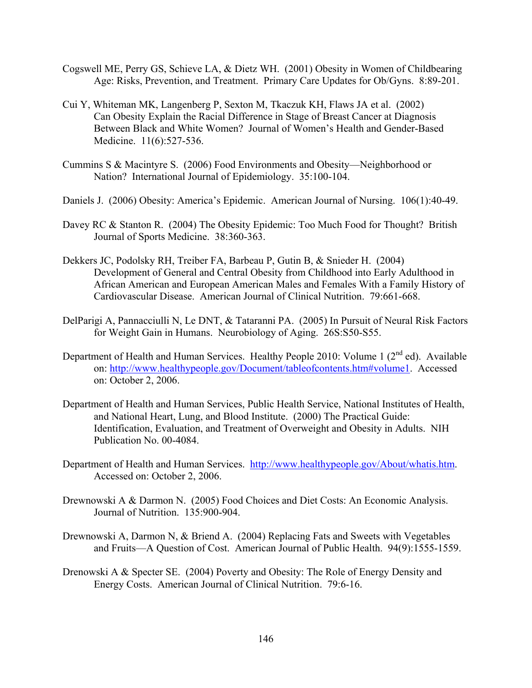- Cogswell ME, Perry GS, Schieve LA, & Dietz WH. (2001) Obesity in Women of Childbearing Age: Risks, Prevention, and Treatment. Primary Care Updates for Ob/Gyns. 8:89-201.
- Cui Y, Whiteman MK, Langenberg P, Sexton M, Tkaczuk KH, Flaws JA et al. (2002) Can Obesity Explain the Racial Difference in Stage of Breast Cancer at Diagnosis Between Black and White Women? Journal of Women's Health and Gender-Based Medicine. 11(6):527-536.
- Cummins S & Macintyre S. (2006) Food Environments and Obesity—Neighborhood or Nation? International Journal of Epidemiology. 35:100-104.
- Daniels J. (2006) Obesity: America's Epidemic. American Journal of Nursing. 106(1):40-49.
- Davey RC & Stanton R. (2004) The Obesity Epidemic: Too Much Food for Thought? British Journal of Sports Medicine. 38:360-363.
- Dekkers JC, Podolsky RH, Treiber FA, Barbeau P, Gutin B, & Snieder H. (2004) Development of General and Central Obesity from Childhood into Early Adulthood in African American and European American Males and Females With a Family History of Cardiovascular Disease. American Journal of Clinical Nutrition. 79:661-668.
- DelParigi A, Pannacciulli N, Le DNT, & Tataranni PA. (2005) In Pursuit of Neural Risk Factors for Weight Gain in Humans. Neurobiology of Aging. 26S:S50-S55.
- Department of Health and Human Services. Healthy People 2010: Volume 1  $(2^{nd}$  ed). Available on: [http://www.healthypeople.gov/Document/tableofcontents.htm#volume1.](http://www.healthypeople.gov/Document/tableofcontents.htm#volume1) Accessed on: October 2, 2006.
- Department of Health and Human Services, Public Health Service, National Institutes of Health, and National Heart, Lung, and Blood Institute. (2000) The Practical Guide: Identification, Evaluation, and Treatment of Overweight and Obesity in Adults. NIH Publication No. 00-4084.
- Department of Health and Human Services. [http://www.healthypeople.gov/About/whatis.htm.](http://www.healthypeople.gov/About/whatis.htm) Accessed on: October 2, 2006.
- Drewnowski A & Darmon N. (2005) Food Choices and Diet Costs: An Economic Analysis. Journal of Nutrition. 135:900-904.
- Drewnowski A, Darmon N, & Briend A. (2004) Replacing Fats and Sweets with Vegetables and Fruits—A Question of Cost. American Journal of Public Health. 94(9):1555-1559.
- Drenowski A & Specter SE. (2004) Poverty and Obesity: The Role of Energy Density and Energy Costs. American Journal of Clinical Nutrition. 79:6-16.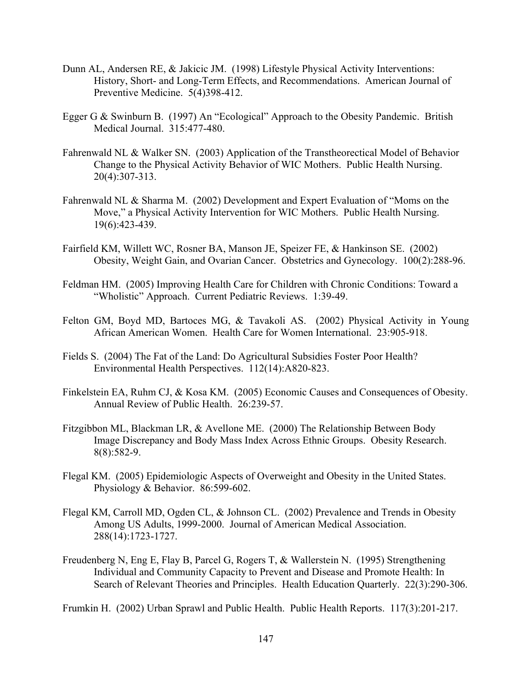- Dunn AL, Andersen RE, & Jakicic JM. (1998) Lifestyle Physical Activity Interventions: History, Short- and Long-Term Effects, and Recommendations. American Journal of Preventive Medicine. 5(4)398-412.
- Egger G & Swinburn B. (1997) An "Ecological" Approach to the Obesity Pandemic. British Medical Journal. 315:477-480.
- Fahrenwald NL & Walker SN. (2003) Application of the Transtheorectical Model of Behavior Change to the Physical Activity Behavior of WIC Mothers. Public Health Nursing. 20(4):307-313.
- Fahrenwald NL & Sharma M. (2002) Development and Expert Evaluation of "Moms on the Move," a Physical Activity Intervention for WIC Mothers. Public Health Nursing. 19(6):423-439.
- [Fairfield KM, Willett WC, Rosner BA, Manson JE, Speizer FE, & Hankinson SE.](http://www.ncbi.nlm.nih.gov/entrez/query.fcgi?db=pubmed&cmd=Retrieve&dopt=AbstractPlus&list_uids=12151152&query_hl=7&itool=pubmed_docsum) (2002) Obesity, Weight Gain, and Ovarian Cancer. Obstetrics and Gynecology. 100(2):288-96.
- Feldman HM. (2005) Improving Health Care for Children with Chronic Conditions: Toward a "Wholistic" Approach. Current Pediatric Reviews. 1:39-49.
- Felton GM, Boyd MD, Bartoces MG, & Tavakoli AS. (2002) Physical Activity in Young African American Women. Health Care for Women International. 23:905-918.
- Fields S. (2004) The Fat of the Land: Do Agricultural Subsidies Foster Poor Health? Environmental Health Perspectives. 112(14):A820-823.
- Finkelstein EA, Ruhm CJ, & Kosa KM. (2005) Economic Causes and Consequences of Obesity. Annual Review of Public Health. 26:239-57.
- [Fitzgibbon ML, Blackman LR, & Avellone ME.](http://www.ncbi.nlm.nih.gov/entrez/query.fcgi?db=pubmed&cmd=Retrieve&dopt=AbstractPlus&list_uids=11156434&query_hl=9&itool=pubmed_docsum) (2000) The Relationship Between Body Image Discrepancy and Body Mass Index Across Ethnic Groups. Obesity Research. 8(8):582-9.
- Flegal KM. (2005) Epidemiologic Aspects of Overweight and Obesity in the United States. Physiology & Behavior. 86:599-602.
- Flegal KM, Carroll MD, Ogden CL, & Johnson CL. (2002) Prevalence and Trends in Obesity Among US Adults, 1999-2000. Journal of American Medical Association. 288(14):1723-1727.
- Freudenberg N, Eng E, Flay B, Parcel G, Rogers T, & Wallerstein N. (1995) Strengthening Individual and Community Capacity to Prevent and Disease and Promote Health: In Search of Relevant Theories and Principles. Health Education Quarterly. 22(3):290-306.

Frumkin H. (2002) Urban Sprawl and Public Health. Public Health Reports. 117(3):201-217.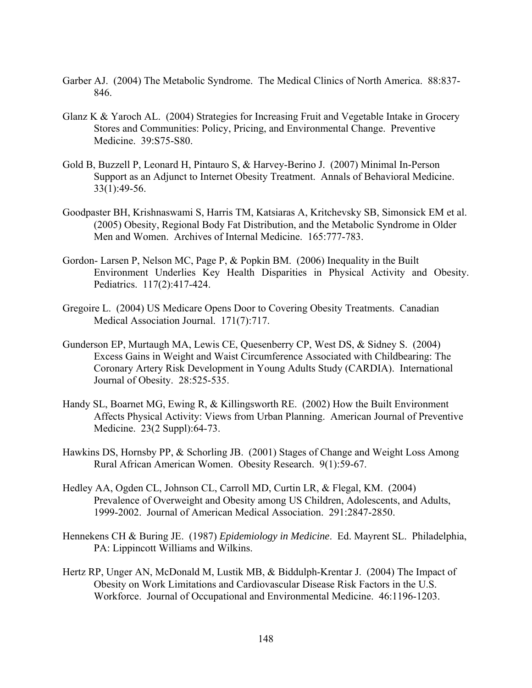- Garber AJ. (2004) The Metabolic Syndrome. The Medical Clinics of North America. 88:837- 846.
- Glanz K & Yaroch AL. (2004) Strategies for Increasing Fruit and Vegetable Intake in Grocery Stores and Communities: Policy, Pricing, and Environmental Change. Preventive Medicine. 39:S75-S80.
- Gold B, Buzzell P, Leonard H, Pintauro S, & Harvey-Berino J. (2007) Minimal In-Person Support as an Adjunct to Internet Obesity Treatment. Annals of Behavioral Medicine. 33(1):49-56.
- Goodpaster BH, Krishnaswami S, Harris TM, Katsiaras A, Kritchevsky SB, Simonsick EM et al. (2005) Obesity, Regional Body Fat Distribution, and the Metabolic Syndrome in Older Men and Women. Archives of Internal Medicine. 165:777-783.
- Gordon- Larsen P, Nelson MC, Page P, & Popkin BM. (2006) Inequality in the Built Environment Underlies Key Health Disparities in Physical Activity and Obesity. Pediatrics. 117(2):417-424.
- Gregoire L. (2004) US Medicare Opens Door to Covering Obesity Treatments. Canadian Medical Association Journal. 171(7):717.
- Gunderson EP, Murtaugh MA, Lewis CE, Quesenberry CP, West DS, & Sidney S. (2004) Excess Gains in Weight and Waist Circumference Associated with Childbearing: The Coronary Artery Risk Development in Young Adults Study (CARDIA). International Journal of Obesity. 28:525-535.
- [Handy SL, Boarnet MG, Ewing R, & Killingsworth RE.](http://www.ncbi.nlm.nih.gov/entrez/query.fcgi?db=pubmed&cmd=Retrieve&dopt=AbstractPlus&list_uids=12133739&query_hl=13&itool=pubmed_docsum) (2002) How the Built Environment Affects Physical Activity: Views from Urban Planning. American Journal of Preventive Medicine. 23(2 Suppl):64-73.
- Hawkins DS, Hornsby PP, & Schorling JB. (2001) Stages of Change and Weight Loss Among Rural African American Women. Obesity Research. 9(1):59-67.
- Hedley AA, Ogden CL, Johnson CL, Carroll MD, Curtin LR, & Flegal, KM. (2004) Prevalence of Overweight and Obesity among US Children, Adolescents, and Adults, 1999-2002. Journal of American Medical Association. 291:2847-2850.
- Hennekens CH & Buring JE. (1987) *Epidemiology in Medicine*. Ed. Mayrent SL. Philadelphia, PA: Lippincott Williams and Wilkins.
- Hertz RP, Unger AN, McDonald M, Lustik MB, & Biddulph-Krentar J. (2004) The Impact of Obesity on Work Limitations and Cardiovascular Disease Risk Factors in the U.S. Workforce. Journal of Occupational and Environmental Medicine. 46:1196-1203.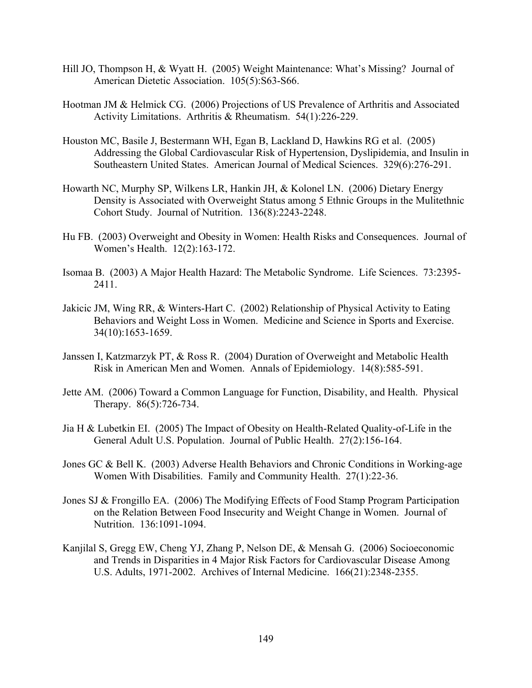- Hill JO, Thompson H, & Wyatt H. (2005) Weight Maintenance: What's Missing? Journal of American Dietetic Association. 105(5):S63-S66.
- Hootman JM & Helmick CG. (2006) Projections of US Prevalence of Arthritis and Associated Activity Limitations. Arthritis & Rheumatism. 54(1):226-229.
- Houston MC, Basile J, Bestermann WH, Egan B, Lackland D, Hawkins RG et al. (2005) Addressing the Global Cardiovascular Risk of Hypertension, Dyslipidemia, and Insulin in Southeastern United States. American Journal of Medical Sciences. 329(6):276-291.
- Howarth NC, Murphy SP, Wilkens LR, Hankin JH, & Kolonel LN. (2006) Dietary Energy Density is Associated with Overweight Status among 5 Ethnic Groups in the Mulitethnic Cohort Study. Journal of Nutrition. 136(8):2243-2248.
- Hu FB. (2003) Overweight and Obesity in Women: Health Risks and Consequences. Journal of Women's Health. 12(2):163-172.
- Isomaa B. (2003) A Major Health Hazard: The Metabolic Syndrome. Life Sciences. 73:2395- 2411.
- Jakicic JM, Wing RR, & Winters-Hart C. (2002) Relationship of Physical Activity to Eating Behaviors and Weight Loss in Women. Medicine and Science in Sports and Exercise. 34(10):1653-1659.
- Janssen I, Katzmarzyk PT, & Ross R. (2004) Duration of Overweight and Metabolic Health Risk in American Men and Women. Annals of Epidemiology. 14(8):585-591.
- Jette AM. (2006) Toward a Common Language for Function, Disability, and Health. Physical Therapy. 86(5):726-734.
- Jia H & Lubetkin EI. (2005) The Impact of Obesity on Health-Related Quality-of-Life in the General Adult U.S. Population. Journal of Public Health. 27(2):156-164.
- [Jones GC & Bell K.](http://www.ncbi.nlm.nih.gov/entrez/query.fcgi?db=pubmed&cmd=Retrieve&dopt=AbstractPlus&list_uids=14724500&query_hl=22&itool=pubmed_docsum) (2003) Adverse Health Behaviors and Chronic Conditions in Working-age Women With Disabilities. Family and Community Health. 27(1):22-36.
- Jones SJ & Frongillo EA. (2006) The Modifying Effects of Food Stamp Program Participation on the Relation Between Food Insecurity and Weight Change in Women. Journal of Nutrition. 136:1091-1094.
- Kanjilal S, Gregg EW, Cheng YJ, Zhang P, Nelson DE, & Mensah G. (2006) Socioeconomic and Trends in Disparities in 4 Major Risk Factors for Cardiovascular Disease Among U.S. Adults, 1971-2002. Archives of Internal Medicine. 166(21):2348-2355.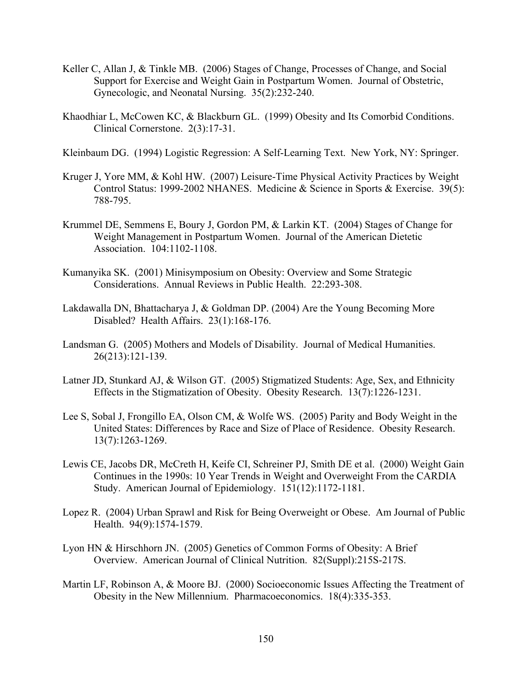- Keller C, Allan J, & Tinkle MB. (2006) Stages of Change, Processes of Change, and Social Support for Exercise and Weight Gain in Postpartum Women. Journal of Obstetric, Gynecologic, and Neonatal Nursing. 35(2):232-240.
- Khaodhiar L, McCowen KC, & Blackburn GL. (1999) Obesity and Its Comorbid Conditions. Clinical Cornerstone. 2(3):17-31.

Kleinbaum DG. (1994) Logistic Regression: A Self-Learning Text. New York, NY: Springer.

- Kruger J, Yore MM, & Kohl HW. (2007) Leisure-Time Physical Activity Practices by Weight Control Status: 1999-2002 NHANES. Medicine & Science in Sports & Exercise. 39(5): 788-795.
- Krummel DE, Semmens E, Boury J, Gordon PM, & Larkin KT. (2004) Stages of Change for Weight Management in Postpartum Women. Journal of the American Dietetic Association. 104:1102-1108.
- Kumanyika SK. (2001) Minisymposium on Obesity: Overview and Some Strategic Considerations. Annual Reviews in Public Health. 22:293-308.
- Lakdawalla DN, Bhattacharya J, & Goldman DP. (2004) Are the Young Becoming More Disabled? Health Affairs. 23(1):168-176.
- Landsman G. (2005) Mothers and Models of Disability. Journal of Medical Humanities. 26(213):121-139.
- Latner JD, Stunkard AJ, & Wilson GT. (2005) Stigmatized Students: Age, Sex, and Ethnicity Effects in the Stigmatization of Obesity. Obesity Research. 13(7):1226-1231.
- Lee S, Sobal J, Frongillo EA, Olson CM, & Wolfe WS. (2005) Parity and Body Weight in the United States: Differences by Race and Size of Place of Residence. Obesity Research. 13(7):1263-1269.
- Lewis CE, Jacobs DR, McCreth H, Keife CI, Schreiner PJ, Smith DE et al. (2000) Weight Gain Continues in the 1990s: 10 Year Trends in Weight and Overweight From the CARDIA Study. American Journal of Epidemiology. 151(12):1172-1181.
- Lopez R. (2004) Urban Sprawl and Risk for Being Overweight or Obese. Am Journal of Public Health. 94(9):1574-1579.
- Lyon HN & Hirschhorn JN. (2005) Genetics of Common Forms of Obesity: A Brief Overview. American Journal of Clinical Nutrition. 82(Suppl):215S-217S.
- Martin LF, Robinson A, & Moore BJ. (2000) Socioeconomic Issues Affecting the Treatment of Obesity in the New Millennium. Pharmacoeconomics. 18(4):335-353.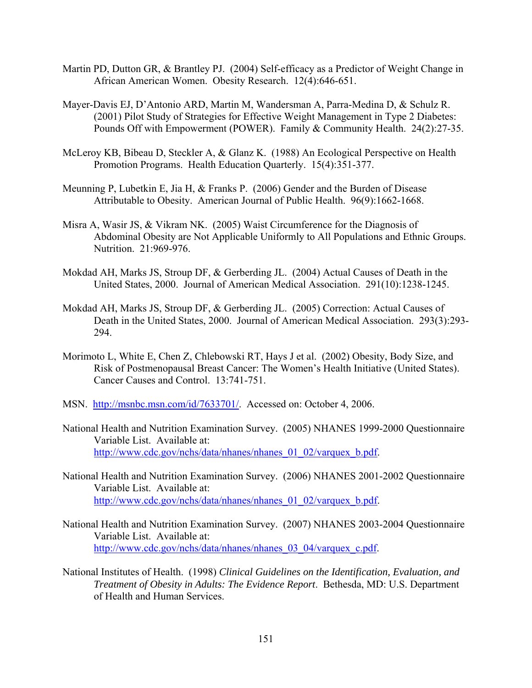- Martin PD, Dutton GR, & Brantley PJ. (2004) Self-efficacy as a Predictor of Weight Change in African American Women. Obesity Research. 12(4):646-651.
- Mayer-Davis EJ, D'Antonio ARD, Martin M, Wandersman A, Parra-Medina D, & Schulz R. (2001) Pilot Study of Strategies for Effective Weight Management in Type 2 Diabetes: Pounds Off with Empowerment (POWER). Family & Community Health. 24(2):27-35.
- McLeroy KB, Bibeau D, Steckler A, & Glanz K. (1988) An Ecological Perspective on Health Promotion Programs. Health Education Quarterly. 15(4):351-377.
- Meunning P, Lubetkin E, Jia H, & Franks P. (2006) Gender and the Burden of Disease Attributable to Obesity. American Journal of Public Health. 96(9):1662-1668.
- Misra A, Wasir JS, & Vikram NK. (2005) Waist Circumference for the Diagnosis of Abdominal Obesity are Not Applicable Uniformly to All Populations and Ethnic Groups. Nutrition. 21:969-976.
- Mokdad AH, Marks JS, Stroup DF, & Gerberding JL. (2004) Actual Causes of Death in the United States, 2000. Journal of American Medical Association. 291(10):1238-1245.
- Mokdad AH, Marks JS, Stroup DF, & Gerberding JL. (2005) Correction: Actual Causes of Death in the United States, 2000. Journal of American Medical Association. 293(3):293- 294.
- Morimoto L, White E, Chen Z, Chlebowski RT, Hays J et al. (2002) Obesity, Body Size, and Risk of Postmenopausal Breast Cancer: The Women's Health Initiative (United States). Cancer Causes and Control. 13:741-751.
- MSN. <http://msnbc.msn.com/id/7633701/>. Accessed on: October 4, 2006.
- National Health and Nutrition Examination Survey. (2005) NHANES 1999-2000 Questionnaire Variable List. Available at: [http://www.cdc.gov/nchs/data/nhanes/nhanes\\_01\\_02/varquex\\_b.pdf](http://www.cdc.gov/nchs/data/nhanes/nhanes_01_02/varquex_b.pdf).
- National Health and Nutrition Examination Survey. (2006) NHANES 2001-2002 Questionnaire Variable List. Available at: [http://www.cdc.gov/nchs/data/nhanes/nhanes\\_01\\_02/varquex\\_b.pdf](http://www.cdc.gov/nchs/data/nhanes/nhanes_01_02/varquex_b.pdf).
- National Health and Nutrition Examination Survey. (2007) NHANES 2003-2004 Questionnaire Variable List. Available at: [http://www.cdc.gov/nchs/data/nhanes/nhanes\\_03\\_04/varquex\\_c.pdf.](http://www.cdc.gov/nchs/data/nhanes/nhanes_03_04/varquex_c.pdf)
- National Institutes of Health. (1998) *Clinical Guidelines on the Identification, Evaluation, and Treatment of Obesity in Adults: The Evidence Report*. Bethesda, MD: U.S. Department of Health and Human Services.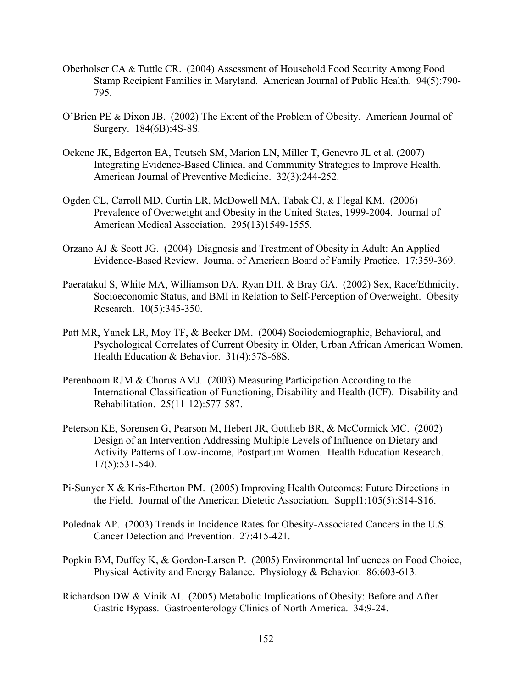- Oberholser CA & Tuttle CR. (2004) Assessment of Household Food Security Among Food Stamp Recipient Families in Maryland. American Journal of Public Health. 94(5):790- 795.
- O'Brien PE & Dixon JB. (2002) The Extent of the Problem of Obesity. American Journal of Surgery. 184(6B):4S-8S.
- Ockene JK, Edgerton EA, Teutsch SM, Marion LN, Miller T, Genevro JL et al. (2007) Integrating Evidence-Based Clinical and Community Strategies to Improve Health. American Journal of Preventive Medicine. 32(3):244-252.
- Ogden CL, Carroll MD, Curtin LR, McDowell MA, Tabak CJ, & Flegal KM. (2006) Prevalence of Overweight and Obesity in the United States, 1999-2004. Journal of American Medical Association. 295(13)1549-1555.
- Orzano AJ & Scott JG. (2004) Diagnosis and Treatment of Obesity in Adult: An Applied Evidence-Based Review. Journal of American Board of Family Practice. 17:359-369.
- Paeratakul S, White MA, Williamson DA, Ryan DH, & Bray GA. (2002) Sex, Race/Ethnicity, Socioeconomic Status, and BMI in Relation to Self-Perception of Overweight. Obesity Research. 10(5):345-350.
- Patt MR, Yanek LR, Moy TF, & Becker DM. (2004) Sociodemiographic, Behavioral, and Psychological Correlates of Current Obesity in Older, Urban African American Women. Health Education & Behavior. 31(4):57S-68S.
- Perenboom RJM & Chorus AMJ. (2003) Measuring Participation According to the International Classification of Functioning, Disability and Health (ICF). Disability and Rehabilitation. 25(11-12):577-587.
- Peterson KE, Sorensen G, Pearson M, Hebert JR, Gottlieb BR, & McCormick MC. (2002) Design of an Intervention Addressing Multiple Levels of Influence on Dietary and Activity Patterns of Low-income, Postpartum Women. Health Education Research. 17(5):531-540.
- Pi-Sunyer X & Kris-Etherton PM. (2005) Improving Health Outcomes: Future Directions in the Field. Journal of the American Dietetic Association. Suppl1;105(5):S14-S16.
- Polednak AP. (2003) Trends in Incidence Rates for Obesity-Associated Cancers in the U.S. Cancer Detection and Prevention. 27:415-421.
- Popkin BM, Duffey K, & Gordon-Larsen P. (2005) Environmental Influences on Food Choice, Physical Activity and Energy Balance. Physiology & Behavior. 86:603-613.
- Richardson DW & Vinik AI. (2005) Metabolic Implications of Obesity: Before and After Gastric Bypass. Gastroenterology Clinics of North America. 34:9-24.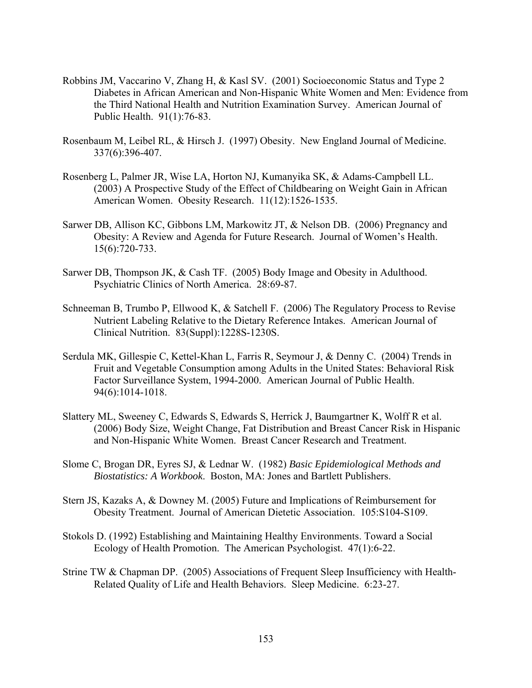- Robbins JM, Vaccarino V, Zhang H, & Kasl SV. (2001) Socioeconomic Status and Type 2 Diabetes in African American and Non-Hispanic White Women and Men: Evidence from the Third National Health and Nutrition Examination Survey. American Journal of Public Health. 91(1):76-83.
- Rosenbaum M, Leibel RL, & Hirsch J. (1997) Obesity. New England Journal of Medicine. 337(6):396-407.
- Rosenberg L, Palmer JR, Wise LA, Horton NJ, Kumanyika SK, & Adams-Campbell LL. (2003) A Prospective Study of the Effect of Childbearing on Weight Gain in African American Women. Obesity Research. 11(12):1526-1535.
- Sarwer DB, Allison KC, Gibbons LM, Markowitz JT, & Nelson DB. (2006) Pregnancy and Obesity: A Review and Agenda for Future Research. Journal of Women's Health. 15(6):720-733.
- Sarwer DB, Thompson JK, & Cash TF. (2005) Body Image and Obesity in Adulthood. Psychiatric Clinics of North America. 28:69-87.
- Schneeman B, Trumbo P, Ellwood K, & Satchell F. (2006) The Regulatory Process to Revise Nutrient Labeling Relative to the Dietary Reference Intakes. American Journal of Clinical Nutrition. 83(Suppl):1228S-1230S.
- Serdula MK, Gillespie C, Kettel-Khan L, Farris R, Seymour J, & Denny C. (2004) Trends in Fruit and Vegetable Consumption among Adults in the United States: Behavioral Risk Factor Surveillance System, 1994-2000. American Journal of Public Health. 94(6):1014-1018.
- Slattery ML, Sweeney C, Edwards S, Edwards S, Herrick J, Baumgartner K, Wolff R et al. (2006) Body Size, Weight Change, Fat Distribution and Breast Cancer Risk in Hispanic and Non-Hispanic White Women. Breast Cancer Research and Treatment.
- Slome C, Brogan DR, Eyres SJ, & Lednar W. (1982) *Basic Epidemiological Methods and Biostatistics: A Workbook*. Boston, MA: Jones and Bartlett Publishers.
- Stern JS, Kazaks A, & Downey M. (2005) Future and Implications of Reimbursement for Obesity Treatment. Journal of American Dietetic Association. 105:S104-S109.
- Stokols D. (1992) Establishing and Maintaining Healthy Environments. Toward a Social Ecology of Health Promotion. The American Psychologist. 47(1):6-22.
- Strine TW & Chapman DP. (2005) Associations of Frequent Sleep Insufficiency with Health- Related Quality of Life and Health Behaviors. Sleep Medicine. 6:23-27.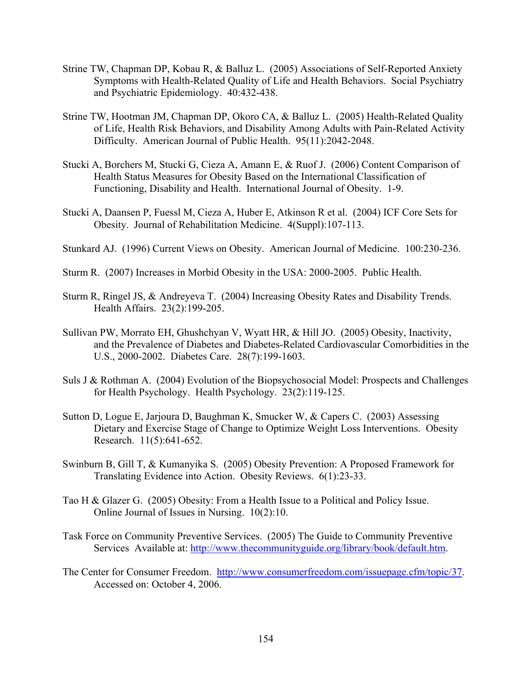- Strine TW, Chapman DP, Kobau R, & Balluz L. (2005) Associations of Self-Reported Anxiety Symptoms with Health-Related Quality of Life and Health Behaviors. Social Psychiatry and Psychiatric Epidemiology. 40:432-438.
- Strine TW, Hootman JM, Chapman DP, Okoro CA, & Balluz L. (2005) Health-Related Quality of Life, Health Risk Behaviors, and Disability Among Adults with Pain-Related Activity Difficulty. American Journal of Public Health. 95(11):2042-2048.
- Stucki A, Borchers M, Stucki G, Cieza A, Amann E, & Ruof J. (2006) Content Comparison of Health Status Measures for Obesity Based on the International Classification of Functioning, Disability and Health. International Journal of Obesity. 1-9.
- Stucki A, Daansen P, Fuessl M, Cieza A, Huber E, Atkinson R et al. (2004) ICF Core Sets for Obesity. Journal of Rehabilitation Medicine. 4(Suppl):107-113.
- Stunkard AJ. (1996) Current Views on Obesity. American Journal of Medicine. 100:230-236.
- Sturm R. (2007) Increases in Morbid Obesity in the USA: 2000-2005. Public Health.
- Sturm R, Ringel JS, & Andreyeva T. (2004) Increasing Obesity Rates and Disability Trends. Health Affairs. 23(2):199-205.
- Sullivan PW, Morrato EH, Ghushchyan V, Wyatt HR, & Hill JO. (2005) Obesity, Inactivity, and the Prevalence of Diabetes and Diabetes-Related Cardiovascular Comorbidities in the U.S., 2000-2002. Diabetes Care. 28(7):199-1603.
- Suls J & Rothman A. (2004) Evolution of the Biopsychosocial Model: Prospects and Challenges for Health Psychology. Health Psychology. 23(2):119-125.
- Sutton D, Logue E, Jarjoura D, Baughman K, Smucker W, & Capers C. (2003) Assessing Dietary and Exercise Stage of Change to Optimize Weight Loss Interventions. Obesity Research. 11(5):641-652.
- Swinburn B, Gill T, & Kumanyika S. (2005) Obesity Prevention: A Proposed Framework for Translating Evidence into Action. Obesity Reviews. 6(1):23-33.
- Tao H & Glazer G. (2005) Obesity: From a Health Issue to a Political and Policy Issue. Online Journal of Issues in Nursing. 10(2):10.
- Task Force on Community Preventive Services. (2005) The Guide to Community Preventive Services Available at: [http://www.thecommunityguide.org/library/book/default.htm.](http://www.thecommunityguide.org/library/book/default.htm)
- The Center for Consumer Freedom. [http://www.consumerfreedom.com/issuepage.cfm/topic/37.](http://www.consumerfreedom.com/issuepage.cfm/topic/37) Accessed on: October 4, 2006.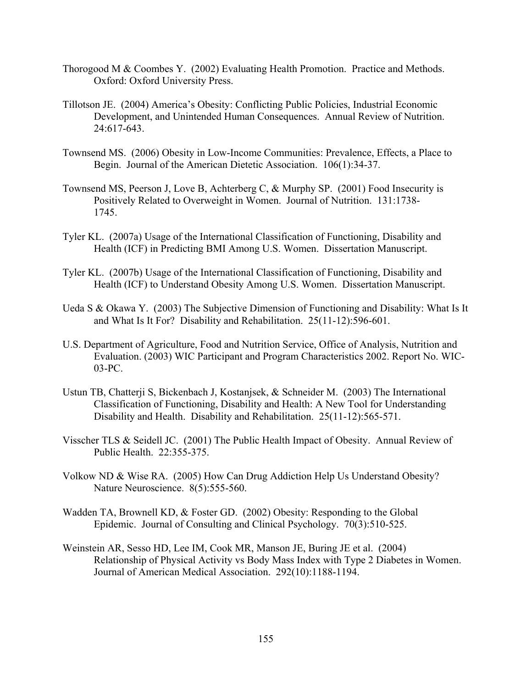- Thorogood M & Coombes Y. (2002) Evaluating Health Promotion. Practice and Methods. Oxford: Oxford University Press.
- Tillotson JE. (2004) America's Obesity: Conflicting Public Policies, Industrial Economic Development, and Unintended Human Consequences. Annual Review of Nutrition. 24:617-643.
- Townsend MS. (2006) Obesity in Low-Income Communities: Prevalence, Effects, a Place to Begin. Journal of the American Dietetic Association. 106(1):34-37.
- Townsend MS, Peerson J, Love B, Achterberg C, & Murphy SP. (2001) Food Insecurity is Positively Related to Overweight in Women. Journal of Nutrition. 131:1738- 1745.
- Tyler KL. (2007a) Usage of the International Classification of Functioning, Disability and Health (ICF) in Predicting BMI Among U.S. Women. Dissertation Manuscript.
- Tyler KL. (2007b) Usage of the International Classification of Functioning, Disability and Health (ICF) to Understand Obesity Among U.S. Women. Dissertation Manuscript.
- Ueda S & Okawa Y. (2003) The Subjective Dimension of Functioning and Disability: What Is It and What Is It For? Disability and Rehabilitation. 25(11-12):596-601.
- U.S. Department of Agriculture, Food and Nutrition Service, Office of Analysis, Nutrition and Evaluation. (2003) WIC Participant and Program Characteristics 2002. Report No. WIC- 03-PC.
- Ustun TB, Chatterji S, Bickenbach J, Kostanjsek, & Schneider M. (2003) The International Classification of Functioning, Disability and Health: A New Tool for Understanding Disability and Health. Disability and Rehabilitation. 25(11-12):565-571.
- Visscher TLS & Seidell JC. (2001) The Public Health Impact of Obesity. Annual Review of Public Health. 22:355-375.
- Volkow ND & Wise RA. (2005) How Can Drug Addiction Help Us Understand Obesity? Nature Neuroscience. 8(5):555-560.
- Wadden TA, Brownell KD, & Foster GD. (2002) Obesity: Responding to the Global Epidemic. Journal of Consulting and Clinical Psychology. 70(3):510-525.
- Weinstein AR, Sesso HD, Lee IM, Cook MR, Manson JE, Buring JE et al. (2004) Relationship of Physical Activity vs Body Mass Index with Type 2 Diabetes in Women. Journal of American Medical Association. 292(10):1188-1194.